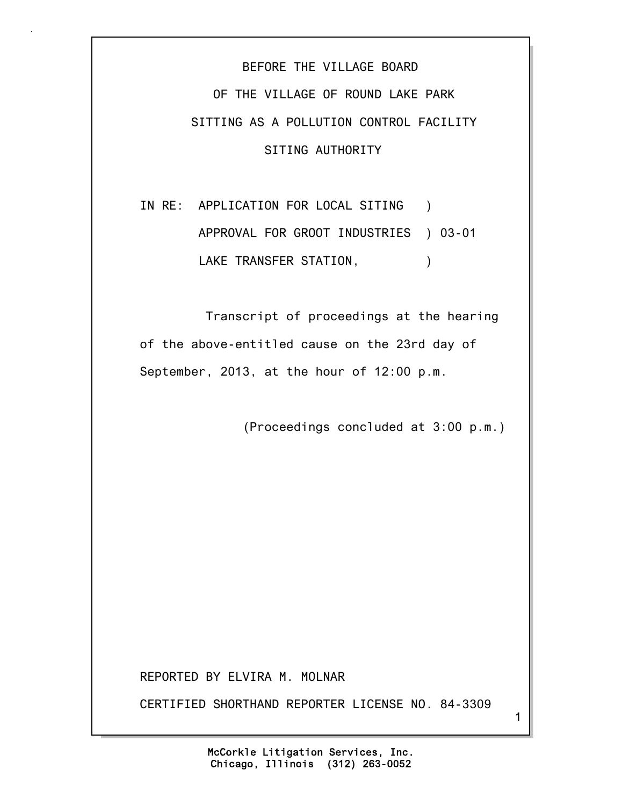BEFORE THE VILLAGE BOARD OF THE VILLAGE OF ROUND LAKE PARK SITTING AS A POLLUTION CONTROL FACILITY SITING AUTHORITY

IN RE: APPLICATION FOR LOCAL SITING ) APPROVAL FOR GROOT INDUSTRIES ) 03-01 LAKE TRANSFER STATION,  $\qquad \qquad$ )

 Transcript of proceedings at the hearing of the above-entitled cause on the 23rd day of September, 2013, at the hour of 12:00 p.m.

(Proceedings concluded at 3:00 p.m.)

REPORTED BY ELVIRA M. MOLNAR

CERTIFIED SHORTHAND REPORTER LICENSE NO. 84-3309

1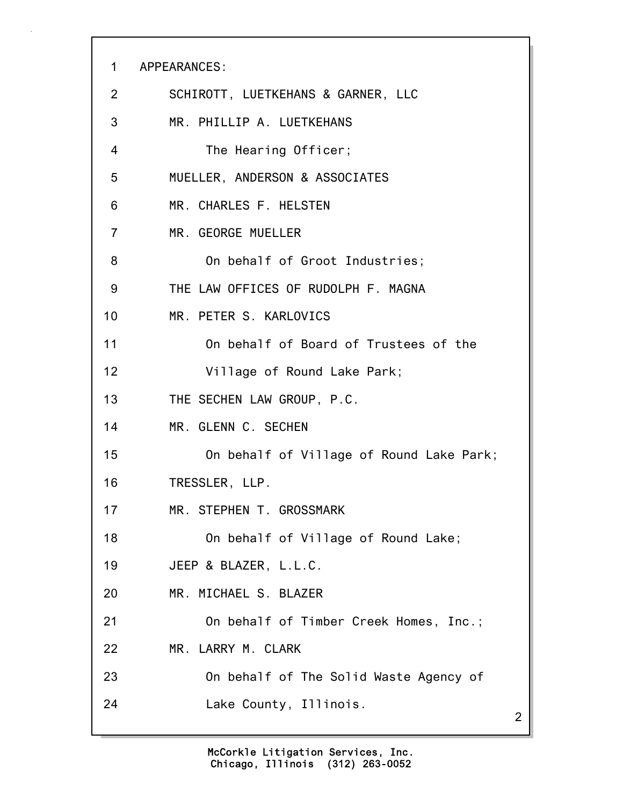1 APPEARANCES: 2 SCHIROTT, LUETKEHANS & GARNER, LLC 3 MR. PHILLIP A. LUETKEHANS 4 The Hearing Officer; 5 MUELLER, ANDERSON & ASSOCIATES 6 MR. CHARLES F. HELSTEN 7 MR. GEORGE MUELLER 8 On behalf of Groot Industries; 9 THE LAW OFFICES OF RUDOLPH F. MAGNA 10 MR. PETER S. KARLOVICS 11 On behalf of Board of Trustees of the 12 Village of Round Lake Park; 13 THE SECHEN LAW GROUP, P.C. 14 MR. GLENN C. SECHEN 15 On behalf of Village of Round Lake Park; 16 TRESSLER, LLP. 17 MR. STEPHEN T. GROSSMARK 18 On behalf of Village of Round Lake; 19 JEEP & BLAZER, L.L.C. 20 MR. MICHAEL S. BLAZER 21 On behalf of Timber Creek Homes, Inc.; 22 MR. LARRY M. CLARK 23 On behalf of The Solid Waste Agency of 24 Lake County, Illinois.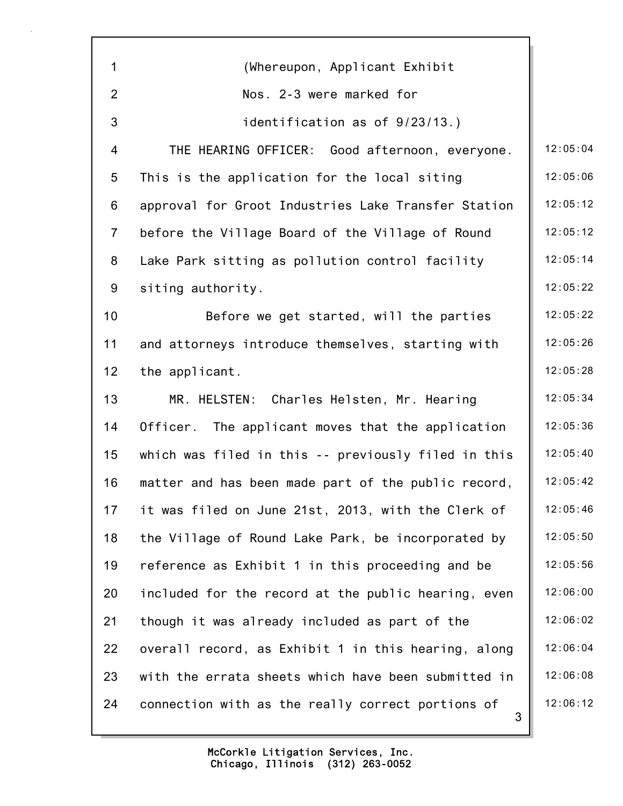| $\mathbf{1}$   | (Whereupon, Applicant Exhibit                          |          |
|----------------|--------------------------------------------------------|----------|
| $\overline{2}$ | Nos. 2-3 were marked for                               |          |
| 3              | identification as of 9/23/13.)                         |          |
| $\overline{4}$ | THE HEARING OFFICER: Good afternoon, everyone.         | 12:05:04 |
| 5              | This is the application for the local siting           | 12:05:06 |
| 6              | approval for Groot Industries Lake Transfer Station    | 12:05:12 |
| $\overline{7}$ | before the Village Board of the Village of Round       | 12:05:12 |
| 8              | Lake Park sitting as pollution control facility        | 12:05:14 |
| 9              | siting authority.                                      | 12:05:22 |
| 10             | Before we get started, will the parties                | 12:05:22 |
| 11             | and attorneys introduce themselves, starting with      | 12:05:26 |
| 12             | the applicant.                                         | 12:05:28 |
| 13             | MR. HELSTEN: Charles Helsten, Mr. Hearing              | 12:05:34 |
| 14             | Officer. The applicant moves that the application      | 12:05:36 |
| 15             | which was filed in this -- previously filed in this    | 12:05:40 |
| 16             | matter and has been made part of the public record,    | 12:05:42 |
| 17             | it was filed on June 21st, 2013, with the Clerk of     | 12:05:46 |
| 18             | the Village of Round Lake Park, be incorporated by     | 12:05:50 |
| 19             | reference as Exhibit 1 in this proceeding and be       | 12:05:56 |
| 20             | included for the record at the public hearing, even    | 12:06:00 |
| 21             | though it was already included as part of the          | 12:06:02 |
| 22             | overall record, as Exhibit 1 in this hearing, along    | 12:06:04 |
| 23             | with the errata sheets which have been submitted in    | 12:06:08 |
| 24             | connection with as the really correct portions of<br>3 | 12:06:12 |
|                |                                                        |          |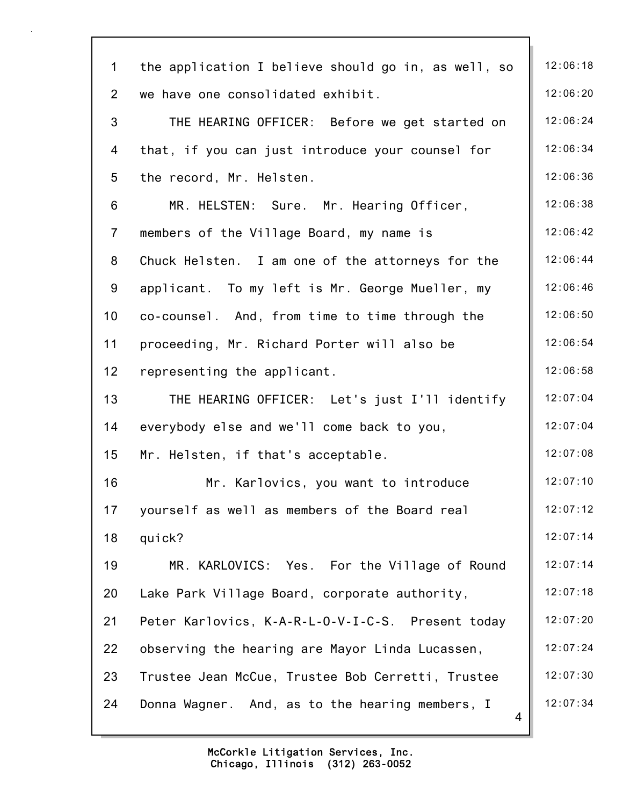| $\mathbf 1$    | the application I believe should go in, as well, so  | 12:06:18 |
|----------------|------------------------------------------------------|----------|
| $\overline{2}$ | we have one consolidated exhibit.                    | 12:06:20 |
| 3              | THE HEARING OFFICER: Before we get started on        | 12:06:24 |
| 4              | that, if you can just introduce your counsel for     | 12:06:34 |
| 5              | the record, Mr. Helsten.                             | 12:06:36 |
| 6              | MR. HELSTEN: Sure. Mr. Hearing Officer,              | 12:06:38 |
| $\overline{7}$ | members of the Village Board, my name is             | 12:06:42 |
| 8              | Chuck Helsten. I am one of the attorneys for the     | 12:06:44 |
| 9              | applicant. To my left is Mr. George Mueller, my      | 12:06:46 |
| 10             | co-counsel. And, from time to time through the       | 12:06:50 |
| 11             | proceeding, Mr. Richard Porter will also be          | 12:06:54 |
| 12             | representing the applicant.                          | 12:06:58 |
| 13             | THE HEARING OFFICER: Let's just I'll identify        | 12:07:04 |
| 14             | everybody else and we'll come back to you,           | 12:07:04 |
| 15             | Mr. Helsten, if that's acceptable.                   | 12:07:08 |
| 16             | Mr. Karlovics, you want to introduce                 | 12:07:10 |
| 17             | yourself as well as members of the Board real        | 12:07:12 |
| 18             | quick?                                               | 12:07:14 |
| 19             | MR. KARLOVICS: Yes. For the Village of Round         | 12:07:14 |
| 20             | Lake Park Village Board, corporate authority,        | 12:07:18 |
| 21             | Peter Karlovics, K-A-R-L-O-V-I-C-S. Present today    | 12:07:20 |
| 22             | observing the hearing are Mayor Linda Lucassen,      | 12:07:24 |
| 23             | Trustee Jean McCue, Trustee Bob Cerretti, Trustee    | 12:07:30 |
| 24             | Donna Wagner. And, as to the hearing members, I<br>4 | 12:07:34 |
|                |                                                      |          |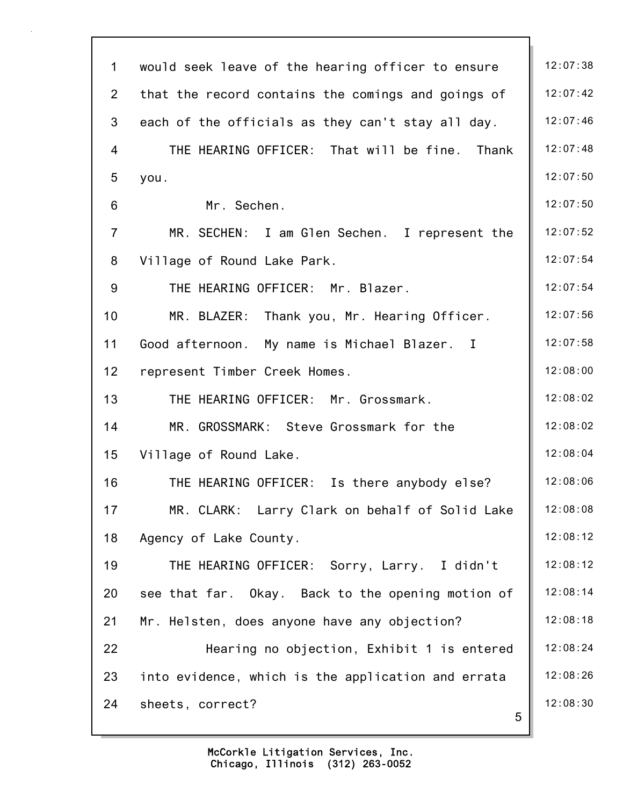| $\mathbf 1$    | would seek leave of the hearing officer to ensure  | 12:07:38 |
|----------------|----------------------------------------------------|----------|
| $\overline{2}$ | that the record contains the comings and goings of | 12:07:42 |
| 3              | each of the officials as they can't stay all day.  | 12:07:46 |
| 4              | THE HEARING OFFICER: That will be fine.<br>Thank   | 12:07:48 |
| 5              | you.                                               | 12:07:50 |
| 6              | Mr. Sechen.                                        | 12:07:50 |
| $\overline{7}$ | MR. SECHEN: I am Glen Sechen. I represent the      | 12:07:52 |
| 8              | Village of Round Lake Park.                        | 12:07:54 |
| 9              | THE HEARING OFFICER: Mr. Blazer.                   | 12:07:54 |
| 10             | MR. BLAZER: Thank you, Mr. Hearing Officer.        | 12:07:56 |
| 11             | Good afternoon. My name is Michael Blazer. I       | 12:07:58 |
| 12             | represent Timber Creek Homes.                      | 12:08:00 |
| 13             | THE HEARING OFFICER: Mr. Grossmark.                | 12:08:02 |
| 14             | MR. GROSSMARK: Steve Grossmark for the             | 12:08:02 |
| 15             | Village of Round Lake.                             | 12:08:04 |
| 16             | THE HEARING OFFICER:<br>Is there anybody else?     | 12:08:06 |
| 17             | MR. CLARK: Larry Clark on behalf of Solid Lake     | 12:08:08 |
| 18             | Agency of Lake County.                             | 12:08:12 |
| 19             | THE HEARING OFFICER: Sorry, Larry. I didn't        | 12:08:12 |
| 20             | see that far. Okay. Back to the opening motion of  | 12:08:14 |
| 21             | Mr. Helsten, does anyone have any objection?       | 12:08:18 |
| 22             | Hearing no objection, Exhibit 1 is entered         | 12:08:24 |
| 23             | into evidence, which is the application and errata | 12:08:26 |
| 24             | sheets, correct?<br>5                              | 12:08:30 |
|                |                                                    |          |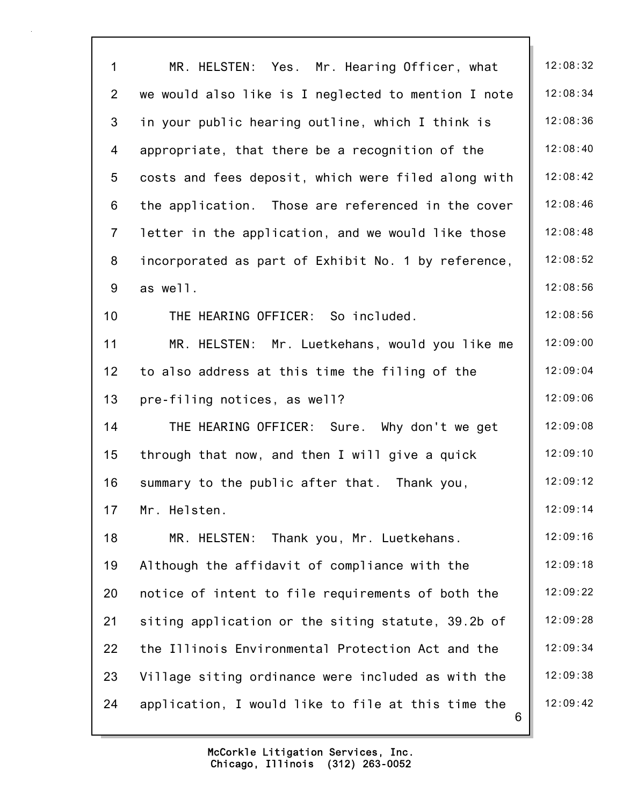| $\mathbf{1}$    | MR. HELSTEN: Yes. Mr. Hearing Officer, what             | 12:08:32 |
|-----------------|---------------------------------------------------------|----------|
| $\overline{2}$  | we would also like is I neglected to mention I note     | 12:08:34 |
| 3               | in your public hearing outline, which I think is        | 12:08:36 |
| 4               | appropriate, that there be a recognition of the         | 12:08:40 |
| 5               | costs and fees deposit, which were filed along with     | 12:08:42 |
| 6               | the application. Those are referenced in the cover      | 12:08:46 |
| $\overline{7}$  | letter in the application, and we would like those      | 12:08:48 |
| 8               | incorporated as part of Exhibit No. 1 by reference,     | 12:08:52 |
| 9               | as well.                                                | 12:08:56 |
| 10              | THE HEARING OFFICER: So included.                       | 12:08:56 |
| 11              | MR. HELSTEN: Mr. Luetkehans, would you like me          | 12:09:00 |
| 12 <sub>2</sub> | to also address at this time the filing of the          | 12:09:04 |
| 13              | pre-filing notices, as well?                            | 12:09:06 |
| 14              | THE HEARING OFFICER: Sure. Why don't we get             | 12:09:08 |
| 15              | through that now, and then I will give a quick          | 12:09:10 |
| 16              | summary to the public after that. Thank you,            | 12:09:12 |
| 17              | Mr. Helsten.                                            | 12:09:14 |
| 18              | Thank you, Mr. Luetkehans.<br>MR. HELSTEN:              | 12:09:16 |
| 19              | Although the affidavit of compliance with the           | 12:09:18 |
| 20              | notice of intent to file requirements of both the       | 12:09:22 |
| 21              | siting application or the siting statute, 39.2b of      | 12:09:28 |
| 22              | the Illinois Environmental Protection Act and the       | 12:09:34 |
| 23              | Village siting ordinance were included as with the      | 12:09:38 |
| 24              | application, I would like to file at this time the<br>6 | 12:09:42 |
|                 |                                                         |          |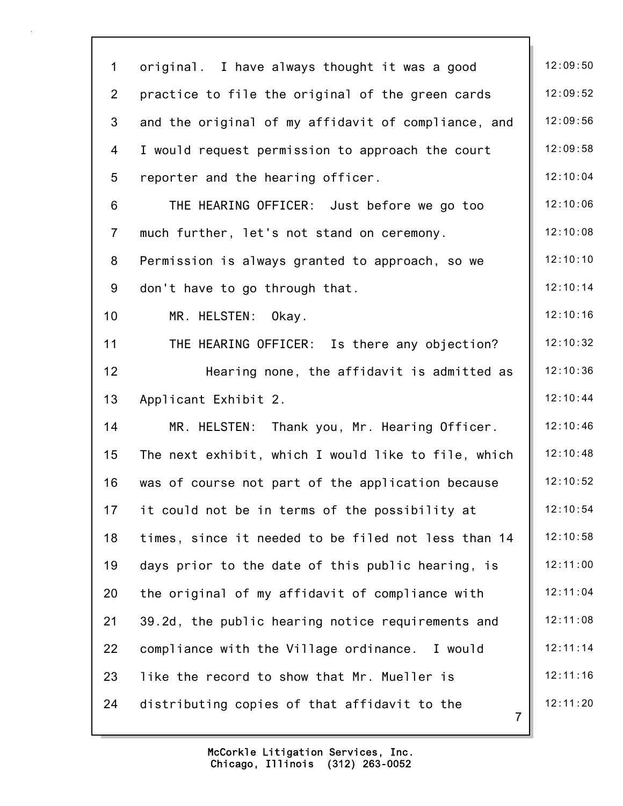| $\mathbf 1$    | original. I have always thought it was a good                  | 12:09:50 |
|----------------|----------------------------------------------------------------|----------|
| $\overline{2}$ | practice to file the original of the green cards               | 12:09:52 |
| 3              | and the original of my affidavit of compliance, and            | 12:09:56 |
| 4              | I would request permission to approach the court               | 12:09:58 |
| 5              | reporter and the hearing officer.                              | 12:10:04 |
| 6              | THE HEARING OFFICER: Just before we go too                     | 12:10:06 |
| $\overline{7}$ | much further, let's not stand on ceremony.                     | 12:10:08 |
| 8              | Permission is always granted to approach, so we                | 12:10:10 |
| 9              | don't have to go through that.                                 | 12:10:14 |
| 10             | MR. HELSTEN:<br>Okay.                                          | 12:10:16 |
| 11             | THE HEARING OFFICER: Is there any objection?                   | 12:10:32 |
| 12             | Hearing none, the affidavit is admitted as                     | 12:10:36 |
| 13             | Applicant Exhibit 2.                                           | 12:10:44 |
| 14             | MR. HELSTEN: Thank you, Mr. Hearing Officer.                   | 12:10:46 |
| 15             | The next exhibit, which I would like to file, which            | 12:10:48 |
| 16             | was of course not part of the application because              | 12:10:52 |
| 17             | it could not be in terms of the possibility at                 | 12:10:54 |
| 18             | times, since it needed to be filed not less than 14            | 12:10:58 |
| 19             | days prior to the date of this public hearing, is              | 12:11:00 |
| 20             | the original of my affidavit of compliance with                | 12:11:04 |
| 21             | 39.2d, the public hearing notice requirements and              | 12:11:08 |
| 22             | compliance with the Village ordinance. I would                 | 12:11:14 |
| 23             | like the record to show that Mr. Mueller is                    | 12:11:16 |
| 24             | distributing copies of that affidavit to the<br>$\overline{7}$ | 12:11:20 |
|                |                                                                |          |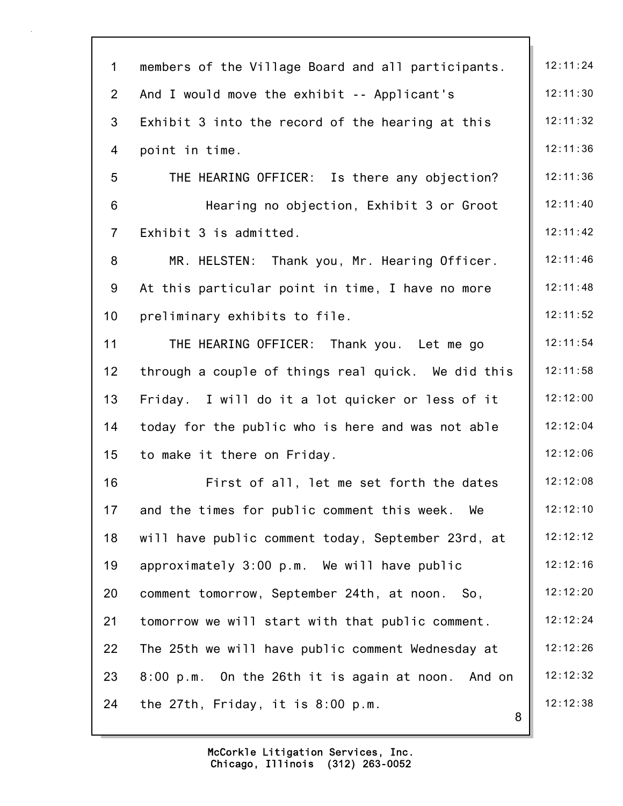| $\mathbf 1$    | members of the Village Board and all participants. | 12:11:24 |
|----------------|----------------------------------------------------|----------|
| $\overline{2}$ | And I would move the exhibit -- Applicant's        | 12:11:30 |
| 3              | Exhibit 3 into the record of the hearing at this   | 12:11:32 |
| 4              | point in time.                                     | 12:11:36 |
| 5              | THE HEARING OFFICER: Is there any objection?       | 12:11:36 |
| 6              | Hearing no objection, Exhibit 3 or Groot           | 12:11:40 |
| $\overline{7}$ | Exhibit 3 is admitted.                             | 12:11:42 |
| 8              | MR. HELSTEN: Thank you, Mr. Hearing Officer.       | 12:11:46 |
| 9              | At this particular point in time, I have no more   | 12:11:48 |
| 10             | preliminary exhibits to file.                      | 12:11:52 |
| 11             | THE HEARING OFFICER: Thank you. Let me go          | 12:11:54 |
| 12             | through a couple of things real quick. We did this | 12:11:58 |
| 13             | Friday. I will do it a lot quicker or less of it   | 12:12:00 |
| 14             | today for the public who is here and was not able  | 12:12:04 |
| 15             | to make it there on Friday.                        | 12:12:06 |
| 16             | First of all, let me set forth the dates           | 12:12:08 |
| 17             | and the times for public comment this week.<br>We  | 12:12:10 |
| 18             | will have public comment today, September 23rd, at | 12:12:12 |
| 19             | approximately 3:00 p.m. We will have public        | 12:12:16 |
| 20             | comment tomorrow, September 24th, at noon. So,     | 12:12:20 |
| 21             | tomorrow we will start with that public comment.   | 12:12:24 |
| 22             | The 25th we will have public comment Wednesday at  | 12:12:26 |
| 23             | 8:00 p.m. On the 26th it is again at noon. And on  | 12:12:32 |
| 24             | the 27th, Friday, it is 8:00 p.m.<br>8             | 12:12:38 |
|                |                                                    |          |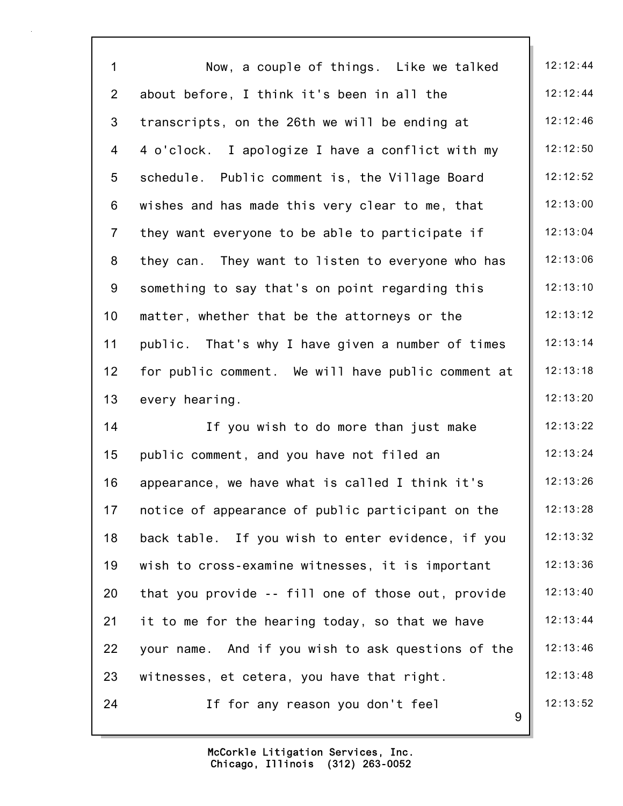| $\mathbf{1}$    | Now, a couple of things. Like we talked            | 12:12:44 |
|-----------------|----------------------------------------------------|----------|
| $\overline{2}$  | about before, I think it's been in all the         | 12:12:44 |
| 3               | transcripts, on the 26th we will be ending at      | 12:12:46 |
| 4               | 4 o'clock. I apologize I have a conflict with my   | 12:12:50 |
| $5\phantom{.0}$ | schedule. Public comment is, the Village Board     | 12:12:52 |
| 6               | wishes and has made this very clear to me, that    | 12:13:00 |
| $\overline{7}$  | they want everyone to be able to participate if    | 12:13:04 |
| 8               | they can. They want to listen to everyone who has  | 12:13:06 |
| 9               | something to say that's on point regarding this    | 12:13:10 |
| 10 <sub>1</sub> | matter, whether that be the attorneys or the       | 12:13:12 |
| 11              | public. That's why I have given a number of times  | 12:13:14 |
| 12 <sub>2</sub> | for public comment. We will have public comment at | 12:13:18 |
| 13              | every hearing.                                     | 12:13:20 |
| 14              | If you wish to do more than just make              | 12:13:22 |
| 15              | public comment, and you have not filed an          | 12:13:24 |
| 16              | appearance, we have what is called I think it's    | 12:13:26 |
| 17              | notice of appearance of public participant on the  | 12:13:28 |
| 18              | back table. If you wish to enter evidence, if you  | 12:13:32 |
| 19              | wish to cross-examine witnesses, it is important   | 12:13:36 |
| 20              | that you provide -- fill one of those out, provide | 12:13:40 |
| 21              | it to me for the hearing today, so that we have    | 12:13:44 |
| 22              | your name. And if you wish to ask questions of the | 12:13:46 |
| 23              | witnesses, et cetera, you have that right.         | 12:13:48 |
| 24              | If for any reason you don't feel<br>9              | 12:13:52 |
|                 |                                                    |          |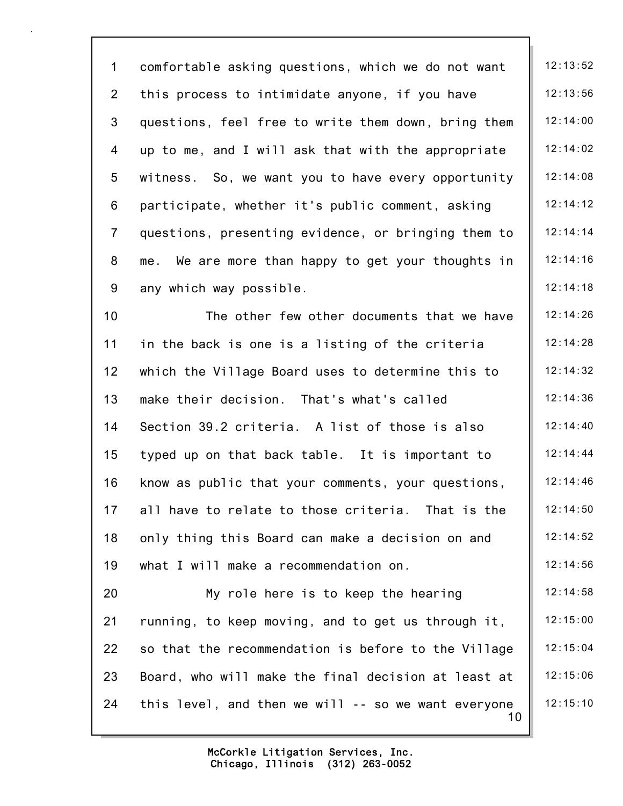1 comfortable asking questions, which we do not want | 12:13:52 2 this process to intimidate anyone, if you have  $\parallel$  12:13:56 3 questions, feel free to write them down, bring them 12:14:00 4 up to me, and I will ask that with the appropriate  $\parallel$  12:14:02 5 witness. So, we want you to have every opportunity 12:14:08 6 participate, whether it's public comment, asking  $\parallel$  12:14:12 7 questions, presenting evidence, or bringing them to  $\parallel$  12:14:14 8 me. We are more than happy to get your thoughts in  $\parallel$  12:14:16 9 any which way possible.  $\vert$  12:14:18

10 The other few other documents that we have 12:14:26 11 in the back is one is a listing of the criteria  $\parallel$  12:14:28 12 which the Village Board uses to determine this to  $\parallel$  12:14:32 13 make their decision. That's what's called  $\parallel$  12:14:36 14 Section 39.2 criteria. A list of those is also 12:14:40 15 typed up on that back table. It is important to  $\parallel$  12:14:44 16 know as public that your comments, your questions, | 12:14:46 17 all have to relate to those criteria. That is the  $\parallel$  12:14:50 18 only thing this Board can make a decision on and 12:14:52 19 what I will make a recommendation on. 12:14:56 20 My role here is to keep the hearing 12:14:58 21 running, to keep moving, and to get us through it,  $\|$  12:15:00 22 so that the recommendation is before to the Village  $\parallel$  12:15:04

10 23 Board, who will make the final decision at least at  $\parallel$  12:15:06 24 this level, and then we will  $-$  so we want everyone  $\parallel$  12:15:10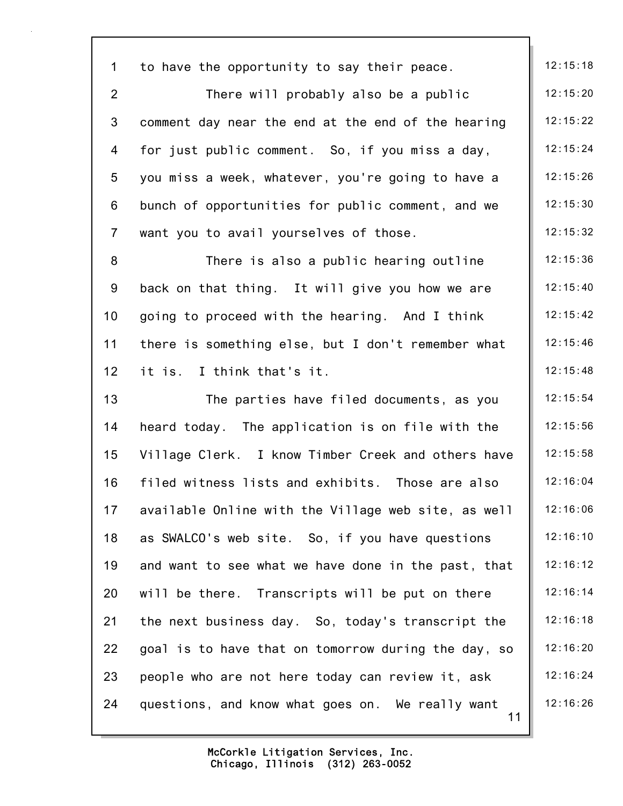| $\mathbf{1}$    | to have the opportunity to say their peace.            | 12:15:18 |
|-----------------|--------------------------------------------------------|----------|
| $\overline{2}$  | There will probably also be a public                   | 12:15:20 |
| $\mathbf{3}$    | comment day near the end at the end of the hearing     | 12:15:22 |
| $\overline{4}$  | for just public comment. So, if you miss a day,        | 12:15:24 |
| 5               | you miss a week, whatever, you're going to have a      | 12:15:26 |
| 6               | bunch of opportunities for public comment, and we      | 12:15:30 |
| $\overline{7}$  | want you to avail yourselves of those.                 | 12:15:32 |
| 8               | There is also a public hearing outline                 | 12:15:36 |
| 9               | back on that thing. It will give you how we are        | 12:15:40 |
| 10 <sub>1</sub> | going to proceed with the hearing. And I think         | 12:15:42 |
| 11              | there is something else, but I don't remember what     | 12:15:46 |
| 12 <sub>2</sub> | it is. I think that's it.                              | 12:15:48 |
| 13              | The parties have filed documents, as you               | 12:15:54 |
| 14              | heard today. The application is on file with the       | 12:15:56 |
| 15              | Village Clerk. I know Timber Creek and others have     | 12:15:58 |
| 16              | filed witness lists and exhibits. Those are also       | 12:16:04 |
| 17              | available Online with the Village web site, as well    | 12:16:06 |
| 18              | as SWALCO's web site. So, if you have questions        | 12:16:10 |
| 19              | and want to see what we have done in the past, that    | 12:16:12 |
| 20              | will be there. Transcripts will be put on there        | 12:16:14 |
| 21              | the next business day. So, today's transcript the      | 12:16:18 |
| 22              | goal is to have that on tomorrow during the day, so    | 12:16:20 |
| 23              | people who are not here today can review it, ask       | 12:16:24 |
| 24              | questions, and know what goes on. We really want<br>11 | 12:16:26 |
|                 |                                                        |          |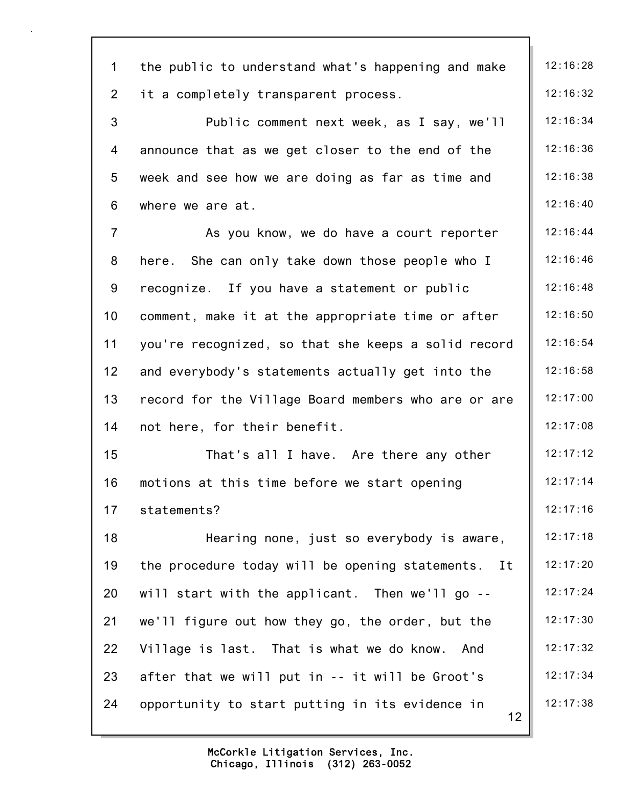| $\mathbf 1$    | the public to understand what's happening and make    | 12:16:28 |
|----------------|-------------------------------------------------------|----------|
| $\overline{2}$ | it a completely transparent process.                  | 12:16:32 |
| 3              | Public comment next week, as I say, we'll             | 12:16:34 |
| 4              | announce that as we get closer to the end of the      | 12:16:36 |
| 5              | week and see how we are doing as far as time and      | 12:16:38 |
| $6\phantom{a}$ | where we are at.                                      | 12:16:40 |
| $\overline{7}$ | As you know, we do have a court reporter              | 12:16:44 |
| 8              | here. She can only take down those people who I       | 12:16:46 |
| 9              | recognize. If you have a statement or public          | 12:16:48 |
| 10             | comment, make it at the appropriate time or after     | 12:16:50 |
| 11             | you're recognized, so that she keeps a solid record   | 12:16:54 |
| 12             | and everybody's statements actually get into the      | 12:16:58 |
| 13             | record for the Village Board members who are or are   | 12:17:00 |
| 14             | not here, for their benefit.                          | 12:17:08 |
| 15             | That's all I have. Are there any other                | 12:17:12 |
| 16             | motions at this time before we start opening          | 12:17:14 |
| 17             | statements?                                           | 12:17:16 |
| 18             | Hearing none, just so everybody is aware,             | 12:17:18 |
| 19             | the procedure today will be opening statements.<br>It | 12:17:20 |
| 20             | will start with the applicant. Then we'll go --       | 12:17:24 |
| 21             | we'll figure out how they go, the order, but the      | 12:17:30 |
| 22             | Village is last. That is what we do know. And         | 12:17:32 |
| 23             | after that we will put in -- it will be Groot's       | 12:17:34 |
| 24             | opportunity to start putting in its evidence in<br>12 | 12:17:38 |
|                |                                                       |          |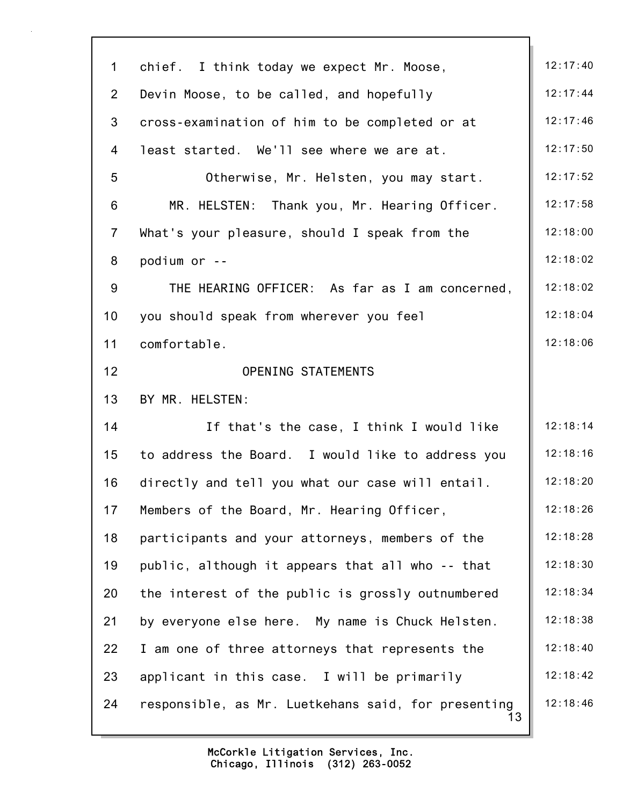| $\mathbf 1$    | chief. I think today we expect Mr. Moose,                 | 12:17:40 |
|----------------|-----------------------------------------------------------|----------|
| $\overline{2}$ | Devin Moose, to be called, and hopefully                  | 12:17:44 |
| 3              | cross-examination of him to be completed or at            | 12:17:46 |
| 4              | least started. We'll see where we are at.                 | 12:17:50 |
| 5              | Otherwise, Mr. Helsten, you may start.                    | 12:17:52 |
| 6              | MR. HELSTEN: Thank you, Mr. Hearing Officer.              | 12:17:58 |
| $\overline{7}$ | What's your pleasure, should I speak from the             | 12:18:00 |
| 8              | podium or --                                              | 12:18:02 |
| 9              | THE HEARING OFFICER: As far as I am concerned,            | 12:18:02 |
| 10             | you should speak from wherever you feel                   | 12:18:04 |
| 11             | comfortable.                                              | 12:18:06 |
| 12             | OPENING STATEMENTS                                        |          |
| 13             | BY MR. HELSTEN:                                           |          |
| 14             | If that's the case, I think I would like                  | 12:18:14 |
| 15             | to address the Board. I would like to address you         | 12:18:16 |
| 16             | directly and tell you what our case will entail.          | 12:18:20 |
| 17             | Members of the Board, Mr. Hearing Officer,                | 12:18:26 |
| 18             | participants and your attorneys, members of the           | 12:18:28 |
| 19             | public, although it appears that all who -- that          | 12:18:30 |
| 20             | the interest of the public is grossly outnumbered         | 12:18:34 |
| 21             | by everyone else here. My name is Chuck Helsten.          | 12:18:38 |
| 22             | I am one of three attorneys that represents the           | 12:18:40 |
| 23             | applicant in this case. I will be primarily               | 12:18:42 |
| 24             | responsible, as Mr. Luetkehans said, for presenting<br>13 | 12:18:46 |
|                |                                                           |          |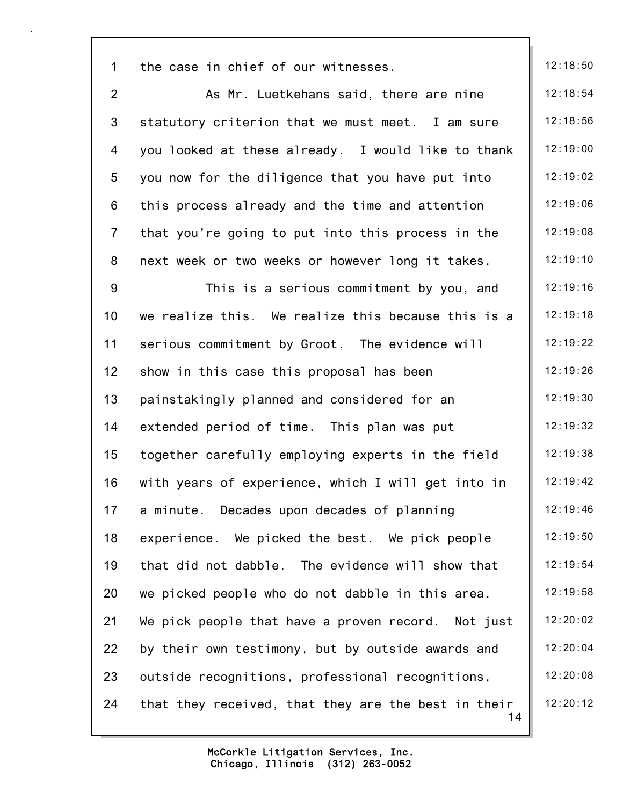| $\mathbf 1$     | the case in chief of our witnesses.                       | 12:18:50 |
|-----------------|-----------------------------------------------------------|----------|
| $\overline{2}$  | As Mr. Luetkehans said, there are nine                    | 12:18:54 |
| $\mathbf{3}$    | statutory criterion that we must meet. I am sure          | 12:18:56 |
| 4               | you looked at these already. I would like to thank        | 12:19:00 |
| $5\phantom{.0}$ | you now for the diligence that you have put into          | 12:19:02 |
| 6               | this process already and the time and attention           | 12:19:06 |
| $\overline{7}$  | that you're going to put into this process in the         | 12:19:08 |
| 8               | next week or two weeks or however long it takes.          | 12:19:10 |
| 9               | This is a serious commitment by you, and                  | 12:19:16 |
| 10              | we realize this. We realize this because this is a        | 12:19:18 |
| 11              | serious commitment by Groot. The evidence will            | 12:19:22 |
| 12              | show in this case this proposal has been                  | 12:19:26 |
| 13              | painstakingly planned and considered for an               | 12:19:30 |
| 14              | extended period of time. This plan was put                | 12:19:32 |
| 15              | together carefully employing experts in the field         | 12:19:38 |
| 16              | with years of experience, which I will get into in        | 12:19:42 |
| 17              | a minute. Decades upon decades of planning                | 12:19:46 |
| 18              | experience. We picked the best. We pick people            | 12:19:50 |
| 19              | that did not dabble. The evidence will show that          | 12:19:54 |
| 20              | we picked people who do not dabble in this area.          | 12:19:58 |
| 21              | We pick people that have a proven record. Not just        | 12:20:02 |
| 22              | by their own testimony, but by outside awards and         | 12:20:04 |
| 23              | outside recognitions, professional recognitions,          | 12:20:08 |
| 24              | that they received, that they are the best in their<br>14 | 12:20:12 |
|                 |                                                           |          |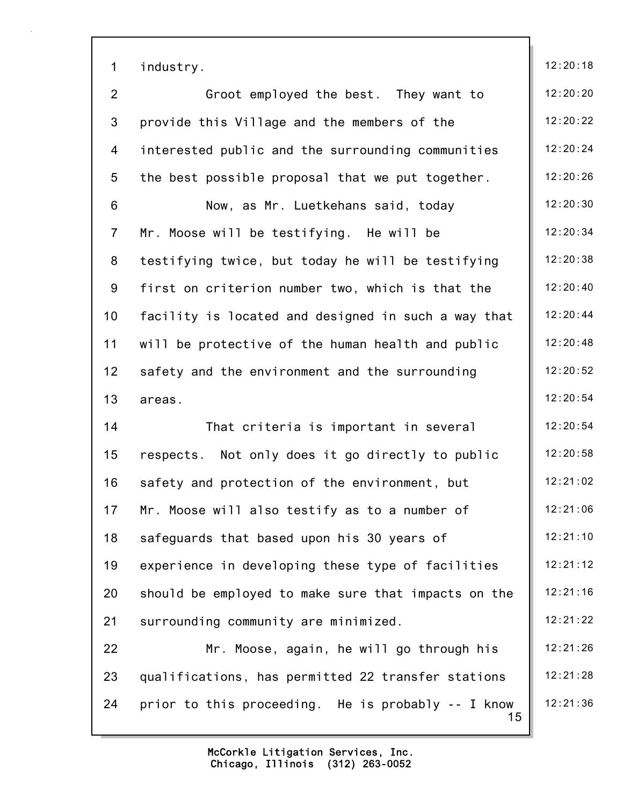| $\mathbf 1$    | industry.                                                | 12:20:18 |
|----------------|----------------------------------------------------------|----------|
| $\overline{2}$ | Groot employed the best. They want to                    | 12:20:20 |
| 3              | provide this Village and the members of the              | 12:20:22 |
| 4              | interested public and the surrounding communities        | 12:20:24 |
| 5              | the best possible proposal that we put together.         | 12:20:26 |
| 6              | Now, as Mr. Luetkehans said, today                       | 12:20:30 |
| $\overline{7}$ | Mr. Moose will be testifying. He will be                 | 12:20:34 |
| 8              | testifying twice, but today he will be testifying        | 12:20:38 |
| 9              | first on criterion number two, which is that the         | 12:20:40 |
| 10             | facility is located and designed in such a way that      | 12:20:44 |
| 11             | will be protective of the human health and public        | 12:20:48 |
| 12             | safety and the environment and the surrounding           | 12:20:52 |
| 13             | areas.                                                   | 12:20:54 |
| 14             | That criteria is important in several                    | 12:20:54 |
| 15             | respects. Not only does it go directly to public         | 12:20:58 |
| 16             | safety and protection of the environment, but            | 12:21:02 |
| 17             | Mr. Moose will also testify as to a number of            | 12:21:06 |
| 18             | safeguards that based upon his 30 years of               | 12:21:10 |
| 19             | experience in developing these type of facilities        | 12:21:12 |
| 20             | should be employed to make sure that impacts on the      | 12:21:16 |
| 21             | surrounding community are minimized.                     | 12:21:22 |
| 22             | Mr. Moose, again, he will go through his                 | 12:21:26 |
| 23             | qualifications, has permitted 22 transfer stations       | 12:21:28 |
| 24             | prior to this proceeding. He is probably -- I know<br>15 | 12:21:36 |
|                |                                                          |          |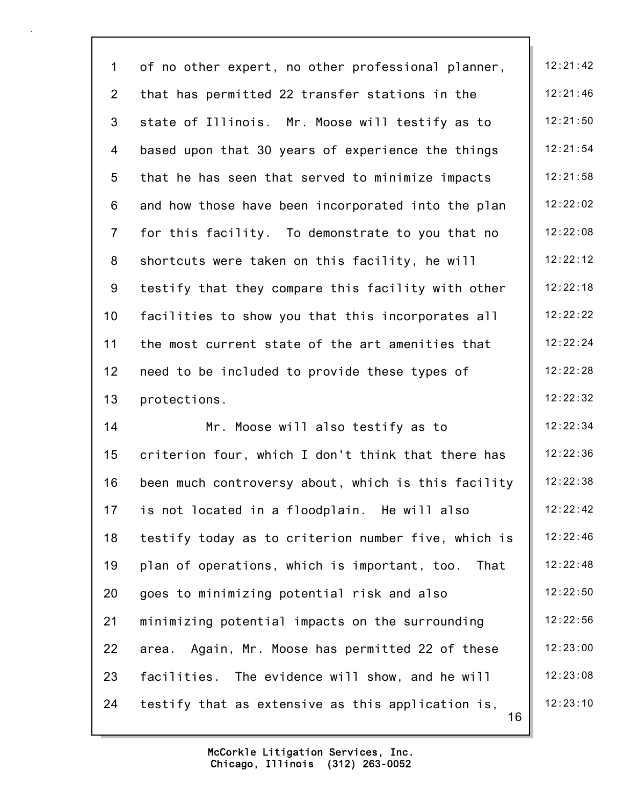| $\mathbf 1$    | of no other expert, no other professional planner,      | 12:21:42 |
|----------------|---------------------------------------------------------|----------|
| $\overline{2}$ | that has permitted 22 transfer stations in the          | 12:21:46 |
| $\mathfrak{Z}$ | state of Illinois. Mr. Moose will testify as to         | 12:21:50 |
| 4              | based upon that 30 years of experience the things       | 12:21:54 |
| 5              | that he has seen that served to minimize impacts        | 12:21:58 |
| $6\phantom{a}$ | and how those have been incorporated into the plan      | 12:22:02 |
| $\overline{7}$ | for this facility. To demonstrate to you that no        | 12:22:08 |
| 8              | shortcuts were taken on this facility, he will          | 12:22:12 |
| 9              | testify that they compare this facility with other      | 12:22:18 |
| 10             | facilities to show you that this incorporates all       | 12:22:22 |
| 11             | the most current state of the art amenities that        | 12:22:24 |
| 12             | need to be included to provide these types of           | 12:22:28 |
| 13             | protections.                                            | 12:22:32 |
| 14             | Mr. Moose will also testify as to                       | 12:22:34 |
| 15             | criterion four, which I don't think that there has      | 12:22:36 |
| 16             | been much controversy about, which is this facility     | 12:22:38 |
| 17             | is not located in a floodplain. He will also            | 12:22:42 |
| 18             | testify today as to criterion number five, which is     | 12:22:46 |
| 19             | plan of operations, which is important, too.<br>That    | 12:22:48 |
| 20             | goes to minimizing potential risk and also              | 12:22:50 |
| 21             | minimizing potential impacts on the surrounding         | 12:22:56 |
| 22             | Again, Mr. Moose has permitted 22 of these<br>area.     | 12:23:00 |
| 23             | facilities. The evidence will show, and he will         | 12:23:08 |
| 24             | testify that as extensive as this application is,<br>16 | 12:23:10 |
|                |                                                         |          |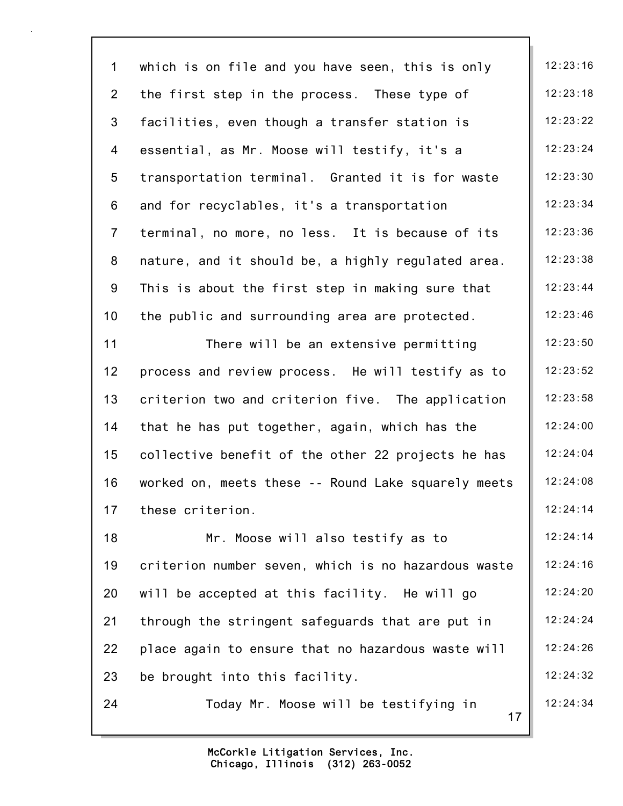17 1 which is on file and you have seen, this is only  $\begin{array}{|l|} \hline \end{array}$  12:23:16 2 the first step in the process. These type of  $\|$  12:23:18 3 facilities, even though a transfer station is  $\vert$  12:23:22 4 essential, as Mr. Moose will testify, it's a  $\parallel$  12:23:24 5 transportation terminal. Granted it is for waste | 12:23:30 6 and for recyclables, it's a transportation  $\parallel$  12:23:34 7 terminal, no more, no less. It is because of its | 12:23:36 8 nature, and it should be, a highly regulated area.  $\parallel$  12:23:38 9 This is about the first step in making sure that  $\parallel$  12:23:44 10 the public and surrounding area are protected. 12:23:46 11 There will be an extensive permitting 12:23:50 12 process and review process. He will testify as to  $\parallel$  12:23:52 13 criterion two and criterion five. The application | 12:23:58 14 that he has put together, again, which has the  $\vert$  12:24:00 15 collective benefit of the other 22 projects he has  $\parallel$  12:24:04 16 worked on, meets these -- Round Lake squarely meets | 12:24:08 17 these criterion. 12:24:14 18 Mr. Moose will also testify as to 12:24:14 19 criterion number seven, which is no hazardous waste | 12:24:16 20 will be accepted at this facility. He will go  $\vert$  12:24:20 21 through the stringent safeguards that are put in | 12:24:24 22 place again to ensure that no hazardous waste will | 12:24:26 23 be brought into this facility. 12:24:32 24 Today Mr. Moose will be testifying in  $\parallel$  12:24:34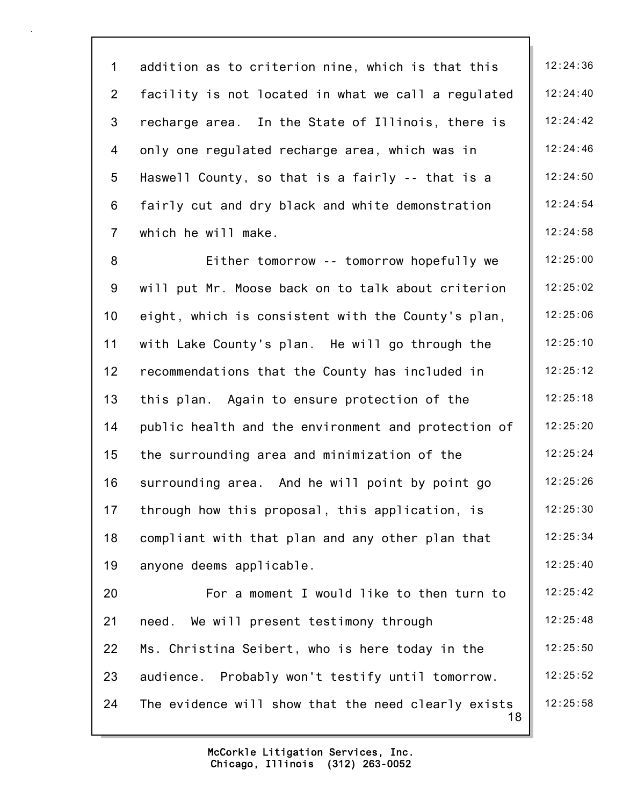1 addition as to criterion nine, which is that this | 12:24:36 2 facility is not located in what we call a regulated  $\parallel$  12:24:40 3 recharge area. In the State of Illinois, there is | 12:24:42 4 only one regulated recharge area, which was in | 12:24:46 5 Haswell County, so that is a fairly  $-$  that is a  $\left| \right|$  12:24:50 6 fairly cut and dry black and white demonstration  $\parallel$  12:24:54 7 which he will make. 12:24:58

8 Either tomorrow -- tomorrow hopefully we | 12:25:00 9 will put Mr. Moose back on to talk about criterion | 12:25:02 10 eight, which is consistent with the County's plan, | 12:25:06 11 with Lake County's plan. He will go through the 12:25:10 12 recommendations that the County has included in | 12:25:12 13 this plan. Again to ensure protection of the  $\vert$  12:25:18 14 public health and the environment and protection of  $\parallel$  12:25:20 15 the surrounding area and minimization of the 12:25:24 16 surrounding area. And he will point by point go  $\parallel$  12:25:26 17 through how this proposal, this application, is  $\|\cdot\|$  12:25:30 18 compliant with that plan and any other plan that  $\parallel$  12:25:34 19 anyone deems applicable. 12:25:40 20 For a moment I would like to then turn to | 12:25:42 21 need. We will present testimony through 12:25:48 22 Ms. Christina Seibert, who is here today in the 12:25:50 23 audience. Probably won't testify until tomorrow. | 12:25:52 24 The evidence will show that the need clearly exists  $\parallel$  12:25:58

> Chicago, Illinois (312) 263-0052 McCorkle Litigation Services, Inc.

18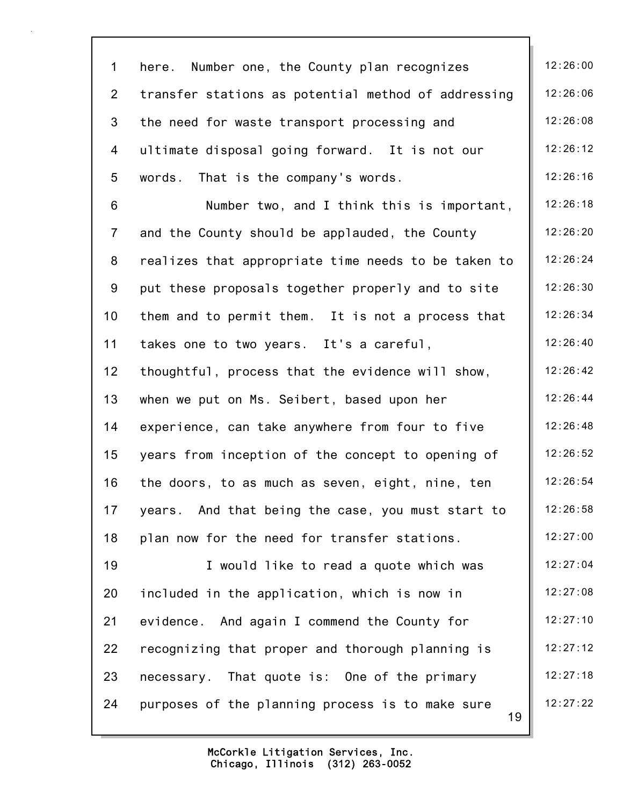| $\mathbf 1$     | Number one, the County plan recognizes<br>here.        | 12:26:00 |
|-----------------|--------------------------------------------------------|----------|
| $\overline{2}$  | transfer stations as potential method of addressing    | 12:26:06 |
| 3               | the need for waste transport processing and            | 12:26:08 |
| 4               | ultimate disposal going forward. It is not our         | 12:26:12 |
| 5               | That is the company's words.<br>words.                 | 12:26:16 |
| $6\,$           | Number two, and I think this is important,             | 12:26:18 |
| $\overline{7}$  | and the County should be applauded, the County         | 12:26:20 |
| 8               | realizes that appropriate time needs to be taken to    | 12:26:24 |
| 9               | put these proposals together properly and to site      | 12:26:30 |
| 10 <sub>1</sub> | them and to permit them. It is not a process that      | 12:26:34 |
| 11              | takes one to two years. It's a careful,                | 12:26:40 |
| 12 <sub>2</sub> | thoughtful, process that the evidence will show,       | 12:26:42 |
| 13              | when we put on Ms. Seibert, based upon her             | 12:26:44 |
| 14              | experience, can take anywhere from four to five        | 12:26:48 |
| 15              | years from inception of the concept to opening of      | 12:26:52 |
| 16              | the doors, to as much as seven, eight, nine, ten       | 12:26:54 |
| 17              | years. And that being the case, you must start to      | 12:26:58 |
| 18              | plan now for the need for transfer stations.           | 12:27:00 |
| 19              | I would like to read a quote which was                 | 12:27:04 |
| 20              | included in the application, which is now in           | 12:27:08 |
| 21              | evidence. And again I commend the County for           | 12:27:10 |
| 22              | recognizing that proper and thorough planning is       | 12:27:12 |
| 23              | necessary. That quote is: One of the primary           | 12:27:18 |
| 24              | purposes of the planning process is to make sure<br>19 | 12:27:22 |
|                 |                                                        |          |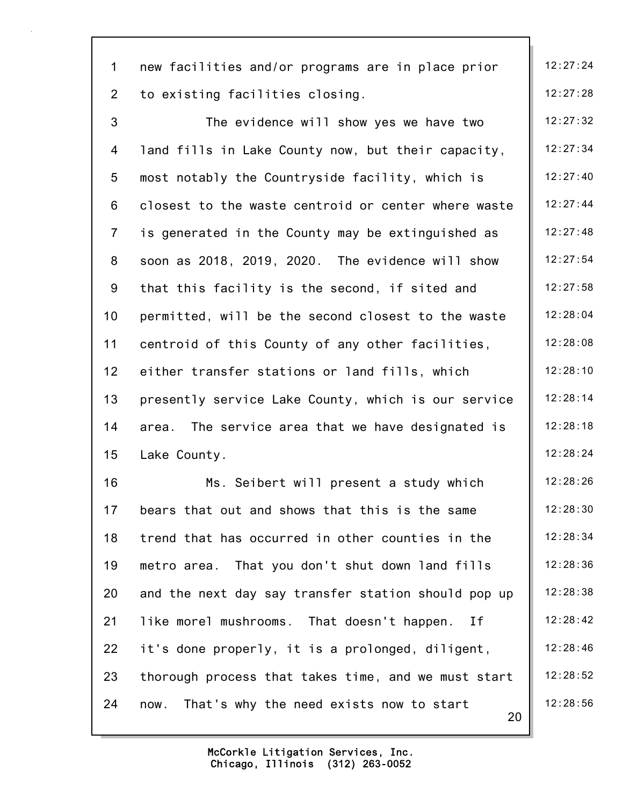| $\mathbf 1$     | new facilities and/or programs are in place prior     | 12:27:24 |
|-----------------|-------------------------------------------------------|----------|
| $\overline{2}$  | to existing facilities closing.                       | 12:27:28 |
| 3               | The evidence will show yes we have two                | 12:27:32 |
| 4               | land fills in Lake County now, but their capacity,    | 12:27:34 |
| 5               | most notably the Countryside facility, which is       | 12:27:40 |
| 6               | closest to the waste centroid or center where waste   | 12:27:44 |
| $\overline{7}$  | is generated in the County may be extinguished as     | 12:27:48 |
| 8               | soon as 2018, 2019, 2020. The evidence will show      | 12:27:54 |
| 9               | that this facility is the second, if sited and        | 12:27:58 |
| 10              | permitted, will be the second closest to the waste    | 12:28:04 |
| 11              | centroid of this County of any other facilities,      | 12:28:08 |
| 12 <sub>2</sub> | either transfer stations or land fills, which         | 12:28:10 |
| 13              | presently service Lake County, which is our service   | 12:28:14 |
| 14              | The service area that we have designated is<br>area.  | 12:28:18 |
| 15              | Lake County.                                          | 12:28:24 |
| 16              | Ms. Seibert will present a study which                | 12:28:26 |
| 17              | bears that out and shows that this is the same        | 12:28:30 |
| 18              | trend that has occurred in other counties in the      | 12:28:34 |
| 19              | metro area. That you don't shut down land fills       | 12:28:36 |
| 20              | and the next day say transfer station should pop up   | 12:28:38 |
| 21              | like morel mushrooms. That doesn't happen.<br>Ιf      | 12:28:42 |
| 22              | it's done properly, it is a prolonged, diligent,      | 12:28:46 |
| 23              | thorough process that takes time, and we must start   | 12:28:52 |
| 24              | That's why the need exists now to start<br>now.<br>20 | 12:28:56 |
|                 |                                                       |          |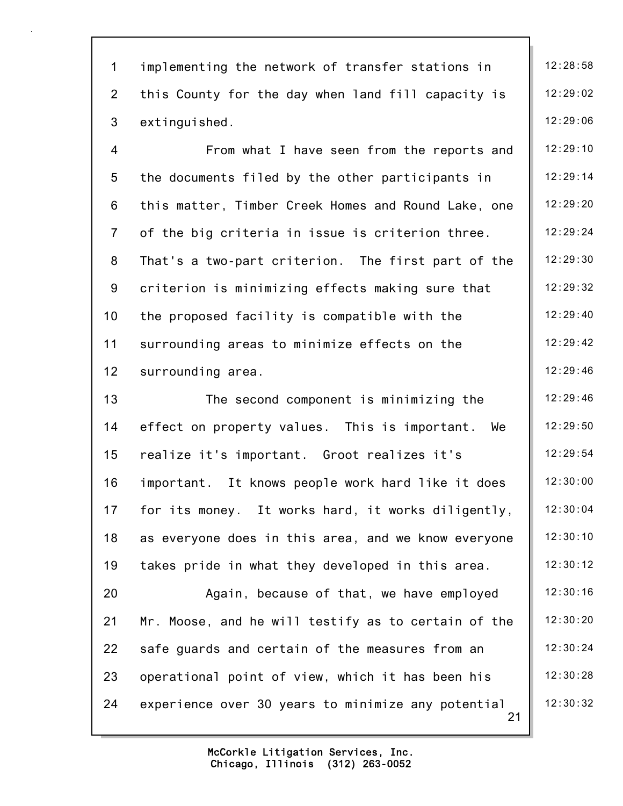| $\mathbf{1}$   | implementing the network of transfer stations in         | 12:28:58 |
|----------------|----------------------------------------------------------|----------|
| $\overline{2}$ | this County for the day when land fill capacity is       | 12:29:02 |
| $\mathfrak{S}$ | extinguished.                                            | 12:29:06 |
| $\overline{4}$ | From what I have seen from the reports and               | 12:29:10 |
| $\overline{5}$ | the documents filed by the other participants in         | 12:29:14 |
| $\,6$          | this matter, Timber Creek Homes and Round Lake, one      | 12:29:20 |
| $\overline{7}$ | of the big criteria in issue is criterion three.         | 12:29:24 |
| 8              | That's a two-part criterion. The first part of the       | 12:29:30 |
| 9              | criterion is minimizing effects making sure that         | 12:29:32 |
| 10             | the proposed facility is compatible with the             | 12:29:40 |
| 11             | surrounding areas to minimize effects on the             | 12:29:42 |
| 12             | surrounding area.                                        | 12:29:46 |
| 13             | The second component is minimizing the                   | 12:29:46 |
| 14             | effect on property values. This is important. We         | 12:29:50 |
| 15             | realize it's important. Groot realizes it's              | 12:29:54 |
| 16             | important. It knows people work hard like it does        | 12:30:00 |
| 17             | for its money. It works hard, it works diligently,       | 12:30:04 |
| 18             | as everyone does in this area, and we know everyone      | 12:30:10 |
| 19             | takes pride in what they developed in this area.         | 12:30:12 |
| 20             | Again, because of that, we have employed                 | 12:30:16 |
| 21             | Mr. Moose, and he will testify as to certain of the      | 12:30:20 |
| 22             | safe guards and certain of the measures from an          | 12:30:24 |
| 23             | operational point of view, which it has been his         | 12:30:28 |
| 24             | experience over 30 years to minimize any potential<br>21 | 12:30:32 |
|                |                                                          |          |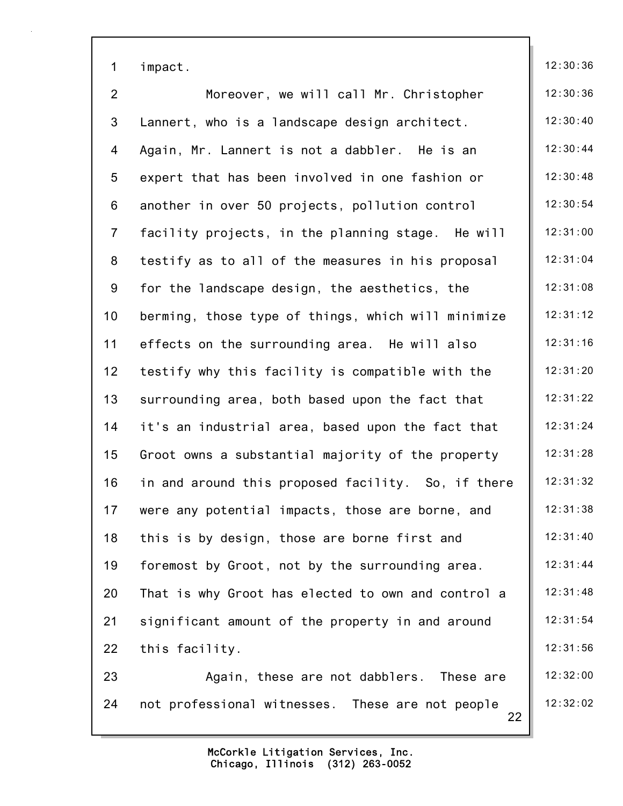| $\mathbf{1}$    | impact.                                                | 12:30:36 |
|-----------------|--------------------------------------------------------|----------|
| $\overline{2}$  | Moreover, we will call Mr. Christopher                 | 12:30:36 |
| $\mathfrak{S}$  | Lannert, who is a landscape design architect.          | 12:30:40 |
| $\overline{4}$  | Again, Mr. Lannert is not a dabbler. He is an          | 12:30:44 |
| 5               | expert that has been involved in one fashion or        | 12:30:48 |
| 6               | another in over 50 projects, pollution control         | 12:30:54 |
| $\overline{7}$  | facility projects, in the planning stage. He will      | 12:31:00 |
| 8               | testify as to all of the measures in his proposal      | 12:31:04 |
| 9               | for the landscape design, the aesthetics, the          | 12:31:08 |
| 10 <sub>1</sub> | berming, those type of things, which will minimize     | 12:31:12 |
| 11              | effects on the surrounding area. He will also          | 12:31:16 |
| 12 <sub>2</sub> | testify why this facility is compatible with the       | 12:31:20 |
| 13              | surrounding area, both based upon the fact that        | 12:31:22 |
| 14              | it's an industrial area, based upon the fact that      | 12:31:24 |
| 15              | Groot owns a substantial majority of the property      | 12:31:28 |
| 16              | in and around this proposed facility. So, if there     | 12:31:32 |
| 17              | were any potential impacts, those are borne, and       | 12:31:38 |
| 18              | this is by design, those are borne first and           | 12:31:40 |
| 19              | foremost by Groot, not by the surrounding area.        | 12:31:44 |
| 20              | That is why Groot has elected to own and control a     | 12:31:48 |
| 21              | significant amount of the property in and around       | 12:31:54 |
| 22              | this facility.                                         | 12:31:56 |
| 23              | Again, these are not dabblers. These are               | 12:32:00 |
| 24              | not professional witnesses. These are not people<br>22 | 12:32:02 |
|                 |                                                        |          |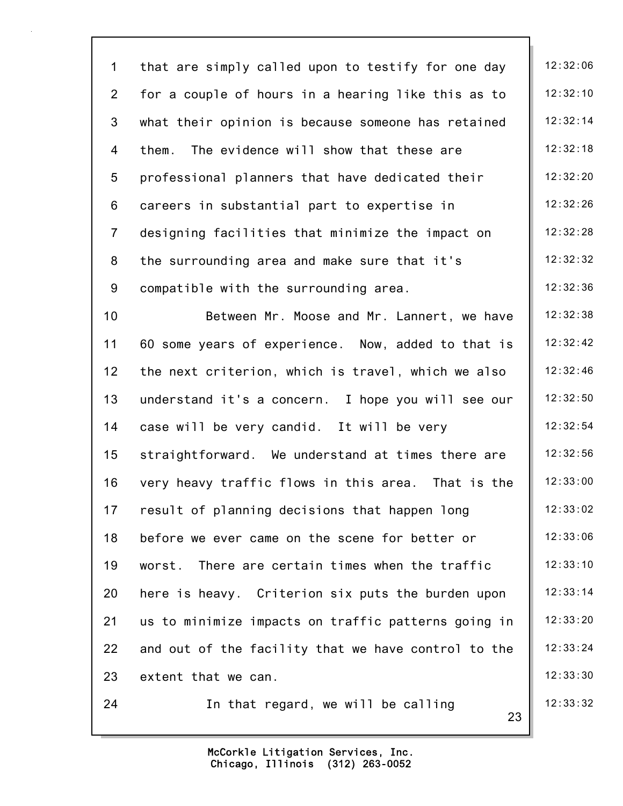23 1 that are simply called upon to testify for one day | 12:32:06 2 for a couple of hours in a hearing like this as to  $\parallel$  12:32:10 3 what their opinion is because someone has retained  $\parallel$  12:32:14 4 them. The evidence will show that these are 12:32:18 5 professional planners that have dedicated their | 12:32:20 6 careers in substantial part to expertise in  $\parallel$  12:32:26 7 designing facilities that minimize the impact on  $\parallel$  12:32:28 8 the surrounding area and make sure that it's | 12:32:32 9 compatible with the surrounding area.  $\|$  12:32:36 10 Between Mr. Moose and Mr. Lannert, we have | 12:32:38 11 60 some years of experience. Now, added to that is | 12:32:42 12 the next criterion, which is travel, which we also  $\parallel$  12:32:46 13 understand it's a concern. I hope you will see our  $\parallel$  12:32:50 14 case will be very candid. It will be very  $\vert$  12:32:54 15 straightforward. We understand at times there are  $\parallel$  12:32:56 16 very heavy traffic flows in this area. That is the  $\parallel$  12:33:00 17 result of planning decisions that happen long 12:33:02 18 before we ever came on the scene for better or  $\parallel$  12:33:06 19 worst. There are certain times when the traffic | 12:33:10 20 here is heavy. Criterion six puts the burden upon  $\parallel$  12:33:14 21 us to minimize impacts on traffic patterns going in  $\parallel$  12:33:20 22 and out of the facility that we have control to the  $\parallel$  12:33:24 23 extent that we can. 12:33:30 24 In that regard, we will be calling  $\begin{array}{|c|c|c|c|c|c|c|c|c|} \hline \end{array}$  12:33:32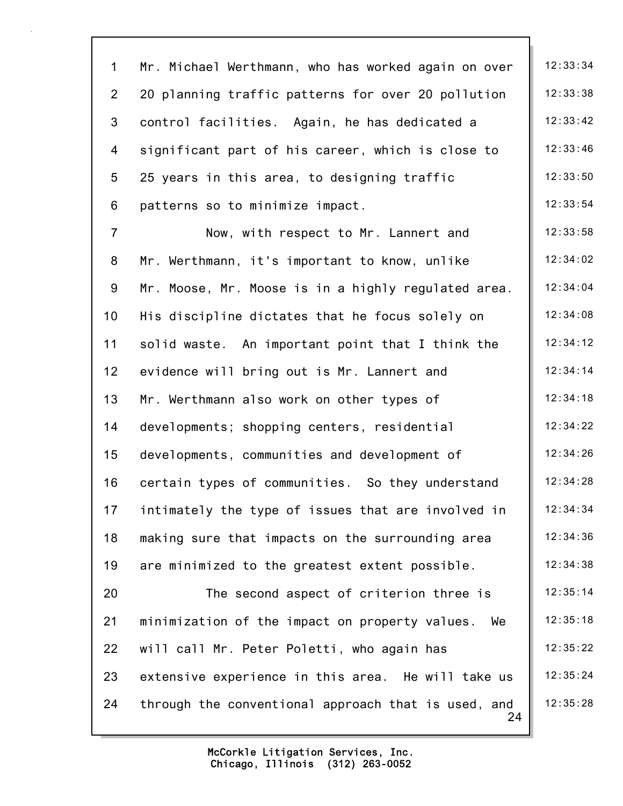| $\mathbf 1$     | Mr. Michael Werthmann, who has worked again on over       | 12:33:34 |
|-----------------|-----------------------------------------------------------|----------|
| $\overline{2}$  | 20 planning traffic patterns for over 20 pollution        | 12:33:38 |
| $\mathfrak{S}$  | control facilities. Again, he has dedicated a             | 12:33:42 |
| 4               | significant part of his career, which is close to         | 12:33:46 |
| 5               | 25 years in this area, to designing traffic               | 12:33:50 |
| 6               | patterns so to minimize impact.                           | 12:33:54 |
| $\overline{7}$  | Now, with respect to Mr. Lannert and                      | 12:33:58 |
| 8               | Mr. Werthmann, it's important to know, unlike             | 12:34:02 |
| 9               | Mr. Moose, Mr. Moose is in a highly regulated area.       | 12:34:04 |
| 10 <sub>1</sub> | His discipline dictates that he focus solely on           | 12:34:08 |
| 11              | solid waste. An important point that I think the          | 12:34:12 |
| 12              | evidence will bring out is Mr. Lannert and                | 12:34:14 |
| 13              | Mr. Werthmann also work on other types of                 | 12:34:18 |
| 14              | developments; shopping centers, residential               | 12:34:22 |
| 15              | developments, communities and development of              | 12:34:26 |
| 16              | certain types of communities. So they understand          | 12:34:28 |
| 17              | intimately the type of issues that are involved in        | 12:34:34 |
| 18              | making sure that impacts on the surrounding area          | 12:34:36 |
| 19              | are minimized to the greatest extent possible.            | 12:34:38 |
| 20              | The second aspect of criterion three is                   | 12:35:14 |
| 21              | minimization of the impact on property values.<br>We      | 12:35:18 |
| 22              | will call Mr. Peter Poletti, who again has                | 12:35:22 |
| 23              | extensive experience in this area. He will take us        | 12:35:24 |
| 24              | through the conventional approach that is used, and<br>24 | 12:35:28 |
|                 |                                                           |          |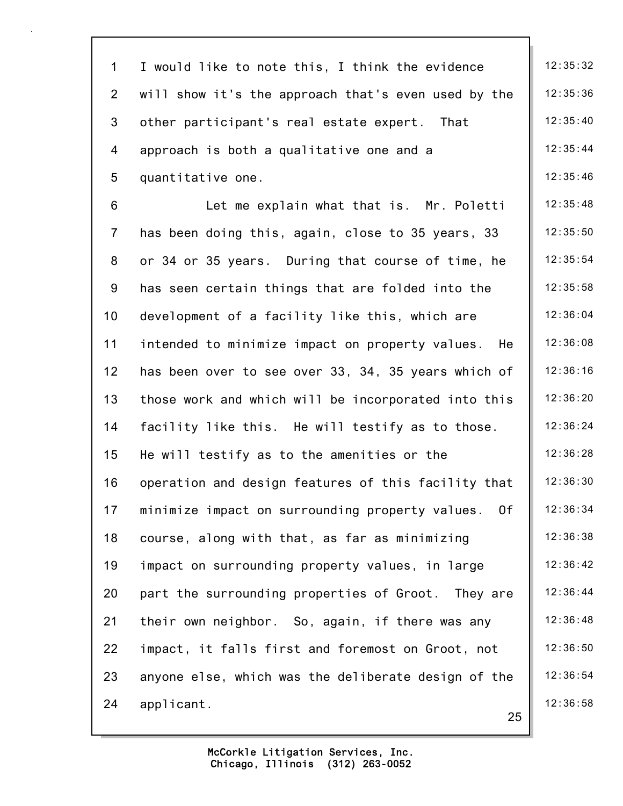| $\mathbf 1$    | I would like to note this, I think the evidence       | 12:35:32 |
|----------------|-------------------------------------------------------|----------|
| $\overline{2}$ | will show it's the approach that's even used by the   | 12:35:36 |
| 3              | other participant's real estate expert. That          | 12:35:40 |
| 4              | approach is both a qualitative one and a              | 12:35:44 |
| 5              | quantitative one.                                     | 12:35:46 |
| 6              | Let me explain what that is. Mr. Poletti              | 12:35:48 |
| $\overline{7}$ | has been doing this, again, close to 35 years, 33     | 12:35:50 |
| 8              | or 34 or 35 years. During that course of time, he     | 12:35:54 |
| 9              | has seen certain things that are folded into the      | 12:35:58 |
| 10             | development of a facility like this, which are        | 12:36:04 |
| 11             | intended to minimize impact on property values.<br>He | 12:36:08 |
| 12             | has been over to see over 33, 34, 35 years which of   | 12:36:16 |
| 13             | those work and which will be incorporated into this   | 12:36:20 |
| 14             | facility like this. He will testify as to those.      | 12:36:24 |
| 15             | He will testify as to the amenities or the            | 12:36:28 |
| 16             | operation and design features of this facility that   | 12:36:30 |
| 17             | minimize impact on surrounding property values.<br>0f | 12:36:34 |
| 18             | course, along with that, as far as minimizing         | 12:36:38 |
| 19             | impact on surrounding property values, in large       | 12:36:42 |
| 20             | part the surrounding properties of Groot. They are    | 12:36:44 |
| 21             | their own neighbor. So, again, if there was any       | 12:36:48 |
| 22             | impact, it falls first and foremost on Groot, not     | 12:36:50 |
| 23             | anyone else, which was the deliberate design of the   | 12:36:54 |
| 24             | applicant.<br>25                                      | 12:36:58 |
|                |                                                       |          |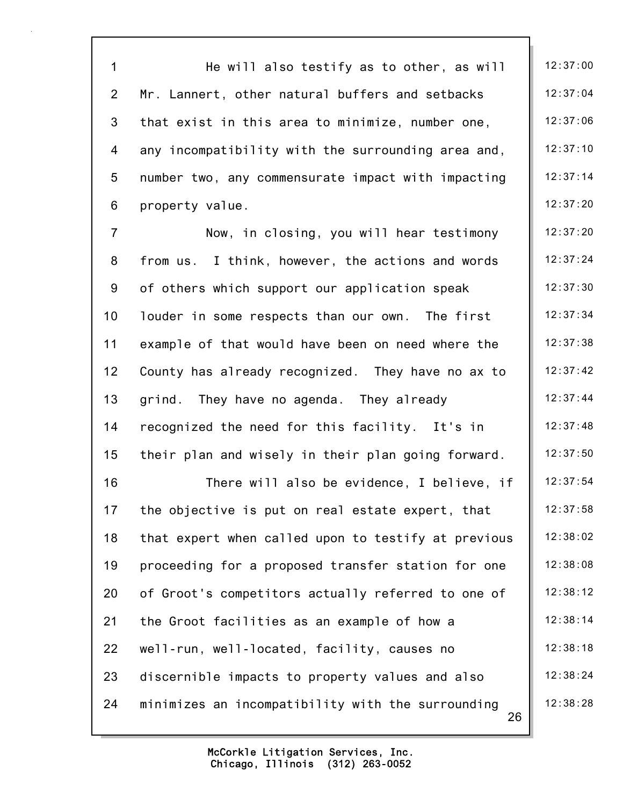26 1 He will also testify as to other, as will  $\parallel$  12:37:00 2 Mr. Lannert, other natural buffers and setbacks  $\vert$  12:37:04 3 that exist in this area to minimize, number one,  $\vert$  12:37:06 4 any incompatibility with the surrounding area and, | 12:37:10 5 number two, any commensurate impact with impacting | 12:37:14 6 property value. 12:37:20 7 Now, in closing, you will hear testimony | 12:37:20 8 from us. I think, however, the actions and words  $\parallel$  12:37:24 9 of others which support our application speak | 12:37:30 10 louder in some respects than our own. The first | 12:37:34 11 example of that would have been on need where the | 12:37:38 12 County has already recognized. They have no ax to  $\parallel$  12:37:42 13 grind. They have no agenda. They already 12:37:44 14 recognized the need for this facility. It's in 12:37:48 15 their plan and wisely in their plan going forward.  $\parallel$  12:37:50 16 There will also be evidence, I believe, if | 12:37:54 17 the objective is put on real estate expert, that  $\vert$  12:37:58 18 that expert when called upon to testify at previous  $\parallel$  12:38:02 19 proceeding for a proposed transfer station for one | 12:38:08 20 of Groot's competitors actually referred to one of | 12:38:12 21 the Groot facilities as an example of how a 12:38:14 22 well-run, well-located, facility, causes no 12:38:18 23 discernible impacts to property values and also  $\vert$  12:38:24 24 minimizes an incompatibility with the surrounding | 12:38:28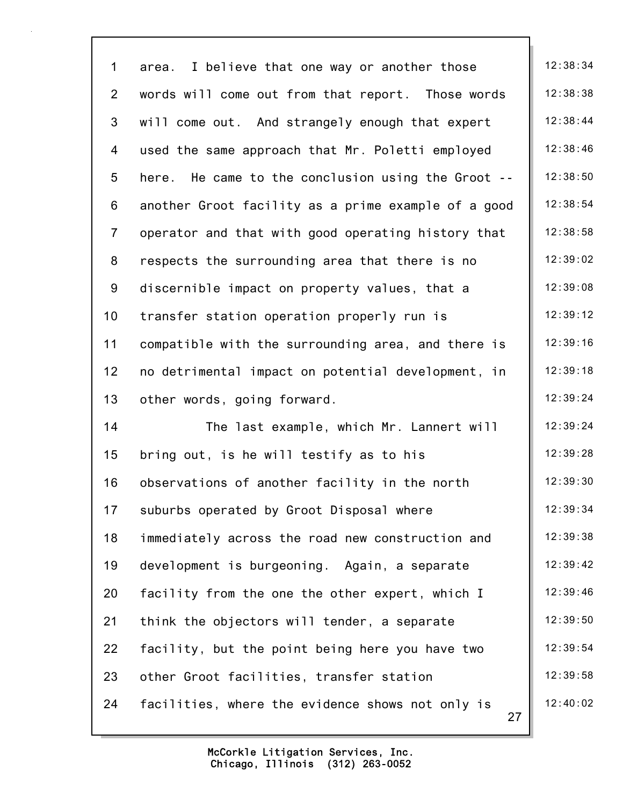| $\mathbf{1}$   | area. I believe that one way or another those          | 12:38:34 |
|----------------|--------------------------------------------------------|----------|
| $\overline{2}$ | words will come out from that report. Those words      | 12:38:38 |
| 3              | will come out. And strangely enough that expert        | 12:38:44 |
| 4              | used the same approach that Mr. Poletti employed       | 12:38:46 |
| 5              | here. He came to the conclusion using the Groot --     | 12:38:50 |
| 6              | another Groot facility as a prime example of a good    | 12:38:54 |
| $\overline{7}$ | operator and that with good operating history that     | 12:38:58 |
| 8              | respects the surrounding area that there is no         | 12:39:02 |
| 9              | discernible impact on property values, that a          | 12:39:08 |
| 10             | transfer station operation properly run is             | 12:39:12 |
| 11             | compatible with the surrounding area, and there is     | 12:39:16 |
| 12             | no detrimental impact on potential development, in     | 12:39:18 |
| 13             | other words, going forward.                            | 12:39:24 |
| 14             | The last example, which Mr. Lannert will               | 12:39:24 |
| 15             | bring out, is he will testify as to his                | 12:39:28 |
| 16             | observations of another facility in the north          | 12:39:30 |
| 17             | suburbs operated by Groot Disposal where               | 12:39:34 |
| 18             | immediately across the road new construction and       | 12:39:38 |
| 19             | development is burgeoning. Again, a separate           | 12:39:42 |
| 20             | facility from the one the other expert, which I        | 12:39:46 |
| 21             | think the objectors will tender, a separate            | 12:39:50 |
| 22             | facility, but the point being here you have two        | 12:39:54 |
| 23             | other Groot facilities, transfer station               | 12:39:58 |
| 24             | facilities, where the evidence shows not only is<br>27 | 12:40:02 |
|                |                                                        |          |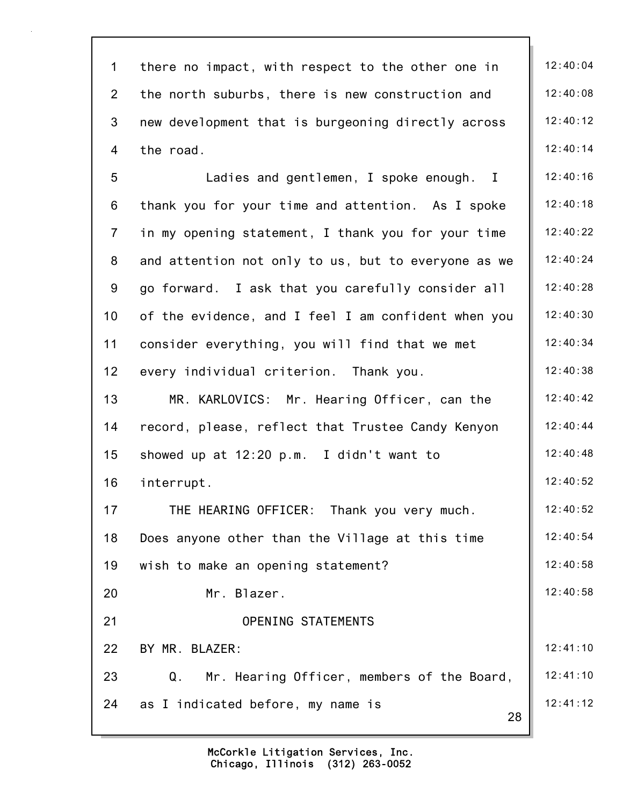| $\mathbf 1$     | there no impact, with respect to the other one in   | 12:40:04 |
|-----------------|-----------------------------------------------------|----------|
| $\overline{2}$  | the north suburbs, there is new construction and    | 12:40:08 |
| 3               | new development that is burgeoning directly across  | 12:40:12 |
| 4               | the road.                                           | 12:40:14 |
| 5               | Ladies and gentlemen, I spoke enough. I             | 12:40:16 |
| 6               | thank you for your time and attention. As I spoke   | 12:40:18 |
| $\overline{7}$  | in my opening statement, I thank you for your time  | 12:40:22 |
| 8               | and attention not only to us, but to everyone as we | 12:40:24 |
| 9               | go forward. I ask that you carefully consider all   | 12:40:28 |
| 10 <sub>1</sub> | of the evidence, and I feel I am confident when you | 12:40:30 |
| 11              | consider everything, you will find that we met      | 12:40:34 |
| 12              | every individual criterion. Thank you.              | 12:40:38 |
| 13              | MR. KARLOVICS: Mr. Hearing Officer, can the         | 12:40:42 |
| 14              | record, please, reflect that Trustee Candy Kenyon   | 12:40:44 |
| 15              | showed up at 12:20 p.m. I didn't want to            | 12:40:48 |
| 16              | interrupt.                                          | 12:40:52 |
| 17              | THE HEARING OFFICER: Thank you very much.           | 12:40:52 |
| 18              | Does anyone other than the Village at this time     | 12:40:54 |
| 19              | wish to make an opening statement?                  | 12:40:58 |
| 20              | Mr. Blazer.                                         | 12:40:58 |
| 21              | <b>OPENING STATEMENTS</b>                           |          |
| 22              | BY MR. BLAZER:                                      | 12:41:10 |
| 23              | Mr. Hearing Officer, members of the Board,<br>Q.    | 12:41:10 |
| 24              | as I indicated before, my name is<br>28             | 12:41:12 |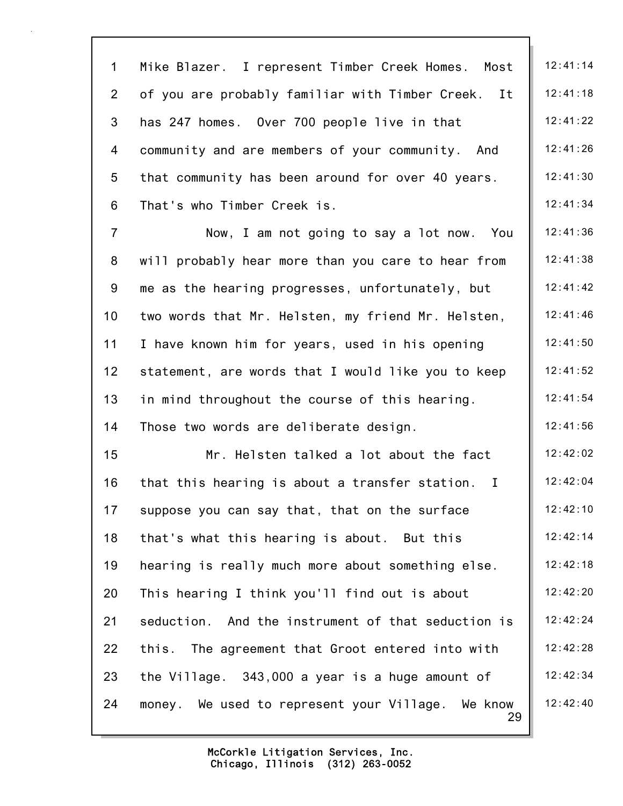29 1 Mike Blazer. I represent Timber Creek Homes. Most | 12:41:14 2 of you are probably familiar with Timber Creek. It  $\parallel$  12:41:18 3 has 247 homes. Over 700 people live in that  $\vert$  12:41:22 4 community and are members of your community. And | 12:41:26 5 that community has been around for over 40 years.  $\parallel$  12:41:30 6 That's who Timber Creek is.  $\|$  12:41:34 7 Now, I am not going to say a lot now. You  $\parallel$  12:41:36 8 will probably hear more than you care to hear from | 12:41:38 9 me as the hearing progresses, unfortunately, but  $\parallel$  12:41:42 10 two words that Mr. Helsten, my friend Mr. Helsten, | 12:41:46 11 I have known him for years, used in his opening | 12:41:50 12 statement, are words that I would like you to keep  $\parallel$  12:41:52 13 in mind throughout the course of this hearing.  $\vert$  12:41:54 14 Those two words are deliberate design. 12:41:56 15 Mr. Helsten talked a lot about the fact | 12:42:02 16 that this hearing is about a transfer station. I  $\parallel$  12:42:04 17 suppose you can say that, that on the surface  $\|\cdot\|$  12:42:10 18 that's what this hearing is about. But this 12:42:14 19 hearing is really much more about something else.  $\parallel$  12:42:18 20 This hearing I think you'll find out is about  $\parallel$  12:42:20 21 seduction. And the instrument of that seduction is | 12:42:24 22 this. The agreement that Groot entered into with | 12:42:28 23 the Village. 343,000 a year is a huge amount of  $\parallel$  12:42:34 24 money. We used to represent your Village. We know  $\parallel$  12:42:40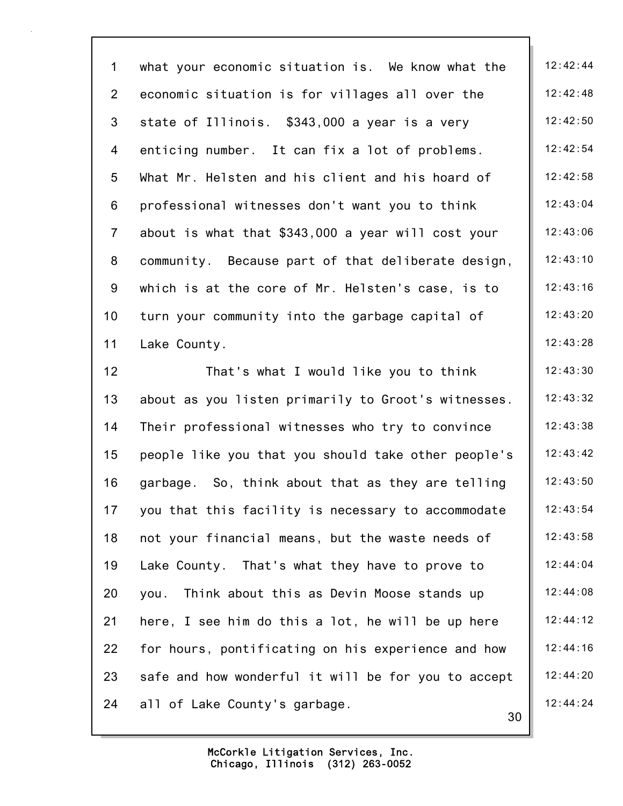30 1 what your economic situation is. We know what the | 12:42:44 2 economic situation is for villages all over the  $\vert$  12:42:48 3 state of Illinois.  $$343,000$  a year is a very | 12:42:50 4 enticing number. It can fix a lot of problems.  $\vert$  12:42:54 5 What Mr. Helsten and his client and his hoard of 12:42:58 6 professional witnesses don't want you to think 12:43:04 7 about is what that  $$343,000$  a year will cost your  $\parallel$  12:43:06 8 community. Because part of that deliberate design, | 12:43:10 9 which is at the core of Mr. Helsten's case, is to  $\parallel$  12:43:16 10 turn your community into the garbage capital of 12:43:20 11 Lake County. 28 12 That's what I would like you to think 12:43:30 13 about as you listen primarily to Groot's witnesses.  $\parallel$  12:43:32 14 Their professional witnesses who try to convince | 12:43:38 15 people like you that you should take other people's 12:43:42 16 garbage. So, think about that as they are telling  $\parallel$  12:43:50 17 you that this facility is necessary to accommodate  $\begin{array}{|c|c|c|c|c|c|} \hline 12:43:54 \hline \end{array}$ 18 not your financial means, but the waste needs of | 12:43:58 19 Lake County. That's what they have to prove to 12:44:04 20 you. Think about this as Devin Moose stands up | 12:44:08 21 here, I see him do this a lot, he will be up here  $\vert$  12:44:12 22 for hours, pontificating on his experience and how | 12:44:16 23 safe and how wonderful it will be for you to accept  $\parallel$  12:44:20 24 all of Lake County's garbage. 12:44:24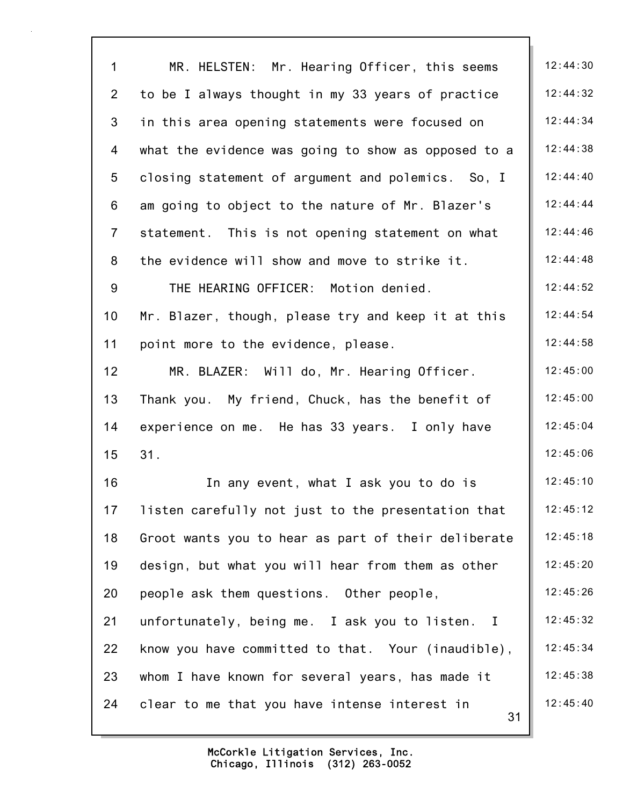| $\mathbf{1}$    | MR. HELSTEN: Mr. Hearing Officer, this seems        | 12:44:30 |
|-----------------|-----------------------------------------------------|----------|
| $\overline{2}$  | to be I always thought in my 33 years of practice   | 12:44:32 |
| 3               | in this area opening statements were focused on     | 12:44:34 |
| 4               | what the evidence was going to show as opposed to a | 12:44:38 |
| 5               | closing statement of argument and polemics. So, I   | 12:44:40 |
| 6               | am going to object to the nature of Mr. Blazer's    | 12:44:44 |
| $\overline{7}$  | statement. This is not opening statement on what    | 12:44:46 |
| 8               | the evidence will show and move to strike it.       | 12:44:48 |
| 9               | THE HEARING OFFICER: Motion denied.                 | 12:44:52 |
| 10              | Mr. Blazer, though, please try and keep it at this  | 12:44:54 |
| 11              | point more to the evidence, please.                 | 12:44:58 |
| 12 <sub>2</sub> | MR. BLAZER: Will do, Mr. Hearing Officer.           | 12:45:00 |
| 13              | Thank you. My friend, Chuck, has the benefit of     | 12:45:00 |
| 14              | experience on me. He has 33 years. I only have      | 12:45:04 |
| 15              | 31.                                                 | 12:45:06 |
| 16              | In any event, what I ask you to do is               | 12:45:10 |
| 17              | listen carefully not just to the presentation that  | 12:45:12 |
| 18              | Groot wants you to hear as part of their deliberate | 12:45:18 |
| 19              | design, but what you will hear from them as other   | 12:45:20 |
| 20              | people ask them questions. Other people,            | 12:45:26 |
| 21              | unfortunately, being me. I ask you to listen. I     | 12:45:32 |
| 22              | know you have committed to that. Your (inaudible),  | 12:45:34 |
| 23              | whom I have known for several years, has made it    | 12:45:38 |
| 24              | clear to me that you have intense interest in<br>31 | 12:45:40 |
|                 |                                                     |          |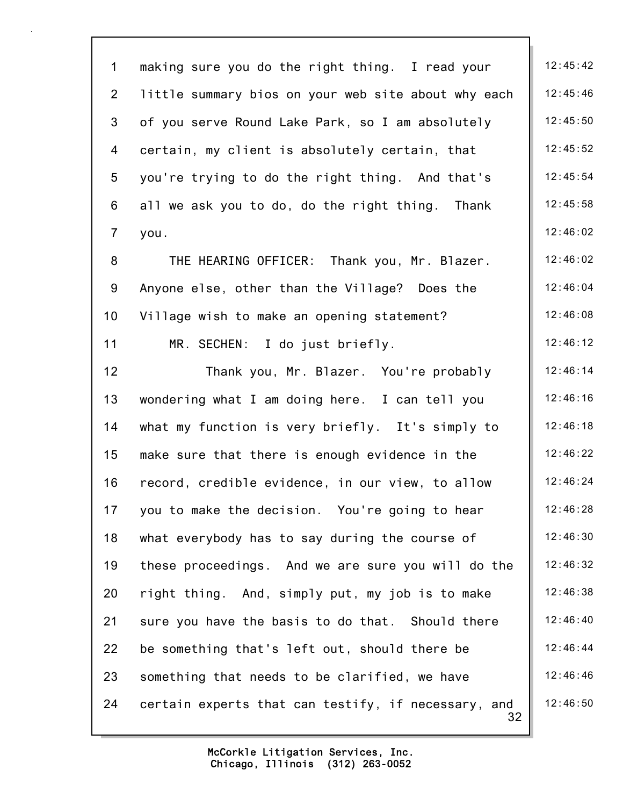32 1 making sure you do the right thing. I read your  $\parallel$  12:45:42 2 little summary bios on your web site about why each | 12:45:46 3 of you serve Round Lake Park, so I am absolutely | 12:45:50 4 certain, my client is absolutely certain, that | 12:45:52 5 you're trying to do the right thing. And that's  $\parallel$  12:45:54 6 all we ask you to do, do the right thing. Thank  $\parallel$  12:45:58 7 you. 12:46:02 8 THE HEARING OFFICER: Thank you, Mr. Blazer. | 12:46:02 9 Anyone else, other than the Village? Does the | 12:46:04 10 Village wish to make an opening statement? | 12:46:08 11 MR. SECHEN: I do just briefly. 12:46:12 12 Thank you, Mr. Blazer. You're probably | 12:46:14 13 wondering what I am doing here. I can tell you | 12:46:16 14 what my function is very briefly. It's simply to | 12:46:18 15 make sure that there is enough evidence in the 12:46:22 16 record, credible evidence, in our view, to allow | 12:46:24 17 you to make the decision. You're going to hear  $\parallel$  12:46:28 18 what everybody has to say during the course of  $\vert$  12:46:30 19 these proceedings. And we are sure you will do the | 12:46:32 20 right thing. And, simply put, my job is to make  $\parallel$  12:46:38 21 sure you have the basis to do that. Should there  $\vert$  12:46:40 22 be something that's left out, should there be  $\vert$  12:46:44 23 something that needs to be clarified, we have  $\vert$  12:46:46 24 certain experts that can testify, if necessary, and  $\parallel$  12:46:50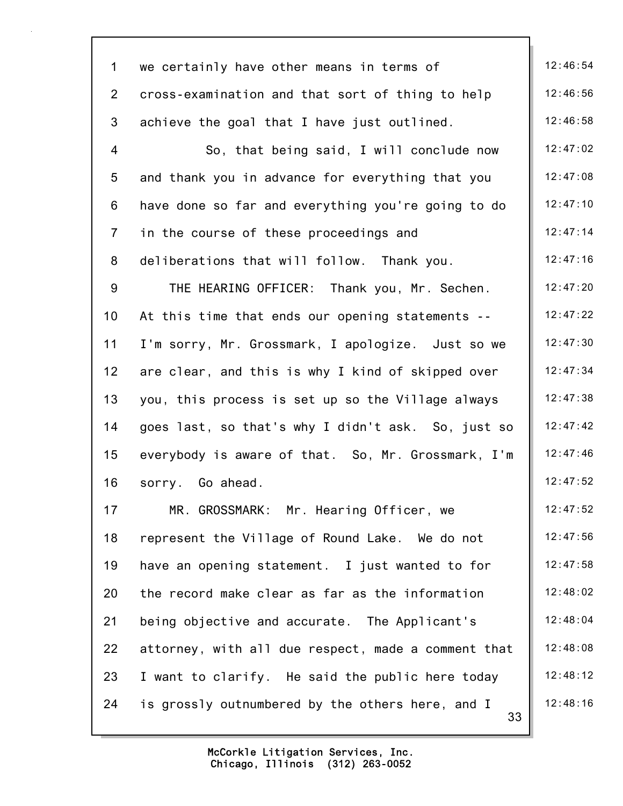| $\mathbf 1$    | we certainly have other means in terms of              | 12:46:54 |
|----------------|--------------------------------------------------------|----------|
| $\overline{2}$ | cross-examination and that sort of thing to help       | 12:46:56 |
| 3              | achieve the goal that I have just outlined.            | 12:46:58 |
| 4              | So, that being said, I will conclude now               | 12:47:02 |
| 5              | and thank you in advance for everything that you       | 12:47:08 |
| 6              | have done so far and everything you're going to do     | 12:47:10 |
| $\overline{7}$ | in the course of these proceedings and                 | 12:47:14 |
| 8              | deliberations that will follow. Thank you.             | 12:47:16 |
| 9              | THE HEARING OFFICER: Thank you, Mr. Sechen.            | 12:47:20 |
| 10             | At this time that ends our opening statements --       | 12:47:22 |
| 11             | I'm sorry, Mr. Grossmark, I apologize. Just so we      | 12:47:30 |
| 12             | are clear, and this is why I kind of skipped over      | 12:47:34 |
| 13             | you, this process is set up so the Village always      | 12:47:38 |
| 14             | goes last, so that's why I didn't ask. So, just so     | 12:47:42 |
| 15             | everybody is aware of that. So, Mr. Grossmark, I'm     | 12:47:46 |
| 16             | sorry. Go ahead.                                       | 12:47:52 |
| 17             | MR. GROSSMARK: Mr. Hearing Officer, we                 | 12:47:52 |
| 18             | represent the Village of Round Lake. We do not         | 12:47:56 |
| 19             | have an opening statement. I just wanted to for        | 12:47:58 |
| 20             | the record make clear as far as the information        | 12:48:02 |
| 21             | being objective and accurate. The Applicant's          | 12:48:04 |
| 22             | attorney, with all due respect, made a comment that    | 12:48:08 |
| 23             | I want to clarify. He said the public here today       | 12:48:12 |
| 24             | is grossly outnumbered by the others here, and I<br>33 | 12:48:16 |
|                |                                                        |          |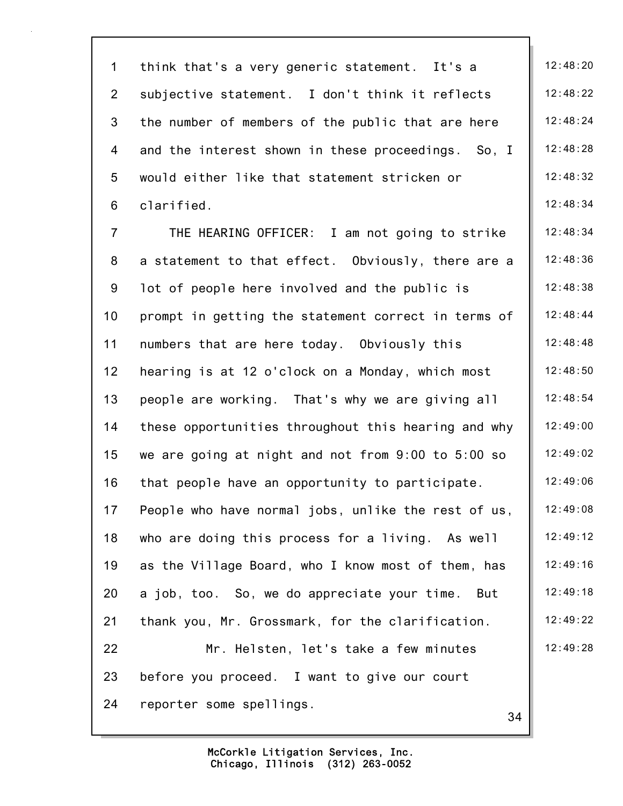| $\mathbf 1$     | think that's a very generic statement. It's a       | 12:48:20 |
|-----------------|-----------------------------------------------------|----------|
| $\overline{2}$  | subjective statement. I don't think it reflects     | 12:48:22 |
| 3               | the number of members of the public that are here   | 12:48:24 |
| 4               | and the interest shown in these proceedings. So, I  | 12:48:28 |
| 5               | would either like that statement stricken or        | 12:48:32 |
| 6               | clarified.                                          | 12:48:34 |
| $\overline{7}$  | THE HEARING OFFICER: I am not going to strike       | 12:48:34 |
| 8               | a statement to that effect. Obviously, there are a  | 12:48:36 |
| 9               | lot of people here involved and the public is       | 12:48:38 |
| 10              | prompt in getting the statement correct in terms of | 12:48:44 |
| 11              | numbers that are here today. Obviously this         | 12:48:48 |
| 12 <sub>2</sub> | hearing is at 12 o'clock on a Monday, which most    | 12:48:50 |
| 13              | people are working. That's why we are giving all    | 12:48:54 |
| 14              | these opportunities throughout this hearing and why | 12:49:00 |
| 15              | we are going at night and not from 9:00 to 5:00 so  | 12:49:02 |
| 16              | that people have an opportunity to participate.     | 12:49:06 |
| 17              | People who have normal jobs, unlike the rest of us, | 12:49:08 |
| 18              | who are doing this process for a living. As well    | 12:49:12 |
| 19              | as the Village Board, who I know most of them, has  | 12:49:16 |
| 20              | a job, too. So, we do appreciate your time.<br>But  | 12:49:18 |
| 21              | thank you, Mr. Grossmark, for the clarification.    | 12:49:22 |
| 22              | Mr. Helsten, let's take a few minutes               | 12:49:28 |
| 23              | before you proceed. I want to give our court        |          |
| 24              | reporter some spellings.<br>34                      |          |
|                 |                                                     |          |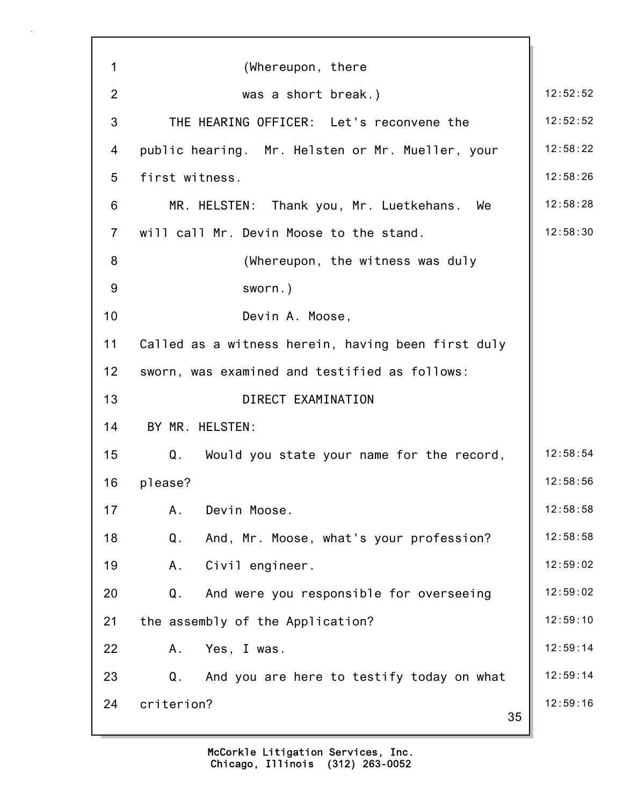| 1              | (Whereupon, there                                  |          |
|----------------|----------------------------------------------------|----------|
| 2              | was a short break.)                                | 12:52:52 |
| 3              | THE HEARING OFFICER: Let's reconvene the           | 12:52:52 |
| 4              | public hearing. Mr. Helsten or Mr. Mueller, your   | 12:58:22 |
| 5              | first witness.                                     | 12:58:26 |
| 6              | MR. HELSTEN: Thank you, Mr. Luetkehans. We         | 12:58:28 |
| $\overline{7}$ | will call Mr. Devin Moose to the stand.            | 12:58:30 |
| 8              | (Whereupon, the witness was duly                   |          |
| 9              | sworn.)                                            |          |
| 10             | Devin A. Moose,                                    |          |
| 11             | Called as a witness herein, having been first duly |          |
| 12             | sworn, was examined and testified as follows:      |          |
| 13             | DIRECT EXAMINATION                                 |          |
| 14             | BY MR. HELSTEN:                                    |          |
| 15             | Q. Would you state your name for the record,       | 12:58:54 |
| 16             | please?                                            | 12:58:56 |
| 17             | Devin Moose.<br>Α.                                 | 12:58:58 |
| 18             | Q.<br>And, Mr. Moose, what's your profession?      | 12:58:58 |
| 19             | Civil engineer.<br>Α.                              | 12:59:02 |
| 20             | And were you responsible for overseeing<br>Q.      | 12:59:02 |
| 21             | the assembly of the Application?                   | 12:59:10 |
| 22             | Yes, I was.<br>Α.                                  | 12:59:14 |
| 23             | Q.<br>And you are here to testify today on what    | 12:59:14 |
| 24             | criterion?<br>35                                   | 12:59:16 |
|                |                                                    |          |

7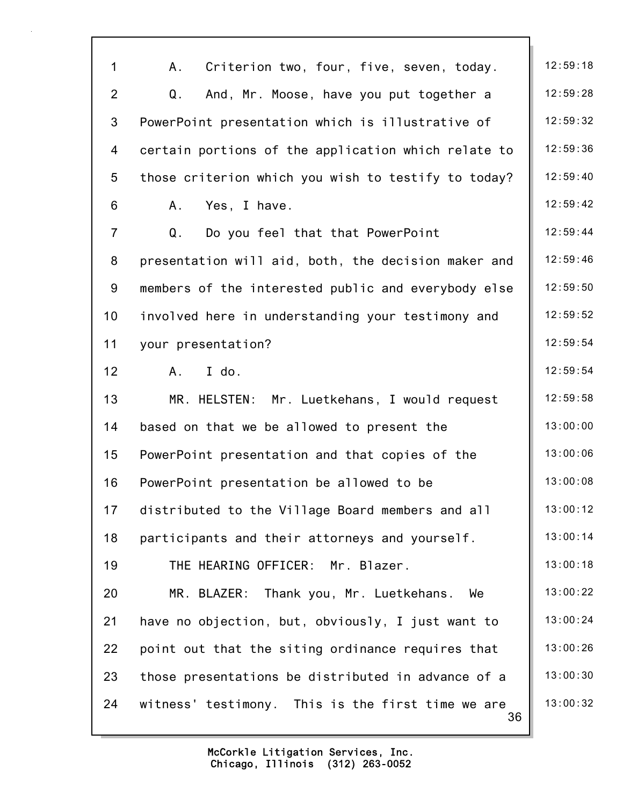| $\mathbf{1}$    | Α.<br>Criterion two, four, five, seven, today.          | 12:59:18 |
|-----------------|---------------------------------------------------------|----------|
| $\overline{2}$  | Q.<br>And, Mr. Moose, have you put together a           | 12:59:28 |
| $\mathfrak{S}$  | PowerPoint presentation which is illustrative of        | 12:59:32 |
| 4               | certain portions of the application which relate to     | 12:59:36 |
| 5               | those criterion which you wish to testify to today?     | 12:59:40 |
| 6               | Yes, I have.<br>Α.                                      | 12:59:42 |
| $\overline{7}$  | Q.<br>Do you feel that that PowerPoint                  | 12:59:44 |
| 8               | presentation will aid, both, the decision maker and     | 12:59:46 |
| 9               | members of the interested public and everybody else     | 12:59:50 |
| 10 <sub>1</sub> | involved here in understanding your testimony and       | 12:59:52 |
| 11              | your presentation?                                      | 12:59:54 |
| 12              | I do.<br>A.                                             | 12:59:54 |
| 13              | MR. HELSTEN: Mr. Luetkehans, I would request            | 12:59:58 |
| 14              | based on that we be allowed to present the              | 13:00:00 |
| 15              | PowerPoint presentation and that copies of the          | 13:00:06 |
| 16              | PowerPoint presentation be allowed to be                | 13:00:08 |
| 17              | distributed to the Village Board members and all        | 13:00:12 |
| 18              | participants and their attorneys and yourself.          | 13:00:14 |
| 19              | THE HEARING OFFICER: Mr. Blazer.                        | 13:00:18 |
| 20              | MR. BLAZER:<br>Thank you, Mr. Luetkehans.<br>We         | 13:00:22 |
| 21              | have no objection, but, obviously, I just want to       | 13:00:24 |
| 22              | point out that the siting ordinance requires that       | 13:00:26 |
| 23              | those presentations be distributed in advance of a      | 13:00:30 |
| 24              | witness' testimony. This is the first time we are<br>36 | 13:00:32 |
|                 |                                                         |          |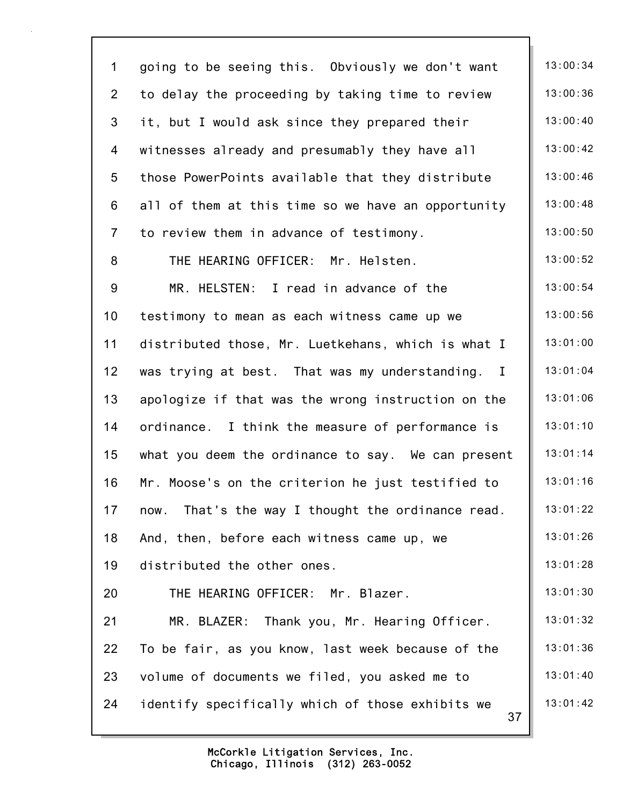| $\mathbf 1$      | going to be seeing this. Obviously we don't want       | 13:00:34 |
|------------------|--------------------------------------------------------|----------|
| $\overline{2}$   | to delay the proceeding by taking time to review       | 13:00:36 |
| $\mathfrak{S}$   | it, but I would ask since they prepared their          | 13:00:40 |
| 4                | witnesses already and presumably they have all         | 13:00:42 |
| 5                | those PowerPoints available that they distribute       | 13:00:46 |
| 6                | all of them at this time so we have an opportunity     | 13:00:48 |
| $\overline{7}$   | to review them in advance of testimony.                | 13:00:50 |
| 8                | THE HEARING OFFICER: Mr. Helsten.                      | 13:00:52 |
| $\boldsymbol{9}$ | MR. HELSTEN: I read in advance of the                  | 13:00:54 |
| 10 <sub>1</sub>  | testimony to mean as each witness came up we           | 13:00:56 |
| 11               | distributed those, Mr. Luetkehans, which is what I     | 13:01:00 |
| 12               | was trying at best. That was my understanding. I       | 13:01:04 |
| 13               | apologize if that was the wrong instruction on the     | 13:01:06 |
| 14               | ordinance. I think the measure of performance is       | 13:01:10 |
| 15               | what you deem the ordinance to say. We can present     | 13:01:14 |
| 16               | Mr. Moose's on the criterion he just testified to      | 13:01:16 |
| 17               | That's the way I thought the ordinance read.<br>now.   | 13:01:22 |
| 18               | And, then, before each witness came up, we             | 13:01:26 |
| 19               | distributed the other ones.                            | 13:01:28 |
| 20               | THE HEARING OFFICER: Mr. Blazer.                       | 13:01:30 |
| 21               | Thank you, Mr. Hearing Officer.<br>MR. BLAZER:         | 13:01:32 |
| 22               | To be fair, as you know, last week because of the      | 13:01:36 |
| 23               | volume of documents we filed, you asked me to          | 13:01:40 |
| 24               | identify specifically which of those exhibits we<br>37 | 13:01:42 |
|                  |                                                        |          |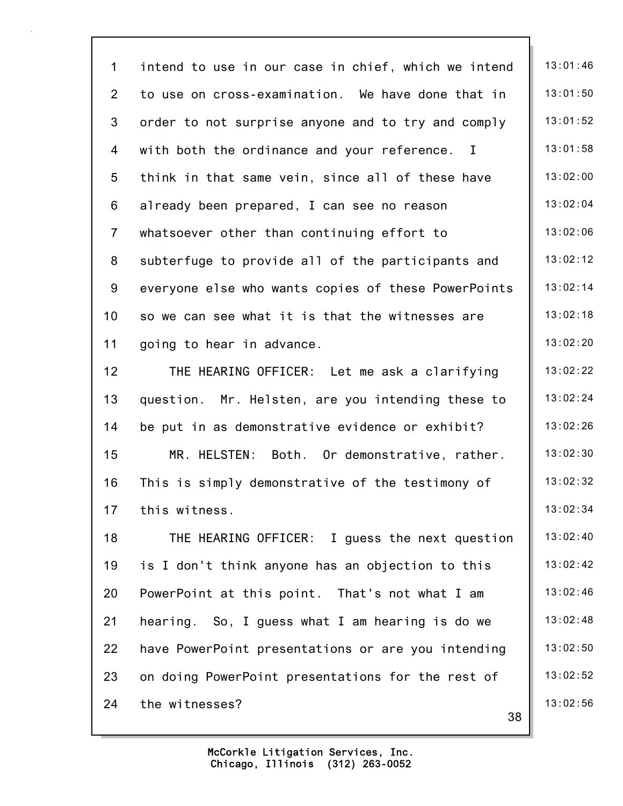38 1 intend to use in our case in chief, which we intend | 13:01:46 2 to use on cross-examination. We have done that in  $\parallel$  13:01:50 3 order to not surprise anyone and to try and comply | 13:01:52 4 with both the ordinance and your reference. I | 13:01:58 5 think in that same vein, since all of these have  $\parallel$  13:02:00 6 already been prepared, I can see no reason  $\vert$  13:02:04 7 whatsoever other than continuing effort to  $\parallel$  13:02:06 8 subterfuge to provide all of the participants and | 13:02:12 9 everyone else who wants copies of these PowerPoints | 13:02:14 10 so we can see what it is that the witnesses are  $\parallel$  13:02:18 11 going to hear in advance.  $\begin{array}{|c|c|c|c|c|c|}\n\hline\n13:02:20\n\end{array}$ 12 THE HEARING OFFICER: Let me ask a clarifying | 13:02:22 13 question. Mr. Helsten, are you intending these to | 13:02:24 14 be put in as demonstrative evidence or exhibit? | 13:02:26 15 MR. HELSTEN: Both. Or demonstrative, rather. | 13:02:30 16 This is simply demonstrative of the testimony of  $\parallel$  13:02:32 17 this witness. 13:02:34 18 THE HEARING OFFICER: I guess the next question | 13:02:40 19 is I don't think anyone has an objection to this 13:02:42 20 PowerPoint at this point. That's not what I am  $\parallel$  13:02:46 21 hearing. So, I guess what I am hearing is do we  $\parallel$  13:02:48 22 have PowerPoint presentations or are you intending | 13:02:50 23 on doing PowerPoint presentations for the rest of | 13:02:52 24 the witnesses? 13:02:56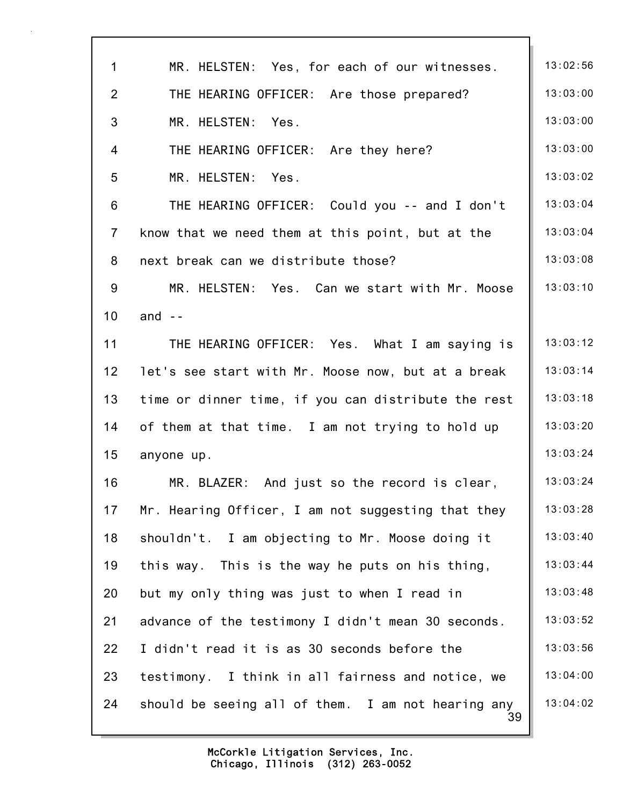| 1               | MR. HELSTEN: Yes, for each of our witnesses.             | 13:02:56 |
|-----------------|----------------------------------------------------------|----------|
| $\overline{2}$  | THE HEARING OFFICER: Are those prepared?                 | 13:03:00 |
| 3               | MR. HELSTEN: Yes.                                        | 13:03:00 |
| $\overline{4}$  | THE HEARING OFFICER: Are they here?                      | 13:03:00 |
| 5               | MR. HELSTEN: Yes.                                        | 13:03:02 |
| 6               | THE HEARING OFFICER: Could you -- and I don't            | 13:03:04 |
| $\overline{7}$  | know that we need them at this point, but at the         | 13:03:04 |
| 8               | next break can we distribute those?                      | 13:03:08 |
| 9               | MR. HELSTEN: Yes. Can we start with Mr. Moose            | 13:03:10 |
| 10              | and $-$                                                  |          |
| 11              | THE HEARING OFFICER: Yes. What I am saying is            | 13:03:12 |
| 12 <sub>2</sub> | let's see start with Mr. Moose now, but at a break       | 13:03:14 |
| 13              | time or dinner time, if you can distribute the rest      | 13:03:18 |
| 14              | of them at that time. I am not trying to hold up         | 13:03:20 |
| 15              | anyone up.                                               | 13:03:24 |
| 16              | MR. BLAZER: And just so the record is clear,             | 13:03:24 |
| 17              | Mr. Hearing Officer, I am not suggesting that they       | 13:03:28 |
| 18              | shouldn't. I am objecting to Mr. Moose doing it          | 13:03:40 |
| 19              | this way. This is the way he puts on his thing,          | 13:03:44 |
| 20              | but my only thing was just to when I read in             | 13:03:48 |
| 21              | advance of the testimony I didn't mean 30 seconds.       | 13:03:52 |
| 22              | I didn't read it is as 30 seconds before the             | 13:03:56 |
| 23              | testimony. I think in all fairness and notice, we        | 13:04:00 |
| 24              | should be seeing all of them. I am not hearing any<br>39 | 13:04:02 |
|                 |                                                          |          |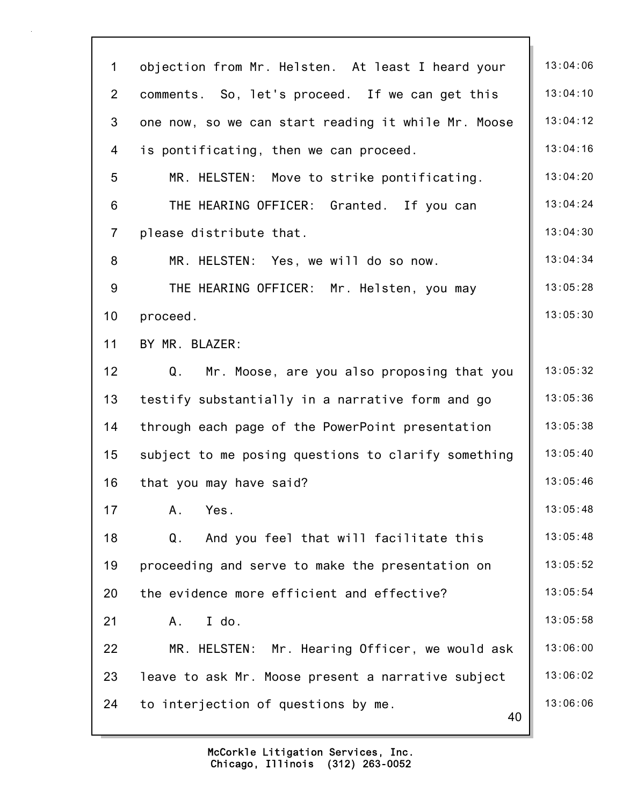| $\mathbf 1$    | objection from Mr. Helsten. At least I heard your   | 13:04:06 |
|----------------|-----------------------------------------------------|----------|
| $\overline{2}$ | comments. So, let's proceed. If we can get this     | 13:04:10 |
| 3              | one now, so we can start reading it while Mr. Moose | 13:04:12 |
| 4              | is pontificating, then we can proceed.              | 13:04:16 |
| 5              | MR. HELSTEN: Move to strike pontificating.          | 13:04:20 |
| 6              | THE HEARING OFFICER: Granted. If you can            | 13:04:24 |
| $\overline{7}$ | please distribute that.                             | 13:04:30 |
| 8              | MR. HELSTEN: Yes, we will do so now.                | 13:04:34 |
| 9              | THE HEARING OFFICER: Mr. Helsten, you may           | 13:05:28 |
| 10             | proceed.                                            | 13:05:30 |
| 11             | BY MR. BLAZER:                                      |          |
| 12             | Q.<br>Mr. Moose, are you also proposing that you    | 13:05:32 |
| 13             | testify substantially in a narrative form and go    | 13:05:36 |
| 14             | through each page of the PowerPoint presentation    | 13:05:38 |
| 15             | subject to me posing questions to clarify something | 13:05:40 |
| 16             | that you may have said?                             | 13:05:46 |
| 17             | A.<br>Yes.                                          | 13:05:48 |
| 18             | And you feel that will facilitate this<br>Q.        | 13:05:48 |
| 19             | proceeding and serve to make the presentation on    | 13:05:52 |
| 20             | the evidence more efficient and effective?          | 13:05:54 |
| 21             | I do.<br>Α.                                         | 13:05:58 |
| 22             | MR. HELSTEN: Mr. Hearing Officer, we would ask      | 13:06:00 |
| 23             | leave to ask Mr. Moose present a narrative subject  | 13:06:02 |
| 24             | to interjection of questions by me.<br>40           | 13:06:06 |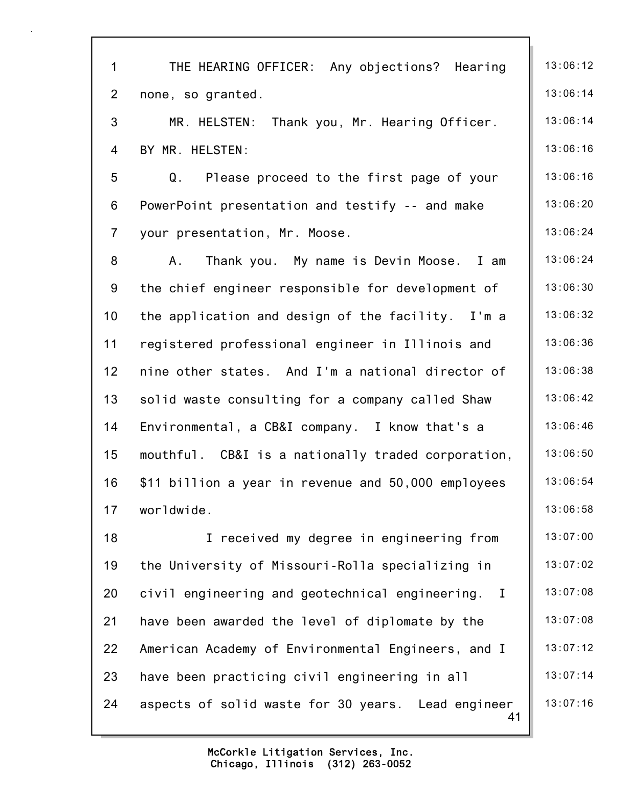| $\mathbf 1$     | THE HEARING OFFICER: Any objections? Hearing             | 13:06:12 |
|-----------------|----------------------------------------------------------|----------|
| $\overline{2}$  | none, so granted.                                        | 13:06:14 |
| 3               | MR. HELSTEN: Thank you, Mr. Hearing Officer.             | 13:06:14 |
| $\overline{4}$  | BY MR. HELSTEN:                                          | 13:06:16 |
| 5               | Q.<br>Please proceed to the first page of your           | 13:06:16 |
| 6               | PowerPoint presentation and testify -- and make          | 13:06:20 |
| $\overline{7}$  | your presentation, Mr. Moose.                            | 13:06:24 |
| 8               | Thank you. My name is Devin Moose. I am<br>A.            | 13:06:24 |
| 9               | the chief engineer responsible for development of        | 13:06:30 |
| 10 <sup>1</sup> | the application and design of the facility. I'm a        | 13:06:32 |
| 11              | registered professional engineer in Illinois and         | 13:06:36 |
| 12              | nine other states. And I'm a national director of        | 13:06:38 |
| 13              | solid waste consulting for a company called Shaw         | 13:06:42 |
| 14              | Environmental, a CB&I company. I know that's a           | 13:06:46 |
| 15              | mouthful. CB&I is a nationally traded corporation,       | 13:06:50 |
| 16              | \$11 billion a year in revenue and 50,000 employees      | 13:06:54 |
| 17              | worldwide.                                               | 13:06:58 |
| 18              | I received my degree in engineering from                 | 13:07:00 |
| 19              | the University of Missouri-Rolla specializing in         | 13:07:02 |
| 20              | civil engineering and geotechnical engineering. I        | 13:07:08 |
| 21              | have been awarded the level of diplomate by the          | 13:07:08 |
| 22              | American Academy of Environmental Engineers, and I       | 13:07:12 |
| 23              | have been practicing civil engineering in all            | 13:07:14 |
| 24              | aspects of solid waste for 30 years. Lead engineer<br>41 | 13:07:16 |
|                 |                                                          |          |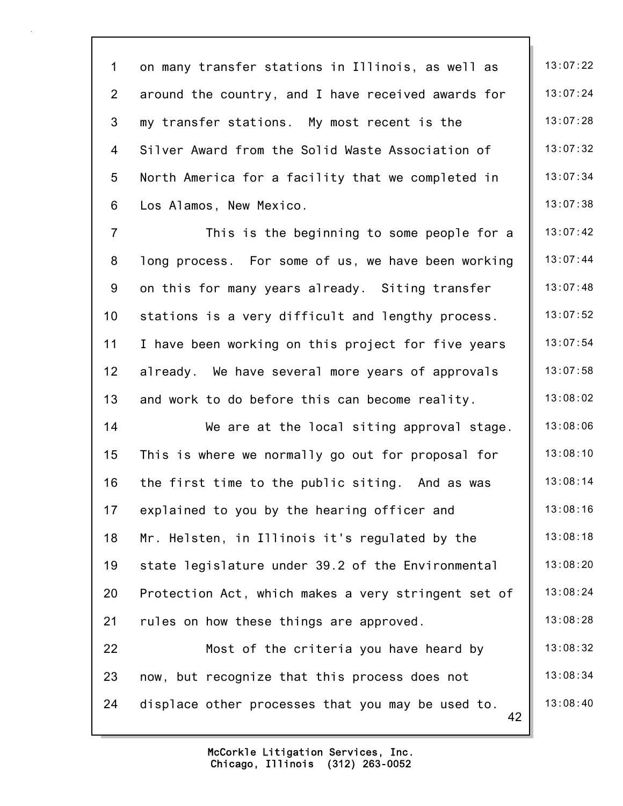1 on many transfer stations in Illinois, as well as | 13:07:22 2 around the country, and I have received awards for  $\parallel$  13:07:24 3 my transfer stations. My most recent is the 13:07:28 4 Silver Award from the Solid Waste Association of 13:07:32 5 North America for a facility that we completed in | 13:07:34 6 Los Alamos, New Mexico. 13:07:38

7 This is the beginning to some people for a  $\parallel$  13:07:42 8 long process. For some of us, we have been working | 13:07:44 9 on this for many years already. Siting transfer  $\parallel$  13:07:48 10 stations is a very difficult and lengthy process.  $\vert$  13:07:52 11 I have been working on this project for five years | 13:07:54 12 already. We have several more years of approvals  $\parallel$  13:07:58 13 and work to do before this can become reality. 13:08:02

14 We are at the local siting approval stage. 13:08:06 15 This is where we normally go out for proposal for  $\parallel$  13:08:10 16 the first time to the public siting. And as was  $\parallel$  13:08:14 17 explained to you by the hearing officer and 13:08:16 18 Mr. Helsten, in Illinois it's regulated by the 13:08:18 19 state legislature under 39.2 of the Environmental | 13:08:20 20 Protection Act, which makes a very stringent set of | 13:08:24 21 rules on how these things are approved.  $\vert$  13:08:28 22 Most of the criteria you have heard by 13:08:32

42 23 now, but recognize that this process does not  $\vert$  13:08:34 24 displace other processes that you may be used to.  $\parallel$  13:08:40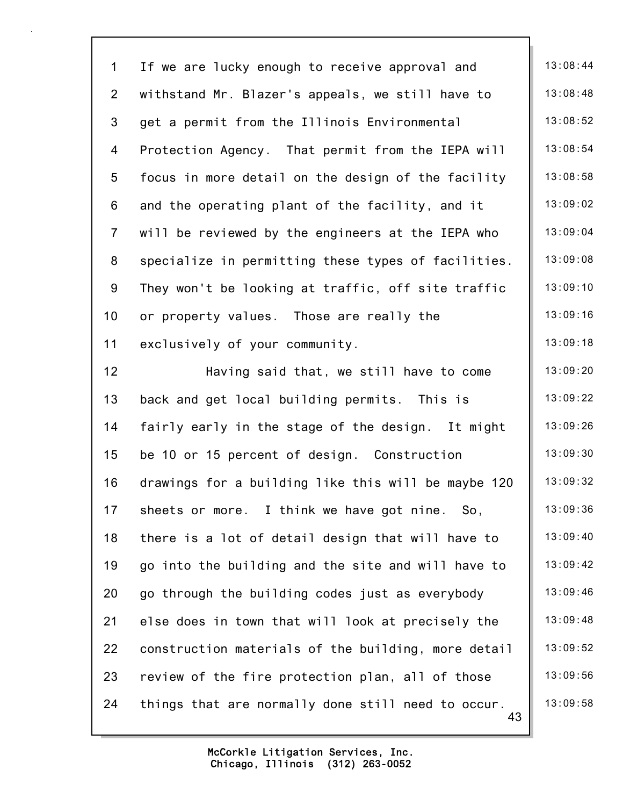43 1 If we are lucky enough to receive approval and 13:08:44 2 withstand Mr. Blazer's appeals, we still have to  $\parallel$  13:08:48 3 get a permit from the Illinois Environmental | 13:08:52 4 Protection Agency. That permit from the IEPA will | 13:08:54 5 focus in more detail on the design of the facility 13:08:58 6 and the operating plant of the facility, and it  $\parallel$  13:09:02 7 will be reviewed by the engineers at the IEPA who  $\parallel$  13:09:04 8 specialize in permitting these types of facilities. | 13:09:08 9 They won't be looking at traffic, off site traffic | 13:09:10 10 or property values. Those are really the 13:09:16 11 exclusively of your community. 13:09:18 12 **Having said that, we still have to come** 13:09:20 13 back and get local building permits. This is 13:09:22 14 fairly early in the stage of the design. It might  $\vert$  13:09:26 15 be 10 or 15 percent of design. Construction 13:09:30 16 drawings for a building like this will be maybe 120  $\vert$  13:09:32 17 sheets or more. I think we have got nine. So, 13:09:36 18 there is a lot of detail design that will have to 13:09:40 19 go into the building and the site and will have to  $\parallel$  13:09:42 20 go through the building codes just as everybody  $\vert$  13:09:46 21 else does in town that will look at precisely the | 13:09:48 22 construction materials of the building, more detail  $\vert$  13:09:52 23 review of the fire protection plan, all of those  $\vert$  13:09:56 24 things that are normally done still need to occur.  $\parallel$  13:09:58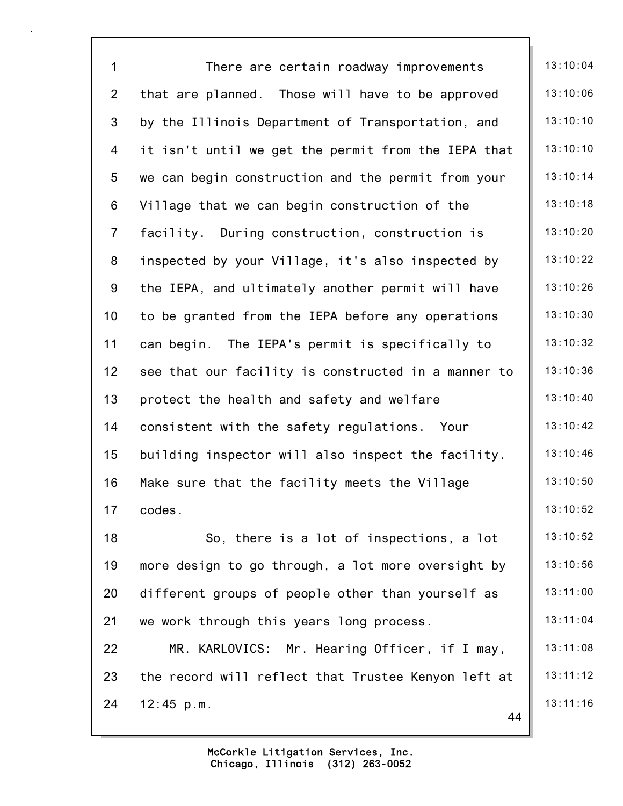| $\mathbf 1$    | There are certain roadway improvements              | 13:10:04 |
|----------------|-----------------------------------------------------|----------|
| $\overline{2}$ | that are planned. Those will have to be approved    | 13:10:06 |
| $\mathfrak{S}$ | by the Illinois Department of Transportation, and   | 13:10:10 |
| $\overline{4}$ | it isn't until we get the permit from the IEPA that | 13:10:10 |
| 5              | we can begin construction and the permit from your  | 13:10:14 |
| $\,6\,$        | Village that we can begin construction of the       | 13:10:18 |
| $\overline{7}$ | facility. During construction, construction is      | 13:10:20 |
| $\bf 8$        | inspected by your Village, it's also inspected by   | 13:10:22 |
| 9              | the IEPA, and ultimately another permit will have   | 13:10:26 |
| 10             | to be granted from the IEPA before any operations   | 13:10:30 |
| 11             | can begin. The IEPA's permit is specifically to     | 13:10:32 |
| 12             | see that our facility is constructed in a manner to | 13:10:36 |
| 13             | protect the health and safety and welfare           | 13:10:40 |
| 14             | consistent with the safety regulations. Your        | 13:10:42 |
| 15             | building inspector will also inspect the facility.  | 13:10:46 |
| 16             | Make sure that the facility meets the Village       | 13:10:50 |
| 17             | codes.                                              | 13:10:52 |
| 18             | So, there is a lot of inspections, a lot            | 13:10:52 |
| 19             | more design to go through, a lot more oversight by  | 13:10:56 |
| 20             | different groups of people other than yourself as   | 13:11:00 |
| 21             | we work through this years long process.            | 13:11:04 |
| 22             | MR. KARLOVICS: Mr. Hearing Officer, if I may,       | 13:11:08 |
| 23             | the record will reflect that Trustee Kenyon left at | 13:11:12 |
| 24             | 12:45 p.m.<br>44                                    | 13:11:16 |
|                |                                                     |          |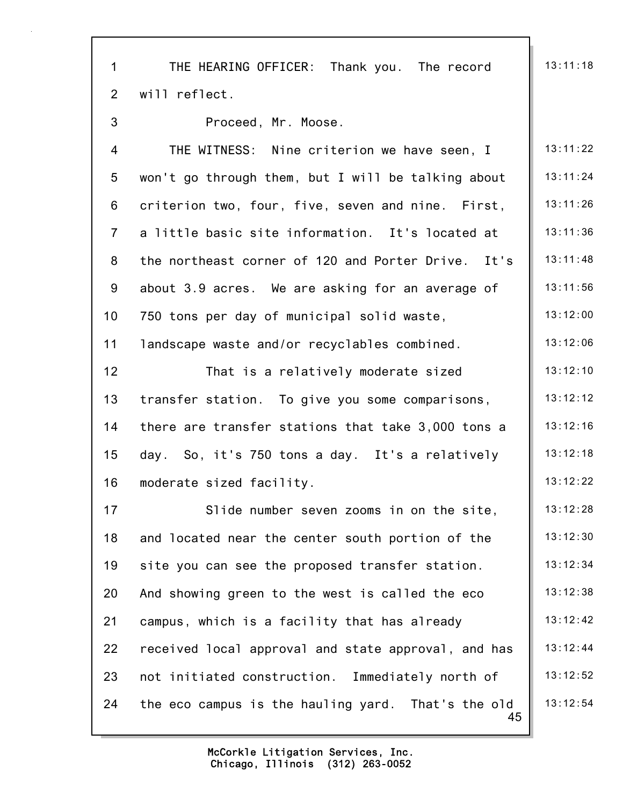45 1 THE HEARING OFFICER: Thank you. The record | 13:11:18 2 will reflect. 3 Proceed, Mr. Moose. 4 THE WITNESS: Nine criterion we have seen, I 13:11:22 5 won't go through them, but I will be talking about  $\parallel$  13:11:24 6 criterion two, four, five, seven and nine. First,  $\parallel$  13:11:26 7 a little basic site information. It's located at  $\parallel$  13:11:36 8 the northeast corner of 120 and Porter Drive. It's | 13:11:48 9 about 3.9 acres. We are asking for an average of  $\parallel$  13:11:56 10 750 tons per day of municipal solid waste, 13:12:00 11 landscape waste and/or recyclables combined. 13:12:06 12 That is a relatively moderate sized  $\begin{array}{|c|c|c|c|c|} \hline 13:12:10 \hline \end{array}$ 13 transfer station. To give you some comparisons, 13:12:12 14 there are transfer stations that take 3,000 tons a | 13:12:16 15 day. So, it's 750 tons a day. It's a relatively 13:12:18 16 moderate sized facility. 16 moderate sized facility. 17 Slide number seven zooms in on the site. 13:12:28 18 and located near the center south portion of the 13:12:30 19 site you can see the proposed transfer station.  $\parallel$  13:12:34 20 And showing green to the west is called the eco  $\parallel$  13:12:38 21 campus, which is a facility that has already  $\begin{array}{|l|}\n 13:12:42\n \end{array}$ 22 received local approval and state approval, and has  $\parallel$  13:12:44 23 not initiated construction. Immediately north of | 13:12:52 24 the eco campus is the hauling yard. That's the old  $\parallel$  13:12:54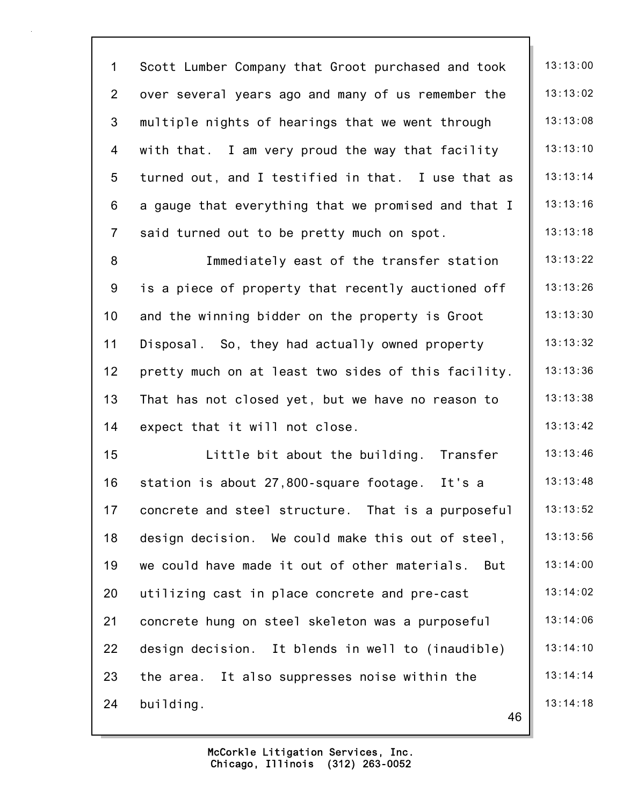46 1 Scott Lumber Company that Groot purchased and took | 13:13:00 2 over several years ago and many of us remember the | 13:13:02 3 multiple nights of hearings that we went through  $\parallel$  13:13:08 4 with that. I am very proud the way that facility | 13:13:10 5 turned out, and I testified in that. I use that as  $\parallel$  13:13:14 6 a gauge that everything that we promised and that  $I \parallel 13:13:16$ 7 said turned out to be pretty much on spot.  $\vert$  13:13:18 8 Immediately east of the transfer station | 13:13:22 9 is a piece of property that recently auctioned off  $\parallel$  13:13:26 10 and the winning bidder on the property is Groot  $\vert$  13:13:30 11 Disposal. So, they had actually owned property | 13:13:32 12 pretty much on at least two sides of this facility. | 13:13:36 13 That has not closed yet, but we have no reason to  $\parallel$  13:13:38 14 expect that it will not close.  $\vert$  13:13:42 15 Little bit about the building. Transfer | 13:13:46 16 station is about 27,800-square footage. It's a  $\parallel$  13:13:48 17 concrete and steel structure. That is a purposeful | 13:13:52 18 design decision. We could make this out of steel, 13:13:56 19 we could have made it out of other materials. But | 13:14:00 20 utilizing cast in place concrete and pre-cast 13:14:02 21 concrete hung on steel skeleton was a purposeful | 13:14:06 22 design decision. It blends in well to (inaudible) | 13:14:10 23 the area. It also suppresses noise within the  $\vert$  13:14:14 24 building. 13:14:18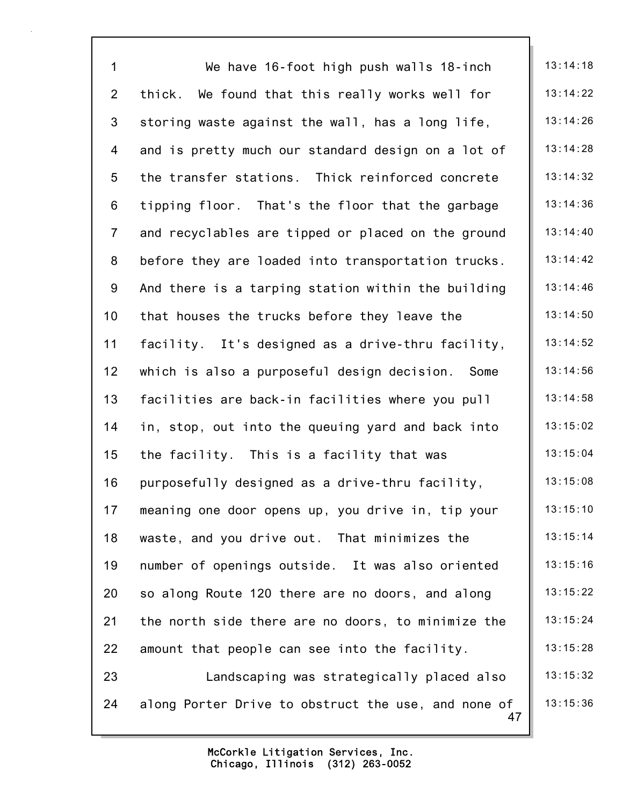47 1 We have 16-foot high push walls 18-inch | 13:14:18 2 thick. We found that this really works well for  $\parallel$  13:14:22 3 storing waste against the wall, has a long life,  $\vert$  13:14:26 4 and is pretty much our standard design on a lot of  $\parallel$  13:14:28 5 the transfer stations. Thick reinforced concrete 1 13:14:32 6 tipping floor. That's the floor that the garbage  $\parallel$  13:14:36 7 and recyclables are tipped or placed on the ground  $\parallel$  13:14:40 8 before they are loaded into transportation trucks.  $\parallel$  13:14:42 9 And there is a tarping station within the building  $\parallel$  13:14:46 10 that houses the trucks before they leave the 13:14:50 11 facility. It's designed as a drive-thru facility, 13:14:52 12 which is also a purposeful design decision. Some  $\parallel$  13:14:56 13 facilities are back-in facilities where you pull  $\begin{array}{|l|} 13:14:58 \end{array}$ 14 in, stop, out into the queuing yard and back into  $\begin{vmatrix} 1 & 3 & 15 & 02 \\ 0 & 1 & 1 & 15 \end{vmatrix}$ 15 the facility. This is a facility that was 13:15:04 16 purposefully designed as a drive-thru facility,  $\vert$  13:15:08 17 meaning one door opens up, you drive in, tip your | 13:15:10 18 waste, and you drive out. That minimizes the  $\vert$  13:15:14 19 number of openings outside. It was also oriented | 13:15:16 20 so along Route 120 there are no doors, and along 13:15:22 21 the north side there are no doors, to minimize the  $\parallel$  13:15:24 22 amount that people can see into the facility.  $\vert$  13:15:28 23 Landscaping was strategically placed also | 13:15:32 24 along Porter Drive to obstruct the use, and none of  $\parallel$  13:15:36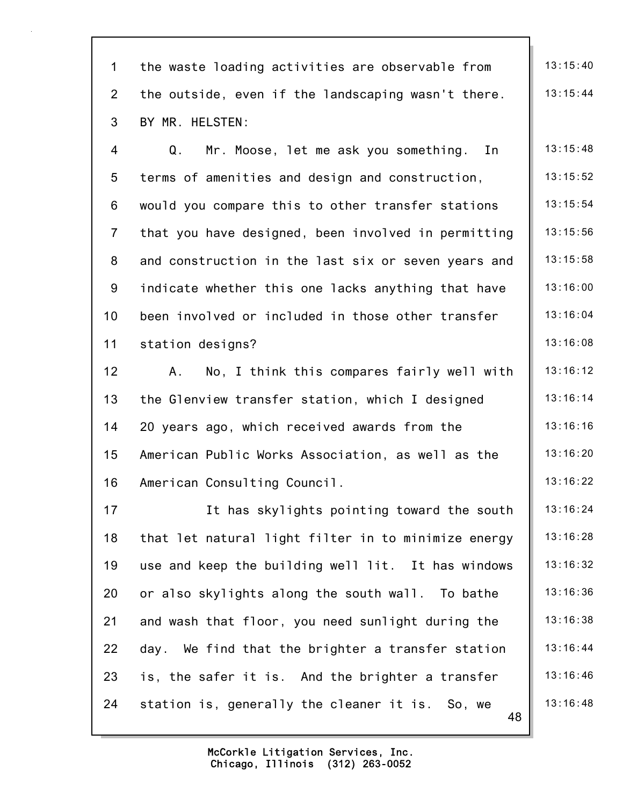48 1 the waste loading activities are observable from  $\parallel$  13:15:40 2 the outside, even if the landscaping wasn't there.  $\parallel$  13:15:44 3 BY MR. HELSTEN: 4 Q. Mr. Moose, let me ask you something. In 13:15:48 5 terms of amenities and design and construction,  $\vert$  13:15:52 6 would you compare this to other transfer stations  $\parallel$  13:15:54 7 that you have designed, been involved in permitting  $\parallel$  13:15:56 8 and construction in the last six or seven years and | 13:15:58 9 indicate whether this one lacks anything that have  $\parallel$  13:16:00 10 been involved or included in those other transfer | 13:16:04 11 station designs? 13:16:08 12 A. No, I think this compares fairly well with | 13:16:12 13 the Glenview transfer station, which I designed | 13:16:14 14 20 years ago, which received awards from the 13:16:16 15 American Public Works Association, as well as the  $\parallel$  13:16:20 16 American Consulting Council. 16 13:16:22 17 13:16:24 It has skylights pointing toward the south | 13:16:24 18 that let natural light filter in to minimize energy  $\parallel$  13:16:28 19 use and keep the building well lit. It has windows  $\parallel$  13:16:32 20 or also skylights along the south wall. To bathe  $\parallel$  13:16:36 21 and wash that floor, you need sunlight during the  $\parallel$  13:16:38 22 day. We find that the brighter a transfer station  $\parallel$  13:16:44 23 is, the safer it is. And the brighter a transfer  $\parallel$  13:16:46 24 station is, generally the cleaner it is. So, we  $\parallel$  13:16:48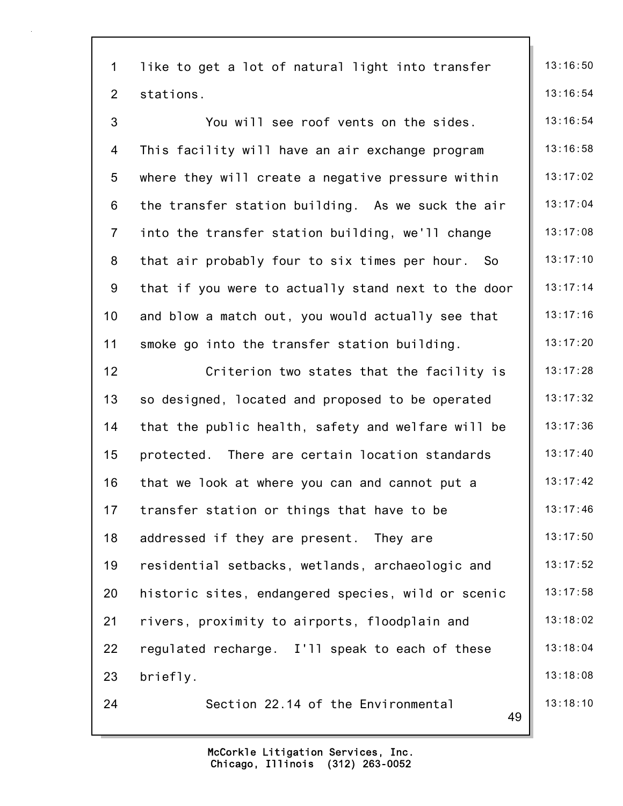49 1 like to get a lot of natural light into transfer  $\parallel$  13:16:50 2 stations. 13:16:54 3 The Vou will see roof vents on the sides. The 13:16:54 4 This facility will have an air exchange program | 13:16:58 5 where they will create a negative pressure within | 13:17:02 6 the transfer station building. As we suck the air  $\parallel$  13:17:04 7 into the transfer station building, we'll change  $\parallel$  13:17:08 8 that air probably four to six times per hour. So  $\parallel$  13:17:10 9 that if you were to actually stand next to the door  $\parallel$  13:17:14 10 and blow a match out, you would actually see that 13:17:16 11 smoke go into the transfer station building.  $\vert$  13:17:20 12 Criterion two states that the facility is | 13:17:28 13 so designed, located and proposed to be operated | 13:17:32 14 that the public health, safety and welfare will be | 13:17:36 15 protected. There are certain location standards | 13:17:40 16 that we look at where you can and cannot put a  $\vert$  13:17:42 17 transfer station or things that have to be  $\vert$  13:17:46 18 addressed if they are present. They are  $\vert$  13:17:50 19 residential setbacks, wetlands, archaeologic and 13:17:52 20 historic sites, endangered species, wild or scenic | 13:17:58 21 rivers, proximity to airports, floodplain and 13:18:02 22 regulated recharge. I'll speak to each of these  $\vert$  13:18:04 23 briefly. 23 and 13:18:08 24 Section 22.14 of the Environmental 13:18:10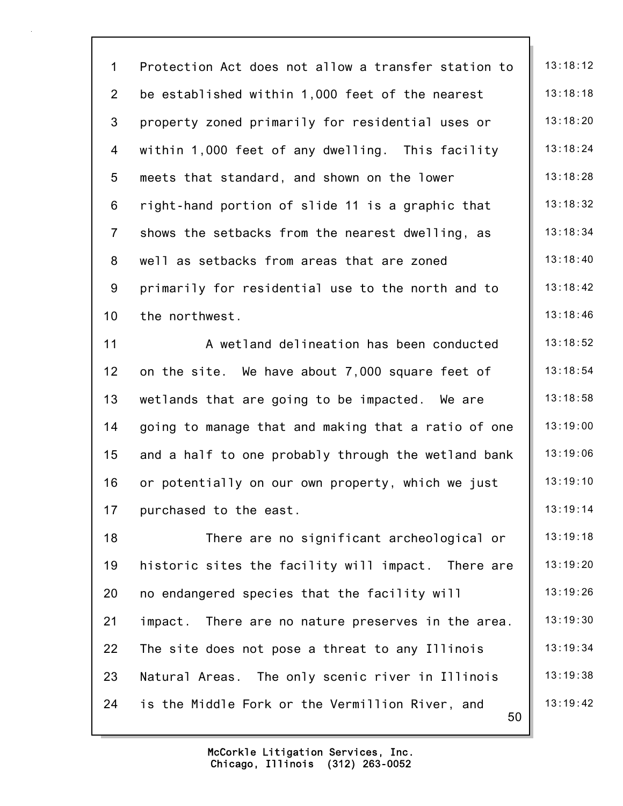| $\mathbf 1$    | Protection Act does not allow a transfer station to   | 13:18:12 |
|----------------|-------------------------------------------------------|----------|
| $\overline{2}$ | be established within 1,000 feet of the nearest       | 13:18:18 |
| 3              | property zoned primarily for residential uses or      | 13:18:20 |
| 4              | within 1,000 feet of any dwelling. This facility      | 13:18:24 |
| 5              | meets that standard, and shown on the lower           | 13:18:28 |
| 6              | right-hand portion of slide 11 is a graphic that      | 13:18:32 |
| $\overline{7}$ | shows the setbacks from the nearest dwelling, as      | 13:18:34 |
| 8              | well as setbacks from areas that are zoned            | 13:18:40 |
| 9              | primarily for residential use to the north and to     | 13:18:42 |
| 10             | the northwest.                                        | 13:18:46 |
| 11             | A wetland delineation has been conducted              | 13:18:52 |
| 12             | on the site. We have about 7,000 square feet of       | 13:18:54 |
| 13             | wetlands that are going to be impacted. We are        | 13:18:58 |
| 14             | going to manage that and making that a ratio of one   | 13:19:00 |
| 15             | and a half to one probably through the wetland bank   | 13:19:06 |
| 16             | or potentially on our own property, which we just     | 13:19:10 |
| 17             | purchased to the east.                                | 13:19:14 |
| 18             | There are no significant archeological or             | 13:19:18 |
| 19             | historic sites the facility will impact. There are    | 13:19:20 |
| 20             | no endangered species that the facility will          | 13:19:26 |
| 21             | impact. There are no nature preserves in the area.    | 13:19:30 |
| 22             | The site does not pose a threat to any Illinois       | 13:19:34 |
| 23             | Natural Areas. The only scenic river in Illinois      | 13:19:38 |
| 24             | is the Middle Fork or the Vermillion River, and<br>50 | 13:19:42 |
|                |                                                       |          |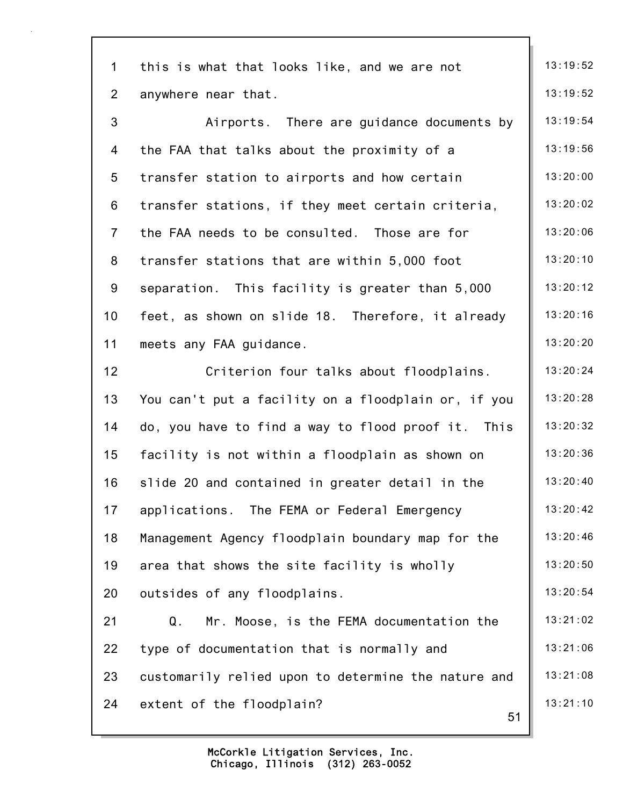| $\mathbf{1}$    | this is what that looks like, and we are not        | 13:19:52 |
|-----------------|-----------------------------------------------------|----------|
| $\overline{2}$  | anywhere near that.                                 | 13:19:52 |
| 3               | Airports. There are guidance documents by           | 13:19:54 |
| 4               | the FAA that talks about the proximity of a         | 13:19:56 |
| 5               | transfer station to airports and how certain        | 13:20:00 |
| 6               | transfer stations, if they meet certain criteria,   | 13:20:02 |
| $\overline{7}$  | the FAA needs to be consulted. Those are for        | 13:20:06 |
| 8               | transfer stations that are within 5,000 foot        | 13:20:10 |
| 9               | separation. This facility is greater than 5,000     | 13:20:12 |
| 10 <sub>1</sub> | feet, as shown on slide 18. Therefore, it already   | 13:20:16 |
| 11              | meets any FAA guidance.                             | 13:20:20 |
| 12              | Criterion four talks about floodplains.             | 13:20:24 |
| 13              | You can't put a facility on a floodplain or, if you | 13:20:28 |
| 14              | do, you have to find a way to flood proof it. This  | 13:20:32 |
| 15              | facility is not within a floodplain as shown on     | 13:20:36 |
| 16              | slide 20 and contained in greater detail in the     | 13:20:40 |
| 17              | applications. The FEMA or Federal Emergency         | 13:20:42 |
| 18              | Management Agency floodplain boundary map for the   | 13:20:46 |
| 19              | area that shows the site facility is wholly         | 13:20:50 |
| 20              | outsides of any floodplains.                        | 13:20:54 |
| 21              | Mr. Moose, is the FEMA documentation the<br>Q.      | 13:21:02 |
| 22              | type of documentation that is normally and          | 13:21:06 |
| 23              | customarily relied upon to determine the nature and | 13:21:08 |
| 24              | extent of the floodplain?<br>51                     | 13:21:10 |
|                 |                                                     |          |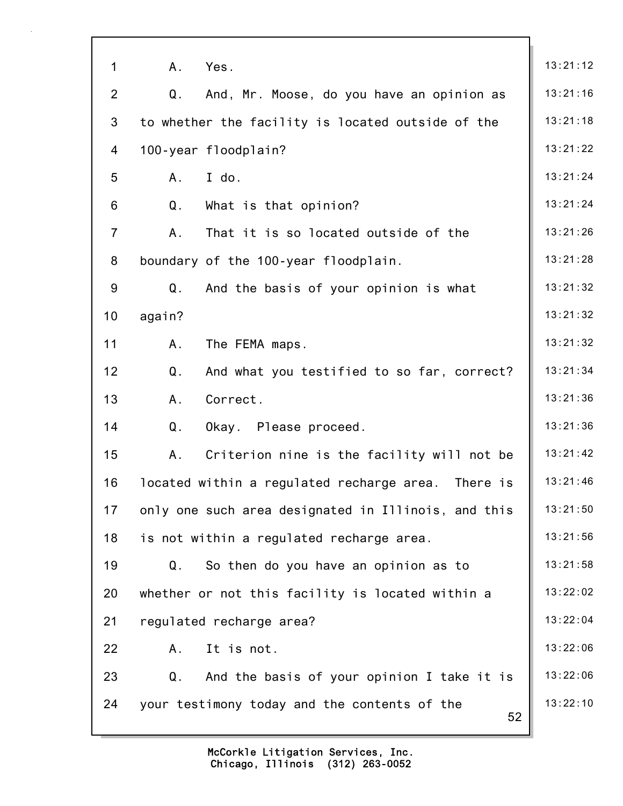| $\mathbf 1$    | A.<br>Yes.                                          | 13:21:12 |
|----------------|-----------------------------------------------------|----------|
| $\overline{2}$ | Q.<br>And, Mr. Moose, do you have an opinion as     | 13:21:16 |
| 3              | to whether the facility is located outside of the   | 13:21:18 |
| 4              | 100-year floodplain?                                | 13:21:22 |
| 5              | I do.<br>A.                                         | 13:21:24 |
| 6              | Q.<br>What is that opinion?                         | 13:21:24 |
| $\overline{7}$ | That it is so located outside of the<br>A.          | 13:21:26 |
| 8              | boundary of the 100-year floodplain.                | 13:21:28 |
| 9              | Q.<br>And the basis of your opinion is what         | 13:21:32 |
| 10             | again?                                              | 13:21:32 |
| 11             | A.<br>The FEMA maps.                                | 13:21:32 |
| 12             | Q.<br>And what you testified to so far, correct?    | 13:21:34 |
| 13             | A.<br>Correct.                                      | 13:21:36 |
| 14             | Q.<br>Okay. Please proceed.                         | 13:21:36 |
| 15             | A.<br>Criterion nine is the facility will not be    | 13:21:42 |
| 16             | located within a regulated recharge area. There is  | 13:21:46 |
| 17             | only one such area designated in Illinois, and this | 13:21:50 |
| 18             | is not within a regulated recharge area.            | 13:21:56 |
| 19             | Q.<br>So then do you have an opinion as to          | 13:21:58 |
| 20             | whether or not this facility is located within a    | 13:22:02 |
| 21             | regulated recharge area?                            | 13:22:04 |
| 22             | It is not.<br>A.                                    | 13:22:06 |
| 23             | Q.<br>And the basis of your opinion I take it is    | 13:22:06 |
| 24             | your testimony today and the contents of the<br>52  | 13:22:10 |

7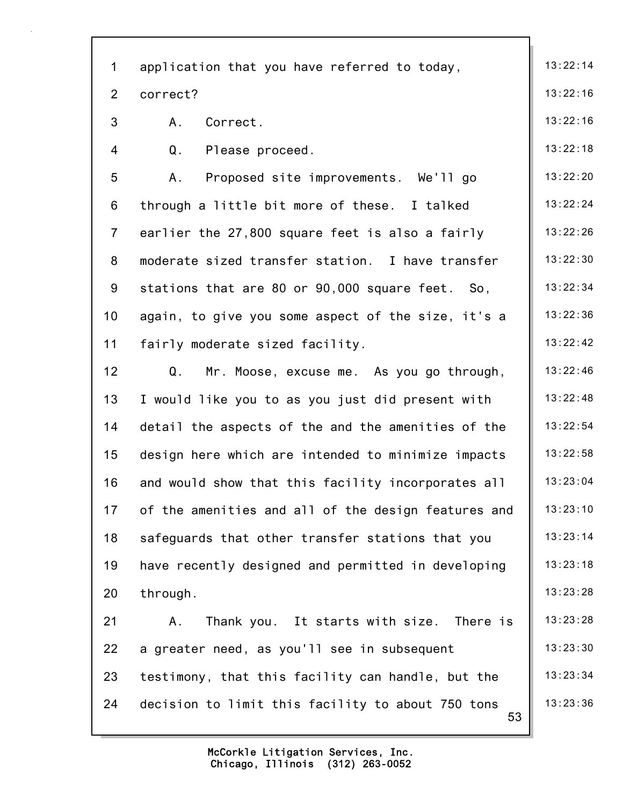| $\mathbf{1}$    | application that you have referred to today,            | 13:22:14 |
|-----------------|---------------------------------------------------------|----------|
| $\overline{2}$  | correct?                                                | 13:22:16 |
| 3               | Correct.<br>A.                                          | 13:22:16 |
| 4               | Q.<br>Please proceed.                                   | 13:22:18 |
| 5               | Proposed site improvements. We'll go<br>Α.              | 13:22:20 |
| 6               | through a little bit more of these. I talked            | 13:22:24 |
| $\overline{7}$  | earlier the 27,800 square feet is also a fairly         | 13:22:26 |
| 8               | moderate sized transfer station. I have transfer        | 13:22:30 |
| 9               | stations that are 80 or 90,000 square feet. So,         | 13:22:34 |
| 10 <sub>1</sub> | again, to give you some aspect of the size, it's a      | 13:22:36 |
| 11              | fairly moderate sized facility.                         | 13:22:42 |
| 12              | Q.<br>Mr. Moose, excuse me. As you go through,          | 13:22:46 |
| 13              | I would like you to as you just did present with        | 13:22:48 |
| 14              | detail the aspects of the and the amenities of the      | 13:22:54 |
| 15              | design here which are intended to minimize impacts      | 13:22:58 |
| 16              | and would show that this facility incorporates all      | 13:23:04 |
| 17              | of the amenities and all of the design features and     | 13:23:10 |
| 18              | safeguards that other transfer stations that you        | 13:23:14 |
| 19              | have recently designed and permitted in developing      | 13:23:18 |
| 20              | through.                                                | 13:23:28 |
| 21              | Thank you. It starts with size. There is<br>А.          | 13:23:28 |
| 22              | a greater need, as you'll see in subsequent             | 13:23:30 |
| 23              | testimony, that this facility can handle, but the       | 13:23:34 |
| 24              | decision to limit this facility to about 750 tons<br>53 | 13:23:36 |
|                 |                                                         |          |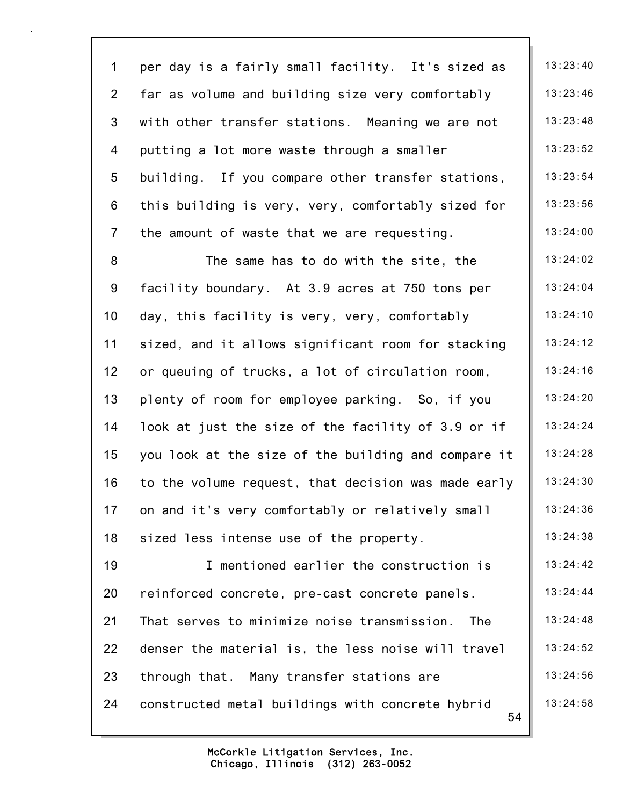| $\mathbf 1$     | per day is a fairly small facility. It's sized as      | 13:23:40 |
|-----------------|--------------------------------------------------------|----------|
| $2^{\circ}$     | far as volume and building size very comfortably       | 13:23:46 |
| 3               | with other transfer stations. Meaning we are not       | 13:23:48 |
| $\overline{4}$  | putting a lot more waste through a smaller             | 13:23:52 |
| $5\phantom{.0}$ | building. If you compare other transfer stations,      | 13:23:54 |
| 6               | this building is very, very, comfortably sized for     | 13:23:56 |
| $\overline{7}$  | the amount of waste that we are requesting.            | 13:24:00 |
| 8               | The same has to do with the site, the                  | 13:24:02 |
| 9               | facility boundary. At 3.9 acres at 750 tons per        | 13:24:04 |
| 10 <sub>1</sub> | day, this facility is very, very, comfortably          | 13:24:10 |
| 11              | sized, and it allows significant room for stacking     | 13:24:12 |
| 12              | or queuing of trucks, a lot of circulation room,       | 13:24:16 |
| 13              | plenty of room for employee parking. So, if you        | 13:24:20 |
| 14              | look at just the size of the facility of 3.9 or if     | 13:24:24 |
| 15              | you look at the size of the building and compare it    | 13:24:28 |
| 16              | to the volume request, that decision was made early    | 13:24:30 |
| 17              | on and it's very comfortably or relatively small       | 13:24:36 |
| 18              | sized less intense use of the property.                | 13:24:38 |
| 19              | I mentioned earlier the construction is                | 13:24:42 |
| 20              | reinforced concrete, pre-cast concrete panels.         | 13:24:44 |
| 21              | That serves to minimize noise transmission.<br>The     | 13:24:48 |
| 22              | denser the material is, the less noise will travel     | 13:24:52 |
| 23              | through that. Many transfer stations are               | 13:24:56 |
| 24              | constructed metal buildings with concrete hybrid<br>54 | 13:24:58 |
|                 |                                                        |          |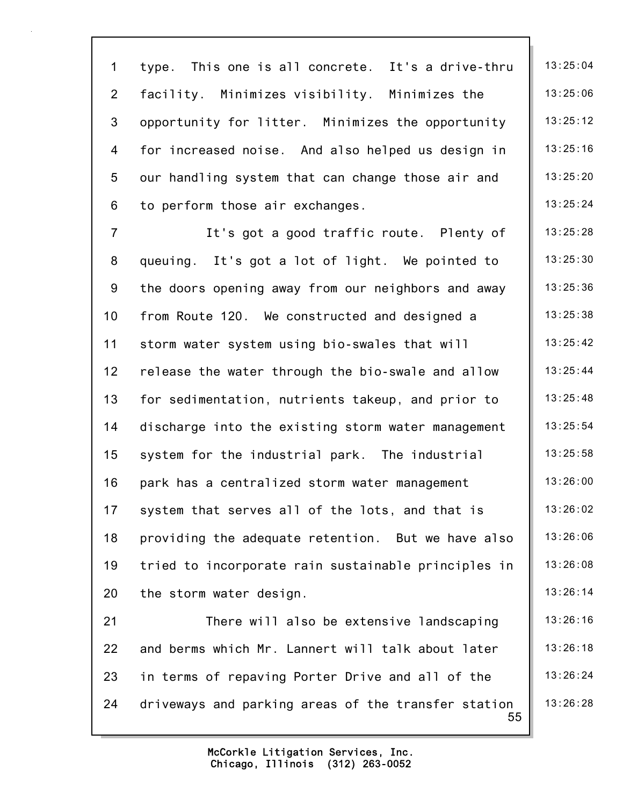55 1 type. This one is all concrete. It's a drive-thru | 13:25:04 2 facility. Minimizes visibility. Minimizes the 13:25:06 3 opportunity for litter. Minimizes the opportunity 13:25:12 4 for increased noise. And also helped us design in | 13:25:16 5 our handling system that can change those air and  $\parallel$  13:25:20 6 to perform those air exchanges.  $\begin{array}{|c|c|c|c|c|c|c|c|c|} \hline \end{array}$  13:25:24 7 It's got a good traffic route. Plenty of | 13:25:28 8 queuing. It's got a lot of light. We pointed to  $\parallel$  13:25:30 9 the doors opening away from our neighbors and away  $\parallel$  13:25:36 10 from Route 120. We constructed and designed a 13:25:38 11 storm water system using bio-swales that will 13:25:42 12 release the water through the bio-swale and allow | 13:25:44 13 for sedimentation, nutrients takeup, and prior to  $\parallel$  13:25:48 14 discharge into the existing storm water management | 13:25:54 15 system for the industrial park. The industrial | 13:25:58 16 park has a centralized storm water management | 13:26:00 17 system that serves all of the lots, and that is 13:26:02 18 providing the adequate retention. But we have also | 13:26:06 19 tried to incorporate rain sustainable principles in 13:26:08 20 the storm water design. 13:26:14 21 There will also be extensive landscaping | 13:26:16 22 and berms which Mr. Lannert will talk about later | 13:26:18 23 in terms of repaving Porter Drive and all of the | 13:26:24 24 driveways and parking areas of the transfer station  $\parallel$  13:26:28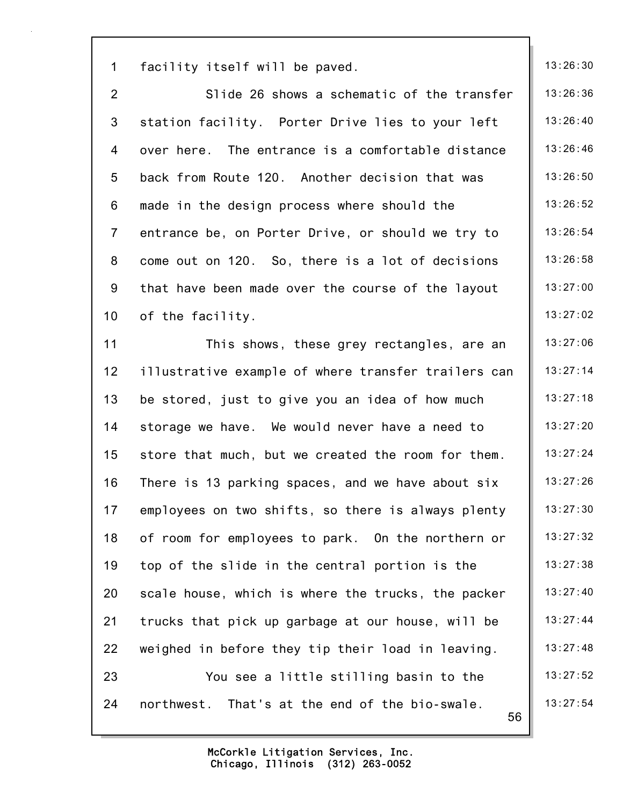| $\mathbf 1$     | facility itself will be paved.                       | 13:26:30 |
|-----------------|------------------------------------------------------|----------|
| $\overline{2}$  | Slide 26 shows a schematic of the transfer           | 13:26:36 |
| 3               | station facility. Porter Drive lies to your left     | 13:26:40 |
| 4               | over here. The entrance is a comfortable distance    | 13:26:46 |
| 5               | back from Route 120. Another decision that was       | 13:26:50 |
| 6               | made in the design process where should the          | 13:26:52 |
| $\overline{7}$  | entrance be, on Porter Drive, or should we try to    | 13:26:54 |
| 8               | come out on 120. So, there is a lot of decisions     | 13:26:58 |
| 9               | that have been made over the course of the layout    | 13:27:00 |
| 10 <sup>1</sup> | of the facility.                                     | 13:27:02 |
| 11              | This shows, these grey rectangles, are an            | 13:27:06 |
| 12 <sub>2</sub> | illustrative example of where transfer trailers can  | 13:27:14 |
| 13              | be stored, just to give you an idea of how much      | 13:27:18 |
| 14              | storage we have. We would never have a need to       | 13:27:20 |
| 15              | store that much, but we created the room for them.   | 13:27:24 |
| 16              | There is 13 parking spaces, and we have about six    | 13:27:26 |
| 17              | employees on two shifts, so there is always plenty   | 13:27:30 |
| 18              | of room for employees to park. On the northern or    | 13:27:32 |
| 19              | top of the slide in the central portion is the       | 13:27:38 |
| 20              | scale house, which is where the trucks, the packer   | 13:27:40 |
| 21              | trucks that pick up garbage at our house, will be    | 13:27:44 |
| 22              | weighed in before they tip their load in leaving.    | 13:27:48 |
| 23              | You see a little stilling basin to the               | 13:27:52 |
| 24              | northwest. That's at the end of the bio-swale.<br>56 | 13:27:54 |
|                 |                                                      |          |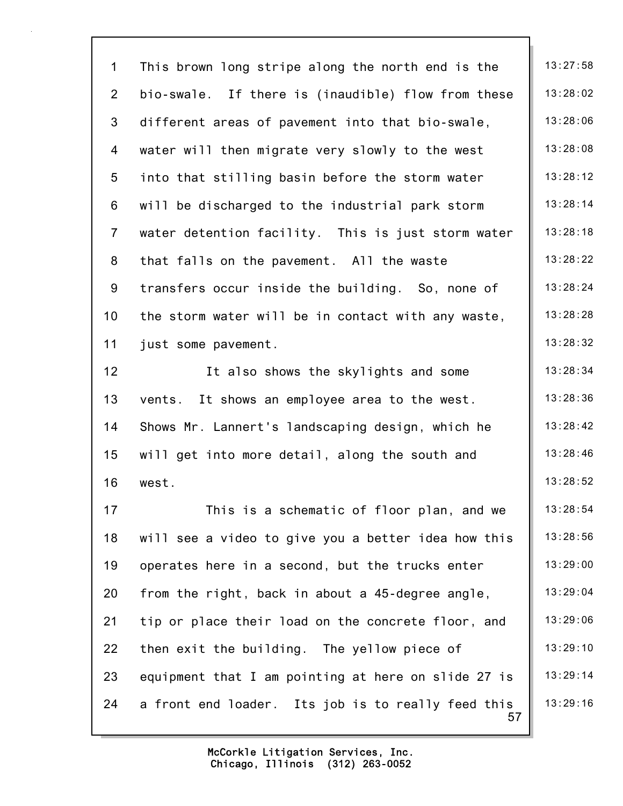57 1 This brown long stripe along the north end is the | 13:27:58 2 bio-swale. If there is (inaudible) flow from these  $\parallel$  13:28:02 3 different areas of pavement into that bio-swale, 13:28:06 4 water will then migrate very slowly to the west  $\vert$  13:28:08 5 into that stilling basin before the storm water  $\vert$  13:28:12 6 will be discharged to the industrial park storm  $\parallel$  13:28:14 7 water detention facility. This is just storm water  $\parallel$  13:28:18 8 that falls on the pavement. All the waste  $\vert$  13:28:22 9 transfers occur inside the building. So, none of  $\parallel$  13:28:24 10 the storm water will be in contact with any waste,  $\parallel$  13:28:28 11 just some pavement. 12 It also shows the skylights and some 13:28:34 13 vents. It shows an employee area to the west.  $\vert$  13:28:36 14 Shows Mr. Lannert's landscaping design, which he | 13:28:42 15 will get into more detail, along the south and 13:28:46 16 west. 13:28:52 17 This is a schematic of floor plan, and we | 13:28:54 18 will see a video to give you a better idea how this | 13:28:56 19 operates here in a second, but the trucks enter  $\vert$  13:29:00 20 from the right, back in about a 45-degree angle,  $\vert$  13:29:04 21 tip or place their load on the concrete floor, and | 13:29:06 22 then exit the building. The yellow piece of  $\|$  13:29:10 23 equipment that I am pointing at here on slide 27 is  $\parallel$  13:29:14 24 a front end loader. Its job is to really feed this  $\parallel$  13:29:16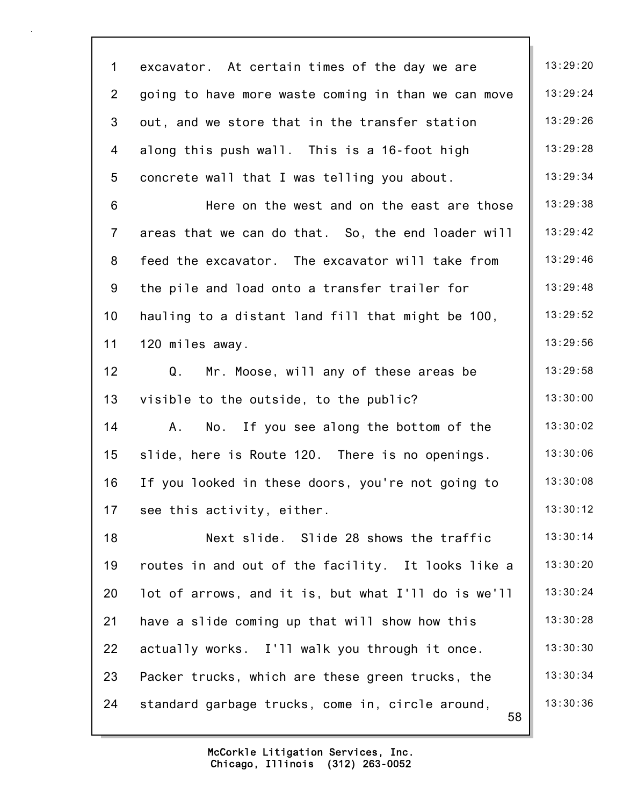58 1 excavator. At certain times of the day we are  $\parallel$  13:29:20 2 going to have more waste coming in than we can move  $\parallel$  13:29:24 3 out, and we store that in the transfer station | 13:29:26 4 along this push wall. This is a 16-foot high  $\vert$  13:29:28 5 concrete wall that I was telling you about.  $\|$  13:29:34 6 Here on the west and on the east are those  $\parallel$  13:29:38 7 areas that we can do that. So, the end loader will | 13:29:42 8 feed the excavator. The excavator will take from  $\parallel$  13:29:46 9 the pile and load onto a transfer trailer for  $\vert$  13:29:48 10 hauling to a distant land fill that might be 100,  $\parallel$  13:29:52 11 120 miles away. 15 and 13:29:56 12  $Q.$  Mr. Moose, will any of these areas be  $\parallel$  13:29:58 13 visible to the outside, to the public? 13:30:00 14 A. No. If you see along the bottom of the  $\vert$  13:30:02 15 slide, here is Route 120. There is no openings.  $\vert$  13:30:06 16 If you looked in these doors, you're not going to  $\parallel$  13:30:08 17 see this activity, either. 13:30:12 18 **Next slide.** Slide 28 shows the traffic 13:30:14 19 routes in and out of the facility. It looks like a  $\parallel$  13:30:20 20 lot of arrows, and it is, but what I'll do is we'll  $\parallel$  13:30:24 21 have a slide coming up that will show how this  $\vert$  13:30:28 22 actually works. I'll walk you through it once.  $\vert$  13:30:30 23 Packer trucks, which are these green trucks, the | 13:30:34 24 standard garbage trucks, come in, circle around, | 13:30:36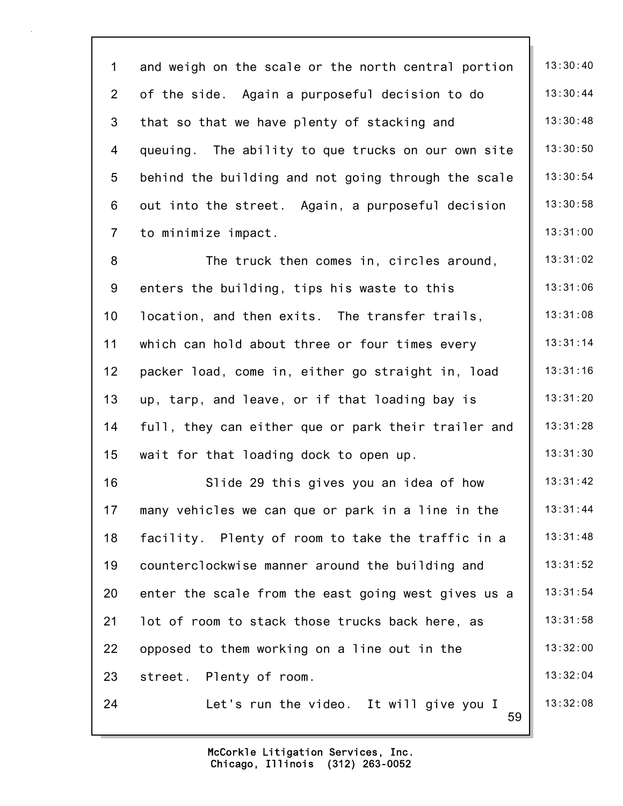59 1 and weigh on the scale or the north central portion  $\parallel$  13:30:40 2 of the side. Again a purposeful decision to do  $\parallel$  13:30:44 3 that so that we have plenty of stacking and  $\vert$  13:30:48 4 queuing. The ability to que trucks on our own site | 13:30:50 5 behind the building and not going through the scale  $\parallel$  13:30:54 6 out into the street. Again, a purposeful decision  $\parallel$  13:30:58 7 to minimize impact. 13:31:00 8 The truck then comes in, circles around, 13:31:02 9 enters the building, tips his waste to this  $\vert$  13:31:06 10 location, and then exits. The transfer trails, 13:31:08 11 which can hold about three or four times every 13:31:14 12 packer load, come in, either go straight in, load | 13:31:16 13 up, tarp, and leave, or if that loading bay is  $\vert$  13:31:20 14 full, they can either que or park their trailer and  $\vert$  13:31:28 15 wait for that loading dock to open up.  $\begin{array}{|c|c|c|c|c|c|} \hline \end{array}$  13:31:30 16 Slide 29 this gives you an idea of how 13:31:42 17 many vehicles we can que or park in a line in the | 13:31:44 18 facility. Plenty of room to take the traffic in a  $\vert$  13:31:48 19 counterclockwise manner around the building and 13:31:52 20 enter the scale from the east going west gives us a  $\vert$  13:31:54 21 lot of room to stack those trucks back here, as  $13:31:58$ 22 opposed to them working on a line out in the  $\vert$  13:32:00 23 street. Plenty of room. 13:32:04 24 Let's run the video. It will give you I  $\parallel$  13:32:08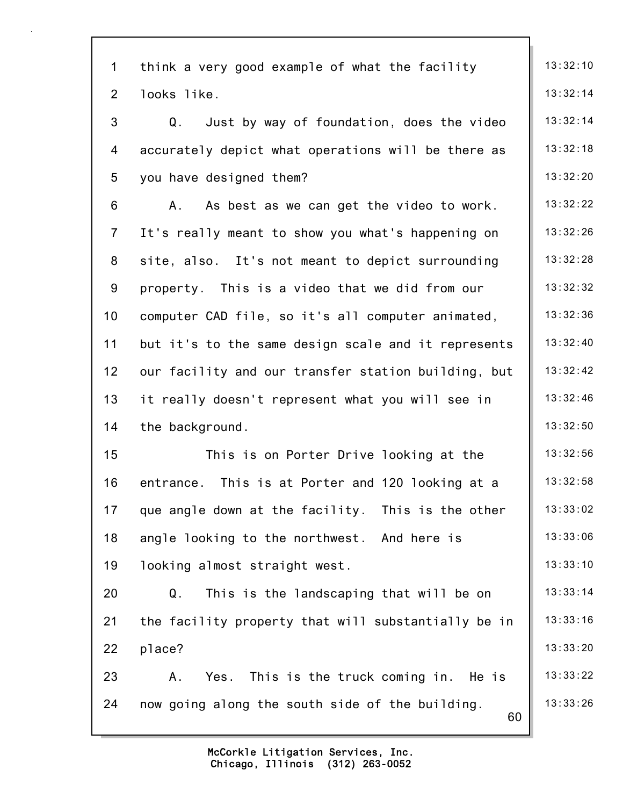| $\mathbf 1$    | think a very good example of what the facility        | 13:32:10 |
|----------------|-------------------------------------------------------|----------|
| $\overline{2}$ | looks like.                                           | 13:32:14 |
| 3              | Just by way of foundation, does the video<br>Q.       | 13:32:14 |
| 4              | accurately depict what operations will be there as    | 13:32:18 |
| 5              | you have designed them?                               | 13:32:20 |
| 6              | As best as we can get the video to work.<br>A.,       | 13:32:22 |
| $\overline{7}$ | It's really meant to show you what's happening on     | 13:32:26 |
| 8              | site, also. It's not meant to depict surrounding      | 13:32:28 |
| 9              | property. This is a video that we did from our        | 13:32:32 |
| 10             | computer CAD file, so it's all computer animated,     | 13:32:36 |
| 11             | but it's to the same design scale and it represents   | 13:32:40 |
| 12             | our facility and our transfer station building, but   | 13:32:42 |
| 13             | it really doesn't represent what you will see in      | 13:32:46 |
| 14             | the background.                                       | 13:32:50 |
| 15             | This is on Porter Drive looking at the                | 13:32:56 |
| 16             | This is at Porter and 120 looking at a<br>entrance.   | 13:32:58 |
| 17             | que angle down at the facility. This is the other     | 13:33:02 |
| 18             | angle looking to the northwest. And here is           | 13:33:06 |
| 19             | looking almost straight west.                         | 13:33:10 |
| 20             | This is the landscaping that will be on<br>Q.         | 13:33:14 |
| 21             | the facility property that will substantially be in   | 13:33:16 |
| 22             | place?                                                | 13:33:20 |
| 23             | This is the truck coming in. He is<br>Α.<br>Yes.      | 13:33:22 |
| 24             | now going along the south side of the building.<br>60 | 13:33:26 |
|                |                                                       |          |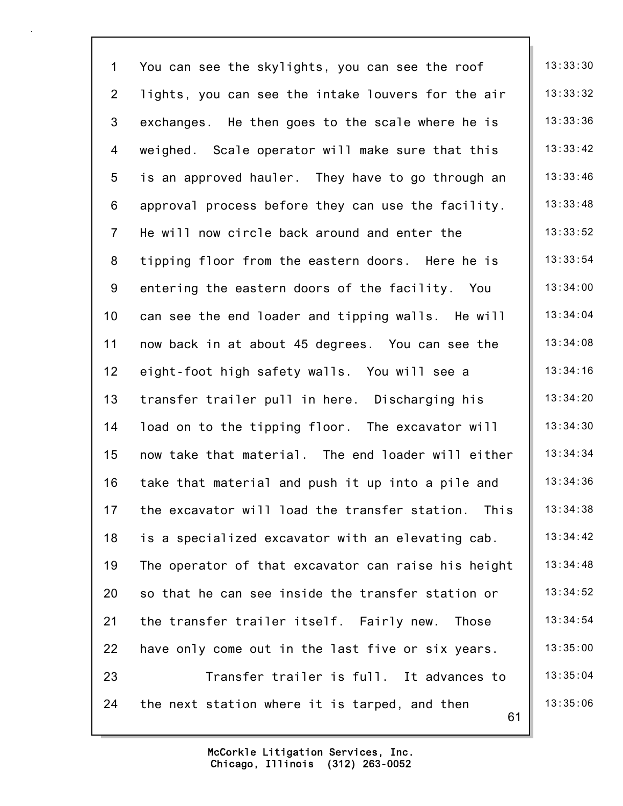61 1 You can see the skylights, you can see the roof  $\|\cdot\|$  13:33:30 2 lights, you can see the intake louvers for the air  $\parallel$  13:33:32 3 exchanges. He then goes to the scale where he is  $\parallel$  13:33:36 4 weighed. Scale operator will make sure that this | 13:33:42 5 is an approved hauler. They have to go through an  $\parallel$  13:33:46 6 approval process before they can use the facility.  $\parallel$  13:33:48 7 He will now circle back around and enter the  $\parallel$  13:33:52 8 tipping floor from the eastern doors. Here he is  $\parallel$  13:33:54 9 entering the eastern doors of the facility. You  $\parallel$  13:34:00 10 can see the end loader and tipping walls. He will | 13:34:04 11 now back in at about 45 degrees. You can see the | 13:34:08 12 eight-foot high safety walls. You will see a 13:34:16 13 transfer trailer pull in here. Discharging his | 13:34:20 14 load on to the tipping floor. The excavator will  $\parallel$  13:34:30 15 now take that material. The end loader will either 13:34:34 16 take that material and push it up into a pile and  $\parallel$  13:34:36 17 the excavator will load the transfer station. This | 13:34:38 18 is a specialized excavator with an elevating cab.  $\vert$  13:34:42 19 The operator of that excavator can raise his height  $\parallel$  13:34:48 20 so that he can see inside the transfer station or  $\vert$  13:34:52 21 the transfer trailer itself. Fairly new. Those  $\parallel$  13:34:54 22 have only come out in the last five or six years.  $\parallel$  13:35:00 23 **Transfer trailer is full.** It advances to  $\vert$  13:35:04 24 the next station where it is tarped, and then  $\vert$  13:35:06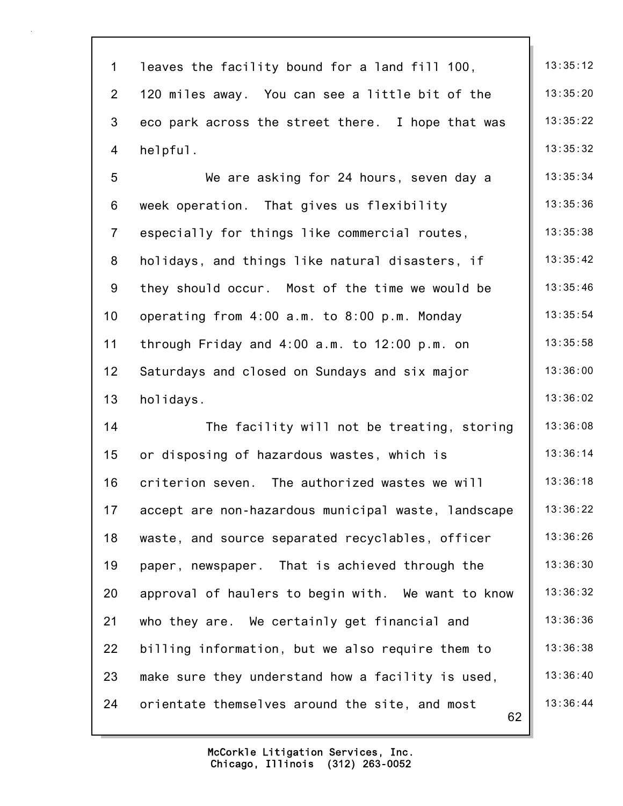| $\mathbf{1}$    | leaves the facility bound for a land fill 100,       | 13:35:12 |
|-----------------|------------------------------------------------------|----------|
| $\overline{2}$  | 120 miles away. You can see a little bit of the      | 13:35:20 |
| 3               | eco park across the street there. I hope that was    | 13:35:22 |
| 4               | helpful.                                             | 13:35:32 |
| 5               | We are asking for 24 hours, seven day a              | 13:35:34 |
| 6               | week operation. That gives us flexibility            | 13:35:36 |
| $\overline{7}$  | especially for things like commercial routes,        | 13:35:38 |
| 8               | holidays, and things like natural disasters, if      | 13:35:42 |
| 9               | they should occur. Most of the time we would be      | 13:35:46 |
| 10 <sub>1</sub> | operating from 4:00 a.m. to 8:00 p.m. Monday         | 13:35:54 |
| 11              | through Friday and $4:00$ a.m. to $12:00$ p.m. on    | 13:35:58 |
| 12              | Saturdays and closed on Sundays and six major        | 13:36:00 |
| 13              | holidays.                                            | 13:36:02 |
| 14              | The facility will not be treating, storing           | 13:36:08 |
| 15              | or disposing of hazardous wastes, which is           | 13:36:14 |
| 16              | criterion seven. The authorized wastes we will       | 13:36:18 |
| 17              | accept are non-hazardous municipal waste, landscape  | 13:36:22 |
| 18              | waste, and source separated recyclables, officer     | 13:36:26 |
| 19              | paper, newspaper. That is achieved through the       | 13:36:30 |
| 20              | approval of haulers to begin with. We want to know   | 13:36:32 |
| 21              | who they are. We certainly get financial and         | 13:36:36 |
| 22              | billing information, but we also require them to     | 13:36:38 |
| 23              | make sure they understand how a facility is used,    | 13:36:40 |
| 24              | orientate themselves around the site, and most<br>62 | 13:36:44 |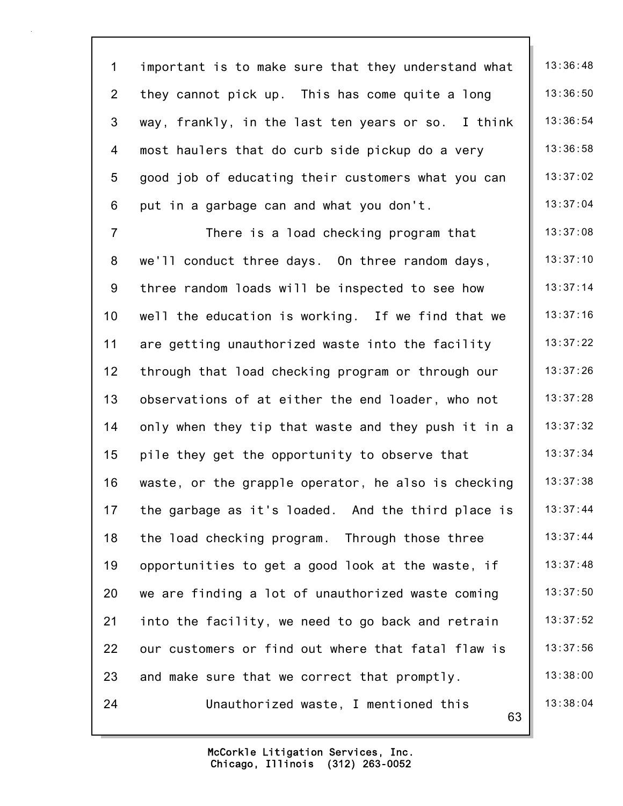63 1 important is to make sure that they understand what  $\parallel$  13:36:48 2 they cannot pick up. This has come quite a long  $\vert$  13:36:50 3 way, frankly, in the last ten years or so. I think  $\parallel$  13:36:54 4 most haulers that do curb side pickup do a very  $\vert$  13:36:58 5 good job of educating their customers what you can  $\parallel$  13:37:02 6 put in a garbage can and what you don't.  $\|$  13:37:04 7 There is a load checking program that 13:37:08 8 we'll conduct three days. On three random days,  $\vert$  13:37:10 9 three random loads will be inspected to see how | 13:37:14 10 well the education is working. If we find that we  $\parallel$  13:37:16 11 are getting unauthorized waste into the facility | 13:37:22 12 through that load checking program or through our | 13:37:26 13 observations of at either the end loader, who not  $\parallel$  13:37:28 14 only when they tip that waste and they push it in a  $\vert$  13:37:32 15 pile they get the opportunity to observe that  $\vert$  13:37:34 16 waste, or the grapple operator, he also is checking  $\parallel$  13:37:38 17 the garbage as it's loaded. And the third place is  $\vert$  13:37:44 18 the load checking program. Through those three  $\vert$  13:37:44 19 opportunities to get a good look at the waste, if  $\parallel$  13:37:48 20 we are finding a lot of unauthorized waste coming | 13:37:50 21 into the facility, we need to go back and retrain  $\vert$  13:37:52 22 our customers or find out where that fatal flaw is | 13:37:56 23 and make sure that we correct that promptly.  $\vert$  13:38:00 24 Unauthorized waste, I mentioned this  $\vert$  13:38:04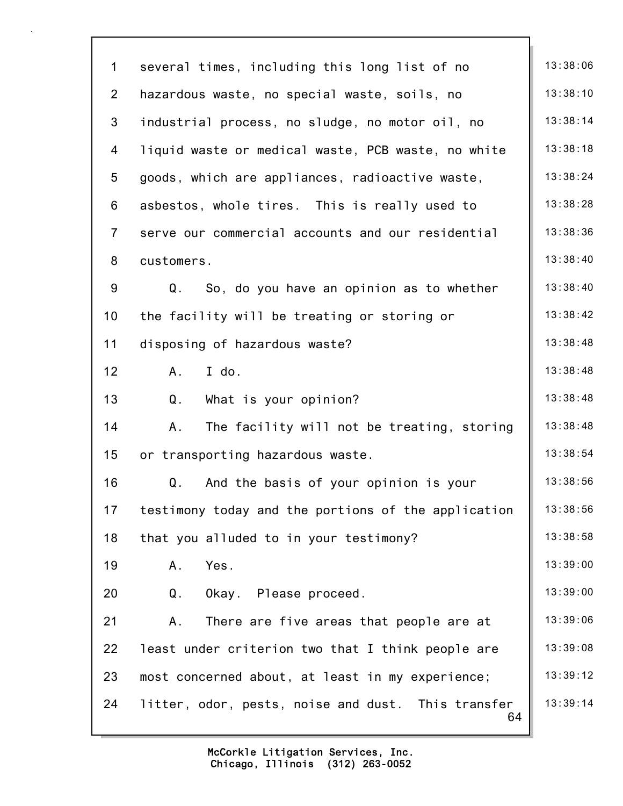| $\mathbf 1$    | several times, including this long list of no            | 13:38:06 |
|----------------|----------------------------------------------------------|----------|
| $\overline{2}$ | hazardous waste, no special waste, soils, no             | 13:38:10 |
| 3              | industrial process, no sludge, no motor oil, no          | 13:38:14 |
| 4              | liquid waste or medical waste, PCB waste, no white       | 13:38:18 |
| 5              | goods, which are appliances, radioactive waste,          | 13:38:24 |
| 6              | asbestos, whole tires. This is really used to            | 13:38:28 |
| $\overline{7}$ | serve our commercial accounts and our residential        | 13:38:36 |
| 8              | customers.                                               | 13:38:40 |
| 9              | So, do you have an opinion as to whether<br>Q.           | 13:38:40 |
| 10             | the facility will be treating or storing or              | 13:38:42 |
| 11             | disposing of hazardous waste?                            | 13:38:48 |
| 12             | I do.<br>A.                                              | 13:38:48 |
| 13             | Q <sub>1</sub><br>What is your opinion?                  | 13:38:48 |
| 14             | The facility will not be treating, storing<br>Α.         | 13:38:48 |
| 15             | or transporting hazardous waste.                         | 13:38:54 |
| 16             | And the basis of your opinion is your<br>Q.              | 13:38:56 |
| 17             | testimony today and the portions of the application      | 13:38:56 |
| 18             | that you alluded to in your testimony?                   | 13:38:58 |
| 19             | Yes.<br>Α.                                               | 13:39:00 |
| 20             | Q.<br>Okay. Please proceed.                              | 13:39:00 |
| 21             | There are five areas that people are at<br>Α.            | 13:39:06 |
| 22             | least under criterion two that I think people are        | 13:39:08 |
| 23             | most concerned about, at least in my experience;         | 13:39:12 |
| 24             | litter, odor, pests, noise and dust. This transfer<br>64 | 13:39:14 |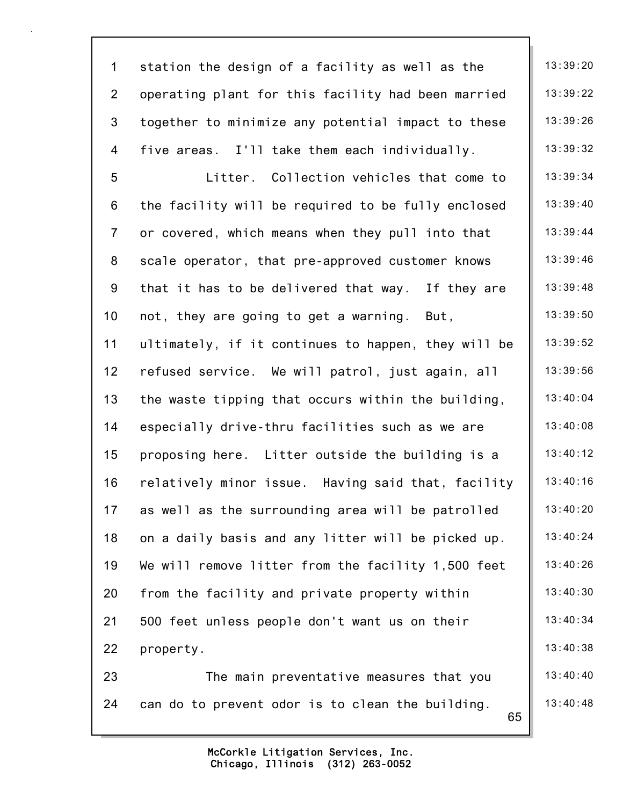| $\mathbf 1$     | station the design of a facility as well as the        | 13:39:20 |
|-----------------|--------------------------------------------------------|----------|
| $\overline{2}$  | operating plant for this facility had been married     | 13:39:22 |
| 3               | together to minimize any potential impact to these     | 13:39:26 |
| 4               | five areas. I'll take them each individually.          | 13:39:32 |
| $5\phantom{.0}$ | Litter. Collection vehicles that come to               | 13:39:34 |
| 6               | the facility will be required to be fully enclosed     | 13:39:40 |
| $\overline{7}$  | or covered, which means when they pull into that       | 13:39:44 |
| 8               | scale operator, that pre-approved customer knows       | 13:39:46 |
| 9               | that it has to be delivered that way. If they are      | 13:39:48 |
| 10 <sub>1</sub> | not, they are going to get a warning. But,             | 13:39:50 |
| 11              | ultimately, if it continues to happen, they will be    | 13:39:52 |
| 12              | refused service. We will patrol, just again, all       | 13:39:56 |
| 13              | the waste tipping that occurs within the building,     | 13:40:04 |
| 14              | especially drive-thru facilities such as we are        | 13:40:08 |
| 15              | proposing here. Litter outside the building is a       | 13:40:12 |
| 16              | relatively minor issue. Having said that, facility     | 13:40:16 |
| 17              | as well as the surrounding area will be patrolled      | 13:40:20 |
| 18              | on a daily basis and any litter will be picked up.     | 13:40:24 |
| 19              | We will remove litter from the facility 1,500 feet     | 13:40:26 |
| 20              | from the facility and private property within          | 13:40:30 |
| 21              | 500 feet unless people don't want us on their          | 13:40:34 |
| 22              | property.                                              | 13:40:38 |
| 23              | The main preventative measures that you                | 13:40:40 |
| 24              | can do to prevent odor is to clean the building.<br>65 | 13:40:48 |
|                 |                                                        |          |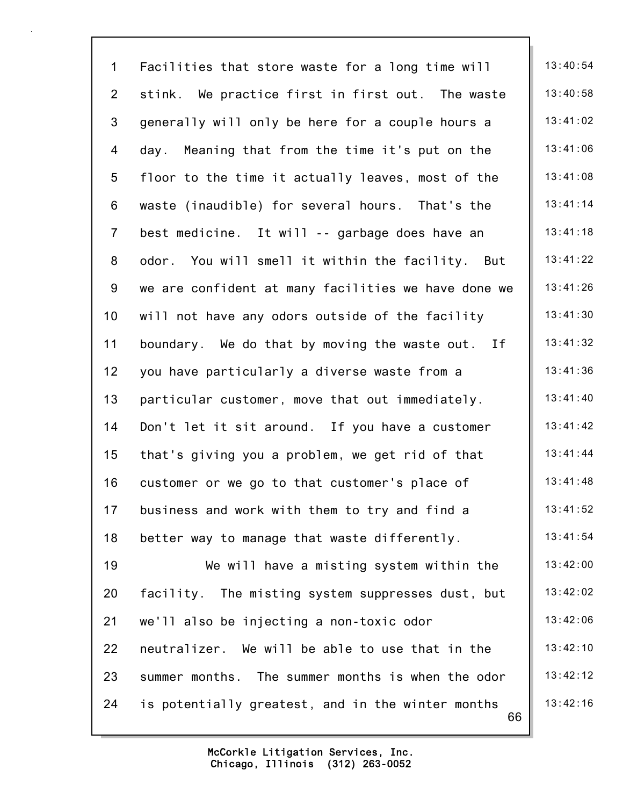66 1 Facilities that store waste for a long time will  $\parallel$  13:40:54 2 stink. We practice first in first out. The waste  $\parallel$  13:40:58 3 generally will only be here for a couple hours a  $13:41:02$ 4 day. Meaning that from the time it's put on the | 13:41:06 5 floor to the time it actually leaves, most of the | 13:41:08 6 waste (inaudible) for several hours. That's the  $\parallel$  13:41:14 7 best medicine. It will -- garbage does have an  $\parallel$  13:41:18 8 odor. You will smell it within the facility. But  $\parallel$  13:41:22 9 we are confident at many facilities we have done we  $\parallel$  13:41:26 10 will not have any odors outside of the facility | 13:41:30 11 boundary. We do that by moving the waste out. If  $\parallel$  13:41:32 12 you have particularly a diverse waste from a  $\vert$  13:41:36 13 particular customer, move that out immediately. | 13:41:40 14 Don't let it sit around. If you have a customer | 13:41:42 15 that's giving you a problem, we get rid of that  $\vert$  13:41:44 16 customer or we go to that customer's place of  $\vert$  13:41:48 17 business and work with them to try and find a  $\vert$  13:41:52 18 better way to manage that waste differently.  $\vert$  13:41:54 19 We will have a misting system within the  $\parallel$  13:42:00 20 facility. The misting system suppresses dust, but  $\begin{bmatrix} 13:42:02 \end{bmatrix}$ 21 we'll also be injecting a non-toxic odor  $\vert$  13:42:06 22 neutralizer. We will be able to use that in the  $\parallel$  13:42:10 23 summer months. The summer months is when the odor  $\parallel$  13:42:12 24 is potentially greatest, and in the winter months  $\parallel$  13:42:16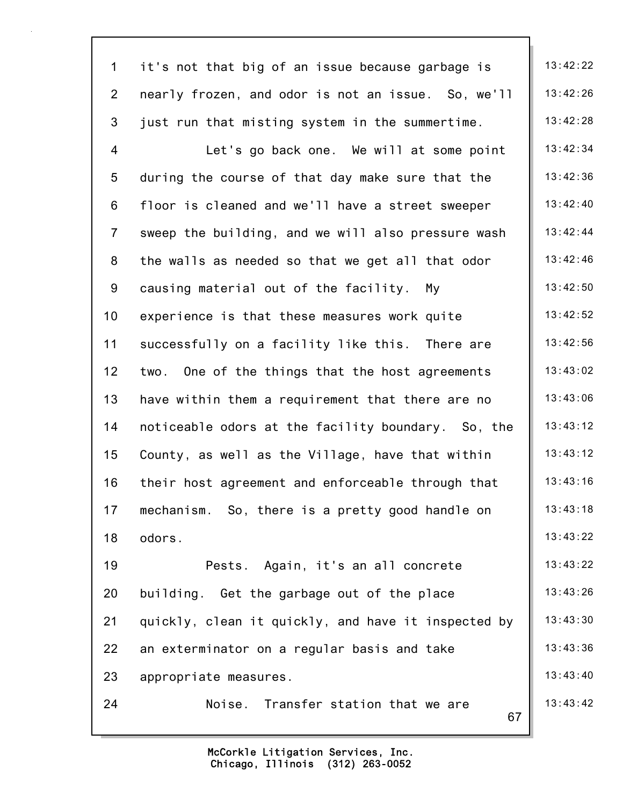| $\mathbf 1$    | it's not that big of an issue because garbage is    | 13:42:22 |
|----------------|-----------------------------------------------------|----------|
| $\overline{2}$ | nearly frozen, and odor is not an issue. So, we'll  | 13:42:26 |
| 3              | just run that misting system in the summertime.     | 13:42:28 |
| 4              | Let's go back one. We will at some point            | 13:42:34 |
| 5              | during the course of that day make sure that the    | 13:42:36 |
| 6              | floor is cleaned and we'll have a street sweeper    | 13:42:40 |
| $\overline{7}$ | sweep the building, and we will also pressure wash  | 13:42:44 |
| 8              | the walls as needed so that we get all that odor    | 13:42:46 |
| 9              | causing material out of the facility. My            | 13:42:50 |
| 10             | experience is that these measures work quite        | 13:42:52 |
| 11             | successfully on a facility like this. There are     | 13:42:56 |
| 12             | two. One of the things that the host agreements     | 13:43:02 |
| 13             | have within them a requirement that there are no    | 13:43:06 |
| 14             | noticeable odors at the facility boundary. So, the  | 13:43:12 |
| 15             | County, as well as the Village, have that within    | 13:43:12 |
| 16             | their host agreement and enforceable through that   | 13:43:16 |
| 17             | mechanism. So, there is a pretty good handle on     | 13:43:18 |
| 18             | odors.                                              | 13:43:22 |
| 19             | Pests. Again, it's an all concrete                  | 13:43:22 |
| 20             | building. Get the garbage out of the place          | 13:43:26 |
| 21             | quickly, clean it quickly, and have it inspected by | 13:43:30 |
| 22             | an exterminator on a regular basis and take         | 13:43:36 |
| 23             | appropriate measures.                               | 13:43:40 |
| 24             | Noise. Transfer station that we are<br>67           | 13:43:42 |
|                |                                                     |          |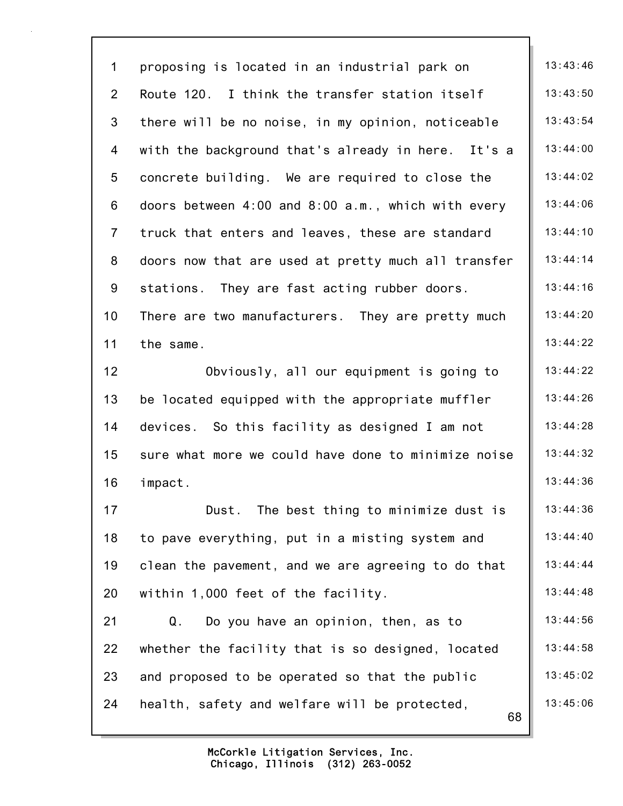68 1 proposing is located in an industrial park on 13:43:46 2 Route 120. I think the transfer station itself  $\parallel$  13:43:50 3 there will be no noise, in my opinion, noticeable  $\parallel$  13:43:54 4 with the background that's already in here. It's a  $\parallel$  13:44:00 5 concrete building. We are required to close the  $\vert$  13:44:02 6 doors between 4:00 and 8:00 a.m., which with every  $\parallel$  13:44:06 7 truck that enters and leaves, these are standard | 13:44:10 8 doors now that are used at pretty much all transfer  $\parallel$  13:44:14 9 stations. They are fast acting rubber doors. 13:44:16 10 There are two manufacturers. They are pretty much | 13:44:20 11 the same. 13:44:22 12 Obviously, all our equipment is going to  $\parallel$  13:44:22 13 be located equipped with the appropriate muffler  $\vert$  13:44:26 14 devices. So this facility as designed I am not  $\vert$  13:44:28 15 sure what more we could have done to minimize noise | 13:44:32 16 impact. 13:44:36 17 **Dust.** The best thing to minimize dust is | 13:44:36 18 to pave everything, put in a misting system and 13:44:40 19 clean the pavement, and we are agreeing to do that  $\parallel$  13:44:44 20 within 1,000 feet of the facility.  $\vert$  13:44:48 21  $Q.$  Do you have an opinion, then, as to  $\vert$  13:44:56 22 whether the facility that is so designed, located  $\parallel$  13:44:58 23 and proposed to be operated so that the public  $\vert$  13:45:02 24 health, safety and welfare will be protected,  $\vert$  13:45:06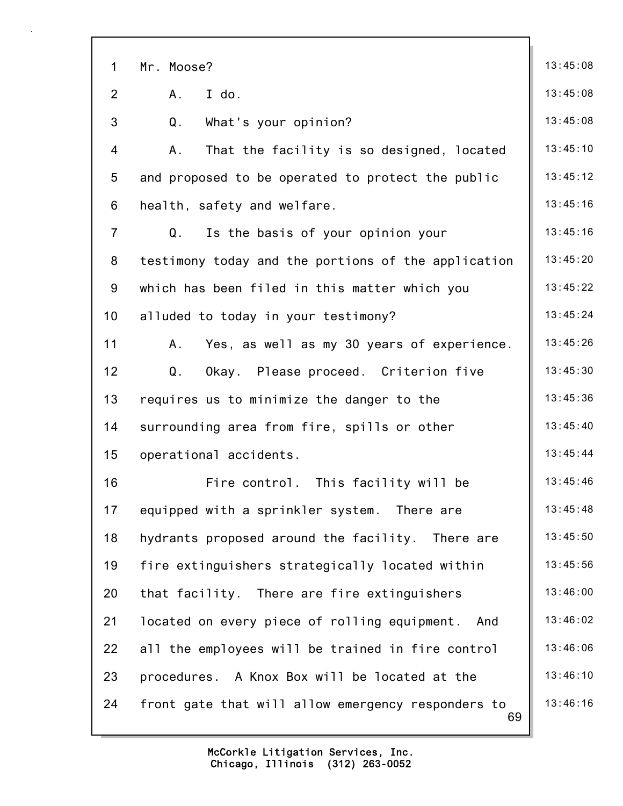| $\mathbf 1$    | Mr. Moose?                                               | 13:45:08 |
|----------------|----------------------------------------------------------|----------|
| $\overline{2}$ | I do.<br>Α.                                              | 13:45:08 |
| 3              | Q <sub>1</sub><br>What's your opinion?                   | 13:45:08 |
| 4              | That the facility is so designed, located<br>Α.          | 13:45:10 |
| 5              | and proposed to be operated to protect the public        | 13:45:12 |
| 6              | health, safety and welfare.                              | 13:45:16 |
| $\overline{7}$ | Q.<br>Is the basis of your opinion your                  | 13:45:16 |
| 8              | testimony today and the portions of the application      | 13:45:20 |
| 9              | which has been filed in this matter which you            | 13:45:22 |
| 10             | alluded to today in your testimony?                      | 13:45:24 |
| 11             | Yes, as well as my 30 years of experience.<br>Α.         | 13:45:26 |
| 12             | Q.<br>Okay. Please proceed. Criterion five               | 13:45:30 |
| 13             | requires us to minimize the danger to the                | 13:45:36 |
| 14             | surrounding area from fire, spills or other              | 13:45:40 |
| 15             | operational accidents.                                   | 13:45:44 |
| 16             | Fire control. This facility will be                      | 13:45:46 |
| 17             | equipped with a sprinkler system. There are              | 13:45:48 |
| 18             | hydrants proposed around the facility. There are         | 13:45:50 |
| 19             | fire extinguishers strategically located within          | 13:45:56 |
| 20             | that facility. There are fire extinguishers              | 13:46:00 |
| 21             | located on every piece of rolling equipment. And         | 13:46:02 |
| 22             | all the employees will be trained in fire control        | 13:46:06 |
| 23             | procedures. A Knox Box will be located at the            | 13:46:10 |
| 24             | front gate that will allow emergency responders to<br>69 | 13:46:16 |
|                |                                                          |          |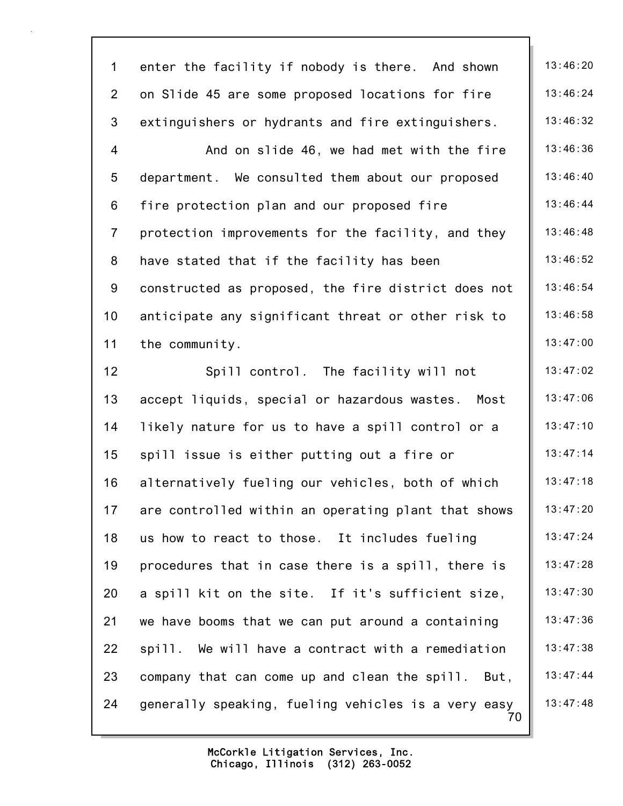| $\mathbf 1$     | enter the facility if nobody is there. And shown          | 13:46:20 |
|-----------------|-----------------------------------------------------------|----------|
| $\overline{2}$  | on Slide 45 are some proposed locations for fire          | 13:46:24 |
| 3               | extinguishers or hydrants and fire extinguishers.         | 13:46:32 |
| 4               | And on slide 46, we had met with the fire                 | 13:46:36 |
| $5\phantom{.0}$ | department. We consulted them about our proposed          | 13:46:40 |
| 6               | fire protection plan and our proposed fire                | 13:46:44 |
| $\overline{7}$  | protection improvements for the facility, and they        | 13:46:48 |
| 8               | have stated that if the facility has been                 | 13:46:52 |
| 9               | constructed as proposed, the fire district does not       | 13:46:54 |
| 10              | anticipate any significant threat or other risk to        | 13:46:58 |
| 11              | the community.                                            | 13:47:00 |
| 12              | Spill control. The facility will not                      | 13:47:02 |
| 13              | accept liquids, special or hazardous wastes.<br>Most      | 13:47:06 |
| 14              | likely nature for us to have a spill control or a         | 13:47:10 |
| 15              | spill issue is either putting out a fire or               | 13:47:14 |
| 16              | alternatively fueling our vehicles, both of which         | 13:47:18 |
| 17              | are controlled within an operating plant that shows       | 13:47:20 |
| 18              | us how to react to those. It includes fueling             | 13:47:24 |
| 19              | procedures that in case there is a spill, there is        | 13:47:28 |
| 20              | a spill kit on the site. If it's sufficient size,         | 13:47:30 |
| 21              | we have booms that we can put around a containing         | 13:47:36 |
| 22              | spill. We will have a contract with a remediation         | 13:47:38 |
| 23              | company that can come up and clean the spill. But,        | 13:47:44 |
| 24              | generally speaking, fueling vehicles is a very easy<br>70 | 13:47:48 |
|                 |                                                           |          |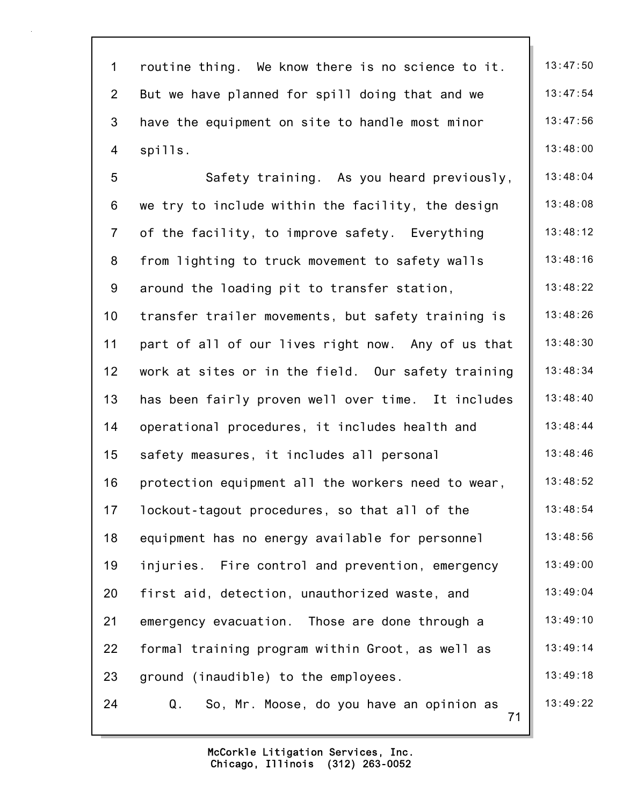| $\mathbf 1$     | routine thing. We know there is no science to it.    | 13:47:50 |
|-----------------|------------------------------------------------------|----------|
| $\overline{2}$  | But we have planned for spill doing that and we      | 13:47:54 |
| 3               | have the equipment on site to handle most minor      | 13:47:56 |
| 4               | spills.                                              | 13:48:00 |
| 5               | Safety training. As you heard previously,            | 13:48:04 |
| 6               | we try to include within the facility, the design    | 13:48:08 |
| $\overline{7}$  | of the facility, to improve safety. Everything       | 13:48:12 |
| 8               | from lighting to truck movement to safety walls      | 13:48:16 |
| 9               | around the loading pit to transfer station,          | 13:48:22 |
| 10 <sub>1</sub> | transfer trailer movements, but safety training is   | 13:48:26 |
| 11              | part of all of our lives right now. Any of us that   | 13:48:30 |
| 12              | work at sites or in the field. Our safety training   | 13:48:34 |
| 13              | has been fairly proven well over time. It includes   | 13:48:40 |
| 14              | operational procedures, it includes health and       | 13:48:44 |
| 15              | safety measures, it includes all personal            | 13:48:46 |
| 16              | protection equipment all the workers need to wear,   | 13:48:52 |
| 17              | lockout-tagout procedures, so that all of the        | 13:48:54 |
| 18              | equipment has no energy available for personnel      | 13:48:56 |
| 19              | injuries. Fire control and prevention, emergency     | 13:49:00 |
| 20              | first aid, detection, unauthorized waste, and        | 13:49:04 |
| 21              | emergency evacuation. Those are done through a       | 13:49:10 |
| 22              | formal training program within Groot, as well as     | 13:49:14 |
| 23              | ground (inaudible) to the employees.                 | 13:49:18 |
| 24              | Q.<br>So, Mr. Moose, do you have an opinion as<br>71 | 13:49:22 |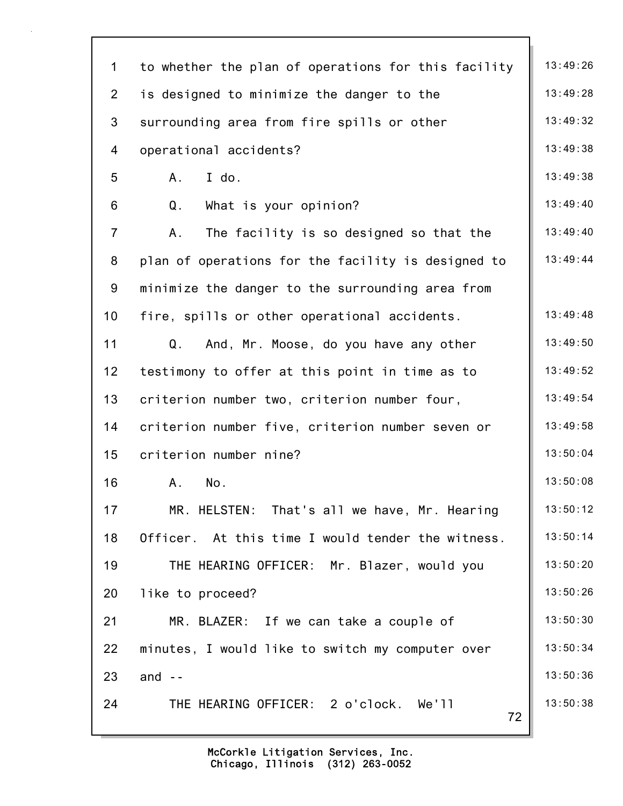| $\mathbf 1$    | to whether the plan of operations for this facility | 13:49:26 |
|----------------|-----------------------------------------------------|----------|
| $\overline{2}$ | is designed to minimize the danger to the           | 13:49:28 |
| 3              | surrounding area from fire spills or other          | 13:49:32 |
| 4              | operational accidents?                              | 13:49:38 |
| 5              | I do.<br>A                                          | 13:49:38 |
| 6              | Q.<br>What is your opinion?                         | 13:49:40 |
| $\overline{7}$ | The facility is so designed so that the<br>Α.       | 13:49:40 |
| 8              | plan of operations for the facility is designed to  | 13:49:44 |
| 9              | minimize the danger to the surrounding area from    |          |
| 10             | fire, spills or other operational accidents.        | 13:49:48 |
| 11             | Q.<br>And, Mr. Moose, do you have any other         | 13:49:50 |
| 12             | testimony to offer at this point in time as to      | 13:49:52 |
| 13             | criterion number two, criterion number four,        | 13:49:54 |
| 14             | criterion number five, criterion number seven or    | 13:49:58 |
| 15             | criterion number nine?                              | 13:50:04 |
| 16             | No.<br>Α.                                           | 13:50:08 |
| 17             | MR. HELSTEN: That's all we have, Mr. Hearing        | 13:50:12 |
| 18             | Officer. At this time I would tender the witness.   | 13:50:14 |
| 19             | THE HEARING OFFICER: Mr. Blazer, would you          | 13:50:20 |
| 20             | like to proceed?                                    | 13:50:26 |
| 21             | MR. BLAZER: If we can take a couple of              | 13:50:30 |
| 22             | minutes, I would like to switch my computer over    | 13:50:34 |
| 23             | and $-$                                             | 13:50:36 |
| 24             | THE HEARING OFFICER: 2 o'clock. We'll<br>72         | 13:50:38 |
|                |                                                     |          |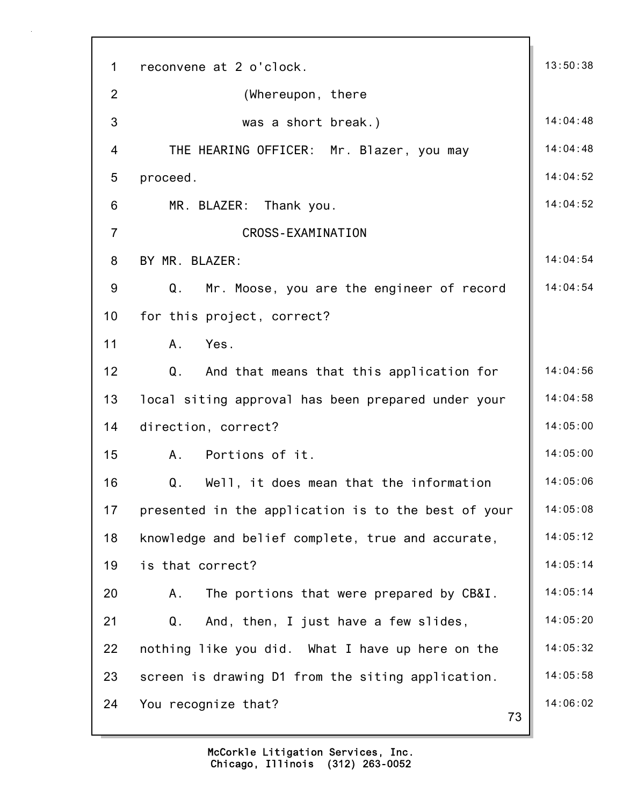| $\mathbf{1}$    | reconvene at 2 o'clock.                             | 13:50:38 |
|-----------------|-----------------------------------------------------|----------|
| $\overline{2}$  | (Whereupon, there                                   |          |
| 3               | was a short break.)                                 | 14:04:48 |
| $\overline{4}$  | THE HEARING OFFICER: Mr. Blazer, you may            | 14:04:48 |
| 5               | proceed.                                            | 14:04:52 |
| 6               | MR. BLAZER: Thank you.                              | 14:04:52 |
| $\overline{7}$  | <b>CROSS-EXAMINATION</b>                            |          |
| 8               | BY MR. BLAZER:                                      | 14:04:54 |
| 9               | Q.<br>Mr. Moose, you are the engineer of record     | 14:04:54 |
| 10 <sup>°</sup> | for this project, correct?                          |          |
| 11              | Yes.<br>A.                                          |          |
| 12              | And that means that this application for<br>Q.      | 14:04:56 |
| 13              | local siting approval has been prepared under your  | 14:04:58 |
| 14              | direction, correct?                                 | 14:05:00 |
| 15              | Portions of it.<br>A.                               | 14:05:00 |
| 16              | Q.<br>Well, it does mean that the information       | 14:05:06 |
| 17              | presented in the application is to the best of your | 14:05:08 |
| 18              | knowledge and belief complete, true and accurate,   | 14:05:12 |
| 19              | is that correct?                                    | 14:05:14 |
| 20              | The portions that were prepared by CB&I.<br>Α.      | 14:05:14 |
| 21              | And, then, I just have a few slides,<br>Q.          | 14:05:20 |
| 22              | nothing like you did. What I have up here on the    | 14:05:32 |
| 23              | screen is drawing D1 from the siting application.   | 14:05:58 |
| 24              | You recognize that?<br>73                           | 14:06:02 |
|                 |                                                     |          |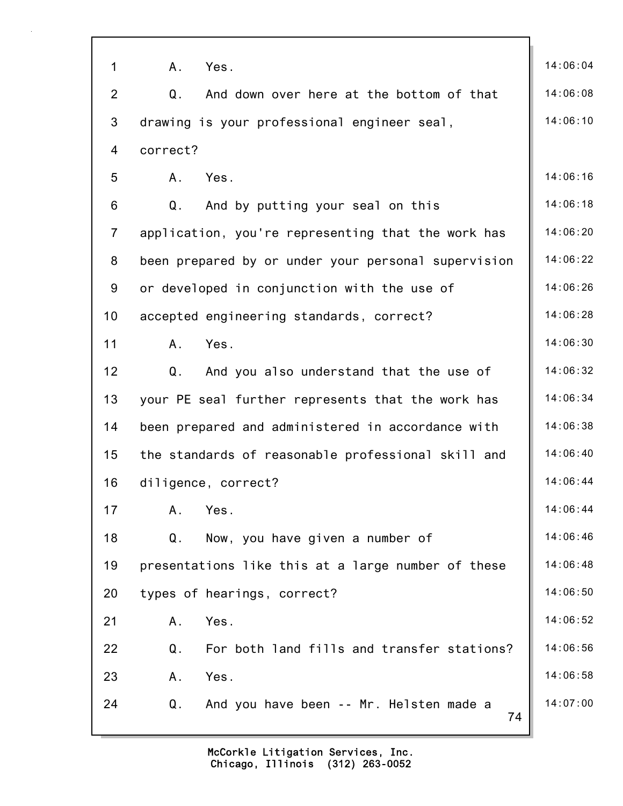| 1              | A.<br>Yes.                                          | 14:06:04 |
|----------------|-----------------------------------------------------|----------|
| $\overline{2}$ | Q.<br>And down over here at the bottom of that      | 14:06:08 |
| 3              | drawing is your professional engineer seal,         | 14:06:10 |
| 4              | correct?                                            |          |
| 5              | Yes.<br>A.                                          | 14:06:16 |
| 6              | Q.<br>And by putting your seal on this              | 14:06:18 |
| $\overline{7}$ | application, you're representing that the work has  | 14:06:20 |
| 8              | been prepared by or under your personal supervision | 14:06:22 |
| 9              | or developed in conjunction with the use of         | 14:06:26 |
| 10             | accepted engineering standards, correct?            | 14:06:28 |
| 11             | Yes.<br>A.                                          | 14:06:30 |
| 12             | Q.<br>And you also understand that the use of       | 14:06:32 |
| 13             | your PE seal further represents that the work has   | 14:06:34 |
| 14             | been prepared and administered in accordance with   | 14:06:38 |
| 15             | the standards of reasonable professional skill and  | 14:06:40 |
| 16             | diligence, correct?                                 | 14:06:44 |
| 17             | Yes.<br>Α.                                          | 14:06:44 |
| 18             | Now, you have given a number of<br>Q.               | 14:06:46 |
| 19             | presentations like this at a large number of these  | 14:06:48 |
| 20             | types of hearings, correct?                         | 14:06:50 |
| 21             | A.<br>Yes.                                          | 14:06:52 |
| 22             | Q.<br>For both land fills and transfer stations?    | 14:06:56 |
| 23             | Yes.<br>A.                                          | 14:06:58 |
| 24             | And you have been -- Mr. Helsten made a<br>Q.<br>74 | 14:07:00 |
|                |                                                     |          |

٦Ì,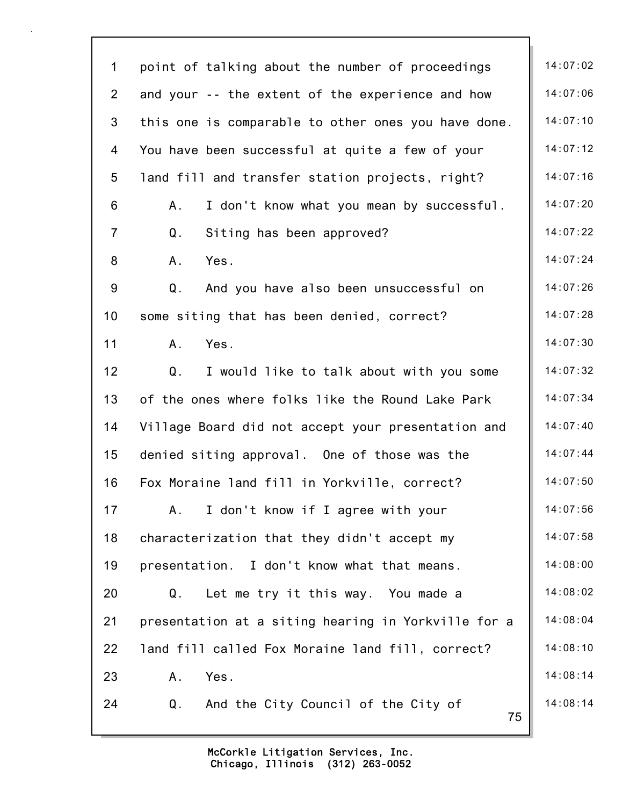| $\mathbf 1$    | point of talking about the number of proceedings         | 14:07:02 |
|----------------|----------------------------------------------------------|----------|
| $\overline{2}$ | and your -- the extent of the experience and how         | 14:07:06 |
| $\mathfrak{S}$ | this one is comparable to other ones you have done.      | 14:07:10 |
| 4              | You have been successful at quite a few of your          | 14:07:12 |
| 5              | land fill and transfer station projects, right?          | 14:07:16 |
| 6              | I don't know what you mean by successful.<br>Α.          | 14:07:20 |
| $\overline{7}$ | Q.<br>Siting has been approved?                          | 14:07:22 |
| 8              | Yes.<br>A.                                               | 14:07:24 |
| 9              | And you have also been unsuccessful on<br>Q.             | 14:07:26 |
| 10             | some siting that has been denied, correct?               | 14:07:28 |
| 11             | Yes.<br>Α.                                               | 14:07:30 |
| 12             | Q.<br>I would like to talk about with you some           | 14:07:32 |
| 13             | of the ones where folks like the Round Lake Park         | 14:07:34 |
| 14             | Village Board did not accept your presentation and       | 14:07:40 |
| 15             | denied siting approval. One of those was the             | 14:07:44 |
| 16             | Fox Moraine land fill in Yorkville, correct?             | 14:07:50 |
| 17             | I don't know if I agree with your<br>A.                  | 14:07:56 |
| 18             | characterization that they didn't accept my              | 14:07:58 |
| 19             | presentation. I don't know what that means.              | 14:08:00 |
| 20             | Let me try it this way. You made a<br>Q.                 | 14:08:02 |
| 21             | presentation at a siting hearing in Yorkville for a      | 14:08:04 |
| 22             | land fill called Fox Moraine land fill, correct?         | 14:08:10 |
| 23             | Yes.<br>A.                                               | 14:08:14 |
| 24             | $Q_{\perp}$<br>And the City Council of the City of<br>75 | 14:08:14 |
|                |                                                          |          |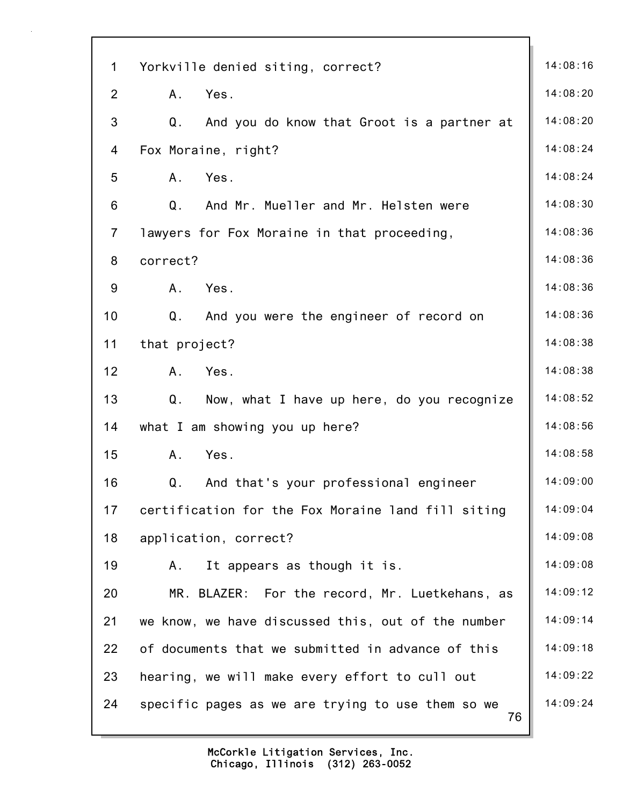| $\mathbf 1$    | Yorkville denied siting, correct?                       | 14:08:16 |
|----------------|---------------------------------------------------------|----------|
| $\overline{2}$ | A.<br>Yes.                                              | 14:08:20 |
| 3              | Q.<br>And you do know that Groot is a partner at        | 14:08:20 |
| 4              | Fox Moraine, right?                                     | 14:08:24 |
| 5              | Yes.<br>A.                                              | 14:08:24 |
| 6              | Q.<br>And Mr. Mueller and Mr. Helsten were              | 14:08:30 |
| $\overline{7}$ | lawyers for Fox Moraine in that proceeding,             | 14:08:36 |
| 8              | correct?                                                | 14:08:36 |
| 9              | Yes.<br>A.                                              | 14:08:36 |
| 10             | Q.<br>And you were the engineer of record on            | 14:08:36 |
| 11             | that project?                                           | 14:08:38 |
| 12             | A.<br>Yes.                                              | 14:08:38 |
| 13             | $Q$ .<br>Now, what I have up here, do you recognize     | 14:08:52 |
| 14             | what I am showing you up here?                          | 14:08:56 |
| 15             | Yes.<br>A.                                              | 14:08:58 |
| 16             | And that's your professional engineer<br>Q.             | 14:09:00 |
| 17             | certification for the Fox Moraine land fill siting      | 14:09:04 |
| 18             | application, correct?                                   | 14:09:08 |
| 19             | It appears as though it is.<br>Α.                       | 14:09:08 |
| 20             | MR. BLAZER: For the record, Mr. Luetkehans, as          | 14:09:12 |
| 21             | we know, we have discussed this, out of the number      | 14:09:14 |
| 22             | of documents that we submitted in advance of this       | 14:09:18 |
| 23             | hearing, we will make every effort to cull out          | 14:09:22 |
| 24             | specific pages as we are trying to use them so we<br>76 | 14:09:24 |
|                |                                                         |          |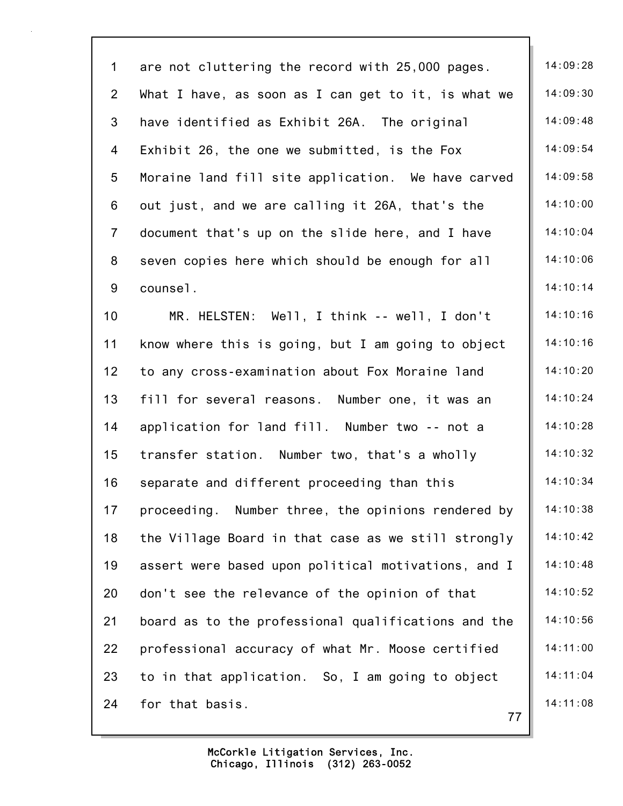77 1 are not cluttering the record with  $25,000$  pages.  $\parallel$  14:09:28 2 What I have, as soon as I can get to it, is what we  $\parallel$  14:09:30 3 have identified as Exhibit 26A. The original 14:09:48 4 Exhibit 26, the one we submitted, is the Fox 14:09:54 5 Moraine land fill site application. We have carved | 14:09:58 6 out just, and we are calling it 26A, that's the  $\parallel$  14:10:00 7 document that's up on the slide here, and I have  $\parallel$  14:10:04 8 seven copies here which should be enough for all | 14:10:06 9 counsel. 14:10:14 10 MR. HELSTEN: Well, I think -- well, I don't 14:10:16 11 know where this is going, but I am going to object | 14:10:16 12 to any cross-examination about Fox Moraine land | 14:10:20 13 fill for several reasons. Number one, it was an 14:10:24 14 application for land fill. Number two -- not a 14:10:28 15 transfer station. Number two, that's a wholly 14:10:32 16 separate and different proceeding than this 14:10:34 17 proceeding. Number three, the opinions rendered by | 14:10:38 18 the Village Board in that case as we still strongly | 14:10:42 19 assert were based upon political motivations, and I | 14:10:48 20 don't see the relevance of the opinion of that  $\vert$  14:10:52 21 board as to the professional qualifications and the | 14:10:56 22 professional accuracy of what Mr. Moose certified | 14:11:00 23 to in that application. So, I am going to object  $\parallel$  14:11:04 24 for that basis. 14:11:08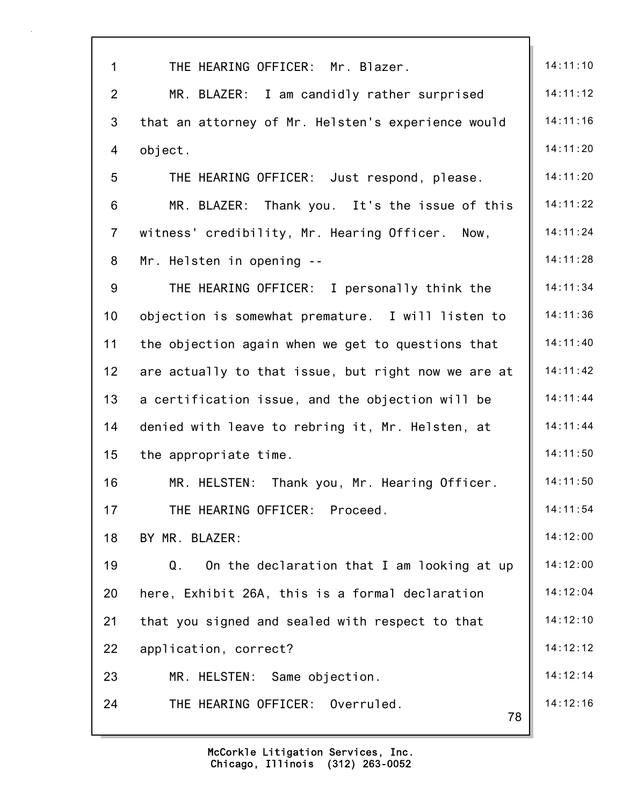| $\mathbf{1}$   | THE HEARING OFFICER: Mr. Blazer.                    | 14:11:10 |
|----------------|-----------------------------------------------------|----------|
| $\overline{2}$ | MR. BLAZER: I am candidly rather surprised          | 14:11:12 |
| 3              | that an attorney of Mr. Helsten's experience would  | 14:11:16 |
| 4              | object.                                             | 14:11:20 |
| 5              | THE HEARING OFFICER: Just respond, please.          | 14:11:20 |
| 6              | MR. BLAZER:<br>Thank you. It's the issue of this    | 14:11:22 |
| $\overline{7}$ | witness' credibility, Mr. Hearing Officer. Now,     | 14:11:24 |
| 8              | Mr. Helsten in opening --                           | 14:11:28 |
| 9              | THE HEARING OFFICER: I personally think the         | 14:11:34 |
| 10             | objection is somewhat premature. I will listen to   | 14:11:36 |
| 11             | the objection again when we get to questions that   | 14:11:40 |
| 12             | are actually to that issue, but right now we are at | 14:11:42 |
| 13             | a certification issue, and the objection will be    | 14:11:44 |
| 14             | denied with leave to rebring it, Mr. Helsten, at    | 14:11:44 |
| 15             | the appropriate time.                               | 14:11:50 |
| 16             | Thank you, Mr. Hearing Officer.<br>MR. HELSTEN:     | 14:11:50 |
| 17             | THE HEARING OFFICER: Proceed.                       | 14:11:54 |
| 18             | BY MR. BLAZER:                                      | 14:12:00 |
| 19             | On the declaration that I am looking at up<br>Q.    | 14:12:00 |
| 20             | here, Exhibit 26A, this is a formal declaration     | 14:12:04 |
| 21             | that you signed and sealed with respect to that     | 14:12:10 |
| 22             | application, correct?                               | 14:12:12 |
| 23             | MR. HELSTEN: Same objection.                        | 14:12:14 |
| 24             | THE HEARING OFFICER: Overruled.<br>78               | 14:12:16 |
|                |                                                     |          |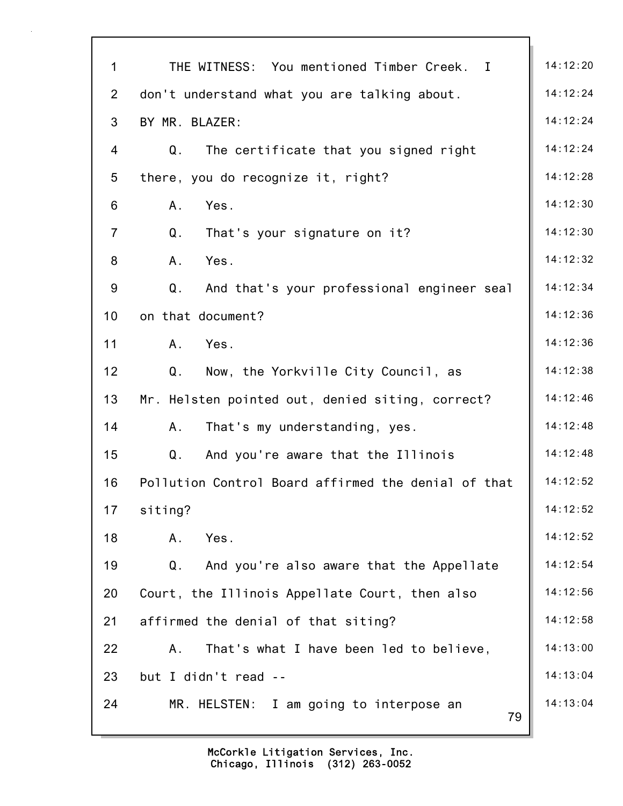| $\mathbf{1}$   | THE WITNESS: You mentioned Timber Creek. I                 | 14:12:20 |
|----------------|------------------------------------------------------------|----------|
| $\overline{2}$ | don't understand what you are talking about.               | 14:12:24 |
| 3              | BY MR. BLAZER:                                             | 14:12:24 |
| 4              | Q.<br>The certificate that you signed right                | 14:12:24 |
| 5              | there, you do recognize it, right?                         | 14:12:28 |
| 6              | A.<br>Yes.                                                 | 14:12:30 |
| $\overline{7}$ | Q <sub>1</sub><br>That's your signature on it?             | 14:12:30 |
| 8              | Yes.<br>A.                                                 | 14:12:32 |
| 9              | And that's your professional engineer seal<br>Q.           | 14:12:34 |
| 10             | on that document?                                          | 14:12:36 |
| 11             | Yes.<br>A.                                                 | 14:12:36 |
| 12             | Q.<br>Now, the Yorkville City Council, as                  | 14:12:38 |
| 13             | Mr. Helsten pointed out, denied siting, correct?           | 14:12:46 |
| 14             | A.<br>That's my understanding, yes.                        | 14:12:48 |
| 15             | $Q_{\perp}$<br>And you're aware that the Illinois          | 14:12:48 |
| 16             | Pollution Control Board affirmed the denial of that        | 14:12:52 |
| 17             | siting?                                                    | 14:12:52 |
| 18             | Yes.<br>Α.                                                 | 14:12:52 |
| 19             | Q <sub>1</sub><br>And you're also aware that the Appellate | 14:12:54 |
| 20             | Court, the Illinois Appellate Court, then also             | 14:12:56 |
| 21             | affirmed the denial of that siting?                        | 14:12:58 |
| 22             | That's what I have been led to believe,<br>A.              | 14:13:00 |
| 23             | but I didn't read --                                       | 14:13:04 |
| 24             | MR. HELSTEN: I am going to interpose an<br>79              | 14:13:04 |
|                |                                                            |          |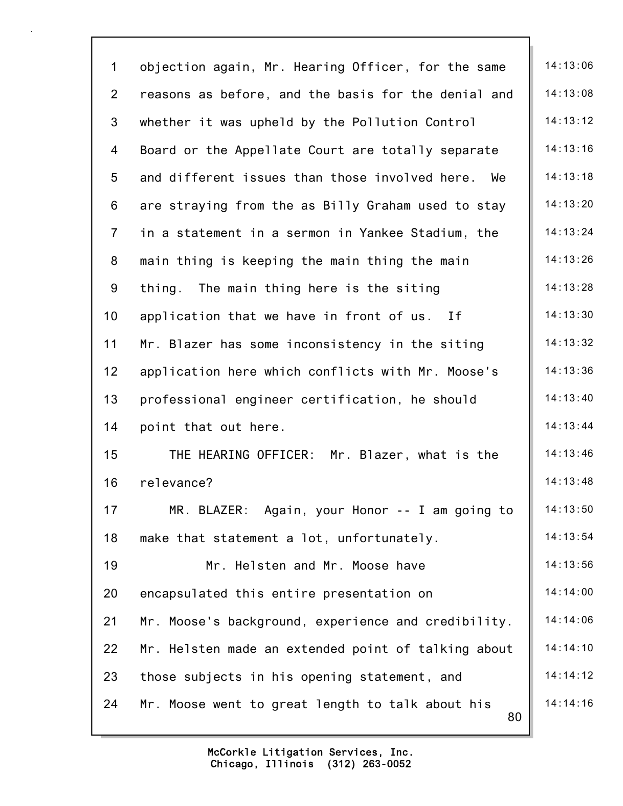| $\mathbf{1}$    | objection again, Mr. Hearing Officer, for the same     | 14:13:06 |
|-----------------|--------------------------------------------------------|----------|
| $\overline{2}$  | reasons as before, and the basis for the denial and    | 14:13:08 |
| 3               | whether it was upheld by the Pollution Control         | 14:13:12 |
| 4               | Board or the Appellate Court are totally separate      | 14:13:16 |
| $5\phantom{.0}$ | and different issues than those involved here.<br>We   | 14:13:18 |
| 6               | are straying from the as Billy Graham used to stay     | 14:13:20 |
| $\overline{7}$  | in a statement in a sermon in Yankee Stadium, the      | 14:13:24 |
| 8               | main thing is keeping the main thing the main          | 14:13:26 |
| 9               | The main thing here is the siting<br>thing.            | 14:13:28 |
| 10              | application that we have in front of us. If            | 14:13:30 |
| 11              | Mr. Blazer has some inconsistency in the siting        | 14:13:32 |
| 12              | application here which conflicts with Mr. Moose's      | 14:13:36 |
| 13              | professional engineer certification, he should         | 14:13:40 |
| 14              | point that out here.                                   | 14:13:44 |
| 15              | THE HEARING OFFICER: Mr. Blazer, what is the           | 14:13:46 |
| 16              | relevance?                                             | 14:13:48 |
| 17              | MR. BLAZER: Again, your Honor -- I am going to         | 14:13:50 |
| 18              | make that statement a lot, unfortunately.              | 14:13:54 |
| 19              | Mr. Helsten and Mr. Moose have                         | 14:13:56 |
| 20              | encapsulated this entire presentation on               | 14:14:00 |
| 21              | Mr. Moose's background, experience and credibility.    | 14:14:06 |
| 22              | Mr. Helsten made an extended point of talking about    | 14:14:10 |
| 23              | those subjects in his opening statement, and           | 14:14:12 |
| 24              | Mr. Moose went to great length to talk about his<br>80 | 14:14:16 |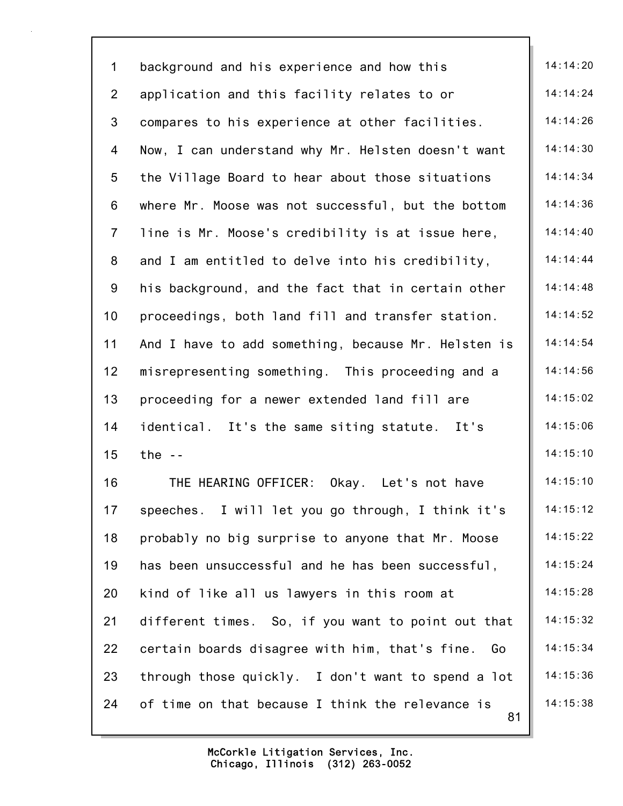| $\mathbf 1$    | background and his experience and how this             | 14:14:20 |
|----------------|--------------------------------------------------------|----------|
| $\overline{2}$ | application and this facility relates to or            | 14:14:24 |
| 3              | compares to his experience at other facilities.        | 14:14:26 |
| 4              | Now, I can understand why Mr. Helsten doesn't want     | 14:14:30 |
| 5              | the Village Board to hear about those situations       | 14:14:34 |
| 6              | where Mr. Moose was not successful, but the bottom     | 14:14:36 |
| $\overline{7}$ | line is Mr. Moose's credibility is at issue here,      | 14:14:40 |
| $\bf 8$        | and I am entitled to delve into his credibility,       | 14:14:44 |
| 9              | his background, and the fact that in certain other     | 14:14:48 |
| 10             | proceedings, both land fill and transfer station.      | 14:14:52 |
| 11             | And I have to add something, because Mr. Helsten is    | 14:14:54 |
| 12             | misrepresenting something. This proceeding and a       | 14:14:56 |
| 13             | proceeding for a newer extended land fill are          | 14:15:02 |
| 14             | identical. It's the same siting statute. It's          | 14:15:06 |
| 15             | the $-$                                                | 14:15:10 |
| 16             | THE HEARING OFFICER:<br>Okay.<br>Let's not have        | 14:15:10 |
| 17             | speeches. I will let you go through, I think it's      | 14:15:12 |
| 18             | probably no big surprise to anyone that Mr. Moose      | 14:15:22 |
| 19             | has been unsuccessful and he has been successful,      | 14:15:24 |
| 20             | kind of like all us lawyers in this room at            | 14:15:28 |
| 21             | different times. So, if you want to point out that     | 14:15:32 |
| 22             | certain boards disagree with him, that's fine. Go      | 14:15:34 |
| 23             | through those quickly. I don't want to spend a lot     | 14:15:36 |
| 24             | of time on that because I think the relevance is<br>81 | 14:15:38 |
|                |                                                        |          |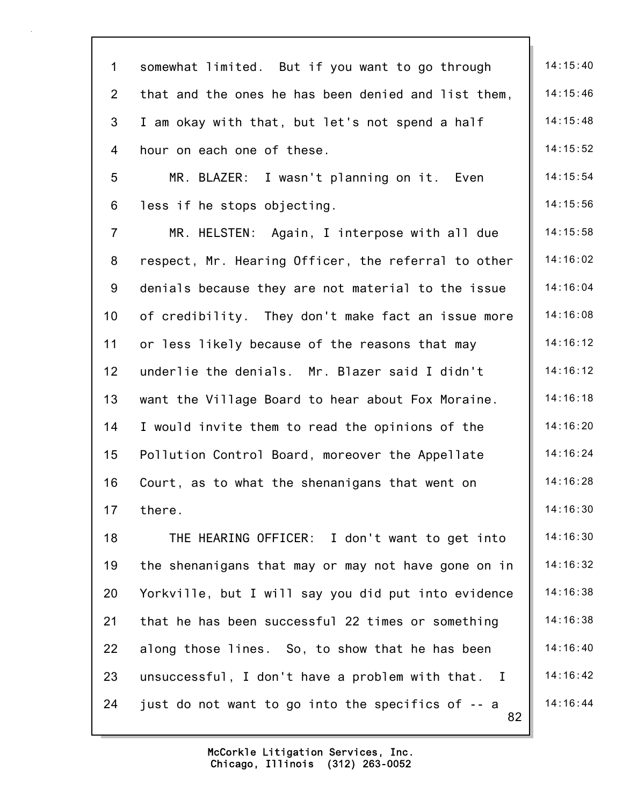| $\mathbf 1$    | somewhat limited. But if you want to go through         | 14:15:40 |
|----------------|---------------------------------------------------------|----------|
| $\overline{2}$ | that and the ones he has been denied and list them,     | 14:15:46 |
| 3              | I am okay with that, but let's not spend a half         | 14:15:48 |
| 4              | hour on each one of these.                              | 14:15:52 |
| 5              | MR. BLAZER: I wasn't planning on it. Even               | 14:15:54 |
| 6              | less if he stops objecting.                             | 14:15:56 |
| $\overline{7}$ | MR. HELSTEN: Again, I interpose with all due            | 14:15:58 |
| 8              | respect, Mr. Hearing Officer, the referral to other     | 14:16:02 |
| 9              | denials because they are not material to the issue      | 14:16:04 |
| 10             | of credibility. They don't make fact an issue more      | 14:16:08 |
| 11             | or less likely because of the reasons that may          | 14:16:12 |
| 12             | underlie the denials. Mr. Blazer said I didn't          | 14:16:12 |
| 13             | want the Village Board to hear about Fox Moraine.       | 14:16:18 |
| 14             | I would invite them to read the opinions of the         | 14:16:20 |
| 15             | Pollution Control Board, moreover the Appellate         | 14:16:24 |
| 16             | Court, as to what the shenanigans that went on          | 14:16:28 |
| 17             | there.                                                  | 14:16:30 |
| 18             | THE HEARING OFFICER: I don't want to get into           | 14:16:30 |
| 19             | the shenanigans that may or may not have gone on in     | 14:16:32 |
| 20             | Yorkville, but I will say you did put into evidence     | 14:16:38 |
| 21             | that he has been successful 22 times or something       | 14:16:38 |
| 22             | along those lines. So, to show that he has been         | 14:16:40 |
| 23             | unsuccessful, I don't have a problem with that. I       | 14:16:42 |
| 24             | just do not want to go into the specifics of -- a<br>82 | 14:16:44 |
|                |                                                         |          |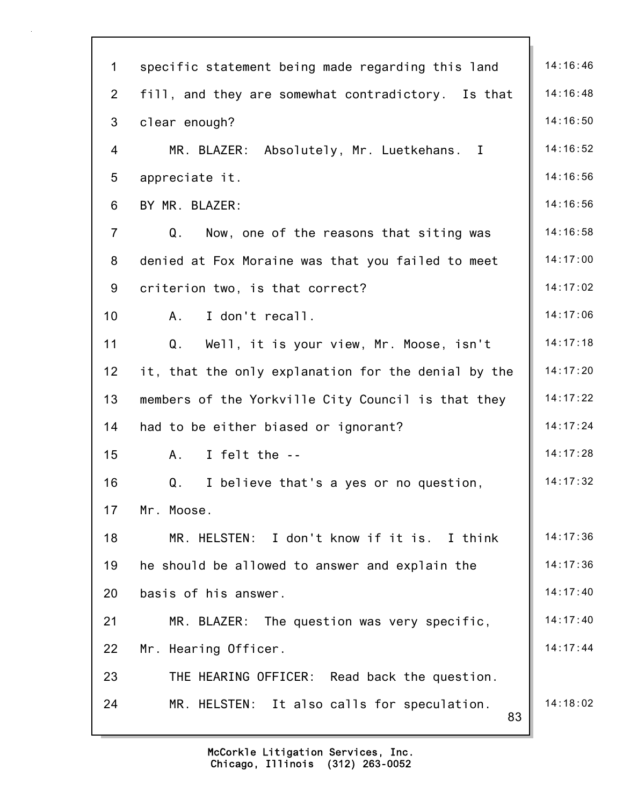| $\mathbf 1$    | specific statement being made regarding this land        | 14:16:46 |
|----------------|----------------------------------------------------------|----------|
| $\overline{2}$ | fill, and they are somewhat contradictory. Is that       | 14:16:48 |
| 3              | clear enough?                                            | 14:16:50 |
| 4              | MR. BLAZER: Absolutely, Mr. Luetkehans. I                | 14:16:52 |
| 5              | appreciate it.                                           | 14:16:56 |
| 6              | BY MR. BLAZER:                                           | 14:16:56 |
| $\overline{7}$ | $\mathsf Q$ .<br>Now, one of the reasons that siting was | 14:16:58 |
| 8              | denied at Fox Moraine was that you failed to meet        | 14:17:00 |
| 9              | criterion two, is that correct?                          | 14:17:02 |
| 10             | I don't recall.<br>A.                                    | 14:17:06 |
| 11             | Q.<br>Well, it is your view, Mr. Moose, isn't            | 14:17:18 |
| 12             | it, that the only explanation for the denial by the      | 14:17:20 |
| 13             | members of the Yorkville City Council is that they       | 14:17:22 |
| 14             | had to be either biased or ignorant?                     | 14:17:24 |
| 15             | I felt the --<br>A.                                      | 14:17:28 |
| 16             | I believe that's a yes or no question,<br>Q.             | 14:17:32 |
| 17             | Mr. Moose.                                               |          |
| 18             | MR. HELSTEN: I don't know if it is. I think              | 14:17:36 |
| 19             | he should be allowed to answer and explain the           | 14:17:36 |
| 20             | basis of his answer.                                     | 14:17:40 |
| 21             | MR. BLAZER: The question was very specific,              | 14:17:40 |
| 22             | Mr. Hearing Officer.                                     | 14:17:44 |
| 23             | THE HEARING OFFICER: Read back the question.             |          |
| 24             | MR. HELSTEN: It also calls for speculation.<br>83        | 14:18:02 |
|                |                                                          |          |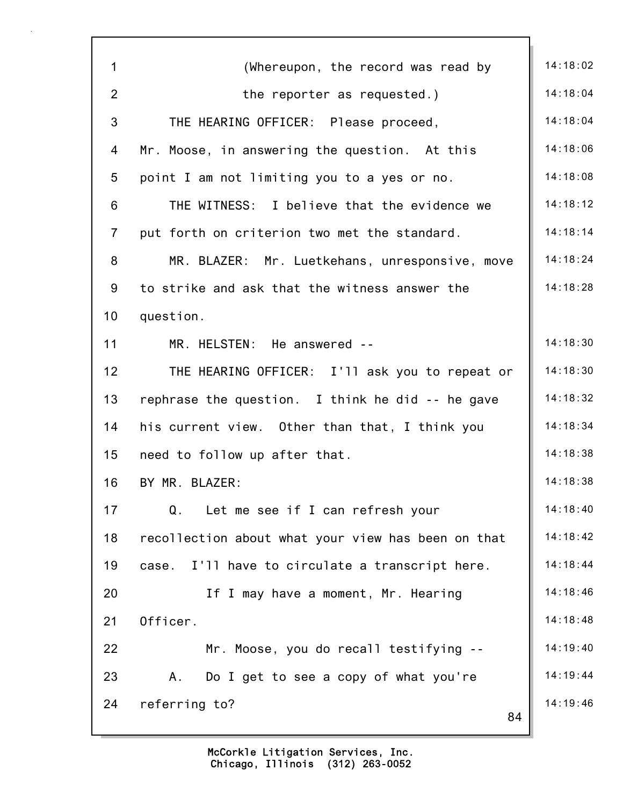| $\mathbf 1$    | (Whereupon, the record was read by                 | 14:18:02 |
|----------------|----------------------------------------------------|----------|
| $\overline{2}$ | the reporter as requested.)                        | 14:18:04 |
| 3              |                                                    | 14:18:04 |
|                | THE HEARING OFFICER: Please proceed,               |          |
| 4              | Mr. Moose, in answering the question. At this      | 14:18:06 |
| 5              | point I am not limiting you to a yes or no.        | 14:18:08 |
| 6              | THE WITNESS: I believe that the evidence we        | 14:18:12 |
| $\overline{7}$ | put forth on criterion two met the standard.       | 14:18:14 |
| 8              | MR. BLAZER: Mr. Luetkehans, unresponsive, move     | 14:18:24 |
| 9              | to strike and ask that the witness answer the      | 14:18:28 |
| 10             | question.                                          |          |
| 11             | MR. HELSTEN: He answered --                        | 14:18:30 |
| 12             | THE HEARING OFFICER: I'll ask you to repeat or     | 14:18:30 |
| 13             | rephrase the question. I think he did -- he gave   | 14:18:32 |
| 14             | his current view. Other than that, I think you     | 14:18:34 |
| 15             | need to follow up after that.                      | 14:18:38 |
| 16             | BY MR. BLAZER:                                     | 14:18:38 |
| 17             | Q.<br>Let me see if I can refresh your             | 14:18:40 |
| 18             | recollection about what your view has been on that | 14:18:42 |
| 19             | I'll have to circulate a transcript here.<br>case. | 14:18:44 |
| 20             | If I may have a moment, Mr. Hearing                | 14:18:46 |
| 21             | Officer.                                           | 14:18:48 |
| 22             | Mr. Moose, you do recall testifying --             | 14:19:40 |
| 23             | Α.<br>Do I get to see a copy of what you're        | 14:19:44 |
| 24             | referring to?                                      | 14:19:46 |
|                | 84                                                 |          |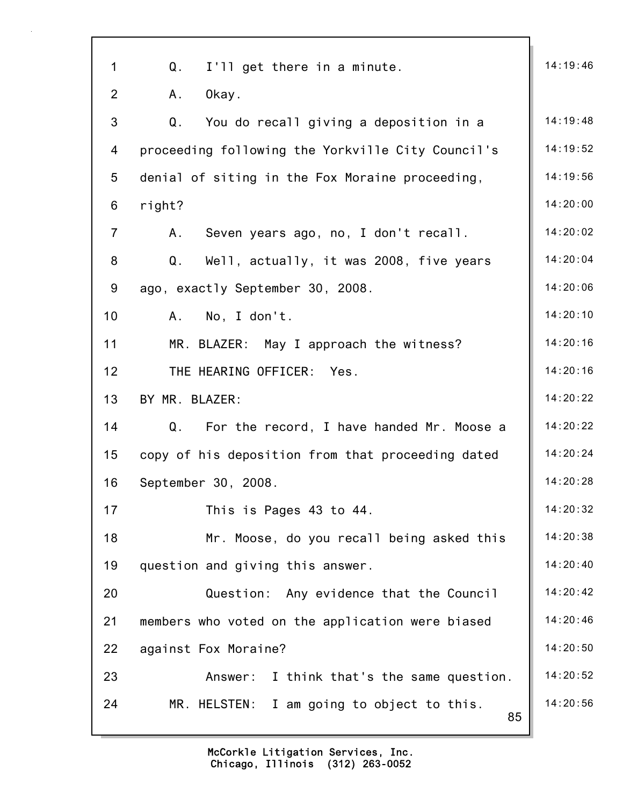| 1              | Q.<br>I'll get there in a minute.                 | 14:19:46 |
|----------------|---------------------------------------------------|----------|
| $\overline{2}$ | Okay.<br>Α.                                       |          |
| 3              | Q.<br>You do recall giving a deposition in a      | 14:19:48 |
| 4              | proceeding following the Yorkville City Council's | 14:19:52 |
| 5              | denial of siting in the Fox Moraine proceeding,   | 14:19:56 |
| 6              | right?                                            | 14:20:00 |
| $\overline{7}$ | Seven years ago, no, I don't recall.<br>Α.        | 14:20:02 |
| 8              | Q.<br>Well, actually, it was 2008, five years     | 14:20:04 |
| 9              | ago, exactly September 30, 2008.                  | 14:20:06 |
| 10             | No, I don't.<br>A.                                | 14:20:10 |
| 11             | MR. BLAZER: May I approach the witness?           | 14:20:16 |
| 12             | THE HEARING OFFICER: Yes.                         | 14:20:16 |
| 13             | BY MR. BLAZER:                                    | 14:20:22 |
| 14             | Q. For the record, I have handed Mr. Moose a      | 14:20:22 |
| 15             | copy of his deposition from that proceeding dated | 14:20:24 |
| 16             | September 30, 2008.                               | 14:20:28 |
| 17             | This is Pages 43 to 44.                           | 14:20:32 |
| 18             | Mr. Moose, do you recall being asked this         | 14:20:38 |
| 19             | question and giving this answer.                  | 14:20:40 |
| 20             | Question: Any evidence that the Council           | 14:20:42 |
| 21             | members who voted on the application were biased  | 14:20:46 |
| 22             | against Fox Moraine?                              | 14:20:50 |
| 23             | Answer: I think that's the same question.         | 14:20:52 |
| 24             | MR. HELSTEN: I am going to object to this.<br>85  | 14:20:56 |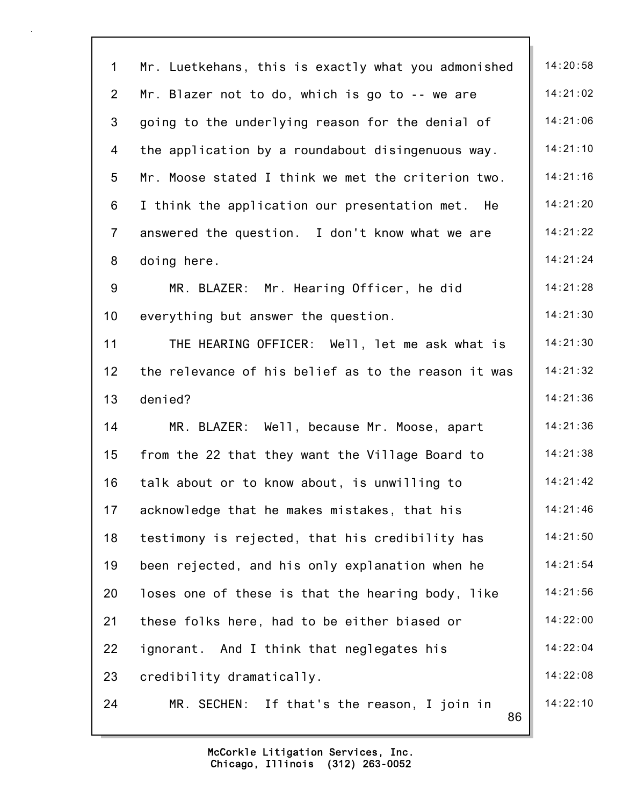| $\mathbf{1}$   | Mr. Luetkehans, this is exactly what you admonished | 14:20:58 |
|----------------|-----------------------------------------------------|----------|
| $\overline{2}$ | Mr. Blazer not to do, which is go to -- we are      | 14:21:02 |
| 3              | going to the underlying reason for the denial of    | 14:21:06 |
| 4              | the application by a roundabout disingenuous way.   | 14:21:10 |
| 5              | Mr. Moose stated I think we met the criterion two.  | 14:21:16 |
| 6              | I think the application our presentation met. He    | 14:21:20 |
| $\overline{7}$ | answered the question. I don't know what we are     | 14:21:22 |
| 8              | doing here.                                         | 14:21:24 |
| 9              | MR. BLAZER: Mr. Hearing Officer, he did             | 14:21:28 |
| 10             | everything but answer the question.                 | 14:21:30 |
| 11             | THE HEARING OFFICER: Well, let me ask what is       | 14:21:30 |
| 12             | the relevance of his belief as to the reason it was | 14:21:32 |
| 13             | denied?                                             | 14:21:36 |
| 14             | MR. BLAZER: Well, because Mr. Moose, apart          | 14:21:36 |
| 15             | from the 22 that they want the Village Board to     | 14:21:38 |
| 16             | talk about or to know about, is unwilling to        | 14:21:42 |
| 17             | acknowledge that he makes mistakes, that his        | 14:21:46 |
| 18             | testimony is rejected, that his credibility has     | 14:21:50 |
| 19             | been rejected, and his only explanation when he     | 14:21:54 |
| 20             | loses one of these is that the hearing body, like   | 14:21:56 |
| 21             | these folks here, had to be either biased or        | 14:22:00 |
| 22             | ignorant. And I think that neglegates his           | 14:22:04 |
| 23             | credibility dramatically.                           | 14:22:08 |
| 24             | MR. SECHEN: If that's the reason, I join in<br>86   | 14:22:10 |
|                |                                                     |          |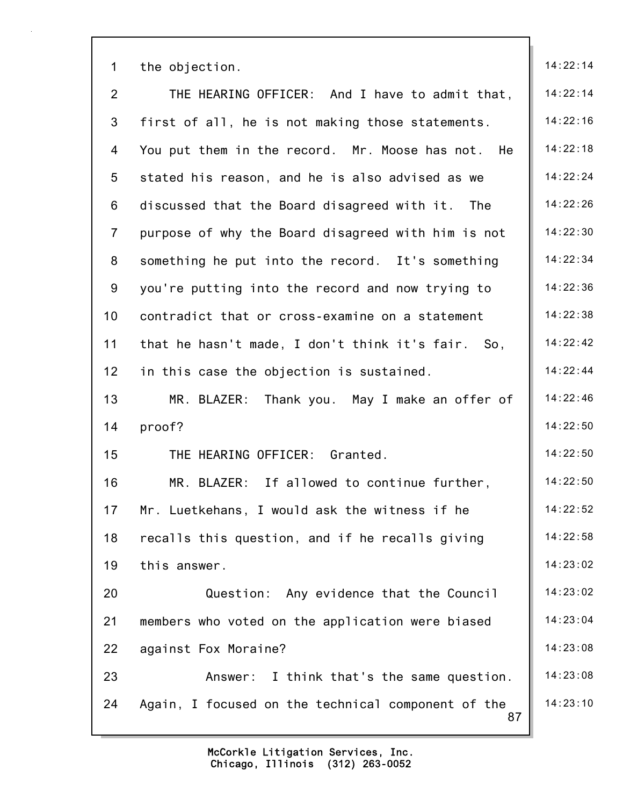| $\mathbf 1$    | the objection.                                           | 14:22:14 |
|----------------|----------------------------------------------------------|----------|
| $\overline{2}$ | THE HEARING OFFICER: And I have to admit that,           | 14:22:14 |
| 3              | first of all, he is not making those statements.         | 14:22:16 |
| 4              | You put them in the record. Mr. Moose has not. He        | 14:22:18 |
| 5              | stated his reason, and he is also advised as we          | 14:22:24 |
| 6              | discussed that the Board disagreed with it. The          | 14:22:26 |
| $\overline{7}$ | purpose of why the Board disagreed with him is not       | 14:22:30 |
| 8              | something he put into the record. It's something         | 14:22:34 |
| 9              | you're putting into the record and now trying to         | 14:22:36 |
| 10             | contradict that or cross-examine on a statement          | 14:22:38 |
| 11             | that he hasn't made, I don't think it's fair. So,        | 14:22:42 |
| 12             | in this case the objection is sustained.                 | 14:22:44 |
| 13             | MR. BLAZER: Thank you. May I make an offer of            | 14:22:46 |
| 14             | proof?                                                   | 14:22:50 |
| 15             | THE HEARING OFFICER: Granted.                            | 14:22:50 |
| 16             | If allowed to continue further,<br>MR. BLAZER:           | 14:22:50 |
| 17             | Mr. Luetkehans, I would ask the witness if he            | 14:22:52 |
| 18             | recalls this question, and if he recalls giving          | 14:22:58 |
| 19             | this answer.                                             | 14:23:02 |
| 20             | Question: Any evidence that the Council                  | 14:23:02 |
| 21             | members who voted on the application were biased         | 14:23:04 |
| 22             | against Fox Moraine?                                     | 14:23:08 |
| 23             | Answer: I think that's the same question.                | 14:23:08 |
| 24             | Again, I focused on the technical component of the<br>87 | 14:23:10 |
|                |                                                          |          |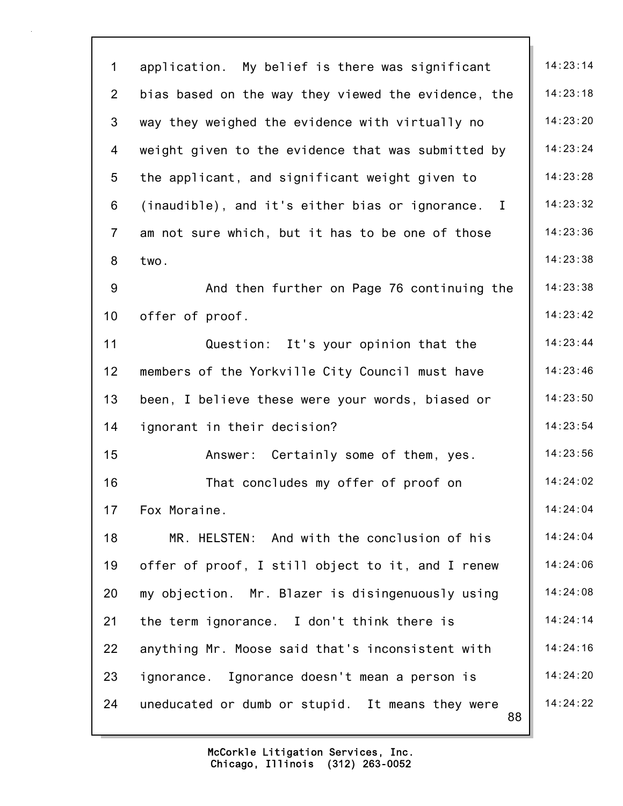| $\mathbf 1$    | application. My belief is there was significant        | 14:23:14 |
|----------------|--------------------------------------------------------|----------|
| $\overline{2}$ | bias based on the way they viewed the evidence, the    | 14:23:18 |
| 3              | way they weighed the evidence with virtually no        | 14:23:20 |
| 4              | weight given to the evidence that was submitted by     | 14:23:24 |
| 5              | the applicant, and significant weight given to         | 14:23:28 |
| 6              | (inaudible), and it's either bias or ignorance. I      | 14:23:32 |
| $\overline{7}$ | am not sure which, but it has to be one of those       | 14:23:36 |
| 8              | two.                                                   | 14:23:38 |
| 9              | And then further on Page 76 continuing the             | 14:23:38 |
| 10             | offer of proof.                                        | 14:23:42 |
| 11             | Question: It's your opinion that the                   | 14:23:44 |
| 12             | members of the Yorkville City Council must have        | 14:23:46 |
| 13             | been, I believe these were your words, biased or       | 14:23:50 |
| 14             | ignorant in their decision?                            | 14:23:54 |
| 15             | Answer: Certainly some of them, yes.                   | 14:23:56 |
| 16             | That concludes my offer of proof on                    | 14:24:02 |
| 17             | Fox Moraine.                                           | 14:24:04 |
| 18             | MR. HELSTEN: And with the conclusion of his            | 14:24:04 |
| 19             | offer of proof, I still object to it, and I renew      | 14:24:06 |
| 20             | my objection. Mr. Blazer is disingenuously using       | 14:24:08 |
| 21             | the term ignorance. I don't think there is             | 14:24:14 |
| 22             | anything Mr. Moose said that's inconsistent with       | 14:24:16 |
| 23             | ignorance. Ignorance doesn't mean a person is          | 14:24:20 |
| 24             | uneducated or dumb or stupid. It means they were<br>88 | 14:24:22 |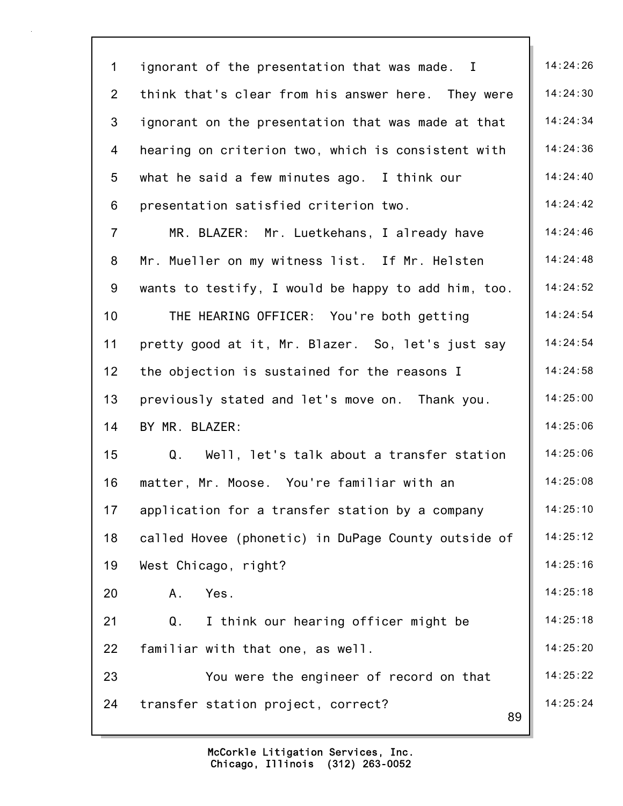| $\mathbf 1$     | ignorant of the presentation that was made. I            | 14:24:26 |
|-----------------|----------------------------------------------------------|----------|
| $\overline{2}$  | think that's clear from his answer here. They were       | 14:24:30 |
| 3               | ignorant on the presentation that was made at that       | 14:24:34 |
| 4               | hearing on criterion two, which is consistent with       | 14:24:36 |
| 5               | what he said a few minutes ago. I think our              | 14:24:40 |
| 6               | presentation satisfied criterion two.                    | 14:24:42 |
| $\overline{7}$  | MR. BLAZER: Mr. Luetkehans, I already have               | 14:24:46 |
| 8               | Mr. Mueller on my witness list. If Mr. Helsten           | 14:24:48 |
| 9               | wants to testify, I would be happy to add him, too.      | 14:24:52 |
| 10 <sup>1</sup> | THE HEARING OFFICER: You're both getting                 | 14:24:54 |
| 11              | pretty good at it, Mr. Blazer. So, let's just say        | 14:24:54 |
| 12 <sub>2</sub> | the objection is sustained for the reasons I             | 14:24:58 |
| 13              | previously stated and let's move on. Thank you.          | 14:25:00 |
| 14              | BY MR. BLAZER:                                           | 14:25:06 |
| 15              | $Q_{\perp}$<br>Well, let's talk about a transfer station | 14:25:06 |
| 16              | matter, Mr. Moose. You're familiar with an               | 14:25:08 |
| 17              | application for a transfer station by a company          | 14:25:10 |
| 18              | called Hovee (phonetic) in DuPage County outside of      | 14:25:12 |
| 19              | West Chicago, right?                                     | 14:25:16 |
| 20              | Yes.<br>Α.                                               | 14:25:18 |
| 21              | I think our hearing officer might be<br>Q.               | 14:25:18 |
| 22              | familiar with that one, as well.                         | 14:25:20 |
| 23              | You were the engineer of record on that                  | 14:25:22 |
| 24              | transfer station project, correct?<br>89                 | 14:25:24 |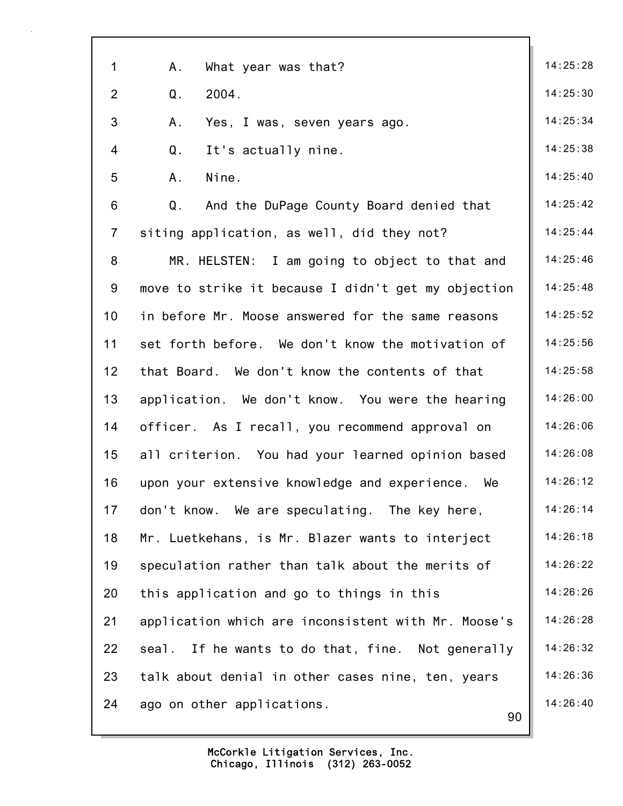| 1               | Α.<br>What year was that?                           | 14:25:28 |
|-----------------|-----------------------------------------------------|----------|
| $\overline{2}$  | Q <sub>1</sub><br>2004.                             | 14:25:30 |
| 3               | Α.<br>Yes, I was, seven years ago.                  | 14:25:34 |
| $\overline{4}$  | Q <sub>1</sub><br>It's actually nine.               | 14:25:38 |
| 5               | Nine.<br>A.                                         | 14:25:40 |
| 6               | And the DuPage County Board denied that<br>Q.       | 14:25:42 |
| $\overline{7}$  | siting application, as well, did they not?          | 14:25:44 |
| 8               | MR. HELSTEN: I am going to object to that and       | 14:25:46 |
| 9               | move to strike it because I didn't get my objection | 14:25:48 |
| 10 <sup>1</sup> | in before Mr. Moose answered for the same reasons   | 14:25:52 |
| 11              | set forth before. We don't know the motivation of   | 14:25:56 |
| 12              | that Board. We don't know the contents of that      | 14:25:58 |
| 13              | application. We don't know. You were the hearing    | 14:26:00 |
| 14              | officer. As I recall, you recommend approval on     | 14:26:06 |
| 15              | all criterion. You had your learned opinion based   | 14:26:08 |
| 16              | upon your extensive knowledge and experience.<br>We | 14:26:12 |
| 17              | don't know. We are speculating. The key here,       | 14:26:14 |
| 18              | Mr. Luetkehans, is Mr. Blazer wants to interject    | 14:26:18 |
| 19              | speculation rather than talk about the merits of    | 14:26:22 |
| 20              | this application and go to things in this           | 14:26:26 |
| 21              | application which are inconsistent with Mr. Moose's | 14:26:28 |
| 22              | seal. If he wants to do that, fine. Not generally   | 14:26:32 |
| 23              | talk about denial in other cases nine, ten, years   | 14:26:36 |
| 24              | ago on other applications.<br>90                    | 14:26:40 |
|                 |                                                     |          |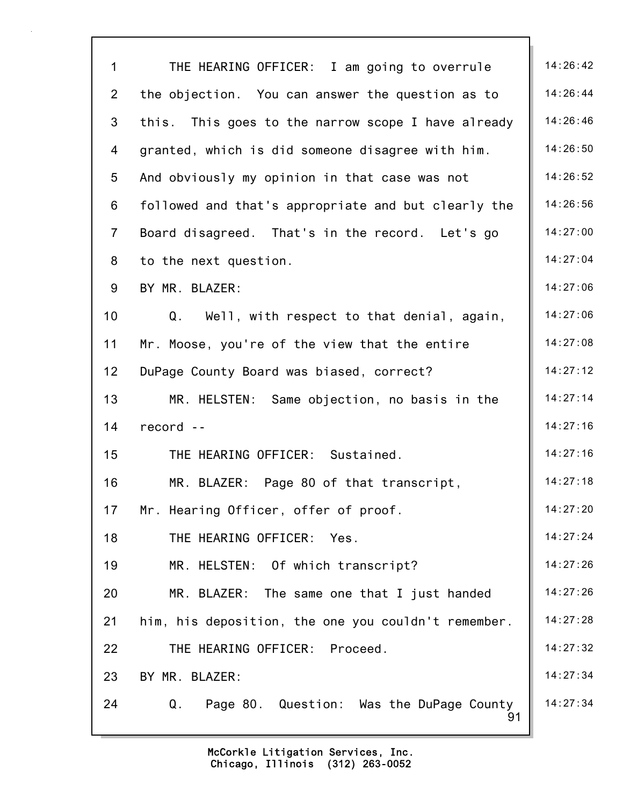| $\mathbf 1$     | THE HEARING OFFICER: I am going to overrule         | 14:26:42 |
|-----------------|-----------------------------------------------------|----------|
| $\overline{2}$  | the objection. You can answer the question as to    | 14:26:44 |
| 3               | this. This goes to the narrow scope I have already  | 14:26:46 |
| 4               | granted, which is did someone disagree with him.    | 14:26:50 |
| 5               | And obviously my opinion in that case was not       | 14:26:52 |
| 6               | followed and that's appropriate and but clearly the | 14:26:56 |
| $\overline{7}$  | Board disagreed. That's in the record. Let's go     | 14:27:00 |
| 8               | to the next question.                               | 14:27:04 |
| 9               | BY MR. BLAZER:                                      | 14:27:06 |
| 10 <sup>1</sup> | Q.<br>Well, with respect to that denial, again,     | 14:27:06 |
| 11              | Mr. Moose, you're of the view that the entire       | 14:27:08 |
| 12              | DuPage County Board was biased, correct?            | 14:27:12 |
| 13              | MR. HELSTEN: Same objection, no basis in the        | 14:27:14 |
| 14              | record --                                           | 14:27:16 |
| 15              | THE HEARING OFFICER: Sustained.                     | 14:27:16 |
| 16              | MR. BLAZER: Page 80 of that transcript,             | 14:27:18 |
| 17              | Mr. Hearing Officer, offer of proof.                | 14:27:20 |
| 18              | THE HEARING OFFICER: Yes.                           | 14:27:24 |
| 19              | MR. HELSTEN: Of which transcript?                   | 14:27:26 |
| 20              | MR. BLAZER: The same one that I just handed         | 14:27:26 |
| 21              | him, his deposition, the one you couldn't remember. | 14:27:28 |
| 22              | THE HEARING OFFICER: Proceed.                       | 14:27:32 |
| 23              | BY MR. BLAZER:                                      | 14:27:34 |
| 24              | Q. Page 80. Question: Was the DuPage County<br>91   | 14:27:34 |
|                 |                                                     |          |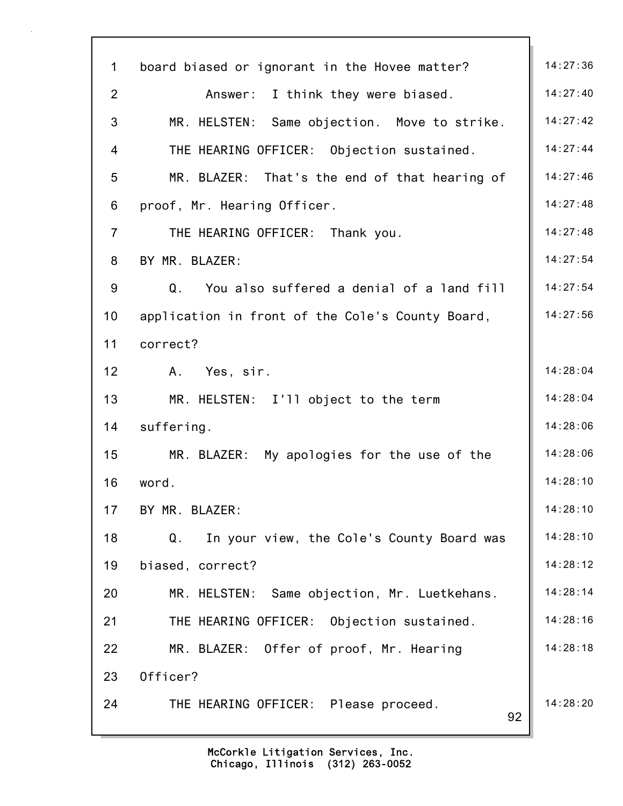| $\mathbf 1$    | board biased or ignorant in the Hovee matter?    | 14:27:36 |
|----------------|--------------------------------------------------|----------|
| $\overline{2}$ | Answer: I think they were biased.                | 14:27:40 |
| 3              | MR. HELSTEN: Same objection. Move to strike.     | 14:27:42 |
| 4              | THE HEARING OFFICER: Objection sustained.        | 14:27:44 |
| 5              | MR. BLAZER: That's the end of that hearing of    | 14:27:46 |
| 6              | proof, Mr. Hearing Officer.                      | 14:27:48 |
| $\overline{7}$ | THE HEARING OFFICER: Thank you.                  | 14:27:48 |
| 8              | BY MR. BLAZER:                                   | 14:27:54 |
| 9              | You also suffered a denial of a land fill<br>Q.  | 14:27:54 |
| 10             | application in front of the Cole's County Board, | 14:27:56 |
| 11             | correct?                                         |          |
| 12             | Yes, sir.<br>Α.                                  | 14:28:04 |
| 13             | MR. HELSTEN: I'll object to the term             | 14:28:04 |
| 14             | suffering.                                       | 14:28:06 |
| 15             | MR. BLAZER: My apologies for the use of the      | 14:28:06 |
| 16             | word.                                            | 14:28:10 |
| 17             | BY MR. BLAZER:                                   | 14:28:10 |
| 18             | In your view, the Cole's County Board was<br>Q.  | 14:28:10 |
| 19             | biased, correct?                                 | 14:28:12 |
| 20             | MR. HELSTEN: Same objection, Mr. Luetkehans.     | 14:28:14 |
| 21             | THE HEARING OFFICER: Objection sustained.        | 14:28:16 |
| 22             | MR. BLAZER: Offer of proof, Mr. Hearing          | 14:28:18 |
| 23             | Officer?                                         |          |
| 24             | THE HEARING OFFICER: Please proceed.<br>92       | 14:28:20 |
|                |                                                  |          |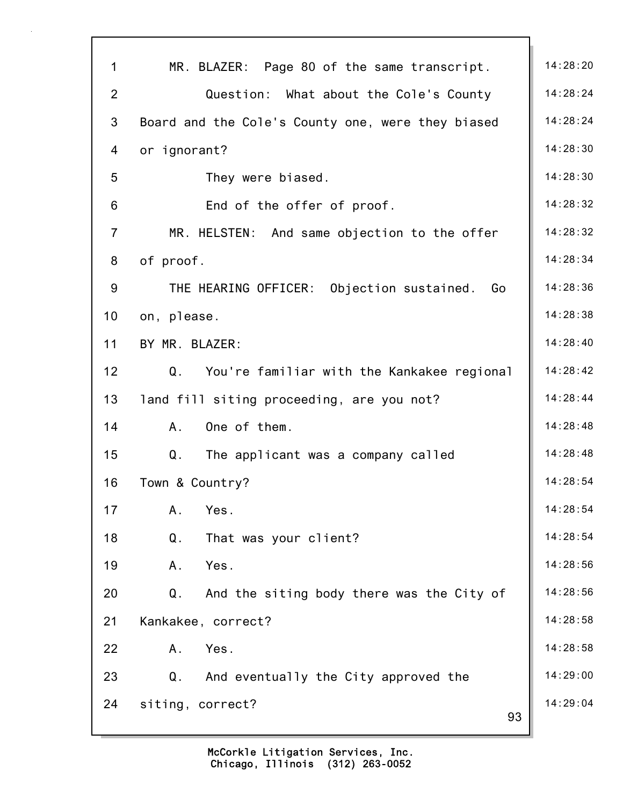| $\mathbf{1}$   | MR. BLAZER: Page 80 of the same transcript.          | 14:28:20 |
|----------------|------------------------------------------------------|----------|
| $\overline{2}$ | Question: What about the Cole's County               | 14:28:24 |
| 3              | Board and the Cole's County one, were they biased    | 14:28:24 |
| 4              | or ignorant?                                         | 14:28:30 |
| 5              | They were biased.                                    | 14:28:30 |
| 6              | End of the offer of proof.                           | 14:28:32 |
| $\overline{7}$ | MR. HELSTEN: And same objection to the offer         | 14:28:32 |
| 8              | of proof.                                            | 14:28:34 |
| 9              | THE HEARING OFFICER: Objection sustained.<br>Go      | 14:28:36 |
| 10             | on, please.                                          | 14:28:38 |
| 11             | BY MR. BLAZER:                                       | 14:28:40 |
| 12             | Q.<br>You're familiar with the Kankakee regional     | 14:28:42 |
| 13             | land fill siting proceeding, are you not?            | 14:28:44 |
| 14             | One of them.<br>A.                                   | 14:28:48 |
| 15             | Q <sub>1</sub><br>The applicant was a company called | 14:28:48 |
| 16             | Town & Country?                                      | 14:28:54 |
| 17             | A.<br>Yes.                                           | 14:28:54 |
| 18             | Q.<br>That was your client?                          | 14:28:54 |
| 19             | Yes.<br>A.                                           | 14:28:56 |
| 20             | Q.<br>And the siting body there was the City of      | 14:28:56 |
| 21             | Kankakee, correct?                                   | 14:28:58 |
| 22             | Yes.<br>A.                                           | 14:28:58 |
| 23             | Q.<br>And eventually the City approved the           | 14:29:00 |
| 24             | siting, correct?<br>93                               | 14:29:04 |
|                |                                                      |          |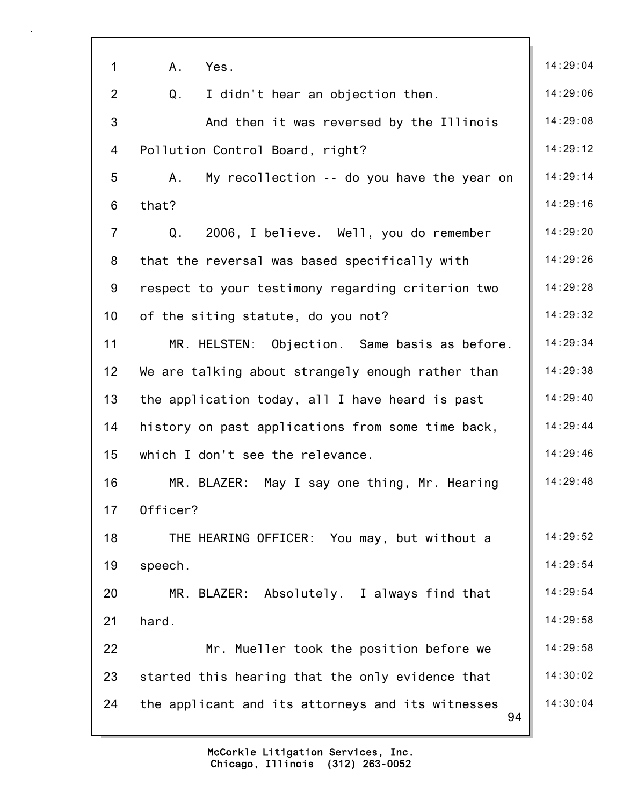| $\mathbf 1$     | Yes.<br>A <sub>1</sub>                                  | 14:29:04 |
|-----------------|---------------------------------------------------------|----------|
| $\overline{2}$  | Q.<br>I didn't hear an objection then.                  | 14:29:06 |
| 3               | And then it was reversed by the Illinois                | 14:29:08 |
| 4               | Pollution Control Board, right?                         | 14:29:12 |
| 5               | My recollection -- do you have the year on<br>A.        | 14:29:14 |
| 6               | that?                                                   | 14:29:16 |
| $\overline{7}$  | 2006, I believe. Well, you do remember<br>Q.            | 14:29:20 |
| 8               | that the reversal was based specifically with           | 14:29:26 |
| 9               | respect to your testimony regarding criterion two       | 14:29:28 |
| 10 <sub>1</sub> | of the siting statute, do you not?                      | 14:29:32 |
| 11              | MR. HELSTEN: Objection. Same basis as before.           | 14:29:34 |
| 12 <sub>2</sub> | We are talking about strangely enough rather than       | 14:29:38 |
| 13              | the application today, all I have heard is past         | 14:29:40 |
| 14              | history on past applications from some time back,       | 14:29:44 |
| 15              | which I don't see the relevance.                        | 14:29:46 |
| 16              | MR. BLAZER: May I say one thing, Mr. Hearing            | 14:29:48 |
| 17              | Officer?                                                |          |
| 18              | THE HEARING OFFICER: You may, but without a             | 14:29:52 |
| 19              | speech.                                                 | 14:29:54 |
| 20              | MR. BLAZER:<br>Absolutely. I always find that           | 14:29:54 |
| 21              | hard.                                                   | 14:29:58 |
| 22              | Mr. Mueller took the position before we                 | 14:29:58 |
| 23              | started this hearing that the only evidence that        | 14:30:02 |
| 24              | the applicant and its attorneys and its witnesses<br>94 | 14:30:04 |
|                 |                                                         |          |

٦Ì,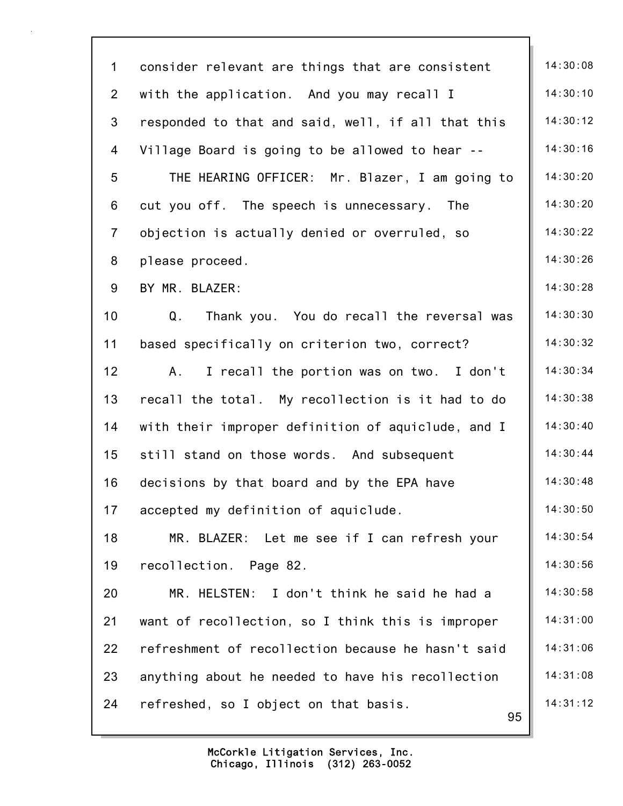| $\mathbf 1$    | consider relevant are things that are consistent   | 14:30:08 |
|----------------|----------------------------------------------------|----------|
| $\overline{2}$ | with the application. And you may recall I         | 14:30:10 |
| 3              | responded to that and said, well, if all that this | 14:30:12 |
| 4              | Village Board is going to be allowed to hear --    | 14:30:16 |
| 5              | THE HEARING OFFICER: Mr. Blazer, I am going to     | 14:30:20 |
| 6              | cut you off. The speech is unnecessary. The        | 14:30:20 |
| $\overline{7}$ | objection is actually denied or overruled, so      | 14:30:22 |
| 8              | please proceed.                                    | 14:30:26 |
| 9              | BY MR. BLAZER:                                     | 14:30:28 |
| 10             | Q.<br>Thank you. You do recall the reversal was    | 14:30:30 |
| 11             | based specifically on criterion two, correct?      | 14:30:32 |
| 12             | I recall the portion was on two. I don't<br>Α.     | 14:30:34 |
| 13             | recall the total. My recollection is it had to do  | 14:30:38 |
| 14             | with their improper definition of aquiclude, and I | 14:30:40 |
| 15             | still stand on those words. And subsequent         | 14:30:44 |
| 16             | decisions by that board and by the EPA have        | 14:30:48 |
| 17             | accepted my definition of aquiclude.               | 14:30:50 |
| 18             | MR. BLAZER: Let me see if I can refresh your       | 14:30:54 |
| 19             | recollection. Page 82.                             | 14:30:56 |
| 20             | MR. HELSTEN: I don't think he said he had a        | 14:30:58 |
| 21             | want of recollection, so I think this is improper  | 14:31:00 |
| 22             | refreshment of recollection because he hasn't said | 14:31:06 |
| 23             | anything about he needed to have his recollection  | 14:31:08 |
| 24             | refreshed, so I object on that basis.<br>95        | 14:31:12 |
|                |                                                    |          |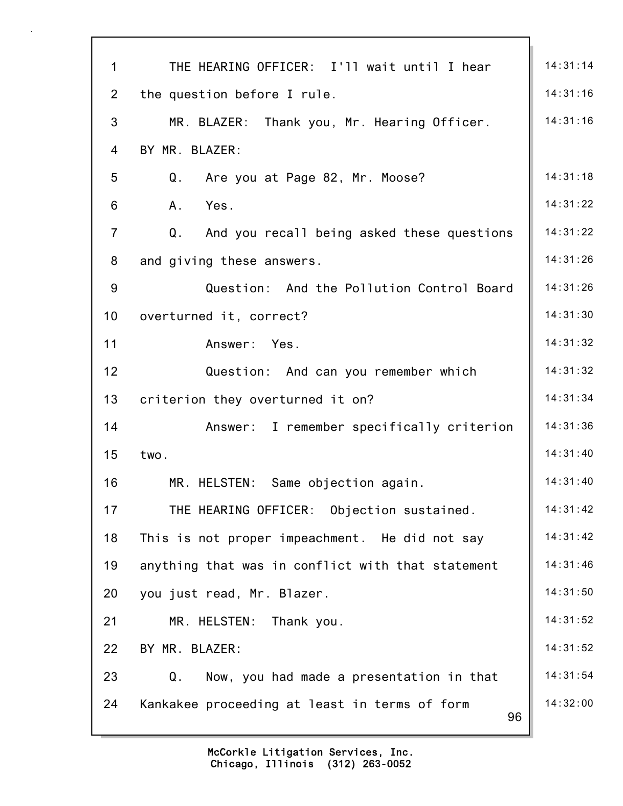| $\mathbf{1}$   | THE HEARING OFFICER: I'll wait until I hear         | 14:31:14 |
|----------------|-----------------------------------------------------|----------|
| $\overline{2}$ | the question before I rule.                         | 14:31:16 |
| 3              | MR. BLAZER: Thank you, Mr. Hearing Officer.         | 14:31:16 |
| 4              | BY MR. BLAZER:                                      |          |
| 5              | Q.<br>Are you at Page 82, Mr. Moose?                | 14:31:18 |
| 6              | A.<br>Yes.                                          | 14:31:22 |
| $\overline{7}$ | And you recall being asked these questions<br>Q.    | 14:31:22 |
| 8              | and giving these answers.                           | 14:31:26 |
| 9              | Question: And the Pollution Control Board           | 14:31:26 |
| 10             | overturned it, correct?                             | 14:31:30 |
| 11             | Answer: Yes.                                        | 14:31:32 |
| 12             | Question: And can you remember which                | 14:31:32 |
| 13             | criterion they overturned it on?                    | 14:31:34 |
| 14             | Answer: I remember specifically criterion           | 14:31:36 |
| 15             | two.                                                | 14:31:40 |
| 16             | MR. HELSTEN: Same objection again.                  | 14:31:40 |
| 17             | THE HEARING OFFICER: Objection sustained.           | 14:31:42 |
| 18             | This is not proper impeachment. He did not say      | 14:31:42 |
| 19             | anything that was in conflict with that statement   | 14:31:46 |
| 20             | you just read, Mr. Blazer.                          | 14:31:50 |
| 21             | MR. HELSTEN:<br>Thank you.                          | 14:31:52 |
| 22             | BY MR. BLAZER:                                      | 14:31:52 |
| 23             | Q.<br>Now, you had made a presentation in that      | 14:31:54 |
| 24             | Kankakee proceeding at least in terms of form<br>96 | 14:32:00 |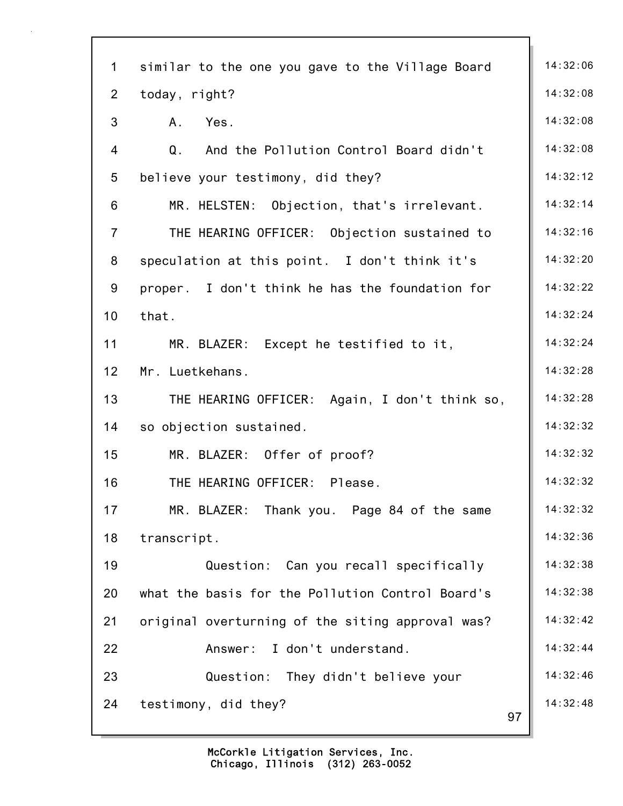| $\mathbf 1$     | similar to the one you gave to the Village Board | 14:32:06 |
|-----------------|--------------------------------------------------|----------|
| $\overline{2}$  | today, right?                                    | 14:32:08 |
| 3               | A.<br>Yes.                                       | 14:32:08 |
| 4               | Q. And the Pollution Control Board didn't        | 14:32:08 |
| 5               | believe your testimony, did they?                | 14:32:12 |
| 6               | MR. HELSTEN: Objection, that's irrelevant.       | 14:32:14 |
| $\overline{7}$  | THE HEARING OFFICER: Objection sustained to      | 14:32:16 |
| 8               | speculation at this point. I don't think it's    | 14:32:20 |
| 9               | proper. I don't think he has the foundation for  | 14:32:22 |
| 10              | that.                                            | 14:32:24 |
| 11              | MR. BLAZER: Except he testified to it,           | 14:32:24 |
| 12 <sub>2</sub> | Mr. Luetkehans.                                  | 14:32:28 |
| 13              | THE HEARING OFFICER: Again, I don't think so,    | 14:32:28 |
| 14              | so objection sustained.                          | 14:32:32 |
| 15              | MR. BLAZER: Offer of proof?                      | 14:32:32 |
| 16              | THE HEARING OFFICER: Please.                     | 14:32:32 |
| 17              | MR. BLAZER: Thank you. Page 84 of the same       | 14:32:32 |
| 18              | transcript.                                      | 14:32:36 |
| 19              | Question: Can you recall specifically            | 14:32:38 |
| 20              | what the basis for the Pollution Control Board's | 14:32:38 |
| 21              | original overturning of the siting approval was? | 14:32:42 |
| 22              | Answer: I don't understand.                      | 14:32:44 |
| 23              | Question: They didn't believe your               | 14:32:46 |
| 24              | testimony, did they?<br>97                       | 14:32:48 |
|                 |                                                  |          |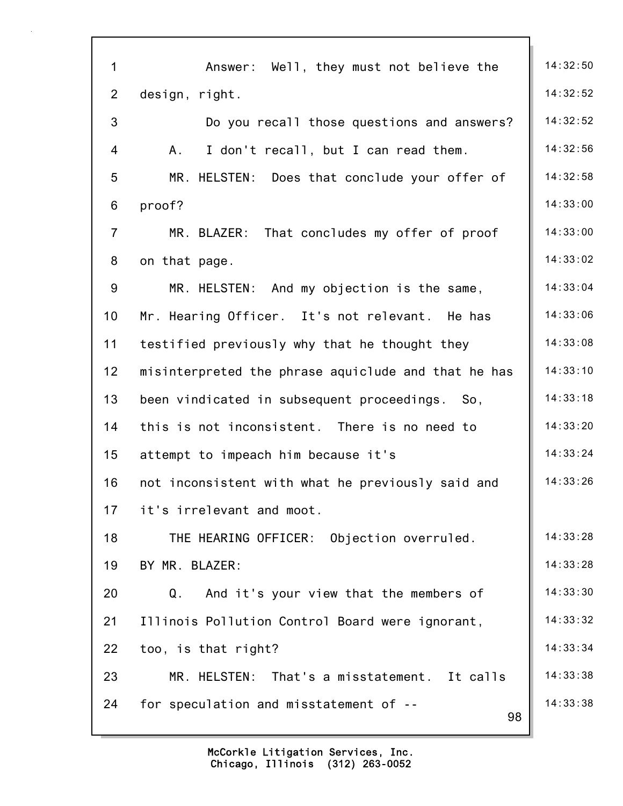| $\mathbf 1$     | Answer: Well, they must not believe the             | 14:32:50 |
|-----------------|-----------------------------------------------------|----------|
| $\overline{2}$  | design, right.                                      | 14:32:52 |
| 3               | Do you recall those questions and answers?          | 14:32:52 |
| 4               | A.<br>I don't recall, but I can read them.          | 14:32:56 |
| 5               | MR. HELSTEN: Does that conclude your offer of       | 14:32:58 |
| 6               | proof?                                              | 14:33:00 |
| $\overline{7}$  | MR. BLAZER: That concludes my offer of proof        | 14:33:00 |
| 8               | on that page.                                       | 14:33:02 |
| 9               | MR. HELSTEN: And my objection is the same,          | 14:33:04 |
| 10              | Mr. Hearing Officer. It's not relevant. He has      | 14:33:06 |
| 11              | testified previously why that he thought they       | 14:33:08 |
| 12 <sub>2</sub> | misinterpreted the phrase aquiclude and that he has | 14:33:10 |
| 13              | been vindicated in subsequent proceedings. So,      | 14:33:18 |
| 14              | this is not inconsistent. There is no need to       | 14:33:20 |
| 15              | attempt to impeach him because it's                 | 14:33:24 |
| 16              | not inconsistent with what he previously said and   | 14:33:26 |
| 17              | it's irrelevant and moot.                           |          |
| 18              | THE HEARING OFFICER: Objection overruled.           | 14:33:28 |
| 19              | BY MR. BLAZER:                                      | 14:33:28 |
| 20              | And it's your view that the members of<br>Q.        | 14:33:30 |
| 21              | Illinois Pollution Control Board were ignorant,     | 14:33:32 |
| 22              | too, is that right?                                 | 14:33:34 |
| 23              | MR. HELSTEN: That's a misstatement. It calls        | 14:33:38 |
| 24              | for speculation and misstatement of --<br>98        | 14:33:38 |
|                 |                                                     |          |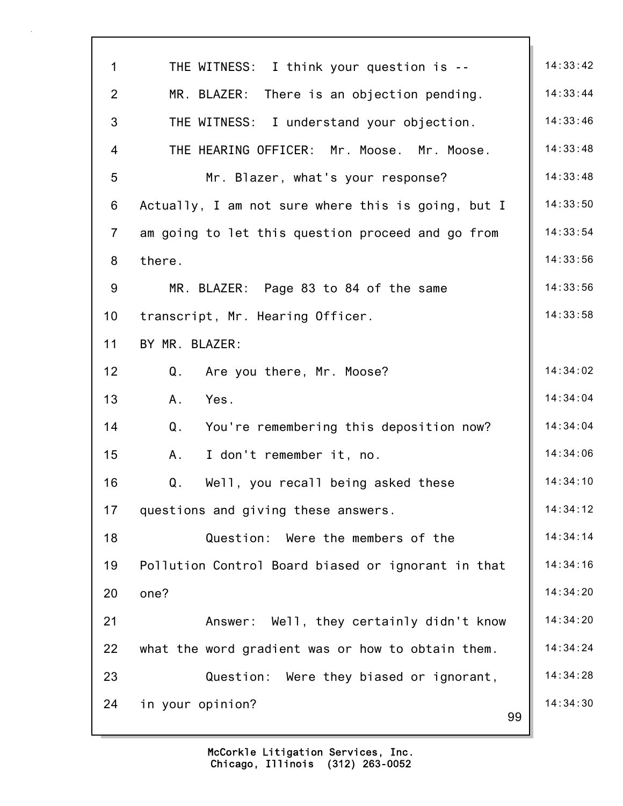| $\mathbf 1$     | THE WITNESS: I think your question is --           | 14:33:42 |
|-----------------|----------------------------------------------------|----------|
| $\overline{2}$  | MR. BLAZER: There is an objection pending.         | 14:33:44 |
| 3               | THE WITNESS: I understand your objection.          | 14:33:46 |
| 4               | THE HEARING OFFICER: Mr. Moose. Mr. Moose.         | 14:33:48 |
| 5               | Mr. Blazer, what's your response?                  | 14:33:48 |
| 6               | Actually, I am not sure where this is going, but I | 14:33:50 |
| $\overline{7}$  | am going to let this question proceed and go from  | 14:33:54 |
| 8               | there.                                             | 14:33:56 |
| 9               | MR. BLAZER: Page 83 to 84 of the same              | 14:33:56 |
| 10 <sup>1</sup> | transcript, Mr. Hearing Officer.                   | 14:33:58 |
| 11              | BY MR. BLAZER:                                     |          |
| 12              | $Q_{\perp}$<br>Are you there, Mr. Moose?           | 14:34:02 |
| 13              | Yes.<br>Α.                                         | 14:34:04 |
| 14              | Q.<br>You're remembering this deposition now?      | 14:34:04 |
| 15              | I don't remember it, no.<br>A.,                    | 14:34:06 |
| 16              | Well, you recall being asked these<br>Q.           | 14:34:10 |
| 17              | questions and giving these answers.                | 14:34:12 |
| 18              | Question: Were the members of the                  | 14:34:14 |
| 19              | Pollution Control Board biased or ignorant in that | 14:34:16 |
| 20              | one?                                               | 14:34:20 |
| 21              | Answer: Well, they certainly didn't know           | 14:34:20 |
| 22              | what the word gradient was or how to obtain them.  | 14:34:24 |
| 23              | Question: Were they biased or ignorant,            | 14:34:28 |
| 24              | in your opinion?<br>99                             | 14:34:30 |
|                 |                                                    |          |

٦Ì,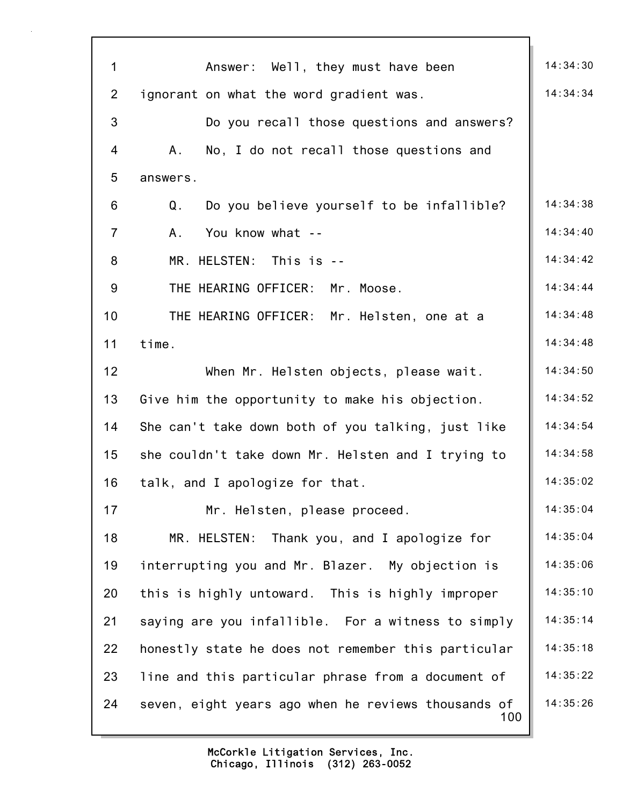| $\mathbf 1$    | Answer: Well, they must have been                          | 14:34:30 |
|----------------|------------------------------------------------------------|----------|
| $\overline{2}$ | ignorant on what the word gradient was.                    | 14:34:34 |
| 3              | Do you recall those questions and answers?                 |          |
| 4              | No, I do not recall those questions and<br>A.              |          |
| 5              | answers.                                                   |          |
| 6              | Do you believe yourself to be infallible?<br>Q.            | 14:34:38 |
| $\overline{7}$ | You know what --<br>A.                                     | 14:34:40 |
| 8              | MR. HELSTEN: This is --                                    | 14:34:42 |
| 9              | THE HEARING OFFICER: Mr. Moose.                            | 14:34:44 |
| 10             | THE HEARING OFFICER: Mr. Helsten, one at a                 | 14:34:48 |
| 11             | time.                                                      | 14:34:48 |
| 12             | When Mr. Helsten objects, please wait.                     | 14:34:50 |
| 13             | Give him the opportunity to make his objection.            | 14:34:52 |
| 14             | She can't take down both of you talking, just like         | 14:34:54 |
| 15             | she couldn't take down Mr. Helsten and I trying to         | 14:34:58 |
| 16             | talk, and I apologize for that.                            | 14:35:02 |
| 17             | Mr. Helsten, please proceed.                               | 14:35:04 |
| 18             | MR. HELSTEN: Thank you, and I apologize for                | 14:35:04 |
| 19             | interrupting you and Mr. Blazer. My objection is           | 14:35:06 |
| 20             | this is highly untoward. This is highly improper           | 14:35:10 |
| 21             | saying are you infallible. For a witness to simply         | 14:35:14 |
| 22             | honestly state he does not remember this particular        | 14:35:18 |
| 23             | line and this particular phrase from a document of         | 14:35:22 |
| 24             | seven, eight years ago when he reviews thousands of<br>100 | 14:35:26 |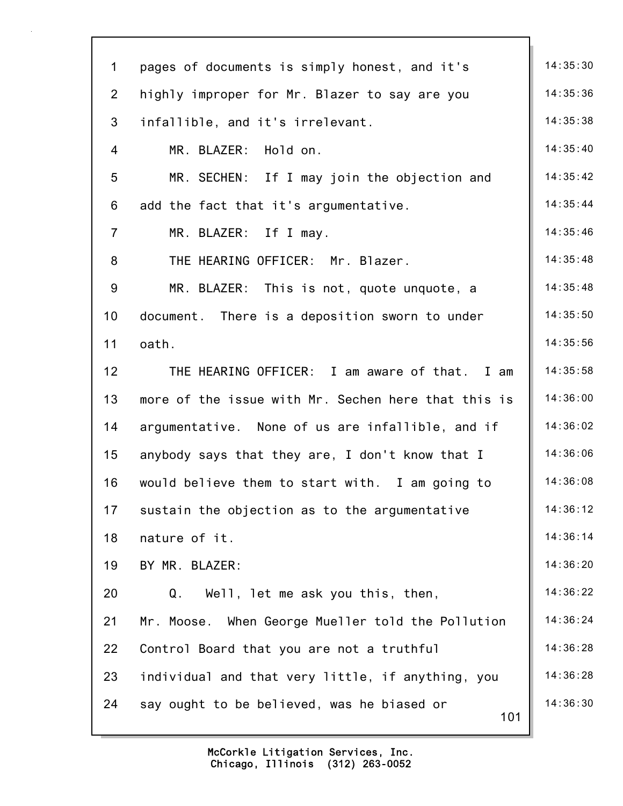| $\mathbf{1}$   | pages of documents is simply honest, and it's       | 14:35:30 |
|----------------|-----------------------------------------------------|----------|
| $\overline{2}$ | highly improper for Mr. Blazer to say are you       | 14:35:36 |
| $\mathfrak{B}$ | infallible, and it's irrelevant.                    | 14:35:38 |
| 4              | MR. BLAZER: Hold on.                                | 14:35:40 |
| 5              | MR. SECHEN: If I may join the objection and         | 14:35:42 |
| 6              | add the fact that it's argumentative.               | 14:35:44 |
| $\overline{7}$ | MR. BLAZER: If I may.                               | 14:35:46 |
| 8              | THE HEARING OFFICER: Mr. Blazer.                    | 14:35:48 |
| 9              | MR. BLAZER: This is not, quote unquote, a           | 14:35:48 |
| 10             | document. There is a deposition sworn to under      | 14:35:50 |
| 11             | oath.                                               | 14:35:56 |
| 12             | THE HEARING OFFICER: I am aware of that. I am       | 14:35:58 |
| 13             | more of the issue with Mr. Sechen here that this is | 14:36:00 |
| 14             | argumentative. None of us are infallible, and if    | 14:36:02 |
| 15             | anybody says that they are, I don't know that I     | 14:36:06 |
| 16             | would believe them to start with. I am going to     | 14:36:08 |
| 17             | sustain the objection as to the argumentative       | 14:36:12 |
| 18             | nature of it.                                       | 14:36:14 |
| 19             | BY MR. BLAZER:                                      | 14:36:20 |
| 20             | Q.<br>Well, let me ask you this, then,              | 14:36:22 |
| 21             | Mr. Moose. When George Mueller told the Pollution   | 14:36:24 |
| 22             | Control Board that you are not a truthful           | 14:36:28 |
| 23             | individual and that very little, if anything, you   | 14:36:28 |
| 24             | say ought to be believed, was he biased or<br>101   | 14:36:30 |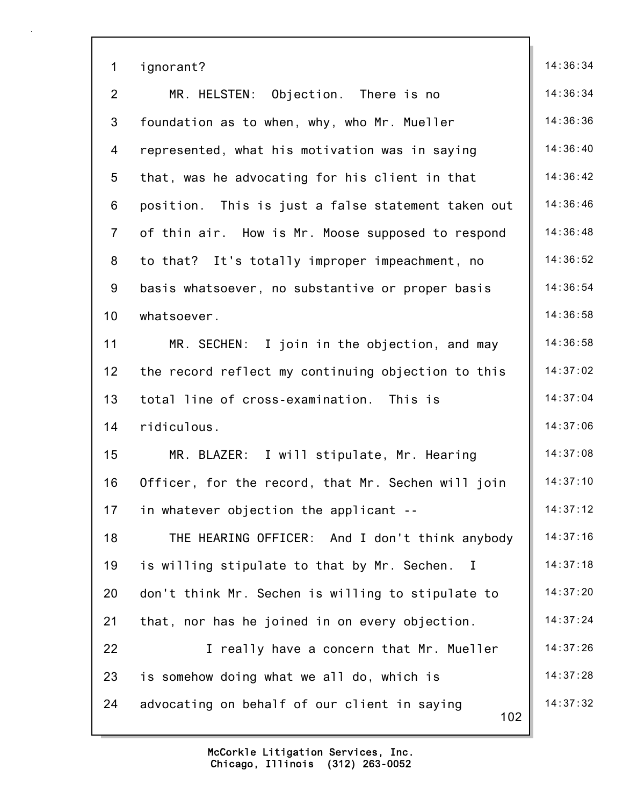| $\mathbf 1$     | ignorant?                                                   | 14:36:34 |
|-----------------|-------------------------------------------------------------|----------|
| $\overline{2}$  | MR. HELSTEN: Objection. There is no                         | 14:36:34 |
| 3               | foundation as to when, why, who Mr. Mueller                 | 14:36:36 |
| 4               | represented, what his motivation was in saying              | 14:36:40 |
| 5               | that, was he advocating for his client in that              | 14:36:42 |
| 6               | position. This is just a false statement taken out          | 14:36:46 |
| $\overline{7}$  | of thin air. How is Mr. Moose supposed to respond           | 14:36:48 |
| 8               | to that? It's totally improper impeachment, no              | 14:36:52 |
| 9               | basis whatsoever, no substantive or proper basis            | 14:36:54 |
| 10 <sub>1</sub> | whatsoever.                                                 | 14:36:58 |
| 11              | MR. SECHEN: I join in the objection, and may                | 14:36:58 |
| 12              | the record reflect my continuing objection to this          | 14:37:02 |
| 13              | total line of cross-examination. This is                    | 14:37:04 |
| 14              | ridiculous.                                                 | 14:37:06 |
| 15              | MR. BLAZER: I will stipulate, Mr. Hearing                   | 14:37:08 |
| 16              | Officer, for the record, that Mr. Sechen will join          | 14:37:10 |
| 17              | in whatever objection the applicant --                      | 14:37:12 |
| 18              | THE HEARING OFFICER: And I don't think anybody              | 14:37:16 |
| 19              | is willing stipulate to that by Mr. Sechen.<br>$\mathbf{I}$ | 14:37:18 |
| 20              | don't think Mr. Sechen is willing to stipulate to           | 14:37:20 |
| 21              | that, nor has he joined in on every objection.              | 14:37:24 |
| 22              | I really have a concern that Mr. Mueller                    | 14:37:26 |
| 23              | is somehow doing what we all do, which is                   | 14:37:28 |
| 24              | advocating on behalf of our client in saying<br>102         | 14:37:32 |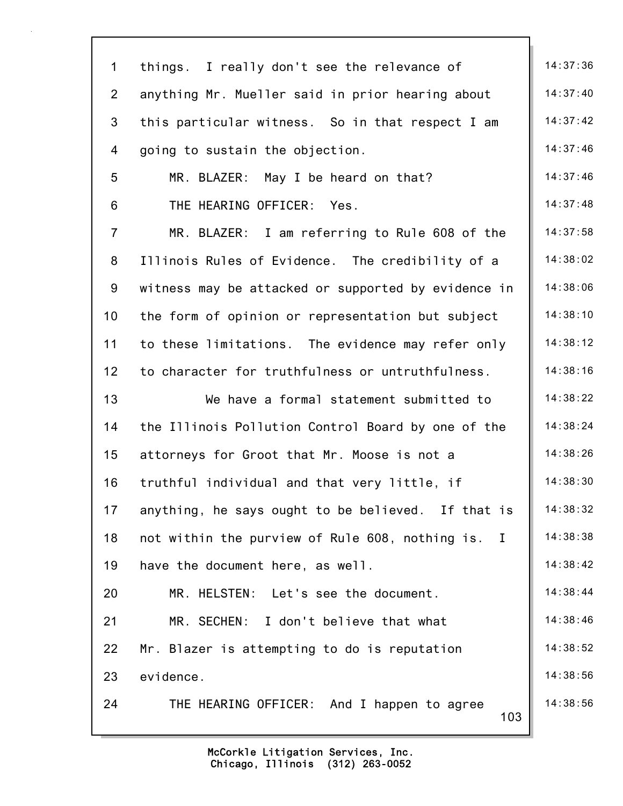| $\mathbf 1$     | things. I really don't see the relevance of         | 14:37:36 |
|-----------------|-----------------------------------------------------|----------|
| $\overline{2}$  | anything Mr. Mueller said in prior hearing about    | 14:37:40 |
| 3               | this particular witness. So in that respect I am    | 14:37:42 |
| 4               | going to sustain the objection.                     | 14:37:46 |
| $5\phantom{.0}$ | MR. BLAZER: May I be heard on that?                 | 14:37:46 |
| 6               | THE HEARING OFFICER:<br>Yes.                        | 14:37:48 |
| $\overline{7}$  | MR. BLAZER: I am referring to Rule 608 of the       | 14:37:58 |
| 8               | Illinois Rules of Evidence. The credibility of a    | 14:38:02 |
| 9               | witness may be attacked or supported by evidence in | 14:38:06 |
| 10              | the form of opinion or representation but subject   | 14:38:10 |
| 11              | to these limitations. The evidence may refer only   | 14:38:12 |
| 12              | to character for truthfulness or untruthfulness.    | 14:38:16 |
| 13              | We have a formal statement submitted to             | 14:38:22 |
| 14              | the Illinois Pollution Control Board by one of the  | 14:38:24 |
| 15              | attorneys for Groot that Mr. Moose is not a         | 14:38:26 |
| 16              | truthful individual and that very little, if        | 14:38:30 |
| 17              | anything, he says ought to be believed. If that is  | 14:38:32 |
| 18              | not within the purview of Rule 608, nothing is. I   | 14:38:38 |
| 19              | have the document here, as well.                    | 14:38:42 |
| 20              | MR. HELSTEN: Let's see the document.                | 14:38:44 |
| 21              | MR. SECHEN: I don't believe that what               | 14:38:46 |
| 22              | Mr. Blazer is attempting to do is reputation        | 14:38:52 |
| 23              | evidence.                                           | 14:38:56 |
| 24              | THE HEARING OFFICER: And I happen to agree<br>103   | 14:38:56 |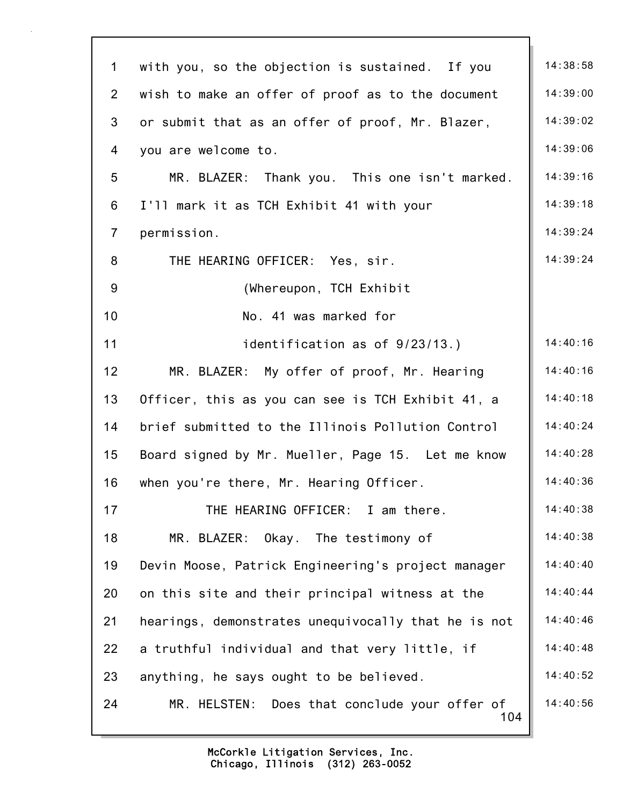| $\mathbf 1$    | with you, so the objection is sustained. If you      | 14:38:58 |
|----------------|------------------------------------------------------|----------|
| $\overline{2}$ | wish to make an offer of proof as to the document    | 14:39:00 |
| 3              | or submit that as an offer of proof, Mr. Blazer,     | 14:39:02 |
| 4              | you are welcome to.                                  | 14:39:06 |
| 5              | MR. BLAZER: Thank you. This one isn't marked.        | 14:39:16 |
| 6              | I'll mark it as TCH Exhibit 41 with your             | 14:39:18 |
| $\overline{7}$ | permission.                                          | 14:39:24 |
| 8              | THE HEARING OFFICER: Yes, sir.                       | 14:39:24 |
| 9              | (Whereupon, TCH Exhibit                              |          |
| 10             | No. 41 was marked for                                |          |
| 11             | identification as of 9/23/13.)                       | 14:40:16 |
| 12             | MR. BLAZER: My offer of proof, Mr. Hearing           | 14:40:16 |
| 13             | Officer, this as you can see is TCH Exhibit 41, a    | 14:40:18 |
| 14             | brief submitted to the Illinois Pollution Control    | 14:40:24 |
| 15             | Board signed by Mr. Mueller, Page 15. Let me know    | 14:40:28 |
| 16             | when you're there, Mr. Hearing Officer.              | 14:40:36 |
| 17             | THE HEARING OFFICER: I am there.                     | 14:40:38 |
| 18             | MR. BLAZER: Okay. The testimony of                   | 14:40:38 |
| 19             | Devin Moose, Patrick Engineering's project manager   | 14:40:40 |
| 20             | on this site and their principal witness at the      | 14:40:44 |
| 21             | hearings, demonstrates unequivocally that he is not  | 14:40:46 |
| 22             | a truthful individual and that very little, if       | 14:40:48 |
| 23             | anything, he says ought to be believed.              | 14:40:52 |
| 24             | MR. HELSTEN: Does that conclude your offer of<br>104 | 14:40:56 |
|                |                                                      |          |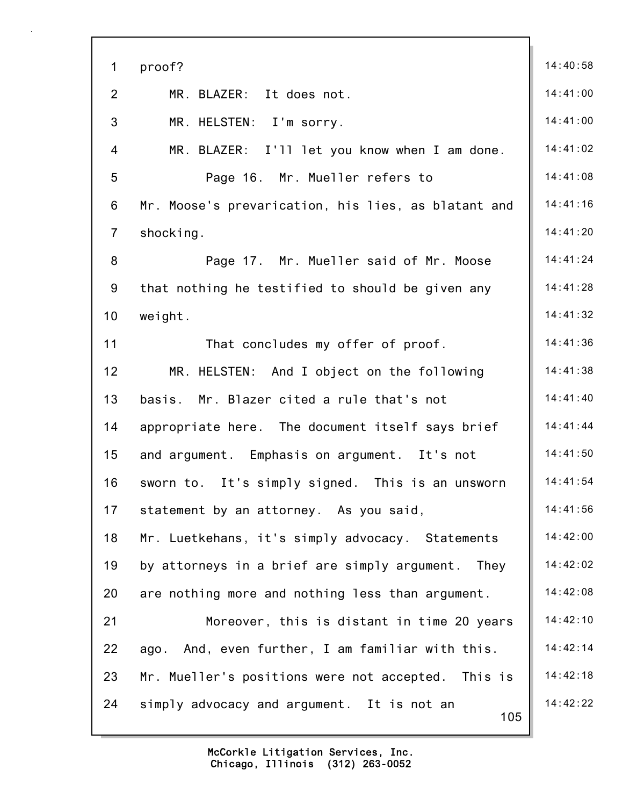| $\mathbf 1$     | proof?                                              | 14:40:58 |
|-----------------|-----------------------------------------------------|----------|
| $\overline{2}$  | MR. BLAZER: It does not.                            | 14:41:00 |
| 3               | MR. HELSTEN: I'm sorry.                             | 14:41:00 |
| $\overline{4}$  | MR. BLAZER: I'll let you know when I am done.       | 14:41:02 |
| 5               | Page 16. Mr. Mueller refers to                      | 14:41:08 |
| 6               | Mr. Moose's prevarication, his lies, as blatant and | 14:41:16 |
| $\overline{7}$  | shocking.                                           | 14:41:20 |
| 8               | Page 17. Mr. Mueller said of Mr. Moose              | 14:41:24 |
| 9               | that nothing he testified to should be given any    | 14:41:28 |
| 10 <sub>1</sub> | weight.                                             | 14:41:32 |
| 11              | That concludes my offer of proof.                   | 14:41:36 |
| 12              | MR. HELSTEN: And I object on the following          | 14:41:38 |
| 13              | basis. Mr. Blazer cited a rule that's not           | 14:41:40 |
| 14              | appropriate here. The document itself says brief    | 14:41:44 |
| 15              | and argument. Emphasis on argument. It's not        | 14:41:50 |
| 16              | sworn to. It's simply signed. This is an unsworn    | 14:41:54 |
| 17              | statement by an attorney. As you said,              | 14:41:56 |
| 18              | Mr. Luetkehans, it's simply advocacy. Statements    | 14:42:00 |
| 19              | by attorneys in a brief are simply argument. They   | 14:42:02 |
| 20              | are nothing more and nothing less than argument.    | 14:42:08 |
| 21              | Moreover, this is distant in time 20 years          | 14:42:10 |
| 22              | ago. And, even further, I am familiar with this.    | 14:42:14 |
| 23              | Mr. Mueller's positions were not accepted. This is  | 14:42:18 |
| 24              | simply advocacy and argument. It is not an<br>105   | 14:42:22 |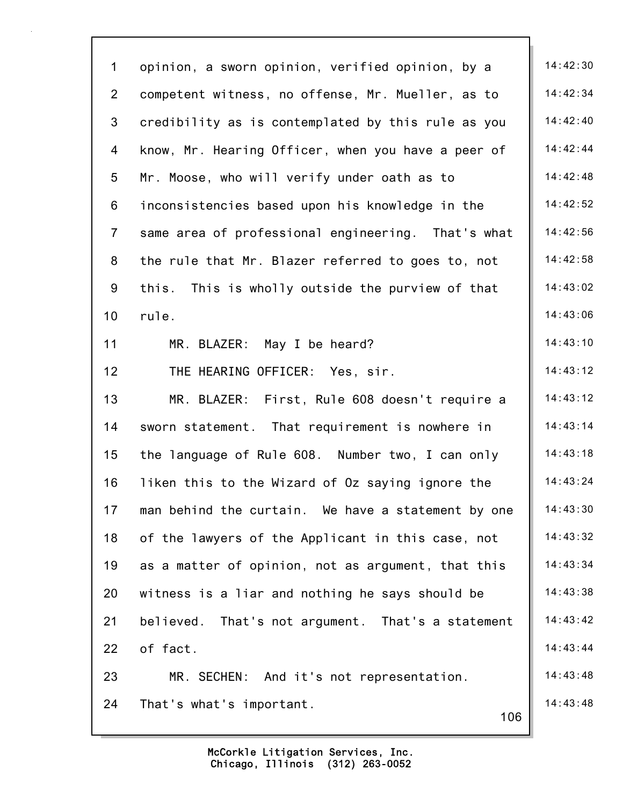| $\mathbf{1}$    | opinion, a sworn opinion, verified opinion, by a   | 14:42:30 |
|-----------------|----------------------------------------------------|----------|
| $\overline{2}$  | competent witness, no offense, Mr. Mueller, as to  | 14:42:34 |
| 3               | credibility as is contemplated by this rule as you | 14:42:40 |
| 4               | know, Mr. Hearing Officer, when you have a peer of | 14:42:44 |
| 5               | Mr. Moose, who will verify under oath as to        | 14:42:48 |
| 6               | inconsistencies based upon his knowledge in the    | 14:42:52 |
| $\overline{7}$  | same area of professional engineering. That's what | 14:42:56 |
| 8               | the rule that Mr. Blazer referred to goes to, not  | 14:42:58 |
| 9               | this. This is wholly outside the purview of that   | 14:43:02 |
| 10 <sub>1</sub> | rule.                                              | 14:43:06 |
| 11              | MR. BLAZER: May I be heard?                        | 14:43:10 |
| 12              | THE HEARING OFFICER: Yes, sir.                     | 14:43:12 |
| 13              | MR. BLAZER: First, Rule 608 doesn't require a      | 14:43:12 |
| 14              | sworn statement. That requirement is nowhere in    | 14:43:14 |
| 15              | the language of Rule 608. Number two, I can only   | 14:43:18 |
| 16              | liken this to the Wizard of Oz saying ignore the   | 14:43:24 |
| 17              | man behind the curtain. We have a statement by one | 14:43:30 |
| 18              | of the lawyers of the Applicant in this case, not  | 14:43:32 |
| 19              | as a matter of opinion, not as argument, that this | 14:43:34 |
| 20              | witness is a liar and nothing he says should be    | 14:43:38 |
| 21              | believed. That's not argument. That's a statement  | 14:43:42 |
| 22              | of fact.                                           | 14:43:44 |
| 23              | MR. SECHEN: And it's not representation.           | 14:43:48 |
| 24              | That's what's important.<br>106                    | 14:43:48 |
|                 |                                                    |          |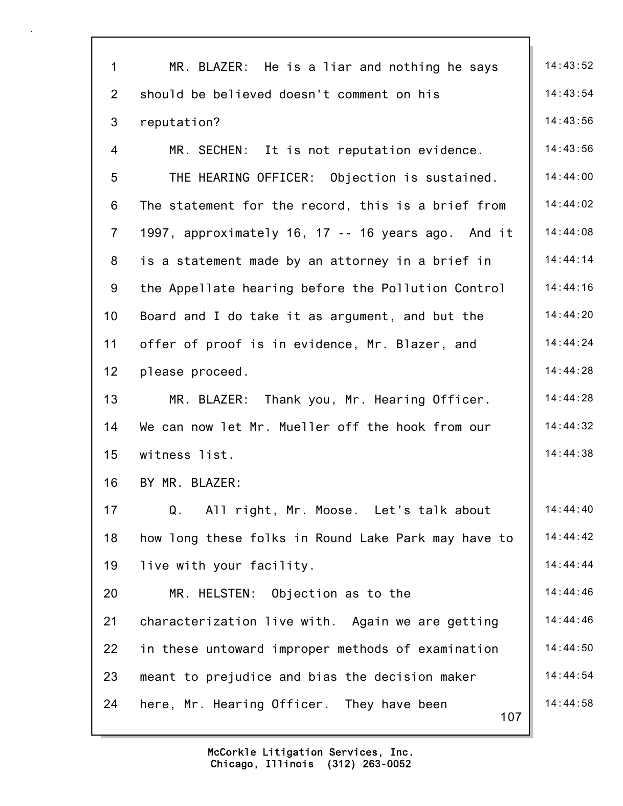| $\mathbf{1}$   | MR. BLAZER: He is a liar and nothing he says        | 14:43:52 |
|----------------|-----------------------------------------------------|----------|
| 2              | should be believed doesn't comment on his           | 14:43:54 |
| 3              | reputation?                                         | 14:43:56 |
| 4              | MR. SECHEN: It is not reputation evidence.          | 14:43:56 |
| 5              | THE HEARING OFFICER: Objection is sustained.        | 14:44:00 |
| 6              | The statement for the record, this is a brief from  | 14:44:02 |
| $\overline{7}$ | 1997, approximately 16, 17 -- 16 years ago. And it  | 14:44:08 |
| 8              | is a statement made by an attorney in a brief in    | 14:44:14 |
| 9              | the Appellate hearing before the Pollution Control  | 14:44:16 |
| 10             | Board and I do take it as argument, and but the     | 14:44:20 |
| 11             | offer of proof is in evidence, Mr. Blazer, and      | 14:44:24 |
| 12             | please proceed.                                     | 14:44:28 |
| 13             | MR. BLAZER: Thank you, Mr. Hearing Officer.         | 14:44:28 |
| 14             | We can now let Mr. Mueller off the hook from our    | 14:44:32 |
| 15             | witness list.                                       | 14:44:38 |
| 16             | BY MR. BLAZER:                                      |          |
| 17             | Q.<br>All right, Mr. Moose. Let's talk about        | 14:44:40 |
| 18             | how long these folks in Round Lake Park may have to | 14:44:42 |
| 19             | live with your facility.                            | 14:44:44 |
| 20             | MR. HELSTEN: Objection as to the                    | 14:44:46 |
| 21             | characterization live with. Again we are getting    | 14:44:46 |
| 22             | in these untoward improper methods of examination   | 14:44:50 |
| 23             | meant to prejudice and bias the decision maker      | 14:44:54 |
| 24             | here, Mr. Hearing Officer. They have been<br>107    | 14:44:58 |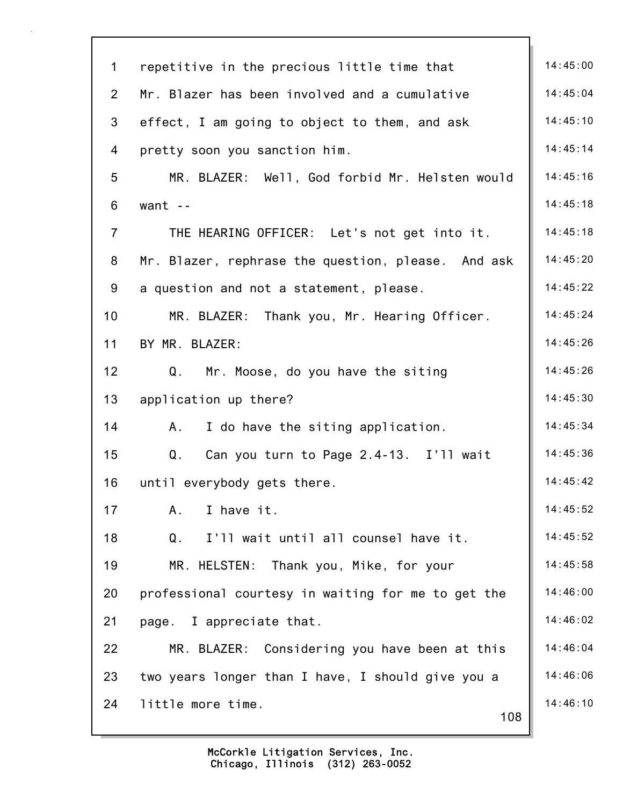| $\mathbf 1$<br>repetitive in the precious little time that<br>Mr. Blazer has been involved and a cumulative<br>$\overline{2}$<br>3<br>effect, I am going to object to them, and ask<br>pretty soon you sanction him.<br>4<br>MR. BLAZER: Well, God forbid Mr. Helsten would<br>5<br>6<br>want $-$<br>$\overline{7}$<br>THE HEARING OFFICER: Let's not get into it.<br>8<br>Mr. Blazer, rephrase the question, please. And ask<br>9<br>a question and not a statement, please.<br>10<br>MR. BLAZER: Thank you, Mr. Hearing Officer.<br>BY MR. BLAZER:<br>11<br>12<br>Q.<br>Mr. Moose, do you have the siting<br>13<br>application up there?<br>14<br>I do have the siting application.<br>A., | 14:45:00<br>14:45:04<br>14:45:10<br>14:45:14<br>14:45:16<br>14:45:18<br>14:45:18 |
|----------------------------------------------------------------------------------------------------------------------------------------------------------------------------------------------------------------------------------------------------------------------------------------------------------------------------------------------------------------------------------------------------------------------------------------------------------------------------------------------------------------------------------------------------------------------------------------------------------------------------------------------------------------------------------------------|----------------------------------------------------------------------------------|
|                                                                                                                                                                                                                                                                                                                                                                                                                                                                                                                                                                                                                                                                                              |                                                                                  |
|                                                                                                                                                                                                                                                                                                                                                                                                                                                                                                                                                                                                                                                                                              |                                                                                  |
|                                                                                                                                                                                                                                                                                                                                                                                                                                                                                                                                                                                                                                                                                              |                                                                                  |
|                                                                                                                                                                                                                                                                                                                                                                                                                                                                                                                                                                                                                                                                                              |                                                                                  |
|                                                                                                                                                                                                                                                                                                                                                                                                                                                                                                                                                                                                                                                                                              |                                                                                  |
|                                                                                                                                                                                                                                                                                                                                                                                                                                                                                                                                                                                                                                                                                              |                                                                                  |
|                                                                                                                                                                                                                                                                                                                                                                                                                                                                                                                                                                                                                                                                                              |                                                                                  |
|                                                                                                                                                                                                                                                                                                                                                                                                                                                                                                                                                                                                                                                                                              | 14:45:20                                                                         |
|                                                                                                                                                                                                                                                                                                                                                                                                                                                                                                                                                                                                                                                                                              | 14:45:22                                                                         |
|                                                                                                                                                                                                                                                                                                                                                                                                                                                                                                                                                                                                                                                                                              | 14:45:24                                                                         |
|                                                                                                                                                                                                                                                                                                                                                                                                                                                                                                                                                                                                                                                                                              | 14:45:26                                                                         |
|                                                                                                                                                                                                                                                                                                                                                                                                                                                                                                                                                                                                                                                                                              | 14:45:26                                                                         |
|                                                                                                                                                                                                                                                                                                                                                                                                                                                                                                                                                                                                                                                                                              | 14:45:30                                                                         |
|                                                                                                                                                                                                                                                                                                                                                                                                                                                                                                                                                                                                                                                                                              | 14:45:34                                                                         |
| 15<br>Q.<br>Can you turn to Page 2.4-13. I'll wait                                                                                                                                                                                                                                                                                                                                                                                                                                                                                                                                                                                                                                           | 14:45:36                                                                         |
| 16<br>until everybody gets there.                                                                                                                                                                                                                                                                                                                                                                                                                                                                                                                                                                                                                                                            | 14:45:42                                                                         |
| 17<br>I have it.<br>A.                                                                                                                                                                                                                                                                                                                                                                                                                                                                                                                                                                                                                                                                       | 14:45:52                                                                         |
| 18<br>I'll wait until all counsel have it.<br>Q.                                                                                                                                                                                                                                                                                                                                                                                                                                                                                                                                                                                                                                             | 14:45:52                                                                         |
| 19<br>MR. HELSTEN:<br>Thank you, Mike, for your                                                                                                                                                                                                                                                                                                                                                                                                                                                                                                                                                                                                                                              | 14:45:58                                                                         |
| professional courtesy in waiting for me to get the<br>20                                                                                                                                                                                                                                                                                                                                                                                                                                                                                                                                                                                                                                     | 14:46:00                                                                         |
| 21<br>page. I appreciate that.                                                                                                                                                                                                                                                                                                                                                                                                                                                                                                                                                                                                                                                               | 14:46:02                                                                         |
| 22<br>MR. BLAZER: Considering you have been at this                                                                                                                                                                                                                                                                                                                                                                                                                                                                                                                                                                                                                                          | 14:46:04                                                                         |
| 23<br>two years longer than I have, I should give you a                                                                                                                                                                                                                                                                                                                                                                                                                                                                                                                                                                                                                                      | 14:46:06                                                                         |
| 24<br>little more time.<br>108                                                                                                                                                                                                                                                                                                                                                                                                                                                                                                                                                                                                                                                               | 14:46:10                                                                         |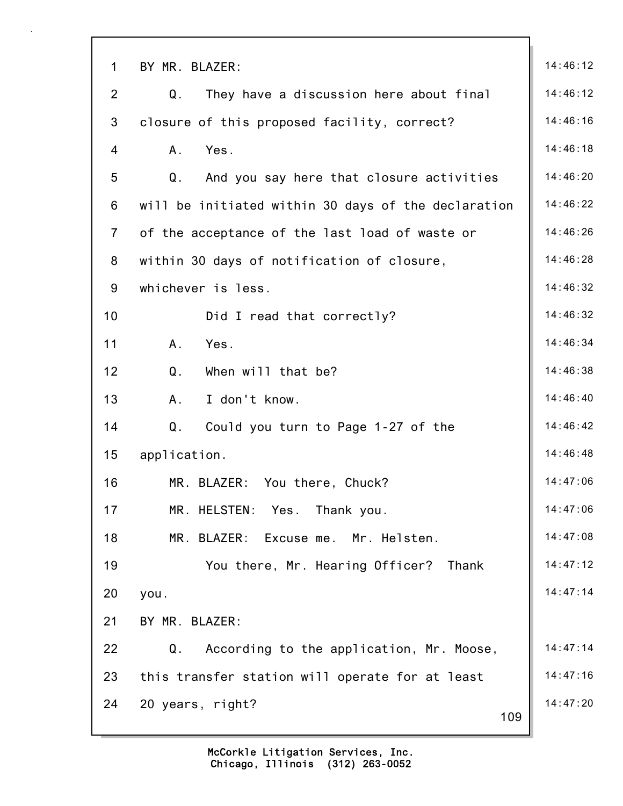| $\mathbf{1}$   | BY MR. BLAZER:                                      | 14:46:12 |
|----------------|-----------------------------------------------------|----------|
| $\overline{2}$ | Q.<br>They have a discussion here about final       | 14:46:12 |
| 3              | closure of this proposed facility, correct?         | 14:46:16 |
| 4              | A.<br>Yes.                                          | 14:46:18 |
| 5              | Q.<br>And you say here that closure activities      | 14:46:20 |
| 6              | will be initiated within 30 days of the declaration | 14:46:22 |
| $\overline{7}$ | of the acceptance of the last load of waste or      | 14:46:26 |
| 8              | within 30 days of notification of closure,          | 14:46:28 |
| 9              | whichever is less.                                  | 14:46:32 |
| 10             | Did I read that correctly?                          | 14:46:32 |
| 11             | A.<br>Yes.                                          | 14:46:34 |
| 12             | Q <sub>1</sub><br>When will that be?                | 14:46:38 |
| 13             | A <sub>1</sub><br>I don't know.                     | 14:46:40 |
| 14             | Q.<br>Could you turn to Page 1-27 of the            | 14:46:42 |
| 15             | application.                                        | 14:46:48 |
| 16             | MR. BLAZER: You there, Chuck?                       | 14:47:06 |
| 17             | MR. HELSTEN: Yes. Thank you.                        | 14:47:06 |
| 18             | MR. BLAZER:<br>Excuse me.<br>Mr. Helsten.           | 14:47:08 |
| 19             | You there, Mr. Hearing Officer? Thank               | 14:47:12 |
| 20             | you.                                                | 14:47:14 |
| 21             | BY MR. BLAZER:                                      |          |
| 22             | Q.<br>According to the application, Mr. Moose,      | 14:47:14 |
| 23             | this transfer station will operate for at least     | 14:47:16 |
| 24             | 20 years, right?<br>109                             | 14:47:20 |
|                |                                                     |          |

٦Ì,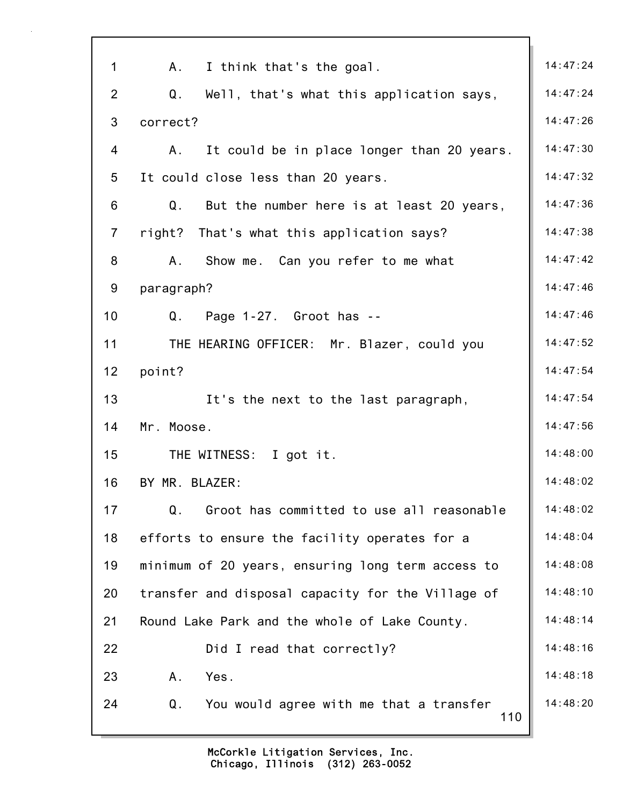| $\mathbf 1$    | A. I think that's the goal.                       | 14:47:24 |
|----------------|---------------------------------------------------|----------|
| $\overline{2}$ | Q.<br>Well, that's what this application says,    | 14:47:24 |
| 3              | correct?                                          | 14:47:26 |
| 4              | It could be in place longer than 20 years.<br>A.  | 14:47:30 |
| 5              | It could close less than 20 years.                | 14:47:32 |
| 6              | Q.<br>But the number here is at least 20 years,   | 14:47:36 |
| $\overline{7}$ | right? That's what this application says?         | 14:47:38 |
| 8              | Show me. Can you refer to me what<br>A.           | 14:47:42 |
| 9              | paragraph?                                        | 14:47:46 |
| 10             | $Q.$ Page 1-27. Groot has $-$                     | 14:47:46 |
| 11             |                                                   | 14:47:52 |
|                | THE HEARING OFFICER: Mr. Blazer, could you        | 14:47:54 |
| 12             | point?                                            |          |
| 13             | It's the next to the last paragraph,              | 14:47:54 |
| 14             | Mr. Moose.                                        | 14:47:56 |
| 15             | THE WITNESS: I got it.                            | 14:48:00 |
| 16             | BY MR. BLAZER:                                    | 14:48:02 |
| 17             | Q.<br>Groot has committed to use all reasonable   | 14:48:02 |
| 18             | efforts to ensure the facility operates for a     | 14:48:04 |
| 19             | minimum of 20 years, ensuring long term access to | 14:48:08 |
| 20             | transfer and disposal capacity for the Village of | 14:48:10 |
| 21             | Round Lake Park and the whole of Lake County.     | 14:48:14 |
| 22             | Did I read that correctly?                        | 14:48:16 |
| 23             | A.<br>Yes.                                        | 14:48:18 |
| 24             | Q.<br>You would agree with me that a transfer     | 14:48:20 |
|                | 110                                               |          |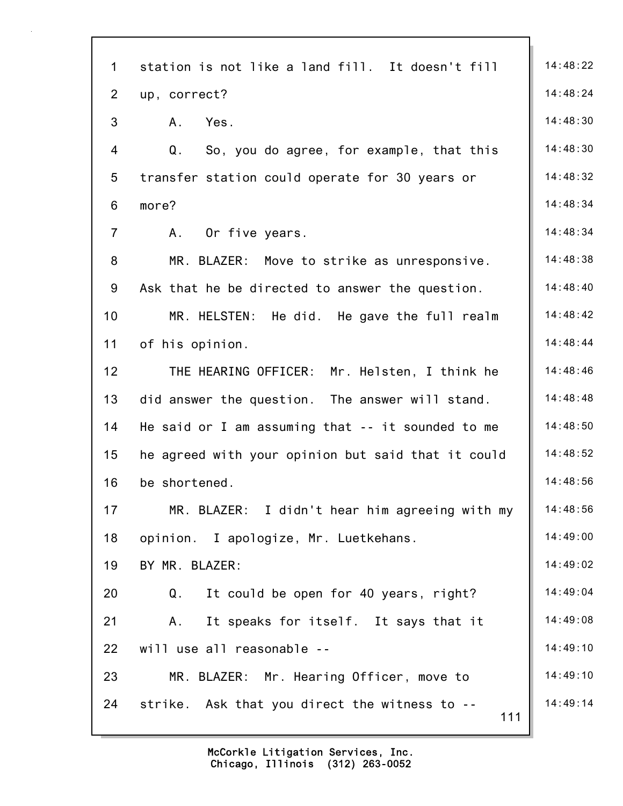| $\mathbf{1}$   | station is not like a land fill. It doesn't fill        | 14:48:22 |
|----------------|---------------------------------------------------------|----------|
| $\overline{2}$ | up, correct?                                            | 14:48:24 |
| 3              | Yes.<br>A.                                              | 14:48:30 |
| 4              | $Q_{\perp}$<br>So, you do agree, for example, that this | 14:48:30 |
| 5              | transfer station could operate for 30 years or          | 14:48:32 |
| 6              | more?                                                   | 14:48:34 |
| $\overline{7}$ | Or five years.<br>Α.                                    | 14:48:34 |
| 8              | MR. BLAZER: Move to strike as unresponsive.             | 14:48:38 |
| 9              | Ask that he be directed to answer the question.         | 14:48:40 |
| 10             | MR. HELSTEN: He did. He gave the full realm             | 14:48:42 |
| 11             | of his opinion.                                         | 14:48:44 |
| 12             | THE HEARING OFFICER: Mr. Helsten, I think he            | 14:48:46 |
| 13             | did answer the question. The answer will stand.         | 14:48:48 |
| 14             | He said or I am assuming that -- it sounded to me       | 14:48:50 |
| 15             | he agreed with your opinion but said that it could      | 14:48:52 |
| 16             | be shortened.                                           | 14:48:56 |
| 17             | MR. BLAZER: I didn't hear him agreeing with my          | 14:48:56 |
| 18             | opinion. I apologize, Mr. Luetkehans.                   | 14:49:00 |
| 19             | BY MR. BLAZER:                                          | 14:49:02 |
| 20             | It could be open for 40 years, right?<br>Q.             | 14:49:04 |
| 21             | It speaks for itself. It says that it<br>A.,            | 14:49:08 |
| 22             | will use all reasonable --                              | 14:49:10 |
| 23             | MR. BLAZER: Mr. Hearing Officer, move to                | 14:49:10 |
| 24             | strike. Ask that you direct the witness to --<br>111    | 14:49:14 |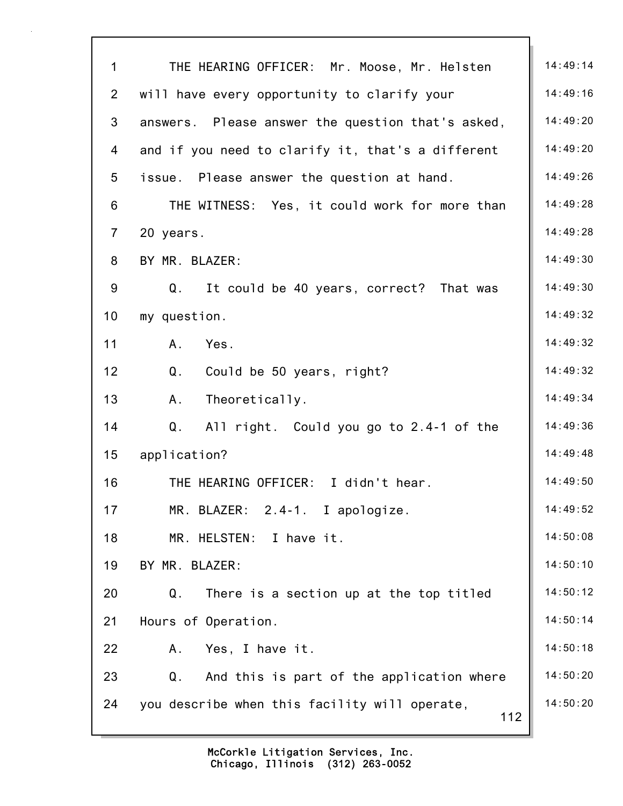| $\mathbf{1}$   | THE HEARING OFFICER: Mr. Moose, Mr. Helsten          | 14:49:14 |
|----------------|------------------------------------------------------|----------|
| $\overline{2}$ | will have every opportunity to clarify your          | 14:49:16 |
| 3              | answers. Please answer the question that's asked,    | 14:49:20 |
| 4              | and if you need to clarify it, that's a different    | 14:49:20 |
| 5              | issue. Please answer the question at hand.           | 14:49:26 |
| 6              | THE WITNESS: Yes, it could work for more than        | 14:49:28 |
| $\overline{7}$ | 20 years.                                            | 14:49:28 |
| 8              | BY MR. BLAZER:                                       | 14:49:30 |
| 9              | Q.<br>It could be 40 years, correct? That was        | 14:49:30 |
| 10             | my question.                                         | 14:49:32 |
| 11             | A <sub>1</sub><br>Yes.                               | 14:49:32 |
| 12             | Q.<br>Could be 50 years, right?                      | 14:49:32 |
| 13             | A.<br>Theoretically.                                 | 14:49:34 |
| 14             | Q.<br>All right. Could you go to 2.4-1 of the        | 14:49:36 |
| 15             | application?                                         | 14:49:48 |
| 16             | THE HEARING OFFICER: I didn't hear.                  | 14:49:50 |
| 17             | MR. BLAZER: 2.4-1. I apologize.                      | 14:49:52 |
| 18             | MR. HELSTEN: I have it.                              | 14:50:08 |
| 19             | BY MR. BLAZER:                                       | 14:50:10 |
| 20             | Q.<br>There is a section up at the top titled        | 14:50:12 |
| 21             | Hours of Operation.                                  | 14:50:14 |
| 22             | Yes, I have it.<br>Α.                                | 14:50:18 |
| 23             | And this is part of the application where<br>Q.      | 14:50:20 |
| 24             | you describe when this facility will operate,<br>112 | 14:50:20 |
|                |                                                      |          |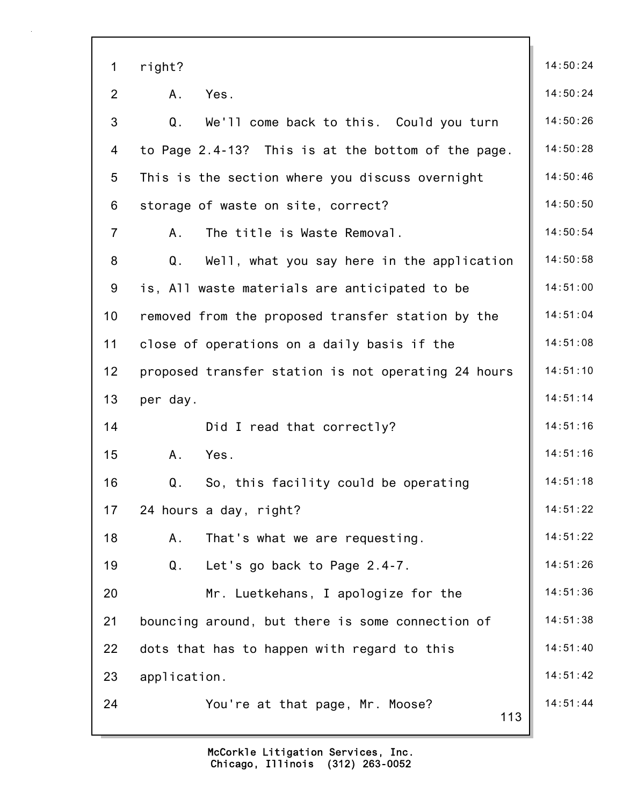| $\mathbf 1$    | right?                                              | 14:50:24 |
|----------------|-----------------------------------------------------|----------|
| $\overline{2}$ | A.<br>Yes.                                          | 14:50:24 |
| 3              | Q.<br>We'll come back to this. Could you turn       | 14:50:26 |
| $\overline{4}$ | to Page 2.4-13? This is at the bottom of the page.  | 14:50:28 |
| 5              | This is the section where you discuss overnight     | 14:50:46 |
| 6              | storage of waste on site, correct?                  | 14:50:50 |
| $\overline{7}$ | A.<br>The title is Waste Removal.                   | 14:50:54 |
| 8              | Well, what you say here in the application<br>Q.    | 14:50:58 |
| 9              | is, All waste materials are anticipated to be       | 14:51:00 |
| 10             | removed from the proposed transfer station by the   | 14:51:04 |
| 11             | close of operations on a daily basis if the         | 14:51:08 |
| 12             | proposed transfer station is not operating 24 hours | 14:51:10 |
| 13             | per day.                                            | 14:51:14 |
| 14             | Did I read that correctly?                          | 14:51:16 |
| 15             | Yes.<br>A.                                          | 14:51:16 |
| 16             | So, this facility could be operating<br>Q.          | 14:51:18 |
| 17             | 24 hours a day, right?                              | 14:51:22 |
| 18             | That's what we are requesting.<br>Α.                | 14:51:22 |
| 19             | Q.<br>Let's go back to Page 2.4-7.                  | 14:51:26 |
| 20             | Mr. Luetkehans, I apologize for the                 | 14:51:36 |
| 21             | bouncing around, but there is some connection of    | 14:51:38 |
| 22             | dots that has to happen with regard to this         | 14:51:40 |
| 23             | application.                                        | 14:51:42 |
| 24             | You're at that page, Mr. Moose?<br>113              | 14:51:44 |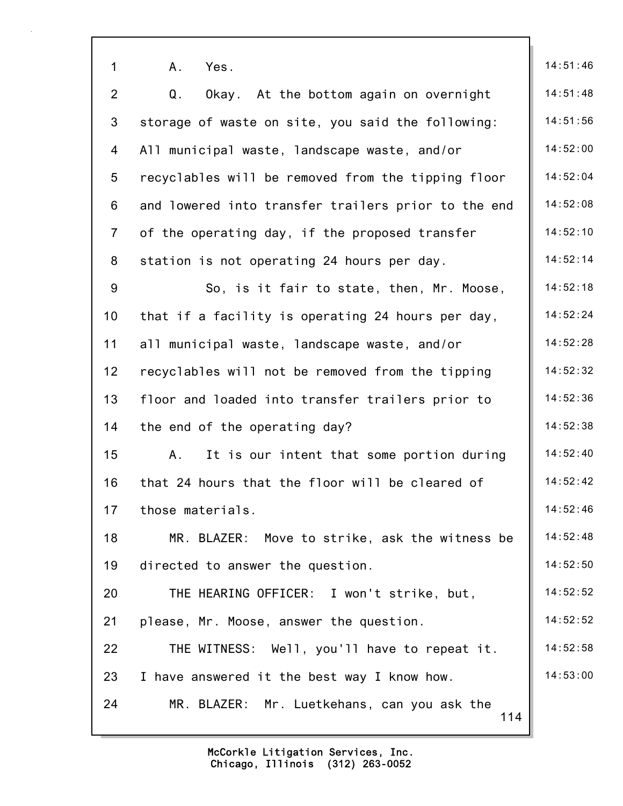| 1               | Yes.<br>A.                                          | 14:51:46 |
|-----------------|-----------------------------------------------------|----------|
| $\overline{2}$  | Q.<br>Okay. At the bottom again on overnight        | 14:51:48 |
| $\mathfrak{S}$  | storage of waste on site, you said the following:   | 14:51:56 |
| 4               | All municipal waste, landscape waste, and/or        | 14:52:00 |
| $5\phantom{.0}$ | recyclables will be removed from the tipping floor  | 14:52:04 |
| 6               | and lowered into transfer trailers prior to the end | 14:52:08 |
| $\overline{7}$  | of the operating day, if the proposed transfer      | 14:52:10 |
| 8               | station is not operating 24 hours per day.          | 14:52:14 |
| $9\,$           | So, is it fair to state, then, Mr. Moose,           | 14:52:18 |
| 10              | that if a facility is operating 24 hours per day,   | 14:52:24 |
| 11              | all municipal waste, landscape waste, and/or        | 14:52:28 |
| 12              | recyclables will not be removed from the tipping    | 14:52:32 |
| 13              | floor and loaded into transfer trailers prior to    | 14:52:36 |
| 14              | the end of the operating day?                       | 14:52:38 |
| 15              | It is our intent that some portion during<br>Α.     | 14:52:40 |
| 16              | that 24 hours that the floor will be cleared of     | 14:52:42 |
| 17              | those materials.                                    | 14:52:46 |
| 18              | MR. BLAZER: Move to strike, ask the witness be      | 14:52:48 |
| 19              | directed to answer the question.                    | 14:52:50 |
| 20              | THE HEARING OFFICER: I won't strike, but,           | 14:52:52 |
| 21              | please, Mr. Moose, answer the question.             | 14:52:52 |
| 22              | THE WITNESS: Well, you'll have to repeat it.        | 14:52:58 |
| 23              | I have answered it the best way I know how.         | 14:53:00 |
| 24              | MR. BLAZER: Mr. Luetkehans, can you ask the<br>114  |          |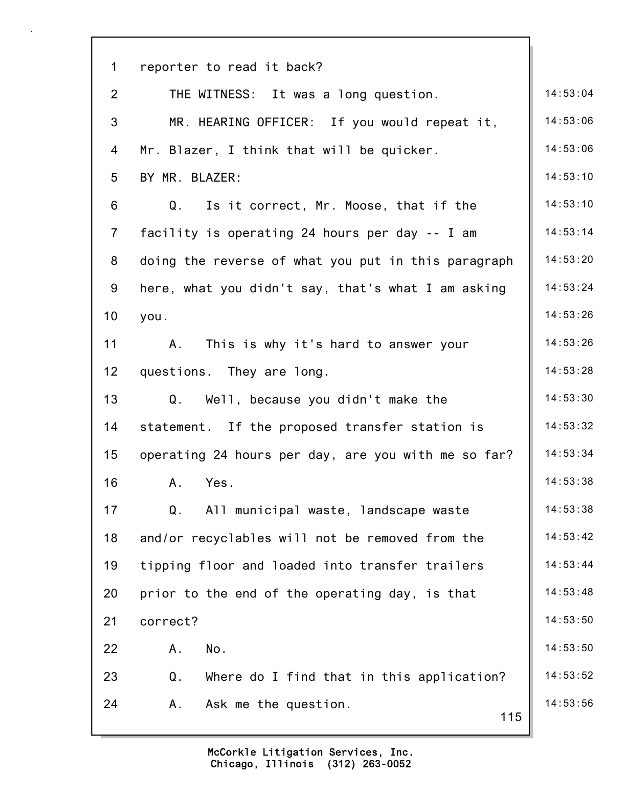| $\mathbf 1$     | reporter to read it back?                             |          |
|-----------------|-------------------------------------------------------|----------|
| $\overline{2}$  | THE WITNESS: It was a long question.                  | 14:53:04 |
| 3               | MR. HEARING OFFICER: If you would repeat it,          | 14:53:06 |
| 4               | Mr. Blazer, I think that will be quicker.             | 14:53:06 |
| 5               | BY MR. BLAZER:                                        | 14:53:10 |
| 6               | Q.<br>Is it correct, Mr. Moose, that if the           | 14:53:10 |
| $\overline{7}$  | facility is operating 24 hours per day -- I am        | 14:53:14 |
| 8               | doing the reverse of what you put in this paragraph   | 14:53:20 |
| 9               | here, what you didn't say, that's what I am asking    | 14:53:24 |
| 10              | you.                                                  | 14:53:26 |
| 11              | Α.<br>This is why it's hard to answer your            | 14:53:26 |
| 12 <sub>2</sub> | questions. They are long.                             | 14:53:28 |
| 13              | Q. Well, because you didn't make the                  | 14:53:30 |
| 14              | statement. If the proposed transfer station is        | 14:53:32 |
| 15              | operating 24 hours per day, are you with me so far?   | 14:53:34 |
| 16              | Α.<br>Yes.                                            | 14:53:38 |
| 17              | $\mathsf Q$ .<br>All municipal waste, landscape waste | 14:53:38 |
| 18              | and/or recyclables will not be removed from the       | 14:53:42 |
| 19              | tipping floor and loaded into transfer trailers       | 14:53:44 |
| 20              | prior to the end of the operating day, is that        | 14:53:48 |
| 21              | correct?                                              | 14:53:50 |
| 22              | No.<br>Α.                                             | 14:53:50 |
| 23              | Q.<br>Where do I find that in this application?       | 14:53:52 |
| 24              | Ask me the question.<br>A.<br>115                     | 14:53:56 |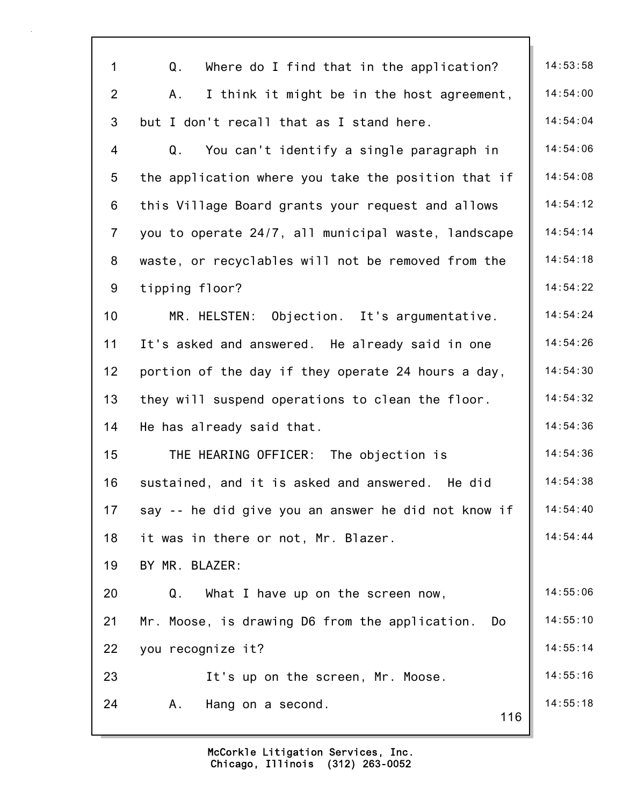| $\mathbf{1}$    | Q.<br>Where do I find that in the application?       | 14:53:58 |
|-----------------|------------------------------------------------------|----------|
| $\overline{2}$  | I think it might be in the host agreement,<br>Α.     | 14:54:00 |
| 3               | but I don't recall that as I stand here.             | 14:54:04 |
| 4               | You can't identify a single paragraph in<br>Q.       | 14:54:06 |
| 5               | the application where you take the position that if  | 14:54:08 |
| 6               | this Village Board grants your request and allows    | 14:54:12 |
| $\overline{7}$  | you to operate 24/7, all municipal waste, landscape  | 14:54:14 |
| 8               | waste, or recyclables will not be removed from the   | 14:54:18 |
| 9               | tipping floor?                                       | 14:54:22 |
| 10              | MR. HELSTEN: Objection. It's argumentative.          | 14:54:24 |
| 11              | It's asked and answered. He already said in one      | 14:54:26 |
| 12 <sub>2</sub> | portion of the day if they operate 24 hours a day,   | 14:54:30 |
| 13              | they will suspend operations to clean the floor.     | 14:54:32 |
| 14              | He has already said that.                            | 14:54:36 |
| 15              | THE HEARING OFFICER: The objection is                | 14:54:36 |
| 16              | sustained, and it is asked and answered.<br>He did   | 14:54:38 |
| 17              | say -- he did give you an answer he did not know if  | 14:54:40 |
| 18              | it was in there or not, Mr. Blazer.                  | 14:54:44 |
| 19              | BY MR. BLAZER:                                       |          |
| 20              | Q.<br>What I have up on the screen now,              | 14:55:06 |
| 21              | Mr. Moose, is drawing D6 from the application.<br>Do | 14:55:10 |
| 22              | you recognize it?                                    | 14:55:14 |
| 23              | It's up on the screen, Mr. Moose.                    | 14:55:16 |
| 24              | Hang on a second.<br>Α.<br>116                       | 14:55:18 |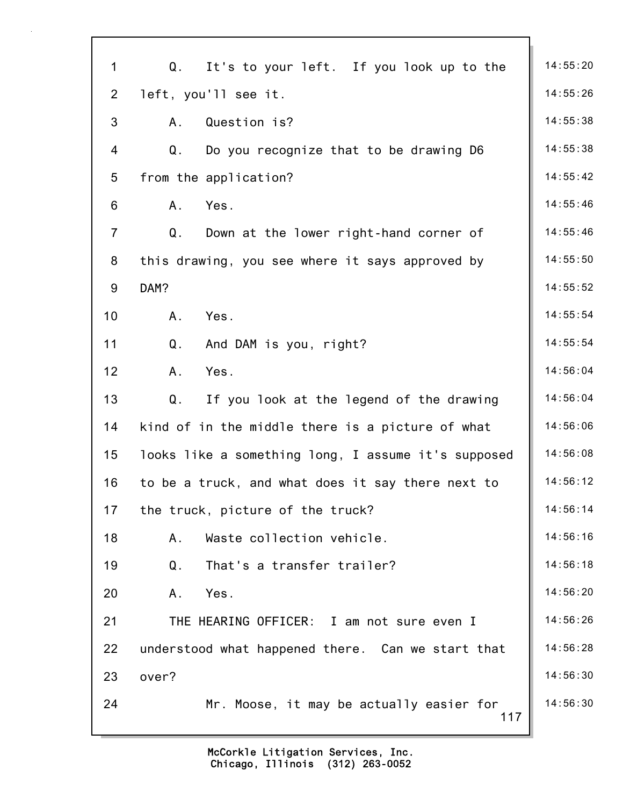| $\mathbf{1}$   | It's to your left. If you look up to the<br>Q.      | 14:55:20 |
|----------------|-----------------------------------------------------|----------|
| $\overline{2}$ | left, you'll see it.                                | 14:55:26 |
| 3              | Question is?<br>A.                                  | 14:55:38 |
| $\overline{4}$ | Q.<br>Do you recognize that to be drawing D6        | 14:55:38 |
| $\overline{5}$ | from the application?                               | 14:55:42 |
| $6\,$          | Yes.<br>A.                                          | 14:55:46 |
| $\overline{7}$ | Q.<br>Down at the lower right-hand corner of        | 14:55:46 |
| 8              | this drawing, you see where it says approved by     | 14:55:50 |
| 9              | DAM?                                                | 14:55:52 |
| 10             | Yes.<br>A.                                          | 14:55:54 |
| 11             | Q <sub>1</sub><br>And DAM is you, right?            | 14:55:54 |
| 12             | Yes.<br>A.                                          | 14:56:04 |
| 13             | Q.<br>If you look at the legend of the drawing      | 14:56:04 |
| 14             | kind of in the middle there is a picture of what    | 14:56:06 |
| 15             | looks like a something long, I assume it's supposed | 14:56:08 |
| 16             | to be a truck, and what does it say there next to   | 14:56:12 |
| 17             | the truck, picture of the truck?                    | 14:56:14 |
| 18             | Waste collection vehicle.<br>Α.                     | 14:56:16 |
| 19             | Q <sub>1</sub><br>That's a transfer trailer?        | 14:56:18 |
| 20             | Yes.<br>A.                                          | 14:56:20 |
| 21             | THE HEARING OFFICER: I am not sure even I           | 14:56:26 |
| 22             | understood what happened there. Can we start that   | 14:56:28 |
| 23             | over?                                               | 14:56:30 |
| 24             | Mr. Moose, it may be actually easier for<br>117     | 14:56:30 |
|                |                                                     |          |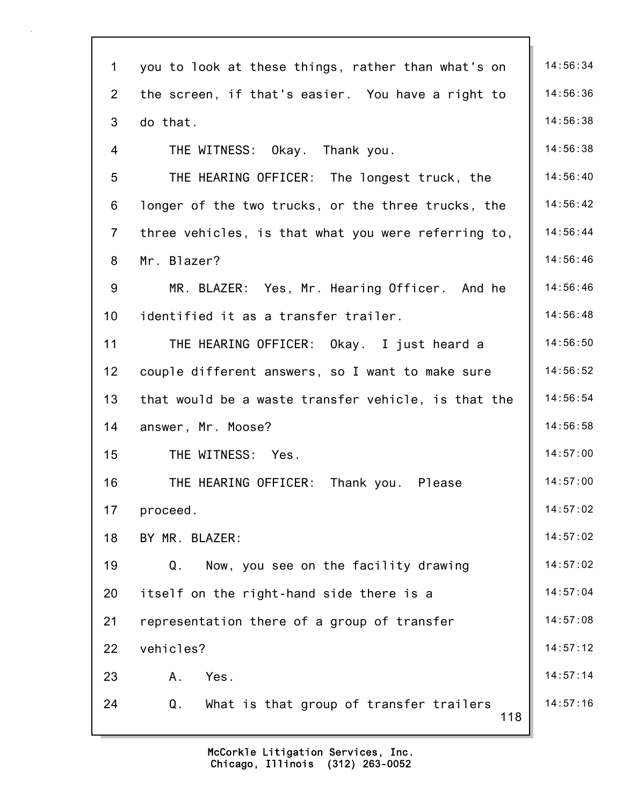| $\mathbf 1$    | you to look at these things, rather than what's on   | 14:56:34 |
|----------------|------------------------------------------------------|----------|
| $\overline{2}$ | the screen, if that's easier. You have a right to    | 14:56:36 |
| 3              | do that.                                             | 14:56:38 |
| 4              | THE WITNESS: Okay. Thank you.                        | 14:56:38 |
| 5              | THE HEARING OFFICER: The longest truck, the          | 14:56:40 |
| 6              | longer of the two trucks, or the three trucks, the   | 14:56:42 |
| $\overline{7}$ | three vehicles, is that what you were referring to,  | 14:56:44 |
| 8              | Mr. Blazer?                                          | 14:56:46 |
| 9              | MR. BLAZER: Yes, Mr. Hearing Officer. And he         | 14:56:46 |
| 10             | identified it as a transfer trailer.                 | 14:56:48 |
| 11             | THE HEARING OFFICER: Okay. I just heard a            | 14:56:50 |
| 12             | couple different answers, so I want to make sure     | 14:56:52 |
| 13             | that would be a waste transfer vehicle, is that the  | 14:56:54 |
| 14             | answer, Mr. Moose?                                   | 14:56:58 |
| 15             | THE WITNESS: Yes.                                    | 14:57:00 |
| 16             | THE HEARING OFFICER:<br>Thank you. Please            | 14:57:00 |
| 17             | proceed.                                             | 14:57:02 |
| 18             | BY MR. BLAZER:                                       | 14:57:02 |
| 19             | Now, you see on the facility drawing<br>Q.           | 14:57:02 |
| 20             | itself on the right-hand side there is a             | 14:57:04 |
| 21             | representation there of a group of transfer          | 14:57:08 |
| 22             | vehicles?                                            | 14:57:12 |
| 23             | Yes.<br>A.                                           | 14:57:14 |
| 24             | Q.<br>What is that group of transfer trailers<br>118 | 14:57:16 |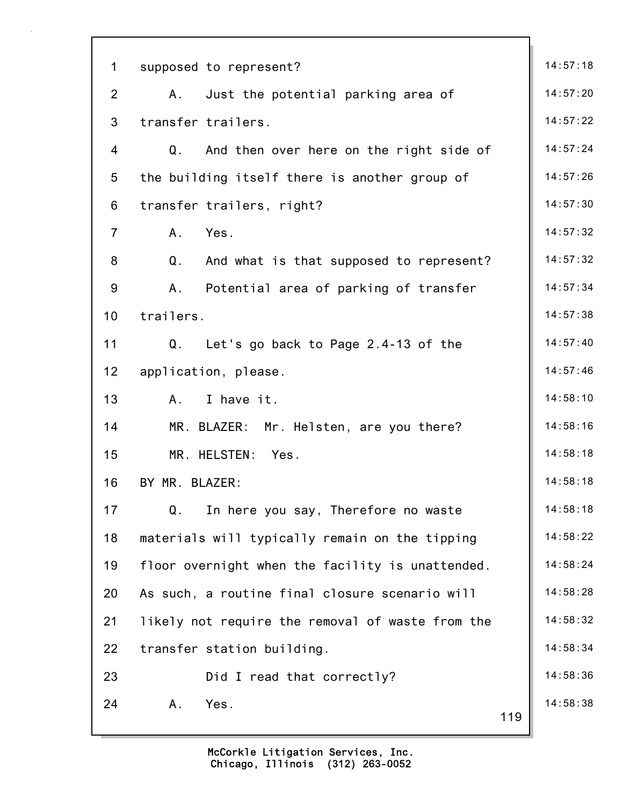| $\mathbf 1$     | supposed to represent?                                   | 14:57:18 |
|-----------------|----------------------------------------------------------|----------|
| $\overline{2}$  | Just the potential parking area of<br>Α.                 | 14:57:20 |
| 3               | transfer trailers.                                       | 14:57:22 |
| $\overline{4}$  | Q. And then over here on the right side of               | 14:57:24 |
| 5               | the building itself there is another group of            | 14:57:26 |
| 6               | transfer trailers, right?                                | 14:57:30 |
| $\overline{7}$  | A.<br>Yes.                                               | 14:57:32 |
| 8               | $\mathsf Q$ .<br>And what is that supposed to represent? | 14:57:32 |
| 9               | Α.<br>Potential area of parking of transfer              | 14:57:34 |
| 10 <sub>1</sub> | trailers.                                                | 14:57:38 |
| 11              | Q. Let's go back to Page 2.4-13 of the                   | 14:57:40 |
| 12 <sub>2</sub> | application, please.                                     | 14:57:46 |
| 13              | I have it.<br>$A_{\cdot}$                                | 14:58:10 |
| 14              | MR. BLAZER: Mr. Helsten, are you there?                  | 14:58:16 |
| 15              | MR. HELSTEN: Yes.                                        | 14:58:18 |
| 16              | BY MR. BLAZER:                                           | 14:58:18 |
| 17              | Q <sub>1</sub><br>In here you say, Therefore no waste    | 14:58:18 |
| 18              | materials will typically remain on the tipping           | 14:58:22 |
| 19              | floor overnight when the facility is unattended.         | 14:58:24 |
| 20              | As such, a routine final closure scenario will           | 14:58:28 |
| 21              | likely not require the removal of waste from the         | 14:58:32 |
| 22              | transfer station building.                               | 14:58:34 |
| 23              | Did I read that correctly?                               | 14:58:36 |
| 24              | Yes.<br>A.<br>119                                        | 14:58:38 |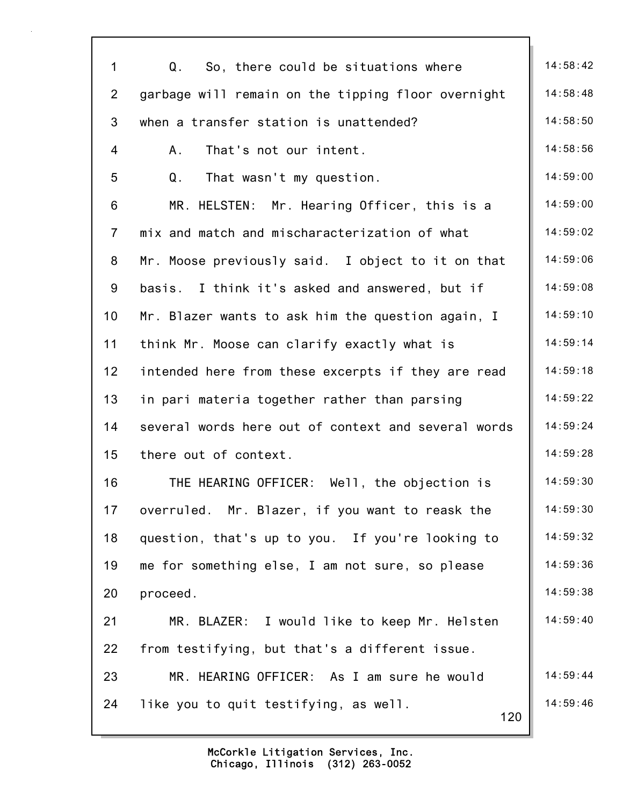| $\mathbf 1$    | So, there could be situations where<br>Q.           | 14:58:42 |
|----------------|-----------------------------------------------------|----------|
| $\overline{2}$ | garbage will remain on the tipping floor overnight  | 14:58:48 |
| 3              | when a transfer station is unattended?              | 14:58:50 |
| 4              | That's not our intent.<br>A.                        | 14:58:56 |
| 5              | That wasn't my question.<br>Q.                      | 14:59:00 |
| 6              | MR. HELSTEN: Mr. Hearing Officer, this is a         | 14:59:00 |
| $\overline{7}$ | mix and match and mischaracterization of what       | 14:59:02 |
| 8              | Mr. Moose previously said. I object to it on that   | 14:59:06 |
| 9              | basis. I think it's asked and answered, but if      | 14:59:08 |
| 10             | Mr. Blazer wants to ask him the question again, I   | 14:59:10 |
| 11             | think Mr. Moose can clarify exactly what is         | 14:59:14 |
| 12             | intended here from these excerpts if they are read  | 14:59:18 |
| 13             | in pari materia together rather than parsing        | 14:59:22 |
| 14             | several words here out of context and several words | 14:59:24 |
| 15             | there out of context.                               | 14:59:28 |
| 16             | THE HEARING OFFICER:<br>Well, the objection is      | 14:59:30 |
| 17             | overruled. Mr. Blazer, if you want to reask the     | 14:59:30 |
| 18             | question, that's up to you. If you're looking to    | 14:59:32 |
| 19             | me for something else, I am not sure, so please     | 14:59:36 |
| 20             | proceed.                                            | 14:59:38 |
| 21             | MR. BLAZER: I would like to keep Mr. Helsten        | 14:59:40 |
| 22             | from testifying, but that's a different issue.      |          |
| 23             | MR. HEARING OFFICER: As I am sure he would          | 14:59:44 |
| 24             | like you to quit testifying, as well.<br>120        | 14:59:46 |
|                |                                                     |          |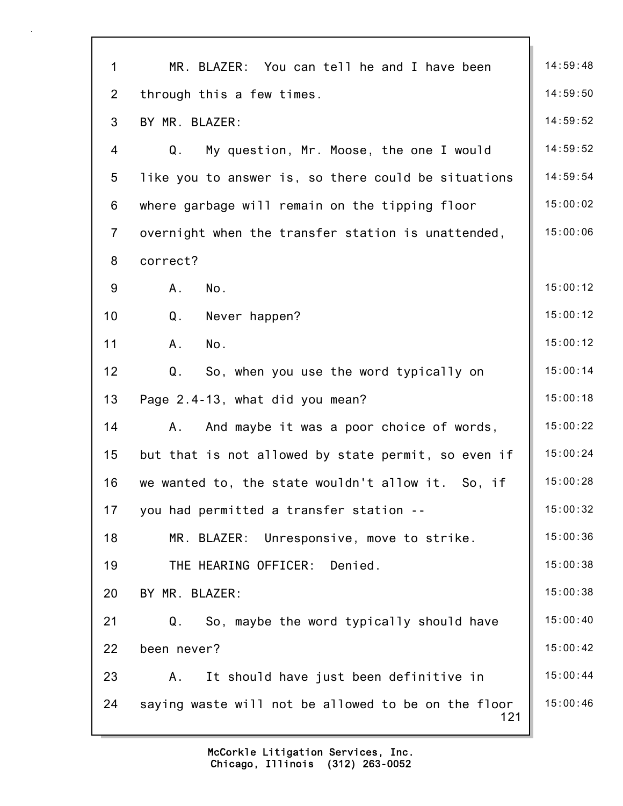| $\mathbf{1}$   | MR. BLAZER: You can tell he and I have been                | 14:59:48 |
|----------------|------------------------------------------------------------|----------|
| $\overline{2}$ | through this a few times.                                  | 14:59:50 |
| 3              | BY MR. BLAZER:                                             | 14:59:52 |
| 4              | Q.<br>My question, Mr. Moose, the one I would              | 14:59:52 |
| 5              | like you to answer is, so there could be situations        | 14:59:54 |
| 6              | where garbage will remain on the tipping floor             | 15:00:02 |
| $\overline{7}$ | overnight when the transfer station is unattended,         | 15:00:06 |
| 8              | correct?                                                   |          |
| 9              | A.<br>No.                                                  | 15:00:12 |
| 10             | Q.<br>Never happen?                                        | 15:00:12 |
| 11             | A.<br>No.                                                  | 15:00:12 |
| 12             | So, when you use the word typically on<br>Q.               | 15:00:14 |
| 13             | Page 2.4-13, what did you mean?                            | 15:00:18 |
| 14             | And maybe it was a poor choice of words,<br>A.             | 15:00:22 |
| 15             | but that is not allowed by state permit, so even if        | 15:00:24 |
| 16             | we wanted to, the state wouldn't allow it. So, if          | 15:00:28 |
| 17             | you had permitted a transfer station --                    | 15:00:32 |
| 18             | MR. BLAZER: Unresponsive, move to strike.                  | 15:00:36 |
| 19             | THE HEARING OFFICER:<br>Denied.                            | 15:00:38 |
| 20             | BY MR. BLAZER:                                             | 15:00:38 |
| 21             | So, maybe the word typically should have<br>Q.             | 15:00:40 |
| 22             | been never?                                                | 15:00:42 |
| 23             | It should have just been definitive in<br>Α.               | 15:00:44 |
| 24             | saying waste will not be allowed to be on the floor<br>121 | 15:00:46 |
|                |                                                            |          |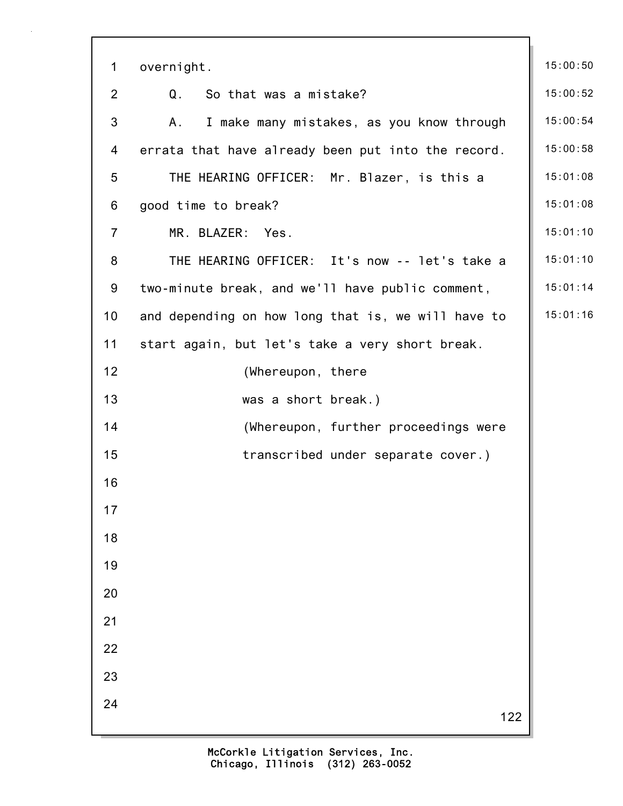| $\mathbf 1$    | overnight.                                         | 15:00:50 |
|----------------|----------------------------------------------------|----------|
| $\overline{2}$ | Q.<br>So that was a mistake?                       | 15:00:52 |
| 3              |                                                    | 15:00:54 |
|                | I make many mistakes, as you know through<br>Α.    |          |
| 4              | errata that have already been put into the record. | 15:00:58 |
| 5              | THE HEARING OFFICER: Mr. Blazer, is this a         | 15:01:08 |
| 6              | good time to break?                                | 15:01:08 |
| $\overline{7}$ | MR. BLAZER: Yes.                                   | 15:01:10 |
| 8              | THE HEARING OFFICER: It's now -- let's take a      | 15:01:10 |
| 9              | two-minute break, and we'll have public comment,   | 15:01:14 |
| 10             | and depending on how long that is, we will have to | 15:01:16 |
| 11             | start again, but let's take a very short break.    |          |
| 12             | (Whereupon, there                                  |          |
| 13             | was a short break.)                                |          |
| 14             | (Whereupon, further proceedings were               |          |
| 15             | transcribed under separate cover.)                 |          |
| 16             |                                                    |          |
| 17             |                                                    |          |
| 18             |                                                    |          |
| 19             |                                                    |          |
| 20             |                                                    |          |
| 21             |                                                    |          |
| 22             |                                                    |          |
| 23             |                                                    |          |
| 24             | 122                                                |          |
|                |                                                    |          |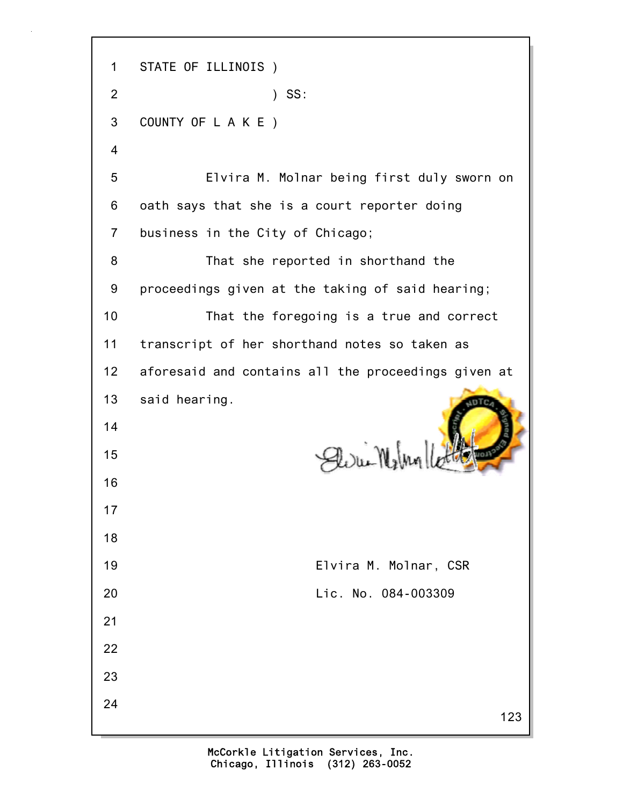1 STATE OF ILLINOIS ) 2 ) SS: 3 COUNTY OF L A K E ) 4 5 Elvira M. Molnar being first duly sworn on 6 oath says that she is a court reporter doing 7 business in the City of Chicago; 8 That she reported in shorthand the 9 proceedings given at the taking of said hearing; 10 That the foregoing is a true and correct 11 transcript of her shorthand notes so taken as 12 aforesaid and contains all the proceedings given at 13 said hearing. 14 Eliri-Wilm 15 16 17 18 19 Elvira M. Molnar, CSR 20 Lic. No. 084-003309 21 22 23 24123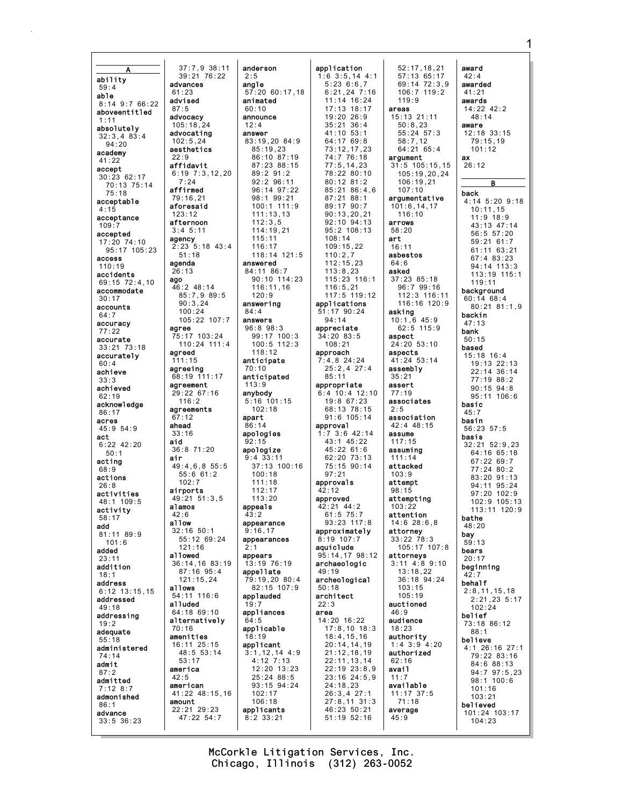ability  $59:4$ able 8:14 9:7 66:22 aboveentitled absolutely  $32:3,483:4$  $94:20$ academy  $41:22$ accept  $30.2362.17$ 70:13 75:14  $75:18$ acceptable  $4:15$ acceptance accepted 17:20 74:10 95:17 105:23 access  $110:19$ accidents 69:15 72:4,10 accommodate  $30:17$ accounts  $64:7$ accuracy  $77.22$ accurate  $33:21$   $73:18$ accurately  $60:4$ achieve  $33.3$ achieved  $62:19$ acknowledge  $86:17$ acres  $45:954:9$ act  $6:22$  42:20  $50.1$ acting  $68.0$ actions  $26:8$ activities 48:1 109:5 activity  $58:17$ add  $81:1189:9$  $101:6$ added addition  $18:1$ address  $6:12$  13:15.15 addressed 49:18 addressing adequate  $55:18$ administered 74:14 admit  $87.2$ admitted  $7:128:7$ admonished  $86:1$ advance  $33:5$  36:23

37:7,9 38:11<br>39:21 76:22 advances  $61.23$ advised  $87:5$ advocacy 105:18.24 advocating  $102.524$ aesthetics  $22.9$ affidavit  $6:19$   $7:3.12.20$  $7:24$ affirmed 79:16.21 aforesaid  $123:12$ afternoon  $3:4$  5:11 agency  $2:23$   $5:18$   $43:4$  $51.18$ agenda  $26:13$ ago 46:2 48:14 85:7,9 89:5  $90:3,24$  $100:24$  $105:22$  107:7 agree 75:17 103:24  $110:24$  111:4 agreed  $111:15$ agreeing 68:19 111:17 agreement 29:22 67:16  $116:2$ agreements  $67:12$ ahead  $33:16$ aid  $36:8$  71:20 air  $49:4.6.8.55:5$  $55:661:2$  $102:7$ airports  $49.21$  51.3 5 alamos  $42.6$ allow  $32:16.50:1$ 55:12 69:24  $121.16$ allowed 36:14,16 83:19 87:16 95:4  $121:15.24$ allows 54:11 116:6 alluded 64:18 69:10 alternatively  $70:16$ amenities 16:11 25:15 48:5 53:14  $53:17$ america  $42:5$ american 41:22 48:15,16 amount 22:21 29:23  $47:22$  54:7

anderson  $2:5$ angle  $57:20$  60:17.18 animated  $60:10$ announce  $12:4$ answer  $83:19.20$   $84:9$  $85:19.23$ 86:10 87:19  $87.23$   $88.15$  $89:291:2$ 92:2 96:11  $96:14$   $97:22$  $98:1$   $99:21$  $100:1$  111:9  $111:13.13$  $112:3,5$  $114:19.21$  $115:11$  $116:17$  $118:14$  121:5 answered 84:11 86:7 90:10 114:23  $116:11,16$  $120.9$ answering  $84:4$ answers  $96:898:3$ 99:17 100:3  $100:5$  112:3  $118:12$ anticipate  $70:10$ anticipated  $113:9$ anybody  $5:16$  101:15  $102:18$ apart  $86:14$ apologies  $92:15$ apologize  $9.4.33.11$  $37:13$  100:16  $100:18$  $111:18$  $112:17$  $113.20$ appeals  $43:2$ appearance  $9:16.17$ appearances appears 13:19 76:19 appellate 79:19,20 80:4 82:15 107:9 applauded appliances  $64:5$ applicable  $18.19$ applicant  $3:1, 12, 14$  4:9  $4:12$  7:13  $12:20$   $13:23$ 25:24 88:5 93:15 94:24  $102:17$  $106:18$ applicants  $8:2$  33:21

application  $1:6$  3:5, 14 4:1  $5:23.6:6.7$  $6:21,24$  7:16  $11:14$  16:24  $17:13$   $18:17$  $19.20.26.9$  $35:21$   $36:4$  $41:10$  53:1  $64.1769.8$  $73:12.17.23$ 74:7 76:18  $77:5.14.23$ 78:22 80:10  $80:12$   $81:2$  $85:21.86:4.6$  $87:21.88:1$  $89.1790.7$  $90:13.20.21$ 92:10 94:13  $95.2108.13$  $108:14$  $109:15,22$  $110:2.7$  $112:15,23$  $113:8,23$ 115:23 116:1  $116:5,21$ 117:5 119:12 applications  $51:17$  90:24  $94:14$ appreciate  $34:20$  83:5  $108:21$ approach  $7:4,8$  24:24  $25:2,4$  27:4  $85:11$ appropriate  $6:4$  10:4 12:10  $19:8$  67:23  $68:13$  78:15  $91:6$  105:14 approval  $1:7$  3:6 42:14  $43:1$   $45:22$ 45:22 61:6  $62.20$   $73.13$  $75:15.90:14$  $97:21$ approvals  $42:12$ approved 42:21 44:2  $61:5$  75:7  $93.23$  117.8 approximately 8:19 107:7 aquiclude 95:14,17 98:12 archaeologic  $49.19$ archeological  $50:18$ architect  $22:3$ area 14:20 16:22  $17:8,10$  18:3  $18:4, 15, 16$  $20:14,14,19$  $21:12,18,19$  $22:11, 13, 14$  $22:19$   $23:8,9$ 23:16 24:5,9  $24:18.23$  $26:3,427:1$  $27:8,11$  31:3 46:23 50:21  $51:19$   $52:16$ 

 $52:17, 18, 21$  $57:13.65:17$ 69:14 72:3.9  $106:7$  119:2  $119:9$ areas  $15:13$  21:11  $50:8.23$ 55:24 57:3  $58.712$  $64:2165:4$ argument  $31:5$  105:15.15 105:19.20.24  $106:19.21$  $107:10$ argumentative  $101:6, 14, 17$  $116:10$ arrows  $58.20$ art  $16:11$ asbestos  $64:6$ asked 37:23 85:18 96:7 99:16 112:3 116:11 116:16 120:9 asking  $10:1,6$  45:9  $62:5$  115:9 aspect  $24:20$  53:10 aspects 41:24 53:14 assembly  $35:21$ assert  $77:19$ associates association  $42:4$   $48:15$ assume  $117:15$ assuming  $111 \cdot 14$ attacked  $103:9$ attempt  $98:15$ attempting  $103:22$ attention  $14.628.68$ attorney  $33:22 \ \ 78:3$  $105 \cdot 17$   $107 \cdot 8$ attorneys  $3:11$   $4:8$   $9:10$  $13:18.22$  $36:18$   $94:24$  $103:15$  $105:19$ auctioned  $AC.Q$ audience  $18:23$ authority  $1:4$  3:9  $4:20$ authorized  $62:16$ avai1  $11:7$ available  $11:17$  37:5  $71:18$ average  $45:9$ 

award  $42:4$ awarded  $41:21$ awards  $14:22$   $42:2$  $48.14$ aware  $12:18$   $33:15$  $79:15.19$  $101:12$ av  $26:12$  $\overline{B}$ back 4:14 5:20 9:18  $10:11,15$  $11:9$  18:9 43:13 47:14 56:5 57:20 59:21 61:7  $61:11$   $63:21$ 67:4 83:23 94:14 113:3 113:19 115:1 119:11 background  $60:14$  68:4  $80:21$   $81:1,9$ backin  $47:13$ bank  $50:15$ based  $15:18$  16:4  $19:13$   $22:13$ 22:14 36:14  $77:19.88:2$  $90:15.94:8$  $95.11$   $106.6$ hasic  $45.7$ basin  $56:23:57:5$ basis  $32.21$  52.9 23 64:16 65:18  $67:2269:7$  $77.24$  80.2 83:20 91:13 94:11 95:24  $97:20$  102:9 102:9 105:13  $113:11$   $120:9$ bathe 48:20 bay  $59:13$ bears  $20:17$ beginning  $42:7$ behalf  $2:8, 11, 15, 18$  $2:21,23$  5:17  $102:24$ belief 73:18 86:12  $88:1$ believe  $4:1$  26:16 27:1 79:22 83:16  $84:688:13$ 94:7 97:5,23  $98:1$  100:6  $101:16$  $103:21$ believed 101:24 103:17  $104:23$ 

McCorkle Litigation Services, Inc. Chicago, Illinois (312) 263-0052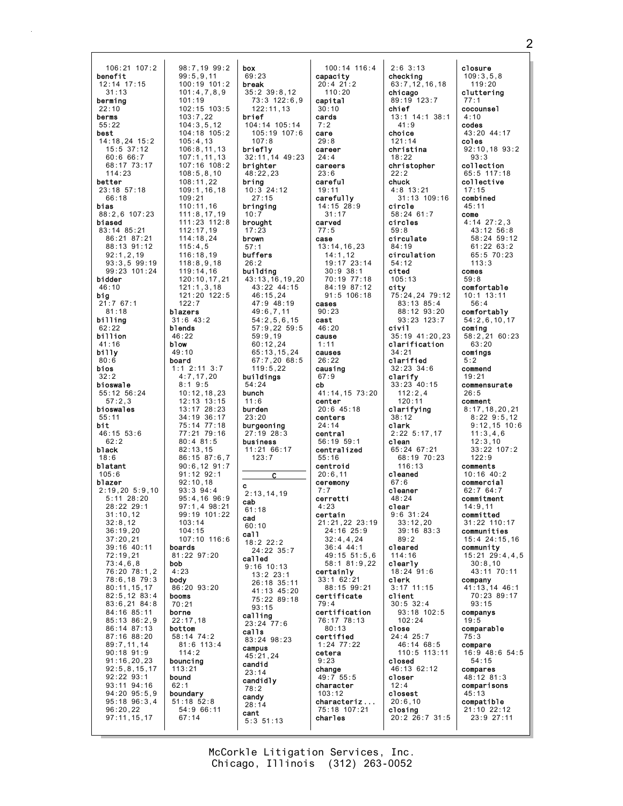| 106:21 107:2            | 98:7,19 99:2               |
|-------------------------|----------------------------|
| benefit                 | 99:5,9,11                  |
| 12:14 17:15             | 100:19 101:2               |
| 31:13                   | 101:4,7,8,9                |
| berming                 | 101:19                     |
| 22:10                   | 102:15 103:5               |
| berms                   | 103:7,22                   |
| 55:22                   | 104:3,5,12                 |
| best                    | 104:18 105:2               |
| 14:18,24 15:2           | 105:4,13                   |
| 15:5 37:12<br>60:6 66:7 | 106:8,11,13<br>107:1,11,13 |
| 68:17 73:17             | 107:16 108:2               |
| 114:23                  | 108:5, 8, 10               |
| better                  | 108:11,22                  |
| 23:18 57:18             | 109:1,16,18                |
| 66:18                   | 109:21                     |
| bias                    | 110:11,16                  |
| 88:2,6 107:23           | 111:8, 17, 19              |
| biased                  | 111:23 112:8               |
| 83:14 85:21             | 112:17,19                  |
| 86:21 87:21             | 114:18,24                  |
| 88:13 91:12             | 115:4,5                    |
| 92:1,2,19               | 116:18,19                  |
| $93:3,5$ $99:19$        | 118:8,9,18                 |
| 99:23 101:24            | 119:14,16                  |
| bidder                  | 120:10,17,21               |
| 46:10                   | 121:1,3,18                 |
| big                     | 121:20 122:5               |
| 21:767:1                | 122:7                      |
| 81:18                   | blazers                    |
| billing                 | $31:6$ $43:2$              |
| 62:22                   | blends                     |
| billion                 | 46:22                      |
| 41:16                   | blow                       |
| billy                   | 49:10                      |
| 80:6                    | board                      |
| bios                    | $1:1$ 2:11 3:7             |
| 32:2                    | 4:7,17,20                  |
| bioswale                | 8:19:5                     |
| 55:12 56:24             | 10:12,18,23                |
| 57:2,3                  | 12:13 13:15                |
| bioswales               | 13:17 28:23                |
| 55:11                   | 34:19                      |
| bit                     | 36:17                      |
| 46:15 53:6              | 75:14 77:18                |
| 62:2                    | 77:21 79:16                |
| black                   | 80:481:5                   |
| 18:6                    | 82:13,15                   |
| blatant                 | 86:15 87:6,7               |
| 105:6                   | $90:6, 12$ $91:7$          |
| blazer                  | 91:12 92:1                 |
| 2:19,205::9,10          | 92:10,18                   |
| 5:11 28:20              | $93:3$ $94:4$              |
| 28:22 29:1              | 95:4,16 96:9               |
| 31:10.12                | 97:1,4 98:21               |
| 32:8,12                 | 99:19 101:22               |
| 36:19,20                | 103:14                     |
| 37:20,21                | 104:15                     |
| 39:16 40:11             | 107:10 116:6               |
| 72:19,21                | boards                     |
| 73:4,6,8                | 81:22 97:20                |
| 76:20 78:1,2            | bob                        |
| 78:6,18 79:3            | 4:23                       |
| 80:11, 15, 17           | body                       |
| 82:5,12 83:4            | 86:20 93:20                |
| 83:6,21 84:8            | booms                      |
| 84:16 85:11             | 70:21                      |
| 85:13 86:2,9            | borne                      |
| 86:14 87:13             | 22:17,18                   |
| 87:16 88:20             | bottom                     |
| 89:7,11,14              | 58:14 74:2                 |
| 90:18 91:9              | 81:6 113:4                 |
| 91:16, 20, 23           | 114:2                      |
| 92:5, 8, 15, 17         | bouncing                   |
| 92:22 93:1              | 113:21                     |
| 93:11                   | bound                      |
| 94:16                   | 62:1                       |
| 94:20 95:5,9            | boundary                   |
| 95:18 96:3,4            | 51:18 52:8                 |
| 96:20,22                | 54:9 66:11                 |
| 97:11, 15, 17           | 67:14                      |

box 69:23 break  $35:2$   $39:8.12$ 73:3 122:6.9  $122:11.13$ brief  $104:14$  105:14 105:19 107:6  $107.8$ briefly 32:11,14 49:23 brighter  $48:22,23$ bring  $10:3$  24:12  $27:15$ bringing  $10:7$ brought  $17:23$ brown buffers  $26:2$ building  $43:13, 16, 19, 20$ 43:22 44:15  $46:15,24$ 47:9 48:19  $49:6,7,11$  $54:2,5,6,15$ 57:9,22 59:5  $59:9,19$  $60:12,24$  $65:13,15,24$ 67:7,20 68:5  $119:5,22$ buildings  $54:24$ bunch  $11:6$ burden  $23:20$ burgeoning  $27:19$   $28:3$ business  $11:2166:17$  $123:7$  $\overline{c}$ Ć  $2:13.14.19$ cab  $61:18$ cad  $60:10$ ca11  $18:2$  22:2 24:22 35:7 called  $9:16$  10:13  $13:2$  23:1 26:18 35:11 41:13 45:20 75:22 89:18  $93:15$ calling  $23:24$  77:6 calls 83:24 98:23 campus  $45:21.24$ candid  $23:14$ candidly  $78:2$ candy  $28:14$ cant  $5:3$  51:13

 $100:14$  116:4 capacity  $20:4$  21:2  $110:20$ capital  $30:10$ cards  $7:2$ care  $29.8$ career  $24:4$ careers  $23:6$ careful  $19:11$ carefully  $14:15$  28:9  $31:17$ carved  $77:5$ case  $13:14, 16, 23$  $14:1,12$ 19:17 23:14  $30:9$  38:1 70:19 77:18 84:19 87:12  $91:5$  106:18  $cases$  $90:23$ cast  $46:20$ cause  $1:11$ causes  $26:22$ causing  $67:9$  $cb$ 41:14,15 73:20 center  $20:6$  45:18 centers  $24:14$ central 56:19 59:1 centralized  $55:16$ centroid  $20:6,11$ ceremony  $7:7$ cerretti  $4:23$ certain 21:21,22 23:19  $24:16$  25:9  $32:4,4,24$  $36 \cdot 4 \cdot 44 \cdot 1$ 49:15 51:5,6 58:1 81:9,22 certainly  $33:162:21$ 88:15 99:21 certificate  $79:4$ certification 76:17 78:13  $80:13$ certified  $1:24$   $77:22$ cetera  $9:23$ change  $49:755:5$ character  $103:12$ characteriz... 75:18 107:21 charles

 $2:6$  3:13 checking  $63:7, 12, 16, 18$  $chicago$  $89:19$  123:7 chief  $-13:1$  14:1 38:1  $41:9$ choice  $121:14$ christina  $18:22$ christopher  $22:2$ chuck  $4:8$  13:21 31:13 109:16 circle  $58:24$  61:7 circles  $59:8$ circulate  $84:19$ circulation  $54:12$ cited  $105:13$ city 75:24,24 79:12  $83:13$   $85:4$ 88:12 93:20  $93:23$  123:7 civil 35:19 41:20,23 clarification  $34:21$ clarified  $32:23$   $34:6$ clarify  $33:23$  40:15  $112:2,4$  $120:11$ clarifying  $38:12$ clark  $2:22$  5:17,17 clean  $65:24$  67:21 68:19 70:23  $116:13$ cleaned  $67:6$ cleaner  $48.24$ clear  $9:6$  31:24  $33 \cdot 12$  20  $39:16.83:3$  $89:2$ cleared 114:16 clearly  $18:24$  91:6 clerk  $3:17$  11:15 client  $30:5$  32:4  $93:18$  102:5  $102:24$ close  $24:4$  25:7 46:14 68:5 110:5 113:11 closed 46:13 62:12 closer  $12:4$ closest  $20:6.10$ closina 20:2 26:7 31:5 closure  $109:3.5.8$  $119:20$ cluttering  $77:1$ cocounsel  $4.10$ codes 43:20 44:17 coles  $92:10, 18$   $93:2$  $93:3$ collection 65:5 117:18 collective  $17:15$ combined  $45:11$  $_{cone}$  $4:14$   $27:2,3$  $43:12$   $56:8$ 58:24 59:12  $61:22$   $63:2$  $65:570:23$  $113:3$ comes  $59:8$ comfortable  $10:1$  13:11  $56:4$ comfortably  $54:2,6,10,17$ coming 58:2,21 60:23  $63:20$ comings  $5:2$ commend  $19:21$ commensurate  $26:5$ comment  $8:17, 18, 20, 21$  $8:229:5.12$  $9:12,15$  10:6  $11:3.4.6$  $12:3.10$  $33:22$  107:2  $122.9$ comments  $10:16$   $40:2$ commercial  $62:764:7$ commitment  $14:9.11$ committed  $31:22$  110:17 communities 15:4 24:15,16 community  $15:21$   $29:4,4,5$  $30:8,10$ 43:11 70:11 company 41:13,14 46:1 70:23 89:17  $93:15$ companys  $19:5$ comparable  $75:3$ compare 16:9 48:6 54:5  $54:15$ compares 48:12 81:3 comparisons  $45:13$ compatible 21:10 22:12 23:9 27:11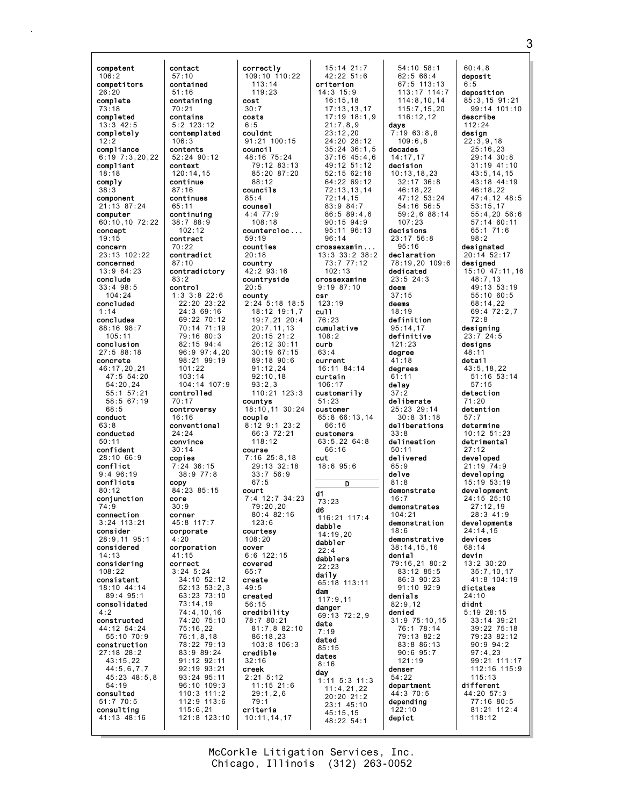competent 106:2 competitors 26:20 complete 73:18 completed 13:3 42:5 completely  $12:2$ compliance 6:19 7:3,20,22 compliant 18:18 comply 38:3 component 21:13 87:24 computer 60:10,10 72:22 concept 19:15 concern 23:13 102:22 concerned 13:9 64:23 conclude 33:4 98:5  $104.24$ concluded 1:14 concludes 88:16 98:7 105:11 conclusion 27:5 88:18 concrete 46:17,20,21 47:5 54:20 54:20,24 55:1 57:21 58:5 67:19  $68:5$ conduct 63:8 conducted 50:11 confident 28:10 66:9 conflict 9:4 96:19 conflicts 80:12 conjunction 74:9 connection 3:24 113:21 consider 28:9,11 95:1 considered 14:13 considering 108:22 consistent 18:10 44:14 89:4 95:1 consolidated 4:2 constructed 44:12 54:24 55:10 70:9 construction 27:18 28:2 43:15,22 44:5,6,7,7 45:23 48:5,8 54:19 consulted 51:7 70:5 consulting 41:13 48:16 copy core

contact 57:10 contained 51:16 containing 70:21 contains 5:2 123:12 contemplated 106:3 contents 52:24 90:12 context 120:14,15 continue 87:16 continues 65:11 continuing 38:7 88:9  $102.12$ contract 70:22 contradict 87:10 contradictory control 1:3 3:8 22:6 22:20 23:22 24:3 69:16 69:22 70:12 70:14 71:19 79:16 80:3 82:15 94:4 96:9 97:4,20 98:21 99:19 101:22 103:14 104:14 107:9 controlled 70:17 controversy 16:16 conventional 24:24 convince 30:14 copies 7:24 36:15 38:9 77:8 84:23 85:15 30:9 corner 45:8 117:7 corporate 4:20 corporation 41:15 correct 3:24 5:24 34:10 52:12 52:13 53:2,3 63:23 73:10 73:14,19 74:4,10,16 74:20 75:10 75:16,22 76:1,8,18 78:22 79:13 83:9 89:24 91:12 92:11 92:19 93:21 93:24 95:11 96:10 109:3 110:3 111:2 112:9 113:6 115:6,21 121:8 123:10 correctly 113:14 119:23 cost 30:7 costs 6:5 couldnt council 88:12 councils 85:4 counsel 4:4 77:9 108:18 59:19 counties 20:18 country 20:5 county 93:2,3 countys couple 118:12 course 67:5 court  $123.6$ courtesy 108:20 cover covered  $65.7$ create 49:5 created 56:15 credible 32:16 creek 2:21 5:12 79:1 criteria

83:2

109:10 110:22 91:21 100:15 48:16 75:24 79:12 83:13 85:20 87:20 countercloc ... 42:2 93:16 countryside 2:24 5:18 18:5 18:12 19:1,7 19:7,21 20:4 20:7,11,13 20:15 21:2 26:12 30:11 30:19 67:15 89:18 90:6 91:12,24 92:10,18 110:21 123:3 18:10,11 30:24 8:12 9:1 23:2 66:3 72:21  $7.16$   $25.8$  18 29:13 32:18 33:7 56:9 7:4 12:7 34:23 79:20,20 80:4 82:16 6:6 122:15 credibility 78:7 80:21 81:7,8 82:10 86:18,23 103:8 106:3 11:15 21:6 29:1,2,6 10:11,14,17 criterion 14:3 15:9 16:15,18 21:7,8,9 23:12,20 72:14,15 83:9 84:7 96:14 102:13 crossexamine 9:19 87:10 csr 123:19 cull 76:23 cumulative 108:2 curb 63:4 current 16:11 84:14 curtain 106:17 customarily 51:23 customer 66:16 customers 63:5,22 64:8 66:16 cut 18:6 95:6 d1 73:23 d6 116:21 117:4 dabble 14:19,20 dabbler 22:4 dabblers 22:23 daily 65:18 113:11 dam 117:9,11 danger 69:13 72:2,9 date 7:19 dated 85:15 dates 8:16 day 45:15,15

15:14 21:7 42:22 51:6 17:13,13,17 17:19 18:1,9 24:20 28:12 35:24 36:1,5 37:16 45:4,6  $49.12$   $51.12$ 52:15 62:16 64:22 69:12 72:13,13,14 86:5 89:4,6 90:15 94:9 95:11 96:13 crossexamin ... 13:3 33:2 38:2 73:7 77:12 65:8 66:13,14 D 1:11 5:3 11:3 11:4,21,22 20:20 21:2 23:1 45:10 48:22 54:1 54:10 58:1 62:5 66:4 days 7:19 63:8,8  $109.6$   $8$ decades 14:17,17 decision 10:13,18,23 32:17 36:8 46:18,22 54:16 56:5 107:23 decisions 23:17 56:8 95:16 declaration dedicated 23:5 24:3 deem 37:15 deems 18:19 definition 95:14,17 definitive 121:23 degree 41:18 degrees 61:11 delay 37:2 deliberate 25:23 29:14 30:8 31:18 deliberations 33:8 delineation 50:11 delivered 65:9 delve 81:8 demonstrate  $16:7$ demonstrates  $104.21$ demonstration  $18.6$ demonstrative 38:14,15,16 denial 79:16,21 80:2 83:12 85:5 86:3 90:23 91:10 92:9 denials 82:9,12 denied 31:9 75:10,15 76:1 78:14 79:13 82:2 83:8 86:13 90:6 95:7 121:19 denser 54:22 department 44:3 70:5 depending  $122:10$ depict

67:5 113:13 113:17 114:7 114:8,10,14 115:7,15,20 116:12,12 47:12 53:24 59:2,6 88:14 78:19,20 109:6 60:4,8 deposit 6:5 deposition 85:3,15 91:21 99:14 101:10 describe 112:24 design 22:3,9,18 25:16,23 29:14 30:8 31:19 41:10 43:5,14,15 43:18 44:19 46:18,22 47:4,12 48:5 53:15,17 55:4,20 56:6 57:14 60:11 65:1 71:6 98:2 designated 20:14 52:17 designed 15:10 47:11,16 48:7,13 49:13 53:19 55:10 60:5 68:14,22 69:4 72:2,7 72:8 designing 23:7 24:5 designs  $48:1$ detail 43:5,18,22 51:16 53:14 57:15 detection 71:20 detention 57:7 determine 10:12 51:23 detrimental 27:12 developed 21:19 74:9 **developing**<br>|15:19||53:19 development 24:15 25:10 27:12,19 28:3 41:9 developments 24:14,15 devices 68:14 devin 13:2 30:20 35:7,10,17 41:8 104:19 dictates 24:10 didnt 5:19 28:15 33:14 39:21 39:22 75:18 79:23 82:12 90:9 94:2 97:4,23 99:21 111:17 112:16 115:9 115:13 different 44:20 57:3 77:16 80:5 81:21 112:4 118:12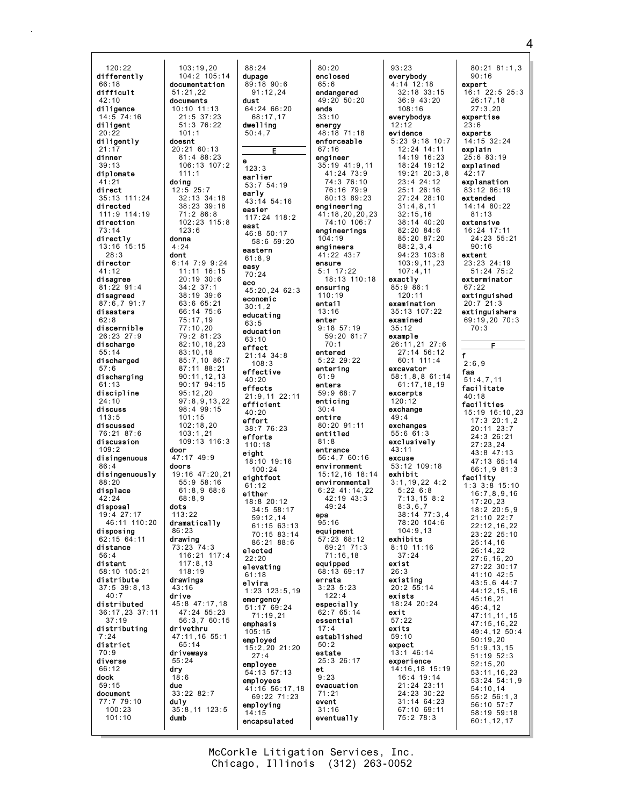$120:22$ differently  $66:18$ difficult  $42:10$ diligence  $14.574.16$ diligent  $20.22$ diligently  $21:17$ dinner  $39:13$ diplomate  $.1:21$ direct 35:13 111:24 directed 111:9 114:19 direction  $73:14$ directly 13:16 15:15  $28.3$ director 41:12 disagree  $81:2291:4$ disagreed  $87:6,791:7$ disasters discernible 26:23 27:9 discharge discharged  $57:6$ discharging 61.13 discipline  $24:10$ discuss  $113:5$ discussed 76:21 87:6 discussion  $109:2$ disingenuous  $86:4$ disingenuously  $88:20$ displace  $42.24$ disposal 19:4 27:17  $46.11$   $110.20$ disposing  $62:15$   $64:11$ distance  $56:4$ distant  $58:10$   $105:21$ distribute  $37:5$   $39:8,13$  $40:7$ distributed 36:17,23 37:11  $37:19$ distributing  $.24$ district  $70:9$ diverse 66:12 dock  $59:15$ document 77:7 79:10  $100:23$  $101:10$ 

103:19,20<br>104:2 105:14 documentation  $51:21.22$ documents 10:10 11:13  $21:5$  37:23  $51:376:22$  $101 \cdot 1$ doesnt  $20:21.60:13$  $81:488:23$  $106 \cdot 13$   $107 \cdot 2$  $111:1$ doing  $12:5$  25:7 32:13 34:18  $38.23.39.18$  $71:286:8$ 102:23 115:8  $123.6$ donna  $4:24$ dont  $6:14$  7:9 9:24 11:11 16:15  $20:19:30:6$  $34:2$  37:1 38:19 39:6 63:6 65:21 66:14 75:6  $75:17,19$  $77:10.20$ 79:2 81:23  $82:10, 18, 23$  $83:10,18$ 85:7,10 86:7  $87:11$   $88:21$  $90:11, 12, 13$  $90:17^{6}94:15$  $95:12,20$  $97:8.9.13.22$  $98:4.99:15$  $101:15$  $102:18,20$  $103:1.21$  $109:13$   $116:3$ door  $47:17$   $49:9$ doors 19:16 47:20.21  $55:958:16$  $61:8.968:6$  $68.89$ dots  $113:22$ dramatically  $86:23$ drawing  $73:23.74.3$ 116:21 117:4  $117:8,13$  $118:19$ drawings 43:16 drive 45:8 47:17,18  $47:24$  55:23 56:3,7 60:15 drivethru 47:11,16 55:1  $65:14$ driveways  $55:24$ dry  $18:6$ due  $33:228:2:7$ du1y  $35:8,11$  123:5 dumb

88:24 dupage  $89:18$  90:6  $91:12.24$  $64:2466:20$  $68.17$  17 dwelling  $50:4.7$  $123:3$ earlier 53:7 54:19 early  $43:14$  54:16 easier 117:24 118:2 east  $46:8$  50:17 58:6 59:20 eastern  $61:8.9$ easv  $70:24$  $45:20.24$  62:3 economic  $30:1,2$ educating  $63:5$ education  $63:10$ effect  $21:14$  34:8  $108:3$ effective  $40:20$ effects  $21:9,11$  22:11 efficient  $40.20$ effort  $38:776:23$ efforts  $110.18$ eight 18:10 19:16  $100.24$ eightfoot  $61:12$ either 18:8 20:12  $34.5558.17$ epa  $59:12,14$  $61:15$  63:13  $70.15$  83.14  $86:21.88:6$ elected  $22:20$ elevating  $61:18$ elvira  $1:23$   $123:5.19$ emergency  $51:1769:24$  $71:19,21$ emphasis  $105:15$ emploved 15:2,20 21:20  $27:4$ employee  $et$  $54:13:57:13$ employees 41:16 56:17,18  $69:22$  71:23 employing  $14:15$ encapsulated

**dust** 

eco

 $80:20$ enclosed  $65:6$ endangered  $49:20.50:20$ ends  $33:10$ energy  $48:18$  71:18 enforceable  $67:16$ engineer  $35:19$  41:9.11  $41:24$  73:9 74:3 76:10 76:16 79:9 80:13 89:23 engineering  $41:18,20,20,23$ 74:10 106:7 engineerings  $104:19$ engineers  $41:22$   $43:7$ ensure  $5:1$  17:22 18:13 110:18 ensuring  $110:19$ entail  $13:16$ enter  $9:18.57:19$ 59:20 61:7  $70:1$ entered  $5:22$  29:22 entering  $61:9$ enters 59:9 68:7 enticina  $30:4$ entire 80:20 91:11 entitled  $81:8$ entrance  $56:4,760:16$ environment 15:12,16 18:14 environmental  $6:22$  41:14.22  $42:19$  43:3  $49:24$  $95.16$ equipment 57:23 68:12  $69:21$  71:3  $71:16.18$ equipped  $68:1369:17$ errata  $3:23$   $5:23$  $122:4$ especially  $62:765:14$ exit essential  $17:4$ established  $50:2$ estate 25:3 26:17  $9:23$ evacuation  $71:21$ event  $31:16$ eventually

 $93:23$ everybody  $4:14$  12:18 expert  $32:18$  33:15  $36:9$  43:20  $108:16$ everybodys  $12:12$  $23:6$ evidence experts  $5:23$  9:18 10:7  $12:24$  14:11  $14:19$  16:23  $18:24$  19:12  $19:21$   $20:3.8$  $42:17$ 23:4 24:12  $25:1$   $26:16$  $27:24$   $28:10$  $31 \cdot 4$  8 11  $32:15,16$ 38:14 40:20  $82.20$   $84.6$  $85:20.87:20$  $88:2,3,4$  $94:23$  103:8 extent  $103:9, 11, 23$  $107:4,11$ exactly  $85:986:1$  $67:22$  $120:11$ examination 35:13 107:22 examined  $35:12$  $70:3$ example 26:11,21 27:6  $27:14$  56:12  $f$  $60:1$  111:4  $2:6.9$ excavator faa 58:1,8,8 61:14  $61:17,18,19$ excerpts  $40.18$  $120:12$ exchange  $49:4$ exchanges  $55:661:3$ exclusively  $43:11$ excuse  $53:12$  109:18 exhibit  $3:1,19,22$  4:2  $5:226:8$  $7.13$  15 8.2  $8:3.6.7$  $38:14$  77:3.4  $78.20 104.6$  $104:9.13$ exhibits  $8.10 \ 11.16$  $37:24$ exist  $26:3$ existing  $20:2$  55:14 exists 18:24 20:24  $57:22$ exits  $59:10$ expect  $13:1$  46:14 experience 14:16,18 15:19 16:4 19:14  $21:24$  23:11 24:23 30:22  $31:14$  64:23 56:10 57:7 67:10 69:11  $58:19$  59:18 75:2 78:3  $60:1.12.17$ 

 $80:21$   $81:1,3$  $90:16$  $16:1$  22:5 25:3  $26:17.18$  $27:3.20$ expertise  $14.15$  32.24 explain  $25:683:19$ explained explanation  $83:12.86:19$ extended  $14:14$   $80:22$  $81:13$ extensive 16:24 17:11  $24:23.55:21$  $90:16$ 23:23 24:19  $51:24$   $75:2$ exterminator extinguished  $20:7$  21:3 extinguishers  $69:19.2070:3$ Е  $51:4.7.11$ facilitate facilities 15:19 16:10,23<br>17:3 20:1,2  $20:11$   $23:7$ 24:3 26:21  $27.23$  24  $43:8$  47:13 47:13 65:14  $66:1.9.81:3$ facility  $1:3$   $3:8$   $15:10$  $16:7.8.9.16$  $17:20,23$  $18:220:5.9$ 21:10 22:7  $22:12, 16, 22$  $23:22$  25:10  $25:14,16$  $26:14,22$  $27:6, 16, 20$ 27:22 30:17  $41:10$   $42:5$  $43:5,6$   $44:7$ 44:12,15,16  $45:16,21$  $46:4.12$ 47:11,11,15  $47:15.16.22$  $49:4, 12:50:4$  $50:19,20$  $51:9.13.15$  $51:19$   $52:3$  $52:15.20$  $53:11, 16, 23$  $53:24.54:1.9$  $54:10.14$  $55:2 56:1.3$ 

McCorkle Litigation Services, Inc. Chicago, Illinois (312) 263-0052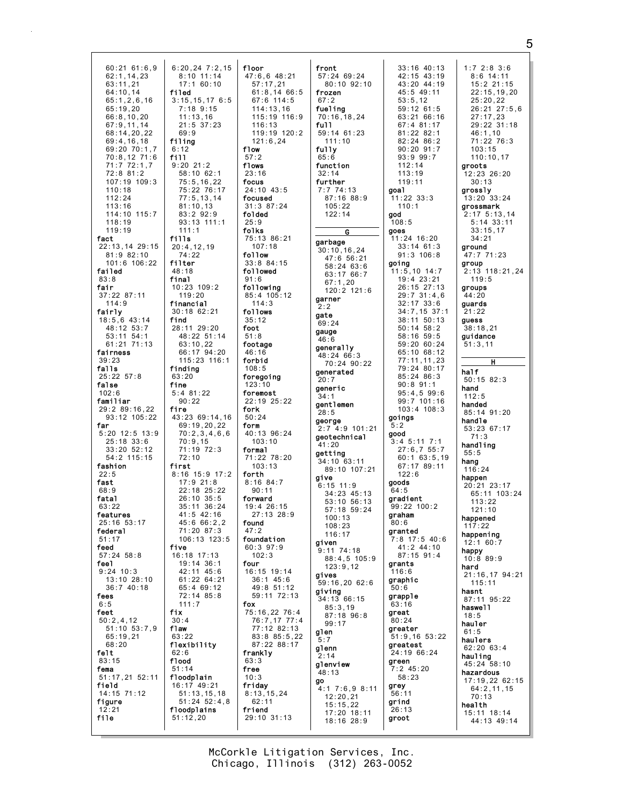|                  | $6:20,24$ $7:2,15$ | floor            | front                     | $33:16$ 40:13     | 1:72:83:6                  |
|------------------|--------------------|------------------|---------------------------|-------------------|----------------------------|
| $60:21$ 61:6,9   |                    |                  |                           |                   |                            |
| 62:1,14,23       | $8:10$ 11:14       | $47:6,6$ $48:21$ | 57:24 69:24               | 42:15 43:19       | $8:6$ 14:11                |
| 63:11.21         | 17:160:10          | 57:17.21         | $80:10$ $92:10$           | 43:20 44:19       | 15:2 21:15                 |
| 64:10,14         | filed              | 61:8,1466:5      | frozen                    | 45:5 49:11        | 22:15,19,20                |
| 65:1, 2, 6, 16   | 3:15,15,176:5      | 67:6 114:5       | 67:2                      | 53:5,12           | 25:20,22                   |
| 65:19.20         | $7:18$ 9:15        | 114:13,16        | fueling                   | $59:12$ 61:5      | 26:21 27:5,6               |
| 66:8,10,20       | 11:13,16           | 115:19 116:9     | 70:16, 18, 24             | 63:21 66:16       | 27:17,23                   |
| 67:9,11,14       | 21:5 37:23         | 116:13           | full                      | 67:4 81:17        | 29:22 31:18                |
|                  | 69:9               | 119:19 120:2     | 59:14 61:23               | $81:22$ $82:1$    | 46:1,10                    |
| 68:14,20,22      |                    |                  |                           |                   |                            |
| 69:4,16,18       | filing             | 121:6, 24        | 111:10                    | $82:24$ $86:2$    | 71:22 76:3                 |
| 69:20 70:1,7     | 6:12               | flow             | fully                     | $90:20$ $91:7$    | 103:15                     |
| 70:8,12 71:6     | fill               | 57:2             | 65:6                      | 93:999:7          | 110:10.17                  |
| 71:772:1,7       | $9:20$ 21:2        | flows            | function                  | 112:14            | groots                     |
| 72:8 81:2        | $58:10$ 62:1       | 23:16            | 32:14                     | 113:19            | $12:23$ $26:20$            |
| $107:19$ $109:3$ | 75:5, 16, 22       | focus            | further                   | 119:11            | 30:13                      |
| 110:18           | 75:22 76:17        | 24:10 43:5       | 7:774:13                  | goa1              | grossly                    |
| 112:24           | 77:5, 13, 14       | focused          | 87:16 88:9                | $11:22$ $33:3$    | $13:20$ $33:24$            |
| 113:16           | 81:10,13           | 31:387:24        | 105:22                    | 110:1             | grossmark                  |
| 114:10 115:7     | 83:2 92:9          | folded           | 122:14                    | god               | $2:17$ 5:13,14             |
| 118:19           | $93:13$ 111:1      | 25:9             |                           | 108:5             | 5:14 33:11                 |
| 119:19           | 111:1              | folks            |                           | goes              | 33:15,17                   |
| fact             | fills              | 75:13 86:21      | G                         | 11:24 16:20       | 34:21                      |
|                  |                    | 107:18           | garbage                   |                   |                            |
| 22:13,14 29:15   | 20:4,12,19         |                  | 30:10, 16, 24             | $33:14$ 61:3      | ground                     |
| 81:982:10        | 74:22              | follow           | 47:6 56:21                | $91:3$ 106:8      | 47:7 71:23                 |
| 101:6 106:22     | filter             | $33:8$ $84:15$   | 58:24 63:6                | going             | group                      |
| failed           | 48:18              | followed         | 63:17 66:7                | $11:5,10$ 14:7    | 2:13 118:21,24             |
| 83:8             | final              | 91:6             | 67:1,20                   | 19:4 23:21        | 119:5                      |
| fair             | $10:23$ $109:2$    | following        | 120:2 121:6               | 26:15 27:13       | groups                     |
| $37:22$ 87:11    | 119:20             | 85:4 105:12      | garner                    | $29:7$ 31:4,6     | 44:20                      |
| 114:9            | financial          | 114:3            |                           | $32:17$ $33:6$    | quards                     |
| fairly           | $30:18$ 62:21      | follows          | 2:2                       | $34:7,15$ 37:1    | 21:22                      |
| $18:5,6$ 43:14   | find               | 35:12            | gate                      | $38:11$ $50:13$   | guess                      |
| 48:12 53:7       | 28:11 29:20        | foot             | 69:24                     | $50:14$ $58:2$    | 38:18,21                   |
| 53:11 54:1       | 48:22 51:14        | 51:8             | gauge                     | 58:16 59:5        | quidance                   |
|                  |                    |                  | 46:6                      |                   |                            |
| $61:21$ $71:13$  | 63:10,22           | footage          | generally                 | 59:20 60:24       | 51:3,11                    |
| fairness         | 66:17 94:20        | 46:16            | 48:24 66:3                | 65:10 68:12       |                            |
| 39:23            | 115:23 116:1       | forbid           | 70:24 90:22               | 77:11,11,23       | H                          |
| falls            | finding            | 108:5            | generated                 | 79:24 80:17       | half                       |
| $25:22$ $57:8$   | 63:20              | foregoing        | 20:7                      | $85:24$ $86:3$    | $50:15$ 82:3               |
| false            | fine               | 123:10           | generic                   | $90:8$ 91:1       | hand                       |
| 102:6            | $5:4$ 81:22        | foremost         | 34:1                      | $95:4,5$ $99:6$   | 112:5                      |
| familiar         | 90:22              | 22:19 25:22      | gentlemen                 | $99:7$ 101:16     | handed                     |
| 29:2 89:16,22    | fire               | fork             |                           | $103:4$ $108:3$   |                            |
| 93:12 105:22     | 43:23 69:14,16     | 50:24            | 28:5                      | goings            | 85:14 91:20                |
| far              | 69:19,20,22        | form             | george<br>2:7 4:9 101:21  | 5:2               | handle                     |
| $5:20$ 12:5 13:9 | 70:2,3,4,6,6       |                  |                           |                   |                            |
|                  |                    |                  |                           |                   | 53:23 67:17                |
|                  |                    | 40:13 96:24      | geotechnical              | good              | 71:3                       |
| $25:18$ 33:6     | 70:9,15            | 103:10           | 41:20                     | $3:4$ 5:11 7:1    | handling                   |
| $33:20$ $52:12$  | 71:19 72:3         | formal           | getting                   | 27:6,755:7        | 55:5                       |
| 54:2 115:15      | 72:10              | 71:22 78:20      | 34:10 63:11               | $60:1$ 63:5,19    | hang                       |
| fashion          | first              | 103:13           | 89:10 107:21              | 67:17 89:11       | 116:24                     |
| 22:5             | $8:16$ 15:9 17:2   | forth            | give                      | 122:6             | happen                     |
| fast             | $17:9$ 21:8        | $8:16$ $84:7$    | $6:15$ 11:9               | goods             | 20:21 23:17                |
| 68:9             | 22:18 25:22        | 90:11            | 34:23 45:13               | 64:5              | 65:11 103:24               |
| fatal            | 26:10 35:5         | forward          |                           | gradient          |                            |
| 63:22            | 35:11 36:24        | 19:4 26:15       | $53:10$ $56:13$           | $99:22$ 100:2     | 113:22                     |
| features         | 41:5 42:16         | 27:13 28:9       | 57:18 59:24               | graham            | 121:10                     |
| 25:16 53:17      | 45:6 66:2,2        | found            | 100:13                    | 80:6              | happened                   |
| federal          | 71:20 87:3         | 47:2             | 108:23                    | granted           | 117:22                     |
| 51:17            | 106:13 123:5       | foundation       | 116:17                    | 7:8 17:5 40:6     | happening                  |
| feed             | five               | $60:3$ 97:9      | given                     | $41:2$ $44:10$    | 12:160:7                   |
| $57:24$ $58:8$   | $16:18$ 17:13      | 102:3            | $9:11$ $74:18$            | 87:15 91:4        | happy                      |
|                  |                    |                  | $88:4.5$ 105:9            |                   | $10:8$ 89:9                |
| feel             | 19:14 36:1         | four             | 123:9,12                  | grants            | hard                       |
| $9:24$ 10:3      | 42:11 45:6         | 16:15 19:14      | gives                     | 116:6             | 21:16.17 94:21             |
| $13:10$ $28:10$  | $61:22$ $64:21$    | $36:1$ 45:6      | 59:16,20 62:6             | graphic           | 115:11                     |
| 36:740:18        | 65:4 69:12         | 49:8 51:12       | giving                    | 50:6              | hasnt                      |
| fees             | 72:14 85:8         | 59:11 72:13      | 34:13 66:15               | grapple           | 87:11 95:22                |
| 6:5              | 111:7              | fox              | 85:3,19                   | 63:16             | haswe11                    |
| feet             | fix                | 75:16,22 76:4    | 87:18 96:8                | great             | 18:5                       |
| 50:2,4,12        | 30:4               | 76:7,17 77:4     | 99:17                     | 80:24             | hauler                     |
| $51:10$ $53:7.9$ | flaw               | 77:12 82:13      | glen                      | greater           | 61:5                       |
| 65:19,21         | 63:22              | 83:8 85:5,22     | 5:7                       | $51:9,16$ $53:22$ | haulers                    |
| 68:20            | flexibility        | 87:22 88:17      | glenn                     | greatest          | $62:20$ $63:4$             |
| felt             | 62:6               | frankly          | 2:14                      | 24:19 66:24       |                            |
| 83:15            | flood              | 63:3             |                           | green             | hauling                    |
| fema             | 51:14              | free             | glenview                  | $7:2$ 45:20       | 45:24 58:10                |
| 51:17,21 52:11   | floodplain         | 10:3             | 48:13                     | 58:23             | hazardous                  |
| field            | 16:17 49:21        | friday           | go                        | grey              | 17:19,22 62:15             |
| 14:15 71:12      | 51:13,15,18        | 8:13,15,24       | $4:1$ 7:6,9 8:11          | 56:11             | 64:2,11,15                 |
| figure           | $51:24$ $52:4,8$   | 62:11            | 12:20,21                  | grind             | 70:13                      |
| 12:21            | floodplains        | friend           | 15:15,22                  | 26:13             | health                     |
| file             | 51:12,20           | 29:10 31:13      | 17:20 18:11<br>18:16 28:9 | groot             | 15:11 18:14<br>44:13 49:14 |

McCorkle Litigation Services, Inc. Chicago, Illinois (312) 263-0052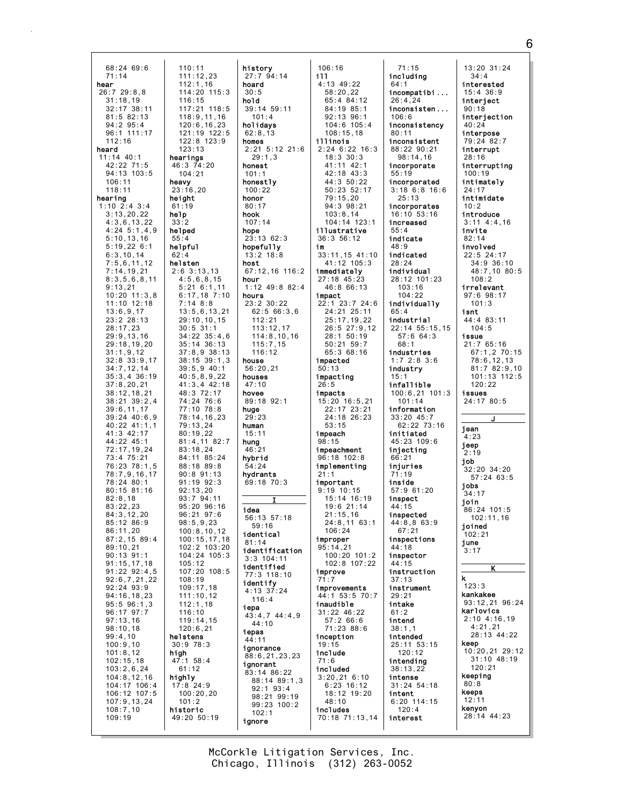| 31:18,19<br>32:17 38:11<br>$81:5$ $82:13$<br>$94:2$ $95:4$<br>96:1 111:17<br>112:16<br>heard<br>$11:14$ 40:1<br>42:22 71:5<br>94:13 103:5<br>106:11<br>118:11<br>hearing<br>$1:10$ 2:4 3:4<br>3:13,20,22<br>4:3,6,13,22<br>$4:24$ 5:1,4,9<br>5:10, 13, 16<br>5:19,22 6:1<br>6:3,10,14<br>7:5,6,11,12<br>7:14,19,21<br>8:3,5,6,8,11<br>9:13,21<br>$10:20$ $11:3,8$<br>$11:10$ $12:18$<br>13:6,9,17<br>23:223:13<br>28:17,23<br>29:9,13,16<br>29:18,19,20<br>31:1,9,12<br>$32:8$ $33:9,17$<br>34:7,12,14<br>$35:3,4$ 36:19<br>37:8,20,21<br>38:12, 18, 21<br>$38:21$ $39:2,4$<br>39:6, 11, 17<br>$39:24$ $40:6,9$<br>40:22 41:1,1<br>41:3 42:17<br>44:22 45:1<br>72:17,19,24<br>73:4 75:21<br>76:23 78:1,5<br>78:7,9,16,17<br>78:24 80:1<br>$80:15$ $81:16$<br>82:8,18<br>83:22,23<br>84:3, 12, 20<br>85:12 86:9<br>86:11,20<br>$87:2,15$ 89:4<br>89:10,21<br>$90:13$ $91:1$<br>91:15,17,18<br>$91:22$ $92:4,5$<br>92:6,7,21,22<br>$92:24$ $93:9$<br>94:16,18,23<br>$95:5$ $96:1,3$<br>96:17 97:7<br>97:13,16<br>98:10,18<br>99:4,10<br>100:9.10<br>101:8,12<br>102:15,18<br>103:2,6,24<br>104:8,12,16<br>104:17 106:4<br>106:12 107:5<br>107:9,13,24<br>108:7,10 | 118:9, 11, 16<br>120:6, 16, 23<br>121:19 122:5<br>122:8 123:9<br>123:13<br>hearings<br>46:3 74:20<br>104:21<br>heavy<br>23:16,20<br>height<br>61:19<br>help<br>33:2<br>helped<br>55:4<br>helpful<br>62:4<br>helsten<br>$2:6$ 3:13,13<br>4:5,6,8,15<br>5:216:1,11<br>$6:17,18$ 7:10<br>7:148:8<br>13:5,6,13,21<br>29:10,10,15<br>$30:5$ 31:1<br>$34:22$ $35:4,6$<br>$35:14$ $36:13$<br>$37:8,9$ $38:13$<br>$38:15$ $39:1,3$<br>$39:5,9$ 40:1<br>40:5,8,9,22<br>$41:3,4$ 42:18<br>48:3 72:17<br>74:24 76:6<br>77:10 78:8<br>78:14,16,23<br>79:13,24<br>80:19,22<br>81:4,1182:7<br>83:18,24<br>84:11 85:24<br>88:18 89:8<br>$90:8$ $91:13$<br>91:19 92:3<br>92:13,20<br>93:7 94:11<br>95:20 96:16<br>96:21 97:6<br>98:5,9,23<br>100:8,10,12<br>100:15,17,18<br>102:2 103:20<br>104:24 105:3<br>105:12<br>107:20 108:5<br>108:19<br>109:17,18<br>111:10,12<br>112:1,18<br>116:10<br>119:14,15<br>120:6,21<br>helstens<br>30:978:3<br>high<br>47:1 58:4<br>61:12<br>highly<br>17:8 24:9<br>100:20,20<br>101:2<br>historic | 101:4<br>holidavs<br>62:8,13<br>homes<br>$2:21$ 5:12 21:6<br>29:1,3<br>honest<br>101:1<br>honestly<br>100:22<br>honor<br>80:17<br>hook<br>107:14<br>hope<br>23:13 62:3<br>hopefully<br>$13:2$ $18:8$<br>host<br>67:12.16 116:2<br>hour<br>1:12 49:8 82:4<br>hours<br>23:2 30:22<br>62:566:3.6<br>112:21<br>113:12,17<br>114:8, 10, 16<br>115:7.15<br>116:12<br>house<br>56:20,21<br>houses<br>47:10<br>hovee<br>89:18 92:1<br>huge<br>29:23<br>human<br>15:11<br>hung<br>46:21<br>hybrid<br>54:24<br>hydrants<br>69:18 70:3<br>I<br>idea<br>56:13 57:18<br>59:16<br>identical<br>81:14<br>identification<br>$3:3$ 104:11<br>identified<br>77:3 118:10<br>identify<br>$4:13$ 37:24<br>116:4<br>iepa<br>43:4,7 44:4,9<br>44:10<br>iepas<br>44:11<br>ignorance<br>88:6, 21, 23, 23<br>ignorant<br>83:14 86:22<br>$88:14$ $89:1,3$<br>$92:1$ $93:4$<br>98:21 99:19<br>99:23 100:2 | 92:13 96:1<br>$104:6$ $105:4$<br>108:15,18<br>illinois<br>2:24 6:22 16:3<br>$18:3$ $30:3$<br>41:11 42:1<br>42:18 43:3<br>44:3 50:22<br>50:23 52:17<br>79:15,20<br>94:3 98:21<br>103:8,14<br>104:14 123:1<br>illustrative<br>36:3 56:12<br>im<br>33:11,15 41:10<br>41:12 105:3<br>immediately<br>$27:18$ 45:23<br>46:8 66:13<br>impact<br>22:1 23:7 24:6<br>24:21 25:11<br>25:17,19,22<br>$26:5$ 27:9,12<br>28:1 50:19<br>$50:21$ $59:7$<br>65:3 68:16<br>impacted<br>50:13<br>impacting<br>26:5<br>impacts<br>15:20 16:5,21<br>22:17 23:21<br>24:18 26:23<br>53:15<br>impeach<br>98:15<br>impeachment<br>$96:18$ 102:8<br>implementing<br>21:1<br>important<br>$9:19$ 10:15<br>15:14 16:19<br>19:6 21:14<br>21:15,16<br>24:8,11 63:1<br>106:24<br>improper<br>95:14,21<br>100:20 101:2<br>102:8 107:22<br>improve<br>71:7<br>improvements<br>44:1 53:5 70:7<br>inaudible<br>$31:22$ 46:22<br>57:266:6<br>71:23 88:6<br>inception<br>19:15<br>include<br>71:6<br>included<br>3:20,216:10<br>6:23 16:12<br>18:12 19:20<br>48:10<br>includes |
|-----------------------------------------------------------------------------------------------------------------------------------------------------------------------------------------------------------------------------------------------------------------------------------------------------------------------------------------------------------------------------------------------------------------------------------------------------------------------------------------------------------------------------------------------------------------------------------------------------------------------------------------------------------------------------------------------------------------------------------------------------------------------------------------------------------------------------------------------------------------------------------------------------------------------------------------------------------------------------------------------------------------------------------------------------------------------------------------------------------------------------------------------------------------|----------------------------------------------------------------------------------------------------------------------------------------------------------------------------------------------------------------------------------------------------------------------------------------------------------------------------------------------------------------------------------------------------------------------------------------------------------------------------------------------------------------------------------------------------------------------------------------------------------------------------------------------------------------------------------------------------------------------------------------------------------------------------------------------------------------------------------------------------------------------------------------------------------------------------------------------------------------------------------------------------------------------|-------------------------------------------------------------------------------------------------------------------------------------------------------------------------------------------------------------------------------------------------------------------------------------------------------------------------------------------------------------------------------------------------------------------------------------------------------------------------------------------------------------------------------------------------------------------------------------------------------------------------------------------------------------------------------------------------------------------------------------------------------------------------------------------------------------------------------------------------------------------------------|-------------------------------------------------------------------------------------------------------------------------------------------------------------------------------------------------------------------------------------------------------------------------------------------------------------------------------------------------------------------------------------------------------------------------------------------------------------------------------------------------------------------------------------------------------------------------------------------------------------------------------------------------------------------------------------------------------------------------------------------------------------------------------------------------------------------------------------------------------------------------------------------------------------------------------------------------------------------------------------------------------------------------------------------|
| 109:19                                                                                                                                                                                                                                                                                                                                                                                                                                                                                                                                                                                                                                                                                                                                                                                                                                                                                                                                                                                                                                                                                                                                                          | 49:20 50:19                                                                                                                                                                                                                                                                                                                                                                                                                                                                                                                                                                                                                                                                                                                                                                                                                                                                                                                                                                                                          | 102:1<br>ignore                                                                                                                                                                                                                                                                                                                                                                                                                                                                                                                                                                                                                                                                                                                                                                                                                                                               | 70:18 71:13,14                                                                                                                                                                                                                                                                                                                                                                                                                                                                                                                                                                                                                                                                                                                                                                                                                                                                                                                                                                                                                            |

Г

Chicago, Illinois (312) 263-0052 McCorkle Litigation Services, Inc.

including incompatibi ... inconsisten ... inconsistency inconsistent 88:22 90:21 98:14,16 incorporate incorporated 3:18 6:8 16:6 incorporates 16:10 53:16 increased indicated individual 28:12 101:23 individually industrial 22:14 55:15,15 57:6 64:3 industries 1:7 2:8 3:6 infallible 100:6,21 101:3 information 33:20 45:7 62:22 73:16 initiated 45:23 109:6 injecting 57:9 61:20 inspected 44:8,8 63:9 inspections inspector instruction instrument 25:11 53:15 intending 38:13,22 31:24 54:18 6:20 114:15 13:20 31:24 34:4 interested 15:4 36:9 interject 90:18 interjection 40:24 interpose 79:24 82:7 interrupt 28:16 interrupting 100:19 intimately 24:17 intimidate 10:2 introduce 3:11 4:4,16 invite 82:14 involved 22:5 24:17 34:9 36:10 48:7,10 80:5 108:2 irrelevant 97:6 98:17 101:3 isnt 44:4 83:11 104:5 issue 21:7 65:16 67:1,2 70:15 78:6,12,13 81:7 82:9,10 101:13 112:5 120:22 issues 24:17 80:5 J jean 4:23 jeep 2:19 job 32:20 34:20 57:24 63:5 jobs 34:17 join 86:24 101:5 102:11,16 joined 102:21 june 3:17 K k 123:3 kankakee 93:12,21 96:24 karlovics 2:10 4:16,19 4:21,21 28:13 44:22 keep 10:20,21 29:12 31:10 48:19 120:21 keeping 80:8 keeps 12:11 kenyon 28:14 44:23

71:15

26:4,24

 $106.6$ 

80:11

55:19

55:4 indicate 48:9

28:24

65:4

68:1

industry 15:1

101:14

66:21 injuries 71:19 inside

inspect 44:15

67:21

44:18

44:15

37:13

29:21 intake 61:2 intend 38:1,1 intended

120:12

intense

intent

120:4 interest

103:16 104:22

25:13

64:1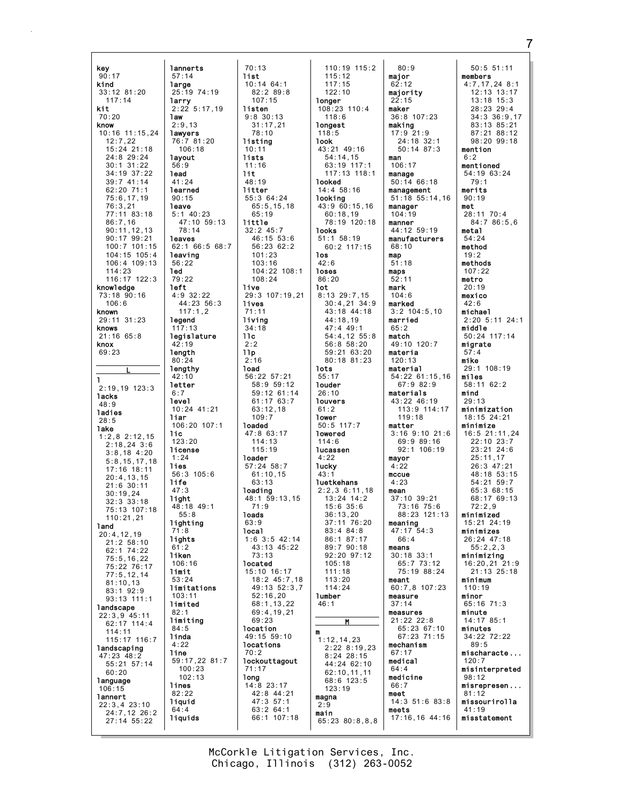lannerts kev  $90:17$  $57:14$ kind large  $33:12$  81:20  $25:19$  74:19  $117:14$ larry  $2:22$  5:17.19 kit  $70:20$ **law**  $2:9.13$ know 10:16 11:15,24 lawyers 76:7 81:20  $12.722$  $15:24$  21:18  $106:18$ 24:8 29:24 lavout  $30:1$   $31:22$  $56:9$  $34:19.37:22$ **lead** 39:7 41:14  $41:24$  $62.2071.1$ learned  $75:6, 17, 19$  $90:15$  $76.3.21$ leave  $5:1$  40:23 77:11 83:18  $86:7,16$ 47:10 59:13  $90:11,12,13$  $78.11$ 90:17 99:21 leaves 100:7 101:15 62:1 66:5 68:7  $104:15$   $105:4$ leaving 106:4 109:13 56:22  $114:23$ 1ed 116:17 122:3  $79:22$ left knowledge  $4:9$  32:22 73:18 90:16  $106:6$ 44:23 56:3 known  $117:1.2$ 29:11 31:23 legend  $117:13$ knows legislature  $21:16$  65:8 knox 69:23 length  $80:24$ lengthy 42:10 ı letter  $2:19.19.123:3$  $6:7$ **lacks level**  $48:9$  $10:24$  41:21 **Jadies** liar  $28.5$  $106:20$  107:1 **lake** lic.  $1:2,8$  2:12,15  $123:20$  $2:18.24$  3:6 license  $3:8.184:20$  $1.24$  $5:8, 15, 17, 18$ lies  $17:16$  18:11  $56.3105.6$  $20:4,13,15$ life  $21:6$  30:11  $47:3$  $30:19.24$ light  $32:3$   $33:18$ 48:18 49:1 75:13 107:18  $55.8$  $110:21.21$ lighting land  $71:8$  $20:4.12.19$ lights  $21:2$  58:10  $61.2$ 62:1 74:22 **liken**  $75:5, 16, 22$  $106:16$ 75:22 76:17 limit  $77:5, 12, 14$  $53:24$  $81:10,13$ limitations 83:1 92:9  $103:11$ 93:13 111:1 limited landscape  $82.1$  $22:3,9$  45:11 limiting  $62:17$  114:4  $84:5$  $114:11$ linda 115:17 116:7  $4:22$ landscaping line  $47:23$   $48:2$ 59:17,22 81:7 55:21 57:14  $100:23$  $60:20$  $102:13$ language lines  $106:15$  $82:22$ lannert liquid 22:3,4 23:10<br>24:7,12 26:2  $64:4$ liquids  $27:14$  55:22

 $70:13$ list  $10:14$  64:1  $82:289:8$  $107:15$ listen  $9.8.30.13$  $31:17.21$  $78.10$ listing  $10:11$ lists  $11:16$  $11<sub>t</sub>$  $48.19$ litter 55:3 64:24  $65.5$  15 18  $65:19$ little  $32:2$  45:7 46:15 53:6 56:23 62:2  $101.23$  $103:16$ 104:22 108:1  $108:24$ live 29:3 107:19.21 lives  $71:11$ living  $34:18$  $11c$  $2:2$  $11p$  $2:16$ **load** 56:22 57:21 58:9 59:12 59:12 61:14  $61:1763:7$  $63:12,18$  $109:7$ **loaded** 47:8 63:17  $114:13$  $115:19$ loader  $57:24$   $58:7$  $61:10,15$  $63:13$ loading  $48.1$  59.13 15  $71:9$ **loads**  $63.9$ local  $1:6$  3:5 42:14  $43 \cdot 13 \cdot 45:22$  $73:13$ located 15:10 16:17 18:2 45:7,18 49:13 52:3,7  $52:16.20$  $68:1, 13, 22$ 69:4.19.21  $69:23$ location  $49:15$  59:10 locations  $70:2$ **lockouttagout**  $71:17$ 1<sub>ong</sub>  $14:8$  23:17 42:8 44:21  $47:357:1$  $63:264:1$ 66:1 107:18

 $110:19$   $115:2$  $115:12$  $117:15$  $122:10$ **longer**  $108:23$  110:4  $118.6$ longest  $118:5$ **look**  $43:21$   $49:16$  $54:14,15$ <br> $63:19$  117:1 117:13 118:1 **looked**  $14:458:16$ looking 43:9 60:15.16  $60:18.19$ 78:19 120:18 **looks**  $51:1$   $58:19$ 60:2 117:15 **los**  $42:6$ loses  $86:20$ 1ot  $8:13$  29:7,15  $30:4,21$  34:9 43:18 44:18 44:18.19  $47:4$  49:1 54:4,12 55:8  $56:8.58:20$ 59:21 63:20 80:18 81:23 **lots**  $55:17$ **louder**  $26:10$ **louvers**  $61:2$ lower  $50:5$  117:7 lowered  $114:6$ **lucassen**  $4.22$ **lucky**  $43.1$ luetkehans  $2:2,3 \t6:11,18$ <br>13:24 14:2  $15:6.35:6$  $36:13,20$  $37.11$  76.20  $83:4$   $84:8$ 86:1 87:17<br>89:7 90:18 92:20 97:12  $105:18$  $111:18$  $113:20$  $114:24$ lumber  $46:1$  $\mathbf{M}$ m  $1:12,14,23$  $2:228:19.23$  $8:24$  28:15 44:24 62:10  $62:10, 11, 11$ 68:6 123:5  $123:19$ magna  $2:9$ main  $65:23$   $80:8,8.8$ 

 $80:9$ major  $62:12$ maiority  $22:15$ maker 36:8 107:23 making  $17:9$  21:9<br>24:18 32:1  $50:14.87:3$ man  $106:17$ manage  $50:14$  66:18 management  $51:18$   $55:14.16$ manager  $104:19$ manner 44:12 59:19 manufacturers  $68:10$ map  $51:18$ maps  $52:11$ mark  $104:6$ marked  $3:2$  104:5,10 married  $65:2$ match 49:10 120:7 materia  $120:13$ material 54:22 61:15,16 67:9 82:9 materials  $43:22$   $46:19$  $113:9$  114:17  $119:18$ matter  $3:16$  9:10 21:6  $69:9 89:16$  $92:1$  106:19 mayor  $4:22$ mecue  $4:23$ mean  $37:10$  39:21  $73:16$  75:6 88:23 121:13 meaning  $47:17$  54:3  $66:4$ means  $30:18$  33:1 65:7 73:12 75:19 88:24 meant 60:7,8 107:23 measure  $37:14$ measures  $21:22$   $22:8$ 65:23 67:10  $67.23$   $71.15$ mechanism  $67:17$ medical  $64:4$ medicine  $66:7$ meet 14:3 51:6 83:8 meets 17:16,16 44:16

 $50:551:11$ members  $4:7.17.24.8:1$  $12:13$  13:17  $12.18$   $15.3$  $28:23:29:4$  $34.3.36.9.17$  $83:13.85:21$  $87:21$   $88:12$  $98:20$  99:18 mention  $6:2$ mentioned 54:19 63:24  $79:1$ merits  $90:19$ met 28:11 70:4 84:7 86:5,6 metal  $54:24$ method  $19:2$ methods  $107:22$ metro  $20:19$ mexico  $42:6$ michael  $2:20$  5:11 24:1 middle 50:24 117:14 migrate mike  $29:1$  108:19 miles  $58:11$  62:2 mind  $29:13$ minimization 18:15 24:21 minimize 16:5 21:11.24  $22:10$   $23:7$  $23:21$   $24:6$  $25 \cdot 11$  17  $26:3$  47:21 48:18 53:15  $54:21.59:7$  $65:368:15$  $68:17$  69:13  $72:2.9$ minimized  $15.21$   $24.19$ minimizes 26:24 47:18  $55.2.3$ minimizing 16:20,21 21:9<br>21:13 25:18 minimum  $110:19$ minor  $65:16$  71:3  $minute$ 14:17 85:1 minutes 34:22 72:22  $89:5$ mischaracte.  $120:7$ misinterpreted  $98:12$ misrepresen...  $81:12$ missourirolla  $41:19$ misstatement

McCorkle Litigation Services, Inc. Chicago, Illinois (312) 263-0052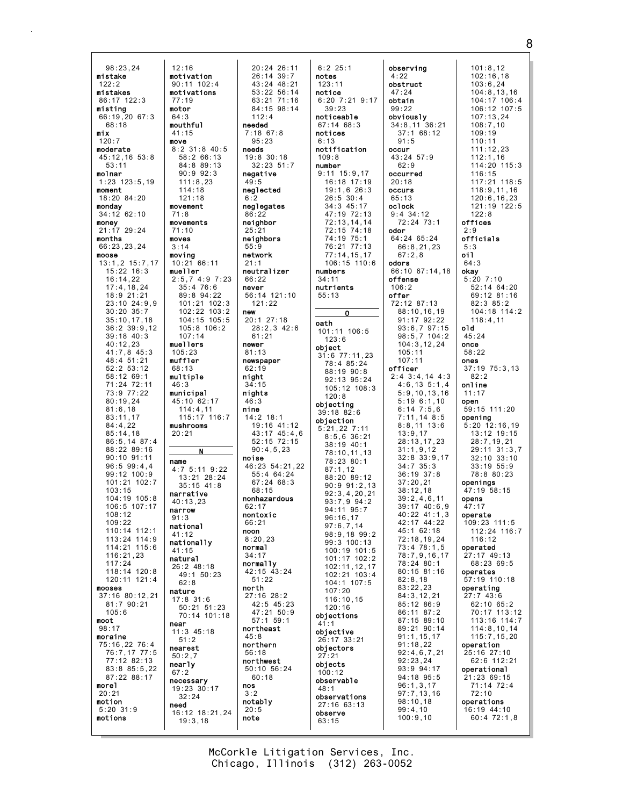98:23,24 mistake  $122:2$ mistakes 86:17 122:3 misting  $66:19.2067:3$ 68:18 mix  $120:7$ moderate 45:12,16 53:8 53:11 molnar 1:23 123:5,19 moment 18:20 84:20 monday 34:12 62:10 money 21:17 29:24 months 66:23,23,24 moose 13:1,2 15:7,17 15:22 16:3 16:14,22 17:4,18,24 18:9 21:21 23:10 24:9,9 30:20 35:7 35:10,17,18 36:2 39:9,12 39:18 40:3 40:12,23 41:7,8 45:3 48:4 51:21 52:2 53:12 58:12 69:1 71:24 72:11 73:9 77:22 80:19,24 81:6,18 83:11,17 84:4,22 85:14,18 86:5,14 87:4 88:22 89:16 90:10 91:11 96:5 99:4,4 99:12 100:9 101:21 102:7 103:15 104:19 105:8 106:5 107:17 108:12  $109.22$ 110:14 112:1 113:24 114:9  $114.21$   $115.6$ 116:21,23 117:24 118:14 120:8 120:11 121:4 mooses 37:16 80:12,21 81:7 90:21  $105.6$ moot 98:17 moraine 75:16,22 76:4 76:7,17 77:5 77:12 82:13 83:8 85:5,22 87:22 88:17 morel 20:21 motion 5:20 31:9 motions 12:16 motivation 90:11 102:4 motivations 77:19 motor  $64.3$ mouthful 41:15 move movement 71:8 movements 71:10 moves 3:14 moving 10:21 66:11 mueller muellers 105:23 muffler 68:13 multiple 46:3 municipal  $45:10.62:17$ mushrooms 20:21 name narrative 40:13,23 narrow 91:3 national 41:12 nationally 41:15 natural 26:2 48:18 nature 17:8 31:6 near  $11:3$  45:18 nearest 50:2,7 nearly 67:2 necessary 19:23 30:17 need

8:2 31:8 40:5 2:5,7 4:9 7:23 101:21 102:3 102:22 103:2 104:15 105:5 105:8 106:2 115:17 116:7 4:7 5:11 9:22 13:21 28:24 50:21 51:23 70:14 101:18 16:12 18:21,24 20:24 26:11 26:14 39:7 43:24 48:21 53:22 56:14 63:21 71:16 84:15 98:14  $112 \cdot 4$ needed 7:18 67:8  $95.23$ needs 19:8 30:18 32:23 51:7 negative 49:5 neglected 6:2 neglegates 86 neighbor  $25.2$ neighbors 55:9 network 21:1 neutralizer 66:22 never 56:14 121:10 121:22 new 20:1 27:18 28:2,3 42:6 61:21 newer 81:13 newspaper  $62:19$ night 34:15 nights 46:3 nine 14:2 18:1 19:16 41:12 43:17 45:4,6 52:15 72:15 90:4,5,23 noise 46:23 54:21,22 55:4 64:24 67:24 68:3 68:15 nonhazardous 62:17 nontoxic  $66.21$ noon 8:20,23 normal 34:17 normally 42:15 43:24 51:22 north 27:16 28:2 42:5 45:23 47:21 50:9 57:1 59:1 northeast  $45.8$ northern 56:18 northwest 50:10 56:24 60:18 nos 3:2 notably 20:5 note

58:2 66:13 84:8 89:13 90:9 92:3 111:8,23  $114.18$ 121:18

35:4 76:6 89:8 94:22

107:14

114:4,11

N

35:15 41:8

49:1 50:23 62:8

51:2

32:24

19:3,18

6:2 25:1 notes 123:11 notice 6:20 7:21 9:17 39:23 noticeable 67:14 68:3 notices  $6:13$ notification 109:8 number 9:11 15:9,17 16:18 17:19 19:1,6 26:3 26:5 30:4 34:3 45:17 47:19 72:13 72:13,14,14 72:15 74:18 74:19 75:1 76:21 77:13 77:14,15,17 106:15 110:6 numbers 34:11 nutrients 55:13 O oath 101:11 106:5  $123:6$ object 31:6 77:11,23 78:4 85:24 88:19 90:8 92:13 95:24 105:12 108:3  $120.8$ objecting 39:18 82:6 objection 5:21,22 7:11 8:5,6 36:21 38:19 40:1 78:10,11,13 78:23 80:1 87:1,12 88:20 89:12 90:9 91:2,13 92:3,4,20,21 93:7,9 94:2 94:11 95:7 96:16,17 97:6,7,14 98:9,18 99:2 99:3 100:13 100:19 101:5 101:17 102:2 102:11,12,17 102:21 103:4 104:1 107:5 107:20 116:10,15 120:16 objections 41:1 objective 26:17 33:21 objectors 27:21 objects 100:12 observable 48:1 observations 27:16 63:13 observe 63:15

observing 4:22 obstruct 47:24 obtain 99:22 obviously 34:8,11 36:21 37:1 68:12  $91:5$ occur 43:24 57:9  $62.9$ occurred 20:18 occurs 65:13 oclock 9:4 34:12 72:24 73:1 odor 64:24 65:24 66:8,21,23 67:2,8 odors 66:10 67:14,18 offense 106:2 offer 72:12 87:13 88:10,16,19 91:17 92:22 93:6,7 97:15 98:5,7 104:2 104:3,12,24 105:11 107:11 officer 2:4 3:4,14 4:3 4:6,13 5:1,4 5:9,10,13,16 5:19 6:1,10 6:14 7:5,6 7:11,14 8:5 8:8,11 13:6 13:9,17 28:13,17,23 31:1,9,12 32:8 33:9,17 34:7 35:3 36:19 37:8 37:20,21 38:12,18 39:2,4,6,11 39:17 40:6,9 40:22 41:1,3 42:17 44:22 45:1 62:18 72:18,19,24  $73 \cdot 4$  78  $\cdot 1$ , 5 78:7,9,16,17 78:24 80:1 80:15 81:16 82:8,18 83:22,23 84:3,12,21 85:12 86:9 86:11 87:2 87:15 89:10 89:21 90:14 91:1,15,17 91:18,22 92:4,6,7,21 92:23,24 93:9 94:17 94:18 95:5 96:1,3,17 97:7,13,16 98:10,18 99:4,10 100:9,10 101:8,12 102:16,18 103:6,24  $122.8$ offices  $2.9$ 5:3 oil 64:3 okay old 45:24 once 58:22 ones 82:2 online 11:17 open opening openings opens 47:17 operate operated operates 72:10 60:4 72:1,8

104:8,13,16 104:17 106:4 106:12 107:5 107:13,24 108:7,10 109:19 110:11 111:12,23 112:1,16 114:20 115:3 116:15 117:21 118:5 118:9,11,16 120:6,16,23 121:19 122:5 officials  $5:20$   $7:10$ 52:14 64:20 69:12 81:16 82:3 85:2 104:18 114:2 118:4,11 37:19 75:3,13 59:15 111:20 5:20 12:16,19 13:12 19:15 28:7,19,21 29:11 31:3,7 32:10 33:10 33:19 55:9 78:8 80:23 47:19 58:15 109:23 111:5 112:24 116:7 116:12 27:17 49:13 68:23 69:5 57:19 110:18 operating 27:7 43:6 62:10 65:2 70:17 113:12 113:16 114:7 114:8,10,14 115:7,15,20 operation 25:16 27:10 62:6 112:21 operational 21:23 69:15 71:14 72:4 operations 16:19 44:10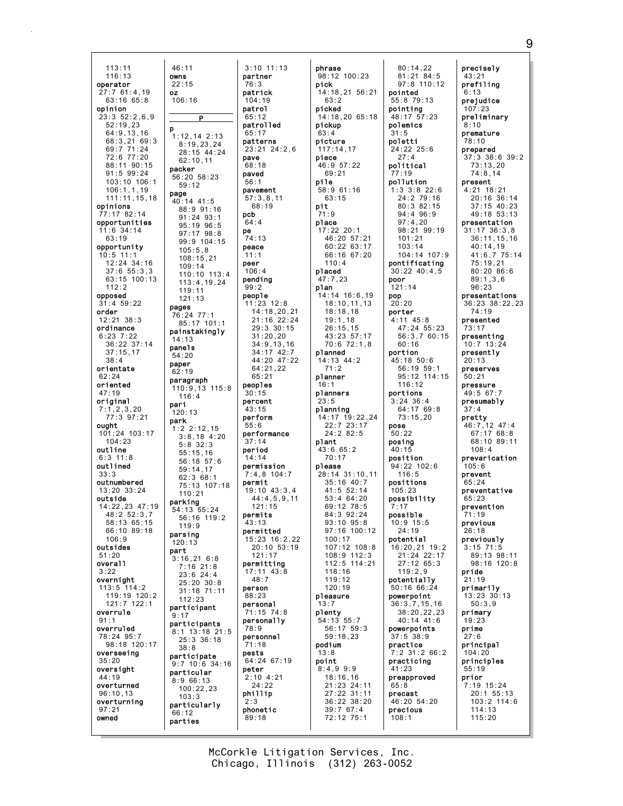$113:11$  $116:13$ owns operator  $27:761:4.19$ 0Z  $63:16$   $65:8$ opinion  $23:352:26.9$  $52:19.23$ Þ  $64:9, 13, 16$  $68.3.21.69.3$  $69:771:24$ 72:6 77:20 88:11 90:15  $91:599:24$ 103:10 106:1  $106:1, 1, 19$ page  $111:11.15.18$ opinions  $7:17.82:14$ opportunities  $11:6$  34:14  $63:19$ opportunity  $10:5$  11:1  $12:24$  34:16  $37:6$   $55:3,3$ 63:15 100:13  $112:2$ opposed  $31:4$  59:22 pages order  $12:21$   $38:3$ ordinance  $6:23$  7:22  $36:22$  37:14  $37:15,17$  $38:4$ paper orientate  $62:24$ oriented  $47:19$ original pari  $7:1,2,3,20$  $77:3$  97:21 park ought 101:24 103:17  $104:23$ outline  $6:3$  11  $8$ outlined  $33.3$ outnumbered  $13:20.33:24$ outside 14:22.23 47:19  $48:252:3.7$  $58.1365.15$ 66:10 89:18  $106.9$ outsides part  $51:20$ overal1  $3.22$ overnight 113:5 114:2  $119:19$  120:2  $121:7$   $122:1$ overrule  $91:1$ overruled 78:24 95:7 98:18 120:17 overseeing  $35:20$ oversight  $44:19$ overturned  $96:10,13$ overturning  $97:21$ owned

 $9:17$ 

 $46:11$  $3:10$  11:13 partner  $22:15$  $76:3$ patrick  $106:16$  $104:19$ patrol  $65.12$  $\overline{P}$ patrolled  $65.17$  $1:12.14$  2:13 patterns  $8:19,23,24$  $23:21$   $24:2.6$  $28.15$   $44.24$ pave  $62:10.11$  $68:18$ packer paved  $56:20.58:23$  $56:1$  $59:12$ pavement  $57:3,8,11$  $40:14$  41:5  $68.19$ 88:9 91:16 pcb  $91:24$   $93:1$  $64:4$ 95:19 96:5 pe  $97:17$   $98:8$  $74:13$ 99:9 104:15 peace  $105:5.8$  $11:1$  $108:15,21$ peer  $109:14$  $106:4$ 110:10 113:4 pending  $113:4.19.24$  $99:2$ 119:11 people  $121:13$  $11:23$   $12:8$ 76:24 77:1 85:17 101:1  $29:3$  30:15 painstakingly  $31:20,20$  $14:13$  $34:9.13.16$ panels  $34:17$   $42:7$  $54:20$  $64.21$  22  $62:19$  $65:21$ paragraph peoples 110:9.13 115:8  $30:15$  $116.4$ **percent**  $43.15$  $120:13$ perform  $55:6$  $1:2,2:12.15$ performance  $3:8,18$  4:20  $37:14$  $5.8.32.3$ period  $55:15,16$  $14.14$ 56:18 57:6 permission  $59:14.17$  $7:4,8$  104:7  $62:368:1$ permit 75:13 107:18  $19:10$   $43:3.4$  $110:21$ parking  $121:15$ 54:13 55:24 permits 56:16 119:2  $43.13$  $119:9$ permitted parsing 15:23 16:2,22  $120:13$  $121:17$  $3:16,216:8$ permitting  $7:16$  21:8  $17:11$   $43:8$  $23:6$  24:4  $48:7$  $25:20$  30:8 person  $31:18$   $71:11$ 88:23  $112:23$ personal participant  $71:15$  74 · 8 personally participants 78:9 8:1 13:18 21:5 personnel  $25:3$  36:18  $71:18$  $38.8$ pests participate 64:24 67:19  $9:7$  10:6 34:16 peter particular  $2:10$  4:21  $8:9.66:13$  $24:22$  $100:22,23$ phillip  $103:3$  $2:3$ particularly phonetic  $66:12$  $89:18$ parties

phrase 98:12 100:23 pick 14:18.21 56:21  $63:2$ picked  $14:18.20$  65:18 pickup  $63.4$ picture  $117:14,17$ piece  $46:957:22$  $69:21$ pile  $58:9$  61:16  $63:15$ pit  $71:9$ place  $17:22$  20:1 46:20 57:21 60:22 63:17 66:16 67:20  $110:4$ placed  $47:7,23$ plan 14:14 16:6,19  $18:10, 11, 13$  $14:18,20,21$  $18:18,18$  $21:16$  22:24  $19:1.18$  $26:15,15$ 43:23 57:17  $70:6$   $72:1.8$ planned 44:20 47:22 14:13 44:2  $71:2$ planner  $16:1$ planners  $23:5$ planning 14:17 19:22,24  $22:7$   $23:17$  $24:2$  82:5 plant  $43:665:2$  $70:17$ please 28:14 31:10.11  $35:16$  40:7  $41:5$  52:14  $53:4$  64:20  $44:4,5,9,11$  $69:12$  78:5  $84:392:24$  $93 \cdot 10$   $95 \cdot 8$  $97:16$  100:12  $100:17$  $107.12 108.8$  $20.10.53.19$ 108:9 112:3 112:5 114:21  $118:16$  $119:12$  $120:19$ pleasure  $13:7$ plenty 54:13 55:7 56:17 59:3  $59:18,23$ podium  $13:8$ point  $8:4,99:9$  $18:16,16$ 21:23 24:11 27:22 31:11 36:22 38:20  $39:767:4$ 72:12 75:1

 $80:14.22$  $81:21$   $84:5$  $97:8$  110:12 pointed 55:8 79:13 pointing<br> $48:17 \quad 57:23$ polemics  $31.5$ poletti 24:22 25:6  $27 \cdot 4$ political  $77:19$ pollution  $1:3$  3:8 22:6  $24:2$  79:16  $80.382.15$  $94:496:9$  $97:4,20$  $98.2199.19$  $101:21$  $103:14$  $104:14$  107:9 pontificating  $30:22$   $40:4.5$ poor  $121:14$ pop  $20:20$ porter  $4:11$   $45:8$ 47:24 55:23 56:3,7 60:15  $60:16$ portion 45:18 50:6  $56:19$   $59:1$ 95:12 114:15  $116:12$ portions  $3:24$  36:4  $64:17$  69:8  $73:15.20$ pose  $50:22$ posina  $40:15$ position  $94:22$  102:6  $116.5$ positions  $105:23$ possibility  $7:17$ possible  $10.915.5$  $24.19$ potential 16:20,21 19:2 21:24 22:17 27:12 65:3  $119.29$ potentially 50:16 66:24 powerpoint  $36:3,7,15,16$ 38:20,22,23  $40:14.41:6$ powerpoints  $37.5.38.9$ practice  $7:2$  31:2 66:2 practicing 41:23 preapproved  $65:8$ precast 46:20 54:20 precious  $108:1$ 

precisely 43:21 prefiling  $6:13$ prejudice  $107:23$ preliminary  $8:10$ premature  $78.10$ prepared 37:3 38:6 39:2  $73:13.20$  $74:8.14$ present  $4:21$  18:21 20:16 36:14  $37.15$   $40.23$  $49:18$  53:13 presentation  $31:17$   $36:3,8$  $36:11, 15, 16$  $40:14,19$  $41:6.775:14$  $75:19,21$  $80:20$   $86:6$  $89:1,3,6$  $96:23$ presentations 36:23 38:22,23  $74:19$ presented  $73:17$ presenting  $10:7$  13:24 presently  $20:13$ preserves  $50:21$ pressure 49:5 67:7 presumably  $37 \cdot 4$ oretty 46:7,12 47:4<br>67:17 68:8 68:10 89:11  $108:4$ prevarication  $105:6$ nrevent  $65:24$ preventative  $65.23$ prevention  $71:19$ previous  $26:18$ previously  $3.15$   $71.\overline{5}$ 89:13 98:11  $98:16$  120:8 pride  $21:19$ primarily  $13:23:30:13$  $50:3,9$ primary  $19:23$ prime  $27.6$ principal  $104:20$ principles  $55:19$ prior 7:19 15:24  $20:1$  55:13  $103:2$   $114:6$  $114:13$  $115:20$ 

McCorkle Litigation Services, Inc. Chicago, Illinois (312) 263-0052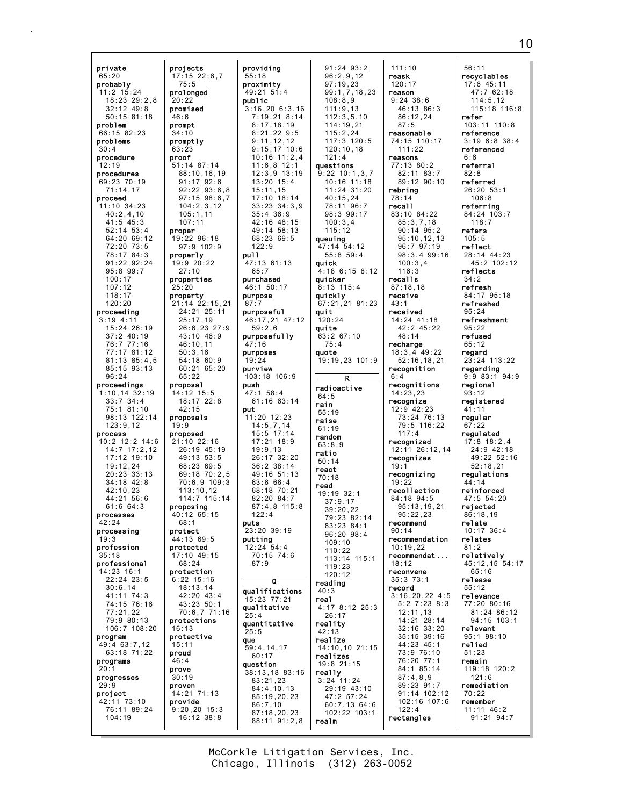private 65:20 probably 11:2 15:24 18:23 29:2,8 32:12 49:8 50:15 81:18 problem 66:15 82:23 problems 30:4 procedure 12:19 procedures 69:23 70:19 71:14,17 proceed  $11 \cdot 10$   $34 \cdot 23$ 40:2,4,10 41:5 45:3 52:14 53:4 64:20 69:12 72:20 73:5 78:17 84:3 91:22 92:24 95:8 99:7 100:17 107:12 118:17 120:20 proceeding 3:19 4:11 15:24 26:19 37:2 40:19 76:7 77:16 77:17 81:12 81:13 85:4,5 85:15 93:13 96:24 proceedings 1:10,14 32:19 33:7 34:4 75:1 81:10 98:13 122:14 123:9,12 process 10:2 12:2 14:6 14:7 17:2,12 17:12 19:10 19:12,24 20:23 33:13 34:18 42:8 42:10,23  $44.21$  56:6 61:6 64:3 processes  $42.24$ processing 19:3 profession 35:18 professional 14:23 16:1 22:24 23:5 30:6,14 41:11 74:3 74:15 76:16 77:21,22 79:9 80:13 106:7 108:20 program 49:4 63:7,12 63:18 71:22 programs  $20:1$ progresses 29:9 project 42:11 73:10 76:11 89:24 104:19 projects promised protective

75:5 prolonged 20:22

46:6 prompt 34:10 promptly 63:23 proof

105:1,11 107:11 proper

25:17,19

46:10,11 50:3,16

65:22 proposal 14:12 15:5

 $42.15$ proposals 19:9 proposed

proposing

68:1 protect 44:13 69:5 protected

68:24 protection 6:22 15:16 18:13,14

16:13

15:11 proud 46:4 prove 30:19 proven

provide

properly 19:9 20:22 27:10 properties 25:20 property

17:15 22:6,7 51:14 87:14 88:10,16,19 91:17 92:6 92:22 93:6,8 97:15 98:6,7 104:2,3,12 19:22 96:18 97:9 102:9 21:14 22:15,21 24:21 25:11 26:6,23 27:9 43:10 46:9 54:18 60:9 60:21 65:20 18:17 22:8 21:10 22:16 26:19 45:19 49:13 53:5 68:23 69:5 69:18 70:2,5 70:6,9 109:3 113:10,12 114:7 115:14 40:12 65:15 17:10 49:15 42:20 43:4 43:23 50:1 70:6,7 71:16 protections 14:21 71:13 9:20,20 15:3 16:12 38:8 providing 55:18 proximity 49:21 51:4 public 3:16,20 6:3,16 7:19,21 8:14 8:17,18,19 8:21,22 9:5 9:11,12,12 9:15,17 10:6 10:16 11:2,4 11:6,8 12:1 12:3,9 13:19 13:20 15:4 15:11,15 17:10 18:14 33:23 34:3,9 35:4 36:9 42:16 48:15 49:14 58:13 68:23 69:5 122:9 pull 47:13 61:13 65:7 purchased 46:1 50:17 purpose 87:7 purposeful 46:17,21 47:12 59:2,6 purposefully 47:16 purposes 19:24 purview 103:18 106:9 push 47:1 58:4 61:16 63:14 put 11:20 12:23 14:5,7,14 15:5 17:14 17:21 18:9 19:9,13 26:17 32:20 36:2 38:14 49:16 51:13 63:6 66:4 68:18 70:21 82:20 84:7 87:4,8 115:8  $122:4$ puts 23:20 39:19 putting 12:24 54:4  $70:15$  74:6 87:9  $\Omega$ qualifications 15:23 77:21 qualitative 25:4 quantitative 25:5 que 59:4,14,17 60:17 question 38:13,18 83:16 83:21,23 84:4,10,13 85:19,20,23 86:7,10 87:18,20,23 88:11 91:2,8

91:24 93:2 96:2,9,12 97:19,23 99:1,7,18,23 108:8,9 111:9,13 112:3,5,10 114:19,21 115:2,24  $117.31120.5$ 120:10,18 121:4 questions 9:22 10:1,3,7 10:16 11:18 11:24 31:20 40:15,24 78:11 96:7 98:3 99:17 100:3,4 115:12 queuing 47:14 54:12 55:8 59:4 quick 4:18 6:15 8:12 quicker 8:13 115:4 quickly 67:21,21 81:23 quit  $120:24$ quite 63:2 67:10 75:4 quote 19:19,23 101:9 R radioactive  $64:5$ rain 55:19 raise 61:19 random 63:8,9 ratio 50:14 react 70:18 read 19:19 32:1 37:9,17 39:20,22 79:23 82:14 83:23 84:1 96:20 98:4 109:10 110:22 113:14 115:1 119:23 120:12 reading 40:3 real 4:17 8:12 25:3 26:17 reality 42:13 realize 14:10,10 21:15 realizes 19:8 21:15 really 3:24 11:24 29:19 43:10 47:2 57:24 60:7,13 64:6 102:22 103:1 realm

111:10 reask 120:17 reason 9:24 38:6 46:13 86:3 86:12,24 87:5 reasonable 74:15 110:17 111:22 reasons 77:13 80:2 82:11 83:7 89:12 90:10 rebring 78:14 recall 83:10 84:22 85:3,7,18 90:14 95:2 95:10,12,13 96:7 97:19 98:3,4 99:16 100:3,4 116:3 recalls 87:18,18 receive 43:1 received 14:24 41:18 42:2 45:22 48:14 recharge 18:3,4 49:22 52:16,18,21 recognition 6:4 recognitions 14:23,23 recognize 12:9 42:23 73:24 76:13 79:5 116:22 117:4 recognized 12:11 26:12,14 recognizes 19:1 recognizing  $19:22$ recollection 84:18 94:5 95:13,19,21  $95.22.23$ recommend  $90 \cdot 14$ recommendation  $10.19.22$ recommendat ... 18:12 reconvene 35:3 73:1 record 3:16,20,22 4:5 5:2 7:23 8:3 12:11,13 14:21 28:14 32:16 33:20 35:15 39:16 44:23 45:1 73:9 76:10 76:20 77:1 84:1 85:14 87:4,8,9 89:23 91:7 91:14 102:12 102:16 107:6  $122:4$ rectangles

56:11 recyclables 17:6 45:11  $47:7$  62:18  $114:5.12$ 115:18 116:8 refer 103:11 110:8 reference 3:19 6:8 38:4 referenced 6:6 referral 82:8 referred 26:20 53:1 106:8 referring 84:24 103:7 118:7 refers 105:5 reflect 28:14 44:23 45:2 102:12 reflects 34:2 refresh 84:17 95:18 refreshed 95:24 refreshment 95:22 refused 65:12 regard 23:24 113:22 regarding<br> $9:9.83:1.94:9$  $9:9 83:1$ regional 93:12 registered 41:11 regular 67:22 regulated 17:8 18:2,4 24:9 42:18  $49.22 52.16$ 52:18,21 regulations  $44 \cdot 14$ reinforced  $47.5$  54.20 rejected 86:18,19 relate 10:17 36:4 relates  $81:2$ relatively 45:12,15 54:17 65:16 release 55:12 relevance 77:20 80:16 81:24 86:12 94:15 103:1 relevant 95:1 98:10 relied 51:23 remain 119:18 120:2 121:6 remediation 70:22 remember 11:11 46:2 91:21 94:7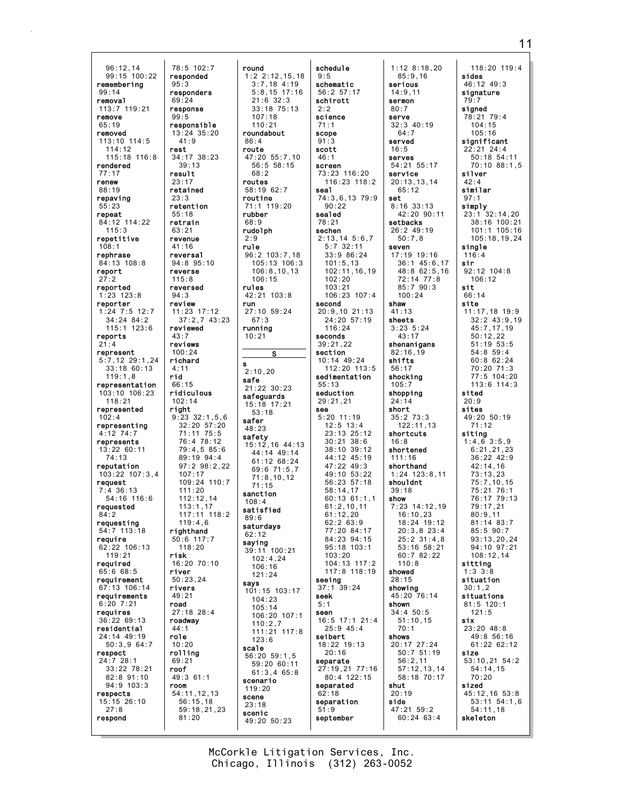96:12,14 99:15 100:22 remembering 99:14 removal 113:7 119:21 remove 65:19 removed  $113 \cdot 10$   $114 \cdot 5$ 114:12 115:18 116:8 rendered 77:17 renew 88:19 repaving 55:23 repeat 84:12 114:22 115:3 repetitive 108:1 rephrase 84:13 108:8 report 27:2 reported 1:23 123:8 reporter 1:24 7:5 12:7 34:24 84:2 115:1 123:6 reports 21:4 represent 5:7,12 29:1,24 33:18 60:13 119:1,8 representation 103:10 106:23 118:21 represented 102:4 representing 4:12 74:7 represents 13:22 60:11 74:13 reputation 103:22 107:3,4 request 7:4 36:13 54:16 116:6 requested 84:2 requesting 54:7 113:18 require 62:22 106:13 119:21 required 65:6 68:5 requirement 67:13 106:14 requirements 6:20 7:21 requires 36:22 69:13 residential 24:14 49:19 50:3,9 64:7 respect 24:7 28:1 33:22 78:21 82:8 91:10 94:9 103:3 respects 15:15 26:10 27:8 respond 78:5 102:7 responded 95:3 responders 69:24 response  $99.5$ responsible 13:24 35:20 rest 34:17 38:23 result 23:17 retained 23:3 retention 55:18 retrain  $63.21$ revenue 41:16 reversal 94:8 95:10 reverse 115:8 reversed  $94.3$ review 11:23 17:12 reviewed 43:7 reviews 100:24 richard 4:11 rid 66:15 ridiculous 102:14 right righthand 50:6 117:7 risk 16:20 70:10 river 50:23,24 rivers 49:21 road 27:18 28:4 roadway 44:1 role 10:20 rolling 69:21 roof 49:3 61:1 room 54:11,12,13

 $41.9$ 

39:13

76:4 78:12

89:19 94:4

107:17

111:20  $112.12$ , 14 113:1,17

 $119 \cdot 46$ 

118:20

56:15,18

81:20

37:2,7 43:23 9:23 32:1,5,6 32:20 57:20 71:11 75:5 79:4,5 85:6 97:2 98:2,22 109:24 110:7 117:11 118:2 59:18,21,23 round 1:2 2:12,15,18 3:7,18 4:19 5:8,15 17:16  $21:6.32:3$ 33:18 75:13 107:18 110:21 roundabout 86:4 route 47:20 55:7,10 56:5 58:15  $68.2$ routes 58:19 62:7 routine 71:1 119:20 rubber 68:9 rudolph 2:9 rule 96:2 103:7,18 105:13 106:3 106:8,10,13 106:15 rules 42:21 103:8 run 27:10 59:24 67:3 running 10:21 S s 2:10,20 safe 21:22 30:23 safeguards 15:18 17:21 53:18 safer 48:23 **safety**<br>15:12,16 44:13 44:14 49:14 61:12 68:24 69:6 71:5,7 71:8,10,12 71:15 sanction 108:4 satisfied 89:6 saturdays 62:12 saying 39:11 100:21 102:4,24 106:16 121:24 says 101:15 103:17 104:23 105:14 106:20 107:1 110:2,7 111:21 117:8 123:6 scale 56:20 59:1,5 59:20 60:11 61:3,4 65:8 scenario 119:20 scene 23:18 scenic 49:20 50:23

schedule 9:5 schematic 56:2 57:17 schirott  $2:2$ science 71:1 scope 91:3 scott 46:1 screen 73:23 116:20 116:23 118:2 seal 74:3,6,13 79:9  $90.22$ sealed 78:21 sechen 2:13,14 5:6,7 5:7 32:11 33:9 86:24 101:5,13 102:11,16,19 102:20 103:21 106:23 107:4 second 20:9,10 21:13 24:20 57:19 116:24 seconds 39:21,22 section 10:14 49:24  $112:20$  113:5 sedimentation 55:13 seduction 29:21,21 see 5:20 11:19 12:5 13:4 23:13 25:12 30:21 38:6 38:10 39:12  $44.12$   $45.19$ 47:22 49:3 49:10 53:22 56:23 57:18 58:14,17  $60:13$  61:1,1 61:2,10,11 61:12,20  $62.2 63.9$ 77:20 84:17 84:23 94:15 95:18 103:1 103:20 104:13 117:2 117:8 118:19 seeing 37:1 39:24 seek 5:1 seen 16:5 17:1 21:4 25:9 45:4 seibert 18:22 19:13 20:16 separate 27:19,21 77:16 80:4 122:15 separated 62:18 separation 51:9 september

1:12 8:18,20 85:9,16 serious 14:9,11 sermon 80:7 serve 32:3 40:19  $64.7$ served 16:5 serves 54:21 55:17 service 20:13,13,14 65:12 set 8:16 33:13 42:20 90:11 setbacks 26:2 49:19 50:7,8 seven 17:19 19:16 36:1 45:6,17 48:8 62:5,16 72:14 77:8 85:7 90:3  $100.24$ shaw 41:13 sheets 3:23 5:24 43:17 shenanigans 82:16,19 shifts 56:17 shocking 105:7 shopping 24:14 short 35:2 73:3 122:11,13 shortcuts 16:8 shortened 111:16 shorthand 1:24 123:8,11 shouldnt 39:18 show 7:23 14:12,19 16:10,23 18:24 19:12 20:3,8 23:4 25:2 31:4,8 53:16 58:21 60:7 82:22 110:8 showed 28:15 showing 45:20 76:14 shown 34:4 50:5 51:10,15 70:1 shows 20:17 27:24 50:7 51:19 56:2,11 57:12,13,14 58:18 70:17 shut 20:19 side 47:21 59:2 60:24 63:4

118:20 119:4 sides 46:12 49:3 signature 79:7 signed 78:21 79:4 104:15 105:16 significant  $22:21$  24:4 50:18 54:11 70:10 88:1,5 silver 42:4 similar 97:1 simply 23:1 32:14,20 38:16 100:21 101:1 105:16 105:18,19,24 single 116:4 sir 92:12 104:8 106:12 sit 66:14 site 11:17,18 19:9 32:2 43:9,19 45:7,17,19 50:12,22 51:19 53:5 54:8 59:4 60:8 62:24 70:20 71:3 77:5 104:20 113:6 114:3 sited 20:9 sites 49:20 50:19 71:12 siting 1:4,6 3:5,9 6:21,21,23 36:22 42:9 42:14,16 73:13,23 75:7,10,15 75:21 76:1 76:17 79:13 79:17,21 80:9,11 81:14 83:7 85:5 90:7 93:13,20,24 94:10 97:21 108:12,14 sitting 1:3 3:8 situation 30:1,2 situations 81:5 120:1 121:5 six 23:20 48:8 49:8 56:16 61:22 62:12 size 53:10,21 54:2 54:14,15 70:20 sized 45:12,16 53:8 53:11 54:1,6 54:11,18 skeleton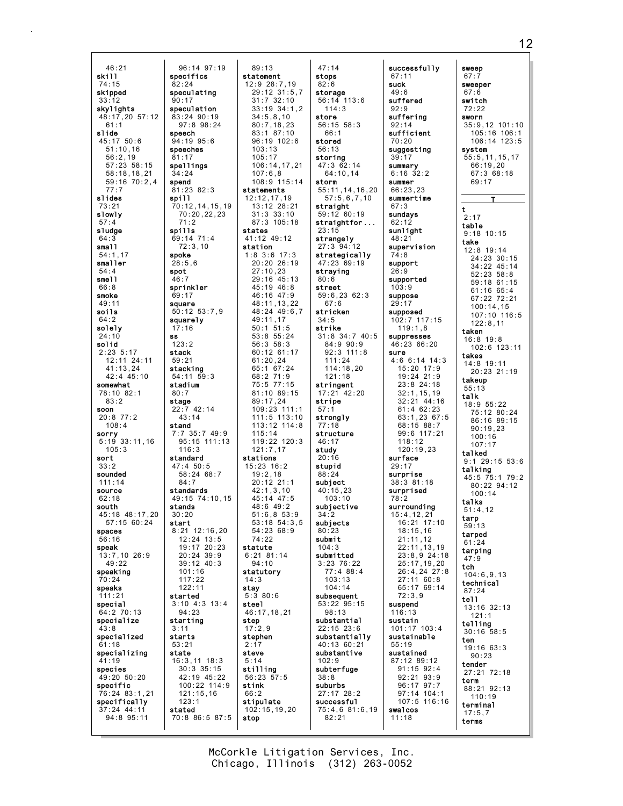46:21 skill 74:15 skipped 33:12 skylights 48:17,20 57:12 61:1 slide  $45:17$  50:6 51:10,16 56:2,19 57:23 58:15 58:18,18,21 59:16 70:2,4 77:7 slides 73:21 slowly 57:4 sludge 64:3 small 54:1,17 smaller 54:4 smell 66:8 smoke 49:11 soils 64:2 solely 24:10 solid 2:23 5:17 12:11 24:11  $41:13.24$ 42:4 45:10 somewhat 78:10 82:1 83:2 soon 20:8 77:2 108:4 sorry 5:19 33:11,16 105:3 sort 33:2 sounded 111:14 source  $62.18$ south 45:18 48:17,20 57:15 60:24 spaces 56:16 speak 13:7,10 26:9 49:22 speaking 70:24 speaks 111:21 special  $64.270.13$ specialize 43:8 specialized 61:18 specializing 41:19 species 49:20 50:20 specific 76:24 83:1,21 specifically 37:24 44:11 94:8 95:11 specifics 82:24 speculating 90:17 speculation 83:24 90:19 speech 94:19 95:6 speeches 81:17 spellings 34:24 spend 81:23 82:3 spill spills 69:14 71:4 72:3,10 spoke  $28:5.6$ spot 46:7 sprinkler 69:17 square squarely 17:16 ss 123:2 stack 59:21 stacking 54:11 59:3 stadium 80:7 stage 22:7 42:14 stand standard 47:4 50:5 standards stands 30:20 start started 94:23 starting 3:11 starts 53:21 state stated

71:2

 $43:14$ 

116:3

84:7

101:16 117:22 122:11

123:1

96:14 97:19 97:8 98:24 70:12,14,15,19 70:20,22,23 50:12 53:7,9 7:7 35:7 49:9 95:15 111:13 58:24 68:7  $49.15$  74.10 15 8:21 12:16,20 12:24 13:5  $10.17 20.23$ 20:24 39:9 39:12 40:3 3:10 4:3 13:4 16:3,11 18:3 30:3 35:15 42:19 45:22 100:22 114:9 121:15,16 70:8 86:5 87:5 89:13 statement 12:9 28:7,19 29:12 31:5,7 31:7 32:10 33:19 34:1,2  $34.5,8,10$ 80:7,18,23 83:1 87:10 96:19 102:6 103:13 105:17 106:14,17,21 107:6,8 108:9 115:14 statements 12:12,17,19 13:12 28:21 31:3 33:10 87:3 105:18 states 41:12 49:12 station 1:8 3:6 17:3 20:20 26:19 27:10,23 29:16 45:13 45:19 46:8  $46.16$   $47.9$ 48:11,13,22 48:24 49:6,7 49:11,17 50:1 51:5 53:8 55:24 56:3 58:3 60:12 61:17 61:20,24 65:1 67:24 68:2 71:9 75:5 77:15 81:10 89:15 89:17,24 109:23 111:1 111:5 113:10 113:12 114:8 115:14 119:22 120:3 121:7,17 stations 15:23 16:2 19:2,18 20:12 21:1  $42:1,3,10$  $45 \cdot 14$   $47 \cdot 5$ 48:6 49:2 51:6,8 53:9 53:18 54:3,5 54:23 68:9 74:22 statute 6:21 81:14  $94 \cdot 10$ statutory 14:3 stay 5:3 80:6 steel 46:17,18,21 step 17:2,9 stephen 2:17 steve 5:14 stilling 56:23 57:5 stink 66:2 stipulate 102:15,19,20 stop

47:14 stops 82:6 storage 56:14 113:6 114:3 store 56:15 58:3 66:1 stored 56:13 storing 47:3 62:14 64:10,14 storm 55:11,14,16,20 57:5,6,7,10 straight 59:12 60:19 straightfor ... 23:15 strangely 27:3 94:12 strategically 47:23 69:19 straying 80:6 street 59:6,23 62:3 67:6 stricken 34:5 strike 31:8 34:7 40:5 84:9 90:9 92:3 111:8 111:24 114:18,20 121:18 stringent 17:21 42:20 stripe 57:1 strongly 77:18 structure 46:17 study 20:16 stupid 88:24 subject 40:15,23  $103 \cdot 10$ subjective  $34.2$ subjects 80:23 submit  $101.3$ submitted 3:23 76:22 77:4 88:4 103:13 104:14 subsequent 53:22 95:15 98:13 substantial 22:15 23:6 substantially 40:13 60:21 substantive 102:9 subterfuge 38:8 suburbs 27:17 28:2 successful 75:4,6 81:6,19 82:21

successfully 67:11 suck 49:6 suffered 92:9 suffering 92:14 sufficient 70:20 suggesting 39:17 summary 6:16 32:2 summer  $66.23,23$ summertime  $67.3$ sundays 62:12 sunlight 48:21 supervision 74:8 support 26:9 supported 103:9 suppose 29:17 supposed 102:7 117:15 119:1,8 suppresses 46:23 66:20 sure 4:6 6:14 14:3 15:20 17:9 19:24 21:9 23:8 24:18 32:1,15,19 32:21 44:16 61:4 62:23 63:1,23 67:5 68:15 88:7 99:6 117:21 118:12 120:19,23 surface 29:17 surprise 38:3 81:18 surprised 78:2 surrounding 15:4,12,21  $16.21$   $17.10$ 18:15,16 21:11,12  $22 \cdot 11$ , 13, 19 23:8,9 24:18 25:17,19,20 26:4,24 27:8 27:11 60:8 65:17 69:14 72:3,9 suspend  $116.13$ sustain 101:17 103:4 sustainable 55:19 sustained 87:12 89:12 91:15 92:4 92:21 93:9 96:17 97:7 97:14 104:1 107:5 116:16 swalcos 11:18

sweep 67:7 sweeper 67:6 switch 72:22 sworn 35:9,12 101:10 105:16 106:1 106:14 123:5 system 55:5,11,15,17 66:19,20 67:3 68:18 69:17 T t  $2.17$ table 9:18 10:15 take 12:8 19:14 24:23 30:15 34:22 45:14 52:23 58:8 59:18 61:15 61:16 65:4 67:22 72:21 100:14,15 107:10 116:5 122:8,11 taken 16:8 19:8 102:6 123:11 takes 14:8 19:11 20:23 21:19 takeup 55:13 talk 18:9 55:22 75:12 80:24 86:16 89:15 90:19,23 100:16 107:17 talked 9:1 29:15 53:6 talking 45:5 75:1 79:2 80:22 94:12 100:14 talks 51:4,12 tarp 59:13 tarped 61:24 tarping 47:9 tch 104:6,9,13 technical 87:24 tell 13:16 32:13 121:1 telling 30:16 58:5 ten 19:16 63:3 90:23 tender 27:21 72:18 term 88:21 92:13 110:19 terminal 17:5,7 terms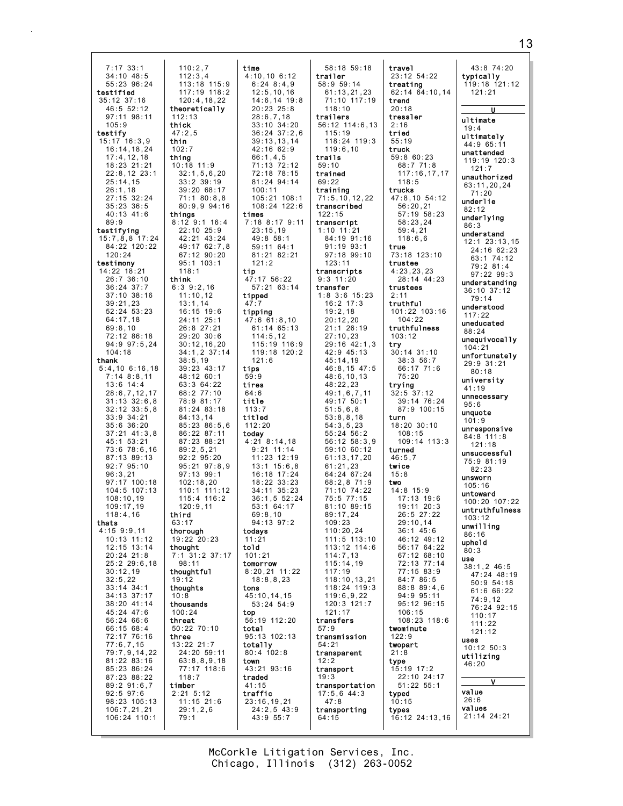| $7:17$ 33:1      | 110:2,7          | time             | 58:18 59:18       |
|------------------|------------------|------------------|-------------------|
|                  |                  |                  |                   |
| $34:10$ $48:5$   | 112:3,4          | 4:10,106:12      | trailer           |
| 55:23 96:24      | 113:18 115:9     | $6:24$ $8:4,9$   | 58:9 59:14        |
| testified        | 117:19 118:2     | 12:5, 10, 16     | 61:13,21,23       |
| $35:12$ $37:16$  | 120:4, 18, 22    | 14:6,14 19:8     | 71:10 117:19      |
| 46:5 52:12       | theoretically    | $20:23$ $25:8$   | 118:10            |
|                  |                  |                  |                   |
| 97:11 98:11      | 112:13           | 28:6,7,18        | trailers          |
| 105:9            | thick            | $33:10$ $34:20$  | $56:12$ $114:6,1$ |
| testify          | 47:2,5           | $36:24$ $37:2,6$ | 115:19            |
| 15:17 16:3,9     | thin             | 39:13,13,14      | 118:24 119:       |
| 16:14, 18, 24    | 102:7            | 42:16 62:9       | 119:6,10          |
|                  |                  |                  |                   |
| 17:4, 12, 18     | thing            | 66:1,4,5         | trails            |
| 18:23 21:21      | 10:18 11:9       | 71:13 72:12      | 59:10             |
| $22:8,12$ 23:1   | 32:1,5,6,20      | 72:18 78:15      | trained           |
| 25:14,15         | $33:2$ $39:19$   | 81:24 94:14      | 69:22             |
|                  |                  |                  |                   |
| 26:1,18          | 39:20 68:17      | 100:11           | training          |
| $27:15$ 32:24    | 71:180:8,8       | 105:21 108:1     | 71:5, 10, 12, 22  |
| $35:23$ $36:5$   | 80:9,994:16      | 108:24 122:6     | transcribed       |
| 40:13 41:6       | things           | times            | 122:15            |
| 89:9             | 8:12 9:1 16:4    | 7:18 8:17 9:11   |                   |
|                  |                  |                  | transcript        |
| testifying       | 22:10 25:9       | 23:15,19         | $1:10$ $11:21$    |
| $15:7,8,8$ 17:24 | 42:21 43:24      | 49:8 58:1        | 84:19 91:16       |
| 84:22 120:22     | 49:17 62:7,8     | 59:11 64:1       | 91:19 93:1        |
| 120:24           | 67:12 90:20      | 81:21 82:21      | 97:18 99:10       |
|                  |                  |                  |                   |
| testimony        | $95:1$ 103:1     | 121:2            | 123:11            |
| 14:22 18:21      | 118:1            | tip              | transcripts       |
| 26:7 36:10       | think            | 47:17 56:22      | $9:3$ 11:20       |
| $36:24$ 37:7     | $6:3$ $9:2,16$   | 57:21 63:14      | transfer          |
| $37:10$ $38:16$  | 11:10,12         |                  | 1:8 3:6 15:23     |
|                  |                  | tipped           |                   |
| 39:21,23         | 13:1,14          | 47:7             | $16:2$ 17:3       |
| $52:24$ $53:23$  | 16:15 19:6       | tipping          | 19:2,18           |
| 64:17,18         | 24:11 25:1       | $47:6$ 61:8,10   | 20:12,20          |
| 69:8,10          | 26:8 27:21       | 61:14 65:13      | 21:1 26:19        |
| 72:12 86:18      | 29:20 30:6       |                  |                   |
|                  |                  | 114:5,12         | 27:10,23          |
| 94:9 97:5,24     | 30:12,16,20      | 115:19 116:9     | $29:16$ 42:1,     |
| 104:18           | 34:1,2 37:14     | 119:18 120:2     | 42:9 45:13        |
| thank            | 38:5,19          | 121:6            | 45:14,19          |
| $5:4,10$ 6:16,18 | 39:23 43:17      | tips             | $46:8,15$ 47:     |
| $7:14$ $8:8,11$  | 48:12 60:1       | 59:9             | 48:6, 10, 13      |
|                  |                  |                  |                   |
| $13:6$ $14:4$    | 63:3 64:22       | tires            | 48:22,23          |
| 28:6,7,12,17     | 68:2 77:10       | 64:6             | 49:1,6,7,11       |
| $31:13$ $32:6,8$ | 78:9 81:17       | title            | 49:17 50:1        |
| $32:12 \ 33:5,8$ | 81:24 83:18      | 113:7            | 51:5,6,8          |
|                  |                  |                  |                   |
| 33:9 34:21       | 84:13,14         | titled           | 53:8,8,18         |
| $35:6$ $36:20$   | 85:23 86:5,6     | 112:20           | 54:3,5,23         |
| $37:21$ $41:3,8$ | 86:22 87:11      | today            | 55:24 56:2        |
| 45:1 53:21       | 87:23 88:21      | $4:21$ $8:14,18$ | $56:12$ $58:3$ ,  |
| 73:6 78:6,16     | 89:2,5,21        | $9:21$ 11:14     | 59:10 60:12       |
|                  |                  |                  |                   |
| 87:13 89:13      | $92:2$ $95:20$   | $11:23$ $12:19$  | 61:13,17,20       |
| $92:7$ $95:10$   | 95:21 97:8,9     | $13:1$ $15:6,8$  | 61:21,23          |
| 96:3,21          | 97:13 99:1       | 16:18 17:24      | 64:24 67:24       |
| 97:17 100:18     | 102:18,20        | 18:22 33:23      | 68:2,8 71:9       |
| 104:5 107:13     | $110:1$ $111:12$ | $34:11$ $35:23$  | 71:10 74:22       |
|                  |                  |                  |                   |
| 108:10,19        | $115:4$ 116:2    | 36:1, 5 52:24    | 75:5 77:15        |
| 109:17,19        | 120:9,11         | 53:1 64:17       | 81:10 89:15       |
| 118:4,16         | tnıra            | 69:8,10          | 89:17,24          |
| thats            | 63:17            | 94:13 97:2       | 109:23            |
| $4:15$ $9:9,11$  | thorough         | todays           | 110:20,24         |
| 10:13 11:12      | 19:22 20:23      | 11:21            | 111:5 113:1       |
|                  |                  |                  |                   |
| $12:15$ $13:14$  | thought          | told             | 113:12 114:1      |
| $20:24$ 21:8     | 7:1 31:2 37:17   | 101:21           | 114:7,13          |
| 25:229:6,18      | 98:11            | tomorrow         | 115:14,19         |
| 30:12,19         | thoughtful       | $8:20,21$ 11:22  | 117:19            |
| 32:5,22          | 19:12            | 18:8,8,23        | 118:10, 13, 2     |
|                  |                  |                  |                   |
|                  |                  |                  | 118:24 119:       |
| $33:14$ $34:1$   | thoughts         | tons             |                   |
| $34:13$ $37:17$  | 10:8             | 45:10.14.15      | 119:6,9,22        |
| 38:20 41:14      | thousands        | $53:24$ $54:9$   | 120:3 121:7       |
|                  | 100:24           |                  | 121:17            |
| 45:24 47:6       |                  | top              |                   |
| 56:2466:6        | threat           | 56:19 112:20     | transfers         |
| 66:15 68:4       | $50:22$ $70:10$  | total            | 57:9              |
| 72:17 76:16      | three            | 95:13 102:13     | transmission      |
| 77:6,7,15        | $13:22$ $21:7$   | totally          | 54:21             |
|                  | 24:20 59:11      | $80:4$ 102:8     |                   |
| 79:7,9,14,22     |                  |                  | transparent       |
| 81:22 83:16      | 63:8,8,9,18      | town             | 12:2              |
| 85:23 86:24      | 77:17 118:6      | 43:21 93:16      | transport         |
| 87:23 88:22      | 118:7            | traded           | 19:3              |
| 89:291:6,7       | timber           | 41:15            | transportation    |
| $92:5$ $97:6$    | $2:21$ 5:12      | traffic          |                   |
|                  |                  |                  | $17:5,6$ 44:3     |
| 98:23 105:13     | $11:15$ 21:6     | 23:16,19,21      | 47:8              |
| 106:7, 21, 21    | 29:1,2,6         | $24:2,5$ 43:9    | transporting      |
| 106:24 110:1     | 79:1             | 43:9 55:7        | 64:15             |
|                  |                  |                  |                   |

58:9 59:14  $\overline{21}$ . 23 71:10 117:19 56:12 114:6,13 119:3 10 12,22 ed. )t 21 84:19 91:16 93:1 99:10 )ts  $\frac{1}{2}0$  $15:23$  $7:3$ 8  $20^{12}$  $6:19$ 23  $42:1,3$  $5:13$ 45:14,19  $5.47:5$ 0,13 23  $\frac{1}{7}$ , 11  $50:1$ 51:5,6,8  $.18$ 54:3,5,23  $56:2$ 58:3.9 60:12 61:13,17,20 23. 64:24 67:24 68:2,8 71:9 74:22  $7:15$ 89:15 24 . 24 113:10 114:6 13 115:14,19 118:10,13,21 119:3 9,22 121:7 sion ent tation  $4:3$ ting treating 62:14 64:10,14 trend 20:18 tressler 2:16 tried 55:19 truck 59:8 60:23 68:7 71:8 117:16,17,17 118:5 trucks 47:8,10 54:12 56:20,21 57:19 58:23 58:23,24 59:4,21 118:6,6 true 73:18 123:10 trustee 4:23,23,23 28:14 44:23 trustees 2:11 truthful 101:22 103:16 104:22 truthfulness 103:12 try 30:14 31:10 38:3 56:7 66:17 71:6 75:20 trying 32:5 37:12 39:14 76:24 87:9 100:15 turn 18:20 30:10 108:15 109:14 113:3 turned 46:5,7 twice 15:8 two 14:8 15:9 17:13 19:6 19:11 20:3 26:5 27:22 29:10,14 36:1 45:6 46:12 49:12 56:17 64:22 67:12 68:10 72:13 77:14 77:15 83:9 84:7 86:5 88:8 89:4,6 94:9 95:11 95:12 96:15 106:15 108:23 118:6 twominute 122:9 twopart 21:8 type 15:19 17:2 22:10 24:17 51:22 55:1 typed 10:15 types 16:12 24:13,16

travel 23:12 54:22

43:8 74:20 typically 119:18 121:12 121:21  $\overline{\mathbf{u}}$ ultimate  $19:4$ ultimately 44:9 65:11 unattended 119:19 120:3 121:7 unauthorized 63:11,20,24 71:20 underlie 82:12 underlying 86:3 understand 12:1 23:13,15 24:16 62:23 63:1 74:12 79:2 81:4 97:22 99:3 understanding 36:10 37:12 79:14 understood 117:22 uneducated 88:24 unequivocally 104:21 unfortunately 29:9 31:21 80:18 university 41:19 unnecessary 95:6 unquote 101:9 unresponsive 84:8 111:8 121:18 unsuccessful 75:9 81:19 82:23 unsworn 105:16 untoward 100:20 107:22 untruthfulness 103:12 unwilling 86:16 upheld 80:3 use 38:1,2 46:5 47:24 48:19 50:9 54:18 61:6 66:22 74:9,12 76:24 92:15 110:17 111:22 121:12 uses 10:12 50:3 utilizing 46:20 V value 26:6 values 21:14 24:21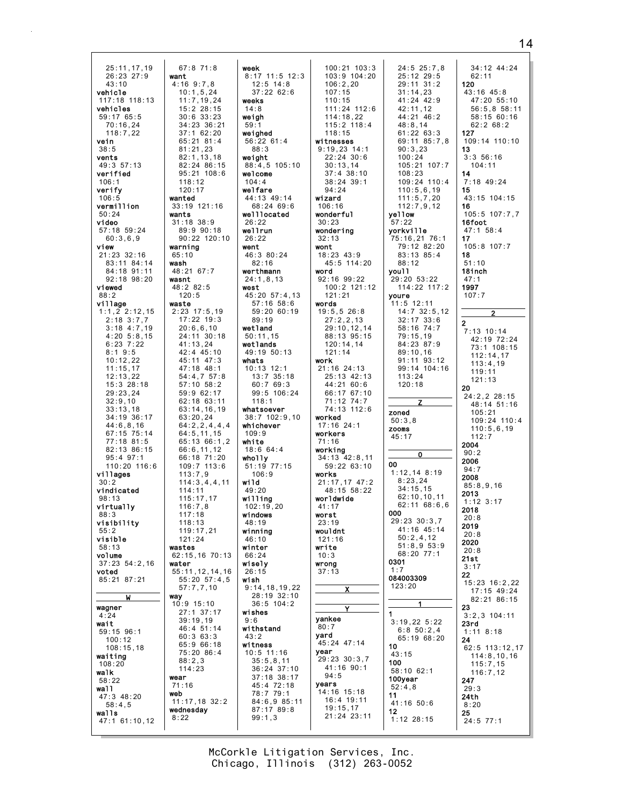25:11,17,19 26:23 27:9 43:10 vehicle 117:18 118:13 vehicles 59:17 65:5 70:16,24  $118.722$ vein 38:5 vents 49:3 57:13 verified 106:1 verify 106:5 vermillion 50:24 video 57:18 59:24 60:3,6,9 view 21:23 32:16 83:11 84:14 84:18 91:11 92:18 98:20 viewed 88:2 village 1:1,2 2:12,15  $2:18$  3:7,7 3:18 4:7,19 4:20 5:8,15 6:23 7:22 8:1 9:5 10:12,22 11:15,17 12:13,22 15:3 28:18 29:23,24  $32:9.10$ 33:13,18 34:19 36:17 44:6,8,16 67:15 75:14 77:18 81:5 82:13 86:15 95:4 97:1 110:20 116:6 villages 30:2 vindicated 98:13 virtually 88:3 visibility 55:2 visible 58:13 volume 37:23 54:2,16 voted 85:21 87:21 W wagner 4:24 wait 59:15 96:1 100:12 108:15,18 waiting 108:20 walk 58:22 wall 47:3 48:20 58:4,5 walls 47:1 61:10,12 67:8 71:8 want 4:16 9:7,8 10:1,5,24  $11:7,19,24$ 15:2 28:15 30:6 33:23 34:23 36:21 37:1 62:20 65:21 81:4 81:21,23 82:1,13,18 82:24 86:15 95:21 108:6 118:12  $120:17$ wanted 33:19 121:16 wants 31:18 38:9 89:9 90:18 warning 65:10 wash 48:21 67:7 wasnt 48:2 82:5 120:5 waste 2:23 17:5,19 17:22 19:3 20:6,6,10 24:11 30:18 41:13,24 42:4 45:10 45:11 47:3 47:18 48:1 54:4,7 57:8 57:10 58:2 59:9 62:17 62:18 63:11 63:14,16,19 63:20,24 66:6,11,12 66:18 71:20 109:7 113:6 113:7,9 114:11  $115:17,17$ 116:7,8 117:18  $118.13$ 119:17,21 121:24 wastes 62:15,16 70:13 water 55:11,12,14,16 57:7,7,10 way 10:9 15:10 27:1 37:17 39:19,19 46:4 51:14 60:3 63:3 65:9 66:18 75:20 86:4 88:2,3 114:23 wear 71:16 web 11:17,18 32:2 wednesday 8:22

90:22 120:10 64:2,2,4,4,4 64:5,11,15 65:13 66:1,2 114:3,4,4,11 55:20 57:4,5 week 8:17 11:5 12 12:5 14:8 37:22 62:6 weeks 14:8 weigh 59:1 weighed 56:22 61:4 88:3 weight  $88:4,5 105:1$ welcome 104:4 welfare 44:13 49:14 68:24 69:6 welllocated 26:22 wellrun 26:22 went 46:3 80:24 82:16 werthmann 24:1,8,13 west 45:20 57:4,13 57:16 58:6 59:20 60:19 89:19 wetland 50:11,15 wetlands 49:19 50:13 whats 10:13 12:1 13:7 35:18 60:7 69:3 99:5 106:24 118:1 whatsoever 38:7 102:9. whichever 109:9 white 18:6 64:4 wholly 51:19 77:15 106:9 wild 49:20 willing 102:19,20 windows 48:19 winning 46:10 winter 66:24 wisely 26:15 wish 9:14,18,19,22 28:19 32:10 36:5 104:2 wishes  $9:6$ withstand  $43.2$ witness 10:5 11:16 35:5,8,11 36:24 37:10  $37:18$   $38:1$ 45:4 72:18 78:7 79:1 84:6,9 85: 87:17 89:8 99:1,3

|                          | 100:21 103:3                                                                                                                                                                                                                                                                                     | $24:5$ 25             |
|--------------------------|--------------------------------------------------------------------------------------------------------------------------------------------------------------------------------------------------------------------------------------------------------------------------------------------------|-----------------------|
| 2:3                      | 103:9 104:20                                                                                                                                                                                                                                                                                     | 25:12 2               |
|                          | 106:2,20                                                                                                                                                                                                                                                                                         |                       |
|                          | 107:15                                                                                                                                                                                                                                                                                           | $29:113$<br>$31:14,2$ |
|                          | 110:15                                                                                                                                                                                                                                                                                           | $41:24$ 4             |
|                          |                                                                                                                                                                                                                                                                                                  |                       |
|                          | 111:24 112:6                                                                                                                                                                                                                                                                                     | 42:11,1               |
|                          | 114:18,22                                                                                                                                                                                                                                                                                        | 44:21 4               |
|                          | $115:2$ $118:4$                                                                                                                                                                                                                                                                                  | 48:8,14               |
|                          | 118:15                                                                                                                                                                                                                                                                                           | 61:226                |
|                          | witnesses                                                                                                                                                                                                                                                                                        | 69:118                |
|                          | $9:19,23$ 14:1                                                                                                                                                                                                                                                                                   | 90:3,23               |
|                          | 22:24 30:6                                                                                                                                                                                                                                                                                       | 100:24                |
| 10                       | 30:13,14                                                                                                                                                                                                                                                                                         | 105:21                |
|                          | $37:4$ 38:10                                                                                                                                                                                                                                                                                     | 108:23                |
|                          | 38:24 39:1                                                                                                                                                                                                                                                                                       | 109:24                |
|                          | 94:24                                                                                                                                                                                                                                                                                            | 110:5,6               |
|                          | wizard                                                                                                                                                                                                                                                                                           | 111:5,7               |
|                          | 106:16                                                                                                                                                                                                                                                                                           | 112:7,9               |
|                          | wonderful                                                                                                                                                                                                                                                                                        | yellow                |
|                          | 30:23                                                                                                                                                                                                                                                                                            |                       |
|                          |                                                                                                                                                                                                                                                                                                  | 57:22                 |
|                          | wondering                                                                                                                                                                                                                                                                                        | yorkville             |
|                          | 32:13                                                                                                                                                                                                                                                                                            | 75:16,21              |
|                          | wont                                                                                                                                                                                                                                                                                             | 79:12 8               |
|                          | 18:23 43:9                                                                                                                                                                                                                                                                                       | 83:13 8               |
|                          | 45:5 114:20                                                                                                                                                                                                                                                                                      | 88:12                 |
|                          | word                                                                                                                                                                                                                                                                                             | you11                 |
|                          | 92:16 99:22                                                                                                                                                                                                                                                                                      | 29:20 53              |
|                          | 100:2 121:12                                                                                                                                                                                                                                                                                     | 114:22                |
| 13                       | 121:21                                                                                                                                                                                                                                                                                           | youre                 |
|                          | words                                                                                                                                                                                                                                                                                            | 12:<br>11:5           |
| 9                        | 19:5,5 26:8                                                                                                                                                                                                                                                                                      | $14:7$ 32             |
|                          | 27:2,2,13                                                                                                                                                                                                                                                                                        | 32:17 <sup>3</sup>    |
|                          | 29:10,12,14                                                                                                                                                                                                                                                                                      | 58:16<br>7            |
|                          | 88:13 95:15                                                                                                                                                                                                                                                                                      | 79:15,1               |
|                          | 120:14,14                                                                                                                                                                                                                                                                                        | 84:23 8               |
|                          | 121:14                                                                                                                                                                                                                                                                                           |                       |
|                          |                                                                                                                                                                                                                                                                                                  | 89:10,1<br>g          |
|                          | work                                                                                                                                                                                                                                                                                             | 91:11                 |
|                          | 21:16 24:13                                                                                                                                                                                                                                                                                      | 99:14 1               |
| í                        | 25:13 42:13                                                                                                                                                                                                                                                                                      | 113:24                |
|                          | 44:21<br>60:6                                                                                                                                                                                                                                                                                    | 120:18                |
| $\overline{\mathcal{A}}$ | 66:17<br>67:10                                                                                                                                                                                                                                                                                   |                       |
|                          |                                                                                                                                                                                                                                                                                                  |                       |
|                          | 71:12<br>74:7                                                                                                                                                                                                                                                                                    | Z.                    |
|                          | 74:13 112:6                                                                                                                                                                                                                                                                                      |                       |
| ۱0                       | worked                                                                                                                                                                                                                                                                                           | zoned                 |
|                          | 17:16 24:1                                                                                                                                                                                                                                                                                       | 50:3,8                |
|                          | workers                                                                                                                                                                                                                                                                                          | <b>ZOOMS</b>          |
|                          |                                                                                                                                                                                                                                                                                                  | 45:17                 |
|                          | 71:16                                                                                                                                                                                                                                                                                            |                       |
|                          | working                                                                                                                                                                                                                                                                                          | 0                     |
|                          | 34:13 42:8.11                                                                                                                                                                                                                                                                                    | 00                    |
|                          | 59:22 63:10                                                                                                                                                                                                                                                                                      |                       |
|                          | works                                                                                                                                                                                                                                                                                            | 1:12,14               |
|                          | 21:17,17 47:2                                                                                                                                                                                                                                                                                    | 8:23,24               |
|                          | 48:15 58:22                                                                                                                                                                                                                                                                                      | 34:15,1               |
|                          | worldwide                                                                                                                                                                                                                                                                                        | 62:10,1               |
|                          | 41:17                                                                                                                                                                                                                                                                                            | 62:11<br>6            |
|                          | worst                                                                                                                                                                                                                                                                                            | ooo                   |
|                          | 23:19                                                                                                                                                                                                                                                                                            | 29:23 30              |
|                          | wouldnt                                                                                                                                                                                                                                                                                          | 41:16 4               |
|                          | 121:16                                                                                                                                                                                                                                                                                           | 50:2,4,               |
|                          | write                                                                                                                                                                                                                                                                                            | 51:8,9                |
|                          | 10:3                                                                                                                                                                                                                                                                                             | 68:20 7               |
|                          | wrong                                                                                                                                                                                                                                                                                            | 0301                  |
|                          | 37:13                                                                                                                                                                                                                                                                                            | 1:7                   |
|                          |                                                                                                                                                                                                                                                                                                  | 084003309             |
| 22                       | $\mathsf{X}$ and $\mathsf{X}$ and $\mathsf{X}$ and $\mathsf{X}$ are $\mathsf{X}$ and $\mathsf{X}$ and $\mathsf{X}$ are $\mathsf{X}$ and $\mathsf{X}$ and $\mathsf{X}$ are $\mathsf{X}$ and $\mathsf{X}$ and $\mathsf{X}$ are $\mathsf{X}$ and $\mathsf{X}$ and $\mathsf{X}$ are $\mathsf{X}$ and | 123:20                |
| 0                        |                                                                                                                                                                                                                                                                                                  |                       |
|                          |                                                                                                                                                                                                                                                                                                  | 1                     |
|                          | Y                                                                                                                                                                                                                                                                                                |                       |
|                          | yankee                                                                                                                                                                                                                                                                                           | 1                     |
|                          | 80:7                                                                                                                                                                                                                                                                                             | 3:19,22               |
|                          | yard                                                                                                                                                                                                                                                                                             | 6:850:                |
|                          | 45:24 47:14                                                                                                                                                                                                                                                                                      | 65:196                |
|                          | year                                                                                                                                                                                                                                                                                             | 10                    |
|                          | 29:23 30:3,7                                                                                                                                                                                                                                                                                     | 43:15                 |
|                          | 41:16 90:1                                                                                                                                                                                                                                                                                       | 100                   |
| 0                        | 94:5                                                                                                                                                                                                                                                                                             | 58:10 62              |
| $\overline{7}$           |                                                                                                                                                                                                                                                                                                  | 100year               |
| í                        | years                                                                                                                                                                                                                                                                                            | 52:4,8                |
|                          | 14:16 15:18                                                                                                                                                                                                                                                                                      | 11                    |
|                          | 16:4 19:11                                                                                                                                                                                                                                                                                       | 41:16 50              |
| 11                       | 19:15,17                                                                                                                                                                                                                                                                                         | 12                    |
|                          | 21:24 23:11                                                                                                                                                                                                                                                                                      | $1:12$ 28:            |

24:5 25:7,8 25:12 29:5 29:11 31:2 31:14,23 41:24 42:9 42:11,12  $44:21$   $46:2$ 48:8,14 61:22 63:3 69:11 85:7,8 90:3,23 105:21 107:7 109:24 110:4 110:5,6,19 111:5,7,20 112:7,9,12 yorkville 75:16,21 76:1 79:12 82:20 83:13 85:4 29:20 53:22 114:22 117:2  $1:5$  12:11 14:7 32:5,12 32:17 33:6 58:16 74:7 79:15,19 84:23 87:9 89:10,16 91:11 93:12 99:14 104:16 1:12,14 8:19 8:23,24 34:15,15 62:10,10,11 62:11 68:6,6  $9:23$   $30:3,7$ 41:16 45:14 50:2,4,12 51:8,9 53:9 68:20 77:1  $:19,22,5:22$ 6:8 50:2,4 65:19 68:20 58:10 62:1 41:16 50:6 1:12 28:15 34:12 44:24 62:11 120 43:16 45:8 47:20 55:10 56:5,8 58:11 58:15 60:16 62:2 68:2 127 109:14 110:10 13 3:3 56:16 104:11 14 7:18 49:24 15 43:15 104:15 16 105:5 107:7,7 16foot 47:1 58:4 17 105:8 107:7 18 51:10 18inch 47:1 1997 107:7 2 2 7:13 10:14 42:19 72:24 73:1 108:15 112:14,17 113:4,19 119:11 121:13 20 24:2,2 28:15 48:14 51:16 105:21  $109.24$   $110.4$ 110:5,6,19 112:7 2004  $90.2$ 2006  $94.7$ 2008 85:8,9,16 2013 1:12 3:17 2018 20:8 2019 20:8 2020 20:8 21st 3:17 22 15:23 16:2,22 17:15 49:24 82:21 86:15 23 3:2,3 104:11 23rd 1:11 8:18 24 62:5 113:12,17 114:8,10,16 115:7,15 116:7,12 247 29:3 24th 8:20 25  $24:5$  77:1